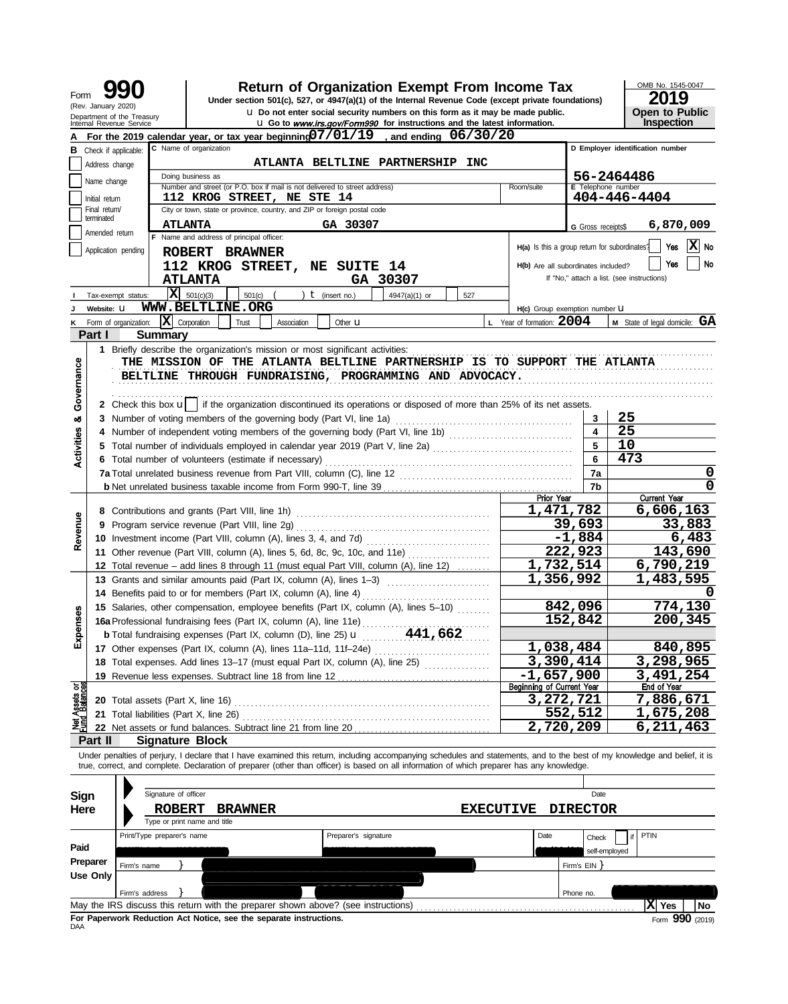| Form                           | (Rev. January 2020)                                                                         |                                                         |                                                                                                                                                                                                                                                                                                                          |                      | <b>Return of Organization Exempt From Income Tax</b><br>Under section 501(c), 527, or 4947(a)(1) of the Internal Revenue Code (except private foundations)       |                                               |                        | OMB No. 1545-0047<br>2019                  |  |  |  |  |
|--------------------------------|---------------------------------------------------------------------------------------------|---------------------------------------------------------|--------------------------------------------------------------------------------------------------------------------------------------------------------------------------------------------------------------------------------------------------------------------------------------------------------------------------|----------------------|------------------------------------------------------------------------------------------------------------------------------------------------------------------|-----------------------------------------------|------------------------|--------------------------------------------|--|--|--|--|
|                                |                                                                                             | Department of the Treasury<br>Internal Revenue Service  |                                                                                                                                                                                                                                                                                                                          |                      | u Do not enter social security numbers on this form as it may be made public.<br><b>u</b> Go to www.irs.gov/Form990 for instructions and the latest information. |                                               |                        | <b>Open to Public</b><br><b>Inspection</b> |  |  |  |  |
|                                |                                                                                             |                                                         | For the 2019 calendar year, or tax year beginning $07/01/19$ , and ending $06/30/20$                                                                                                                                                                                                                                     |                      |                                                                                                                                                                  |                                               |                        |                                            |  |  |  |  |
|                                | C Name of organization<br>D Employer identification number<br><b>B</b> Check if applicable: |                                                         |                                                                                                                                                                                                                                                                                                                          |                      |                                                                                                                                                                  |                                               |                        |                                            |  |  |  |  |
|                                | Address change                                                                              |                                                         |                                                                                                                                                                                                                                                                                                                          |                      |                                                                                                                                                                  |                                               |                        |                                            |  |  |  |  |
|                                | Name change                                                                                 | 56-2464486                                              |                                                                                                                                                                                                                                                                                                                          |                      |                                                                                                                                                                  |                                               |                        |                                            |  |  |  |  |
|                                | Initial return                                                                              |                                                         | Number and street (or P.O. box if mail is not delivered to street address)<br>112 KROG STREET, NE STE 14                                                                                                                                                                                                                 |                      |                                                                                                                                                                  | Room/suite                                    | E Telephone number     | 404-446-4404                               |  |  |  |  |
|                                | Final return/                                                                               |                                                         | City or town, state or province, country, and ZIP or foreign postal code                                                                                                                                                                                                                                                 |                      |                                                                                                                                                                  |                                               |                        |                                            |  |  |  |  |
|                                | terminated                                                                                  |                                                         | <b>ATLANTA</b>                                                                                                                                                                                                                                                                                                           | GA 30307             |                                                                                                                                                                  |                                               | G Gross receipts\$     | 6,870,009                                  |  |  |  |  |
|                                | Amended return                                                                              |                                                         | F Name and address of principal officer:                                                                                                                                                                                                                                                                                 |                      |                                                                                                                                                                  |                                               |                        | X  No                                      |  |  |  |  |
|                                |                                                                                             | Application pending                                     | <b>ROBERT</b><br><b>BRAWNER</b>                                                                                                                                                                                                                                                                                          |                      |                                                                                                                                                                  | H(a) Is this a group return for subordinates? |                        | Yes                                        |  |  |  |  |
|                                |                                                                                             |                                                         | 112 KROG STREET,                                                                                                                                                                                                                                                                                                         | <b>NE SUITE 14</b>   |                                                                                                                                                                  | H(b) Are all subordinates included?           |                        | <b>No</b><br>Yes                           |  |  |  |  |
|                                |                                                                                             |                                                         | <b>ATLANTA</b>                                                                                                                                                                                                                                                                                                           | GA 30307             |                                                                                                                                                                  |                                               |                        | If "No," attach a list. (see instructions) |  |  |  |  |
|                                |                                                                                             | Tax-exempt status:                                      | $ \mathbf{X} $ 501(c)(3)<br>501(c)                                                                                                                                                                                                                                                                                       | ) $t$ (insert no.)   | 4947(a)(1) or<br>527                                                                                                                                             |                                               |                        |                                            |  |  |  |  |
|                                | Website: U                                                                                  |                                                         | <b>WWW.BELTLINE.ORG</b>                                                                                                                                                                                                                                                                                                  |                      |                                                                                                                                                                  | H(c) Group exemption number LI                |                        |                                            |  |  |  |  |
|                                |                                                                                             | X<br>Form of organization:                              | Corporation<br>Association<br>Trust                                                                                                                                                                                                                                                                                      | Other <b>u</b>       |                                                                                                                                                                  | L Year of formation: 2004                     |                        | M State of legal domicile: GA              |  |  |  |  |
|                                | Part I                                                                                      | <b>Summary</b>                                          | 1 Briefly describe the organization's mission or most significant activities:                                                                                                                                                                                                                                            |                      |                                                                                                                                                                  |                                               |                        |                                            |  |  |  |  |
|                                |                                                                                             |                                                         | THE MISSION OF THE ATLANTA BELTLINE PARTNERSHIP IS TO SUPPORT THE ATLANTA                                                                                                                                                                                                                                                |                      |                                                                                                                                                                  |                                               |                        |                                            |  |  |  |  |
| Governance                     |                                                                                             | BELTLINE THROUGH FUNDRAISING, PROGRAMMING AND ADVOCACY. |                                                                                                                                                                                                                                                                                                                          |                      |                                                                                                                                                                  |                                               |                        |                                            |  |  |  |  |
|                                |                                                                                             |                                                         |                                                                                                                                                                                                                                                                                                                          |                      |                                                                                                                                                                  |                                               |                        |                                            |  |  |  |  |
|                                |                                                                                             |                                                         | 2 Check this box u   if the organization discontinued its operations or disposed of more than 25% of its net assets.                                                                                                                                                                                                     |                      |                                                                                                                                                                  |                                               |                        |                                            |  |  |  |  |
| ಯ                              |                                                                                             |                                                         |                                                                                                                                                                                                                                                                                                                          |                      |                                                                                                                                                                  |                                               | 3                      | 25                                         |  |  |  |  |
|                                |                                                                                             |                                                         |                                                                                                                                                                                                                                                                                                                          |                      |                                                                                                                                                                  |                                               | 4                      | 25                                         |  |  |  |  |
|                                |                                                                                             |                                                         | 5 Total number of individuals employed in calendar year 2019 (Part V, line 2a)                                                                                                                                                                                                                                           |                      |                                                                                                                                                                  |                                               | 5                      | 10                                         |  |  |  |  |
| Activities                     |                                                                                             |                                                         | 6 Total number of volunteers (estimate if necessary)                                                                                                                                                                                                                                                                     |                      |                                                                                                                                                                  |                                               | 6                      | 473                                        |  |  |  |  |
|                                |                                                                                             |                                                         |                                                                                                                                                                                                                                                                                                                          |                      |                                                                                                                                                                  |                                               | 7a                     | 0                                          |  |  |  |  |
|                                |                                                                                             |                                                         |                                                                                                                                                                                                                                                                                                                          |                      |                                                                                                                                                                  |                                               | 7b                     | 0                                          |  |  |  |  |
|                                |                                                                                             |                                                         |                                                                                                                                                                                                                                                                                                                          |                      |                                                                                                                                                                  | Prior Year                                    |                        | <b>Current Year</b>                        |  |  |  |  |
|                                |                                                                                             |                                                         | 8 Contributions and grants (Part VIII, line 1h)                                                                                                                                                                                                                                                                          |                      |                                                                                                                                                                  | 1,471,782                                     |                        | 6,606,163                                  |  |  |  |  |
|                                |                                                                                             |                                                         | 9 Program service revenue (Part VIII, line 2g)                                                                                                                                                                                                                                                                           |                      | 39,693                                                                                                                                                           | 33,883                                        |                        |                                            |  |  |  |  |
| Revenue                        |                                                                                             |                                                         | 10 Investment income (Part VIII, column (A), lines 3, 4, and 7d)                                                                                                                                                                                                                                                         |                      |                                                                                                                                                                  |                                               | $-1,884$               | 6,483                                      |  |  |  |  |
|                                |                                                                                             |                                                         | 11 Other revenue (Part VIII, column (A), lines 5, 6d, 8c, 9c, 10c, and 11e)                                                                                                                                                                                                                                              |                      |                                                                                                                                                                  |                                               | 222,923                | 143,690                                    |  |  |  |  |
|                                |                                                                                             |                                                         | 12 Total revenue - add lines 8 through 11 (must equal Part VIII, column (A), line 12)                                                                                                                                                                                                                                    |                      |                                                                                                                                                                  | $\overline{1,}732,514$                        |                        | 6,790,219                                  |  |  |  |  |
|                                |                                                                                             |                                                         | 13 Grants and similar amounts paid (Part IX, column (A), lines 1-3)                                                                                                                                                                                                                                                      |                      |                                                                                                                                                                  | 1,356,992                                     |                        | 1,483,595                                  |  |  |  |  |
|                                |                                                                                             |                                                         | 14 Benefits paid to or for members (Part IX, column (A), line 4)<br>15 Salaries, other compensation, employee benefits (Part IX, column (A), lines 5-10)                                                                                                                                                                 |                      |                                                                                                                                                                  |                                               | 842,096                | 774,130                                    |  |  |  |  |
| 8                              |                                                                                             |                                                         | 16a Professional fundraising fees (Part IX, column (A), line 11e)                                                                                                                                                                                                                                                        |                      |                                                                                                                                                                  |                                               | 152,842                | 200,345                                    |  |  |  |  |
| Expens                         |                                                                                             |                                                         | <b>b</b> Total fundraising expenses (Part IX, column (D), line 25) $\mathbf{u}$                                                                                                                                                                                                                                          |                      | 441,662                                                                                                                                                          |                                               |                        |                                            |  |  |  |  |
|                                |                                                                                             |                                                         | 17 Other expenses (Part IX, column (A), lines 11a-11d, 11f-24e)                                                                                                                                                                                                                                                          |                      |                                                                                                                                                                  | 1,038,484                                     |                        | 840,895                                    |  |  |  |  |
|                                |                                                                                             |                                                         | 18 Total expenses. Add lines 13-17 (must equal Part IX, column (A), line 25)                                                                                                                                                                                                                                             |                      |                                                                                                                                                                  | 3,390,414                                     |                        | 3,298,965                                  |  |  |  |  |
|                                |                                                                                             |                                                         | 19 Revenue less expenses. Subtract line 18 from line 12                                                                                                                                                                                                                                                                  |                      |                                                                                                                                                                  | $-1,657,900$                                  |                        | 3,491,254                                  |  |  |  |  |
| Net Assets or<br>Fund Balances |                                                                                             |                                                         |                                                                                                                                                                                                                                                                                                                          |                      |                                                                                                                                                                  | Beginning of Current Year                     |                        | End of Year                                |  |  |  |  |
|                                |                                                                                             | <b>20</b> Total assets (Part X, line 16)                |                                                                                                                                                                                                                                                                                                                          |                      |                                                                                                                                                                  | 3,272,721                                     |                        | <u>7,886,671</u>                           |  |  |  |  |
|                                |                                                                                             | 21 Total liabilities (Part X, line 26)                  |                                                                                                                                                                                                                                                                                                                          |                      |                                                                                                                                                                  |                                               | 552,512                | 1,675,208                                  |  |  |  |  |
|                                |                                                                                             |                                                         | 22 Net assets or fund balances. Subtract line 21 from line 20                                                                                                                                                                                                                                                            |                      |                                                                                                                                                                  | 2,720,209                                     |                        | 6,211,463                                  |  |  |  |  |
|                                | Part II                                                                                     | <b>Signature Block</b>                                  |                                                                                                                                                                                                                                                                                                                          |                      |                                                                                                                                                                  |                                               |                        |                                            |  |  |  |  |
|                                |                                                                                             |                                                         | Under penalties of perjury, I declare that I have examined this return, including accompanying schedules and statements, and to the best of my knowledge and belief, it is<br>true, correct, and complete. Declaration of preparer (other than officer) is based on all information of which preparer has any knowledge. |                      |                                                                                                                                                                  |                                               |                        |                                            |  |  |  |  |
|                                |                                                                                             | Signature of officer                                    |                                                                                                                                                                                                                                                                                                                          |                      |                                                                                                                                                                  |                                               | Date                   |                                            |  |  |  |  |
| Sign<br>Here                   |                                                                                             |                                                         |                                                                                                                                                                                                                                                                                                                          |                      |                                                                                                                                                                  |                                               |                        |                                            |  |  |  |  |
|                                |                                                                                             | <b>ROBERT</b>                                           | <b>BRAWNER</b><br>Type or print name and title                                                                                                                                                                                                                                                                           |                      | <b>EXECUTIVE</b>                                                                                                                                                 |                                               | <b>DIRECTOR</b>        |                                            |  |  |  |  |
|                                |                                                                                             | Print/Type preparer's name                              |                                                                                                                                                                                                                                                                                                                          | Preparer's signature |                                                                                                                                                                  | Date                                          |                        | PTIN                                       |  |  |  |  |
| Paid                           |                                                                                             |                                                         |                                                                                                                                                                                                                                                                                                                          |                      |                                                                                                                                                                  |                                               | Check<br>self-employed |                                            |  |  |  |  |
|                                | Preparer                                                                                    |                                                         |                                                                                                                                                                                                                                                                                                                          |                      |                                                                                                                                                                  |                                               |                        |                                            |  |  |  |  |
|                                | <b>Use Only</b>                                                                             | Firm's name                                             |                                                                                                                                                                                                                                                                                                                          |                      |                                                                                                                                                                  |                                               | Firm's EIN             |                                            |  |  |  |  |
|                                |                                                                                             | Firm's address                                          |                                                                                                                                                                                                                                                                                                                          |                      |                                                                                                                                                                  |                                               | Phone no.              |                                            |  |  |  |  |
|                                |                                                                                             |                                                         | May the IRS discuss this return with the preparer shown above? (see instructions)                                                                                                                                                                                                                                        |                      |                                                                                                                                                                  |                                               |                        | $ X $ Yes<br>No                            |  |  |  |  |

**For Paperwork Reduction Act Notice, see the separate instructions.**<br>DAA

Form **990** (2019)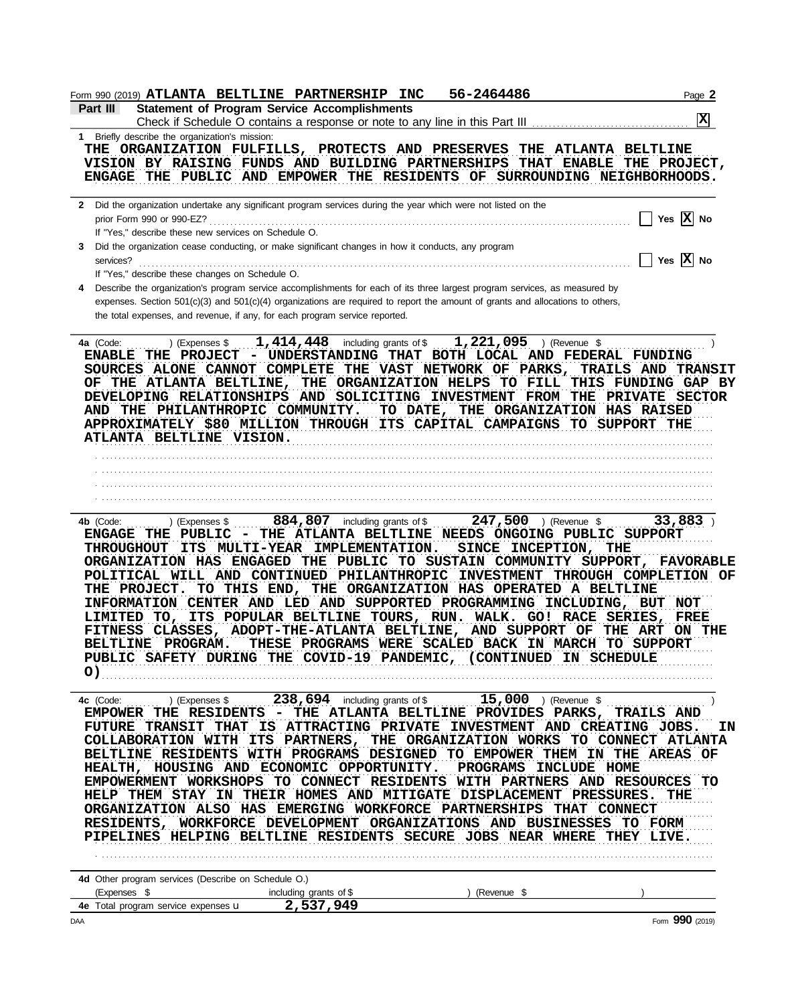| <b>Statement of Program Service Accomplishments</b><br>Part III<br>Check if Schedule O contains a response or note to any line in this Part III<br>1 Briefly describe the organization's mission:<br>THE ORGANIZATION FULFILLS, PROTECTS AND PRESERVES THE ATLANTA BELTLINE<br>VISION BY RAISING FUNDS AND BUILDING PARTNERSHIPS THAT ENABLE THE PROJECT,<br>ENGAGE THE PUBLIC AND EMPOWER THE RESIDENTS OF SURROUNDING NEIGHBORHOODS.<br>2 Did the organization undertake any significant program services during the year which were not listed on the<br>prior Form 990 or 990-EZ?<br>If "Yes," describe these new services on Schedule O.<br>Did the organization cease conducting, or make significant changes in how it conducts, any program<br>3<br>$\mathbf{1}$<br>services?<br>If "Yes," describe these changes on Schedule O.<br>Describe the organization's program service accomplishments for each of its three largest program services, as measured by<br>4<br>expenses. Section 501(c)(3) and 501(c)(4) organizations are required to report the amount of grants and allocations to others,<br>the total expenses, and revenue, if any, for each program service reported.<br>$1,221,095$ ) (Revenue \$<br>1, $414$ , $448$ including grants of \$<br>4a (Code:<br>) (Expenses \$<br>ENABLE THE PROJECT - UNDERSTANDING THAT BOTH LOCAL AND FEDERAL FUNDING<br>SOURCES ALONE CANNOT COMPLETE THE VAST NETWORK OF PARKS, TRAILS AND TRANSIT<br>OF THE ATLANTA BELTLINE, THE ORGANIZATION HELPS TO FILL THIS FUNDING GAP BY<br>DEVELOPING RELATIONSHIPS AND SOLICITING INVESTMENT FROM THE PRIVATE SECTOR<br>AND THE PHILANTHROPIC COMMUNITY.<br>TO DATE, THE ORGANIZATION HAS RAISED<br>APPROXIMATELY \$80 MILLION THROUGH ITS CAPITAL CAMPAIGNS TO SUPPORT THE<br>ATLANTA BELTLINE VISION.<br>$884,807$ including grants of \$247,500 ) (Revenue \$<br>4b (Code:<br>) (Expenses \$<br>ENGAGE THE PUBLIC - THE ATLANTA BELTLINE NEEDS ONGOING PUBLIC SUPPORT<br><b>THROUGHOUT</b><br>ITS MULTI-YEAR IMPLEMENTATION.<br>SINCE INCEPTION, THE<br>ORGANIZATION HAS ENGAGED THE PUBLIC TO SUSTAIN COMMUNITY SUPPORT, FAVORABLE<br>POLITICAL WILL AND CONTINUED PHILANTHROPIC INVESTMENT THROUGH COMPLETION OF<br>THE PROJECT. TO THIS END, THE ORGANIZATION HAS OPERATED A BELTLINE<br>INFORMATION CENTER AND LED AND SUPPORTED PROGRAMMING INCLUDING, BUT NOT<br>LIMITED TO, ITS POPULAR BELTLINE TOURS, RUN. WALK. GO! RACE SERIES, FREE<br>FITNESS CLASSES, ADOPT-THE-ATLANTA BELTLINE, AND SUPPORT OF THE ART ON THE<br>BELTLINE PROGRAM. THESE PROGRAMS WERE SCALED BACK IN MARCH TO SUPPORT<br>PUBLIC SAFETY DURING THE COVID-19 PANDEMIC, (CONTINUED IN SCHEDULE<br>O)<br>(Expenses \$238,694 including grants of \$15,000 ) (Revenue \$<br>4c (Code:<br>EMPOWER THE RESIDENTS - THE ATLANTA BELTLINE PROVIDES PARKS, TRAILS AND<br>FUTURE TRANSIT THAT IS ATTRACTING PRIVATE INVESTMENT AND CREATING JOBS. IN<br>COLLABORATION WITH ITS PARTNERS, THE ORGANIZATION WORKS TO CONNECT ATLANTA<br>BELTLINE RESIDENTS WITH PROGRAMS DESIGNED TO EMPOWER THEM IN THE AREAS OF<br>HEALTH, HOUSING AND ECONOMIC OPPORTUNITY. PROGRAMS INCLUDE HOME<br>EMPOWERMENT WORKSHOPS TO CONNECT RESIDENTS WITH PARTNERS AND RESOURCES TO<br>HELP THEM STAY IN THEIR HOMES AND MITIGATE DISPLACEMENT PRESSURES. THE<br>ORGANIZATION ALSO HAS EMERGING WORKFORCE PARTNERSHIPS THAT CONNECT<br>RESIDENTS, WORKFORCE DEVELOPMENT ORGANIZATIONS AND BUSINESSES TO FORM<br>PIPELINES HELPING BELTLINE RESIDENTS SECURE JOBS NEAR WHERE THEY LIVE. | Page 2                |
|--------------------------------------------------------------------------------------------------------------------------------------------------------------------------------------------------------------------------------------------------------------------------------------------------------------------------------------------------------------------------------------------------------------------------------------------------------------------------------------------------------------------------------------------------------------------------------------------------------------------------------------------------------------------------------------------------------------------------------------------------------------------------------------------------------------------------------------------------------------------------------------------------------------------------------------------------------------------------------------------------------------------------------------------------------------------------------------------------------------------------------------------------------------------------------------------------------------------------------------------------------------------------------------------------------------------------------------------------------------------------------------------------------------------------------------------------------------------------------------------------------------------------------------------------------------------------------------------------------------------------------------------------------------------------------------------------------------------------------------------------------------------------------------------------------------------------------------------------------------------------------------------------------------------------------------------------------------------------------------------------------------------------------------------------------------------------------------------------------------------------------------------------------------------------------------------------------------------------------------------------------------------------------------------------------------------------------------------------------------------------------------------------------------------------------------------------------------------------------------------------------------------------------------------------------------------------------------------------------------------------------------------------------------------------------------------------------------------------------------------------------------------------------------------------------------------------------------------------------------------------------------------------------------------------------------------------------------------------------------------------------------------------------------------------------------------------------------------------------------------------------------------------------------------------------------------------------------------------------------------------------------------------------------------------------------------------------------------------------------------------------------------------------------------------------------------------------------------------------------------------------------------------------------------------|-----------------------|
|                                                                                                                                                                                                                                                                                                                                                                                                                                                                                                                                                                                                                                                                                                                                                                                                                                                                                                                                                                                                                                                                                                                                                                                                                                                                                                                                                                                                                                                                                                                                                                                                                                                                                                                                                                                                                                                                                                                                                                                                                                                                                                                                                                                                                                                                                                                                                                                                                                                                                                                                                                                                                                                                                                                                                                                                                                                                                                                                                                                                                                                                                                                                                                                                                                                                                                                                                                                                                                                                                                                                                  | x                     |
|                                                                                                                                                                                                                                                                                                                                                                                                                                                                                                                                                                                                                                                                                                                                                                                                                                                                                                                                                                                                                                                                                                                                                                                                                                                                                                                                                                                                                                                                                                                                                                                                                                                                                                                                                                                                                                                                                                                                                                                                                                                                                                                                                                                                                                                                                                                                                                                                                                                                                                                                                                                                                                                                                                                                                                                                                                                                                                                                                                                                                                                                                                                                                                                                                                                                                                                                                                                                                                                                                                                                                  |                       |
|                                                                                                                                                                                                                                                                                                                                                                                                                                                                                                                                                                                                                                                                                                                                                                                                                                                                                                                                                                                                                                                                                                                                                                                                                                                                                                                                                                                                                                                                                                                                                                                                                                                                                                                                                                                                                                                                                                                                                                                                                                                                                                                                                                                                                                                                                                                                                                                                                                                                                                                                                                                                                                                                                                                                                                                                                                                                                                                                                                                                                                                                                                                                                                                                                                                                                                                                                                                                                                                                                                                                                  |                       |
|                                                                                                                                                                                                                                                                                                                                                                                                                                                                                                                                                                                                                                                                                                                                                                                                                                                                                                                                                                                                                                                                                                                                                                                                                                                                                                                                                                                                                                                                                                                                                                                                                                                                                                                                                                                                                                                                                                                                                                                                                                                                                                                                                                                                                                                                                                                                                                                                                                                                                                                                                                                                                                                                                                                                                                                                                                                                                                                                                                                                                                                                                                                                                                                                                                                                                                                                                                                                                                                                                                                                                  |                       |
|                                                                                                                                                                                                                                                                                                                                                                                                                                                                                                                                                                                                                                                                                                                                                                                                                                                                                                                                                                                                                                                                                                                                                                                                                                                                                                                                                                                                                                                                                                                                                                                                                                                                                                                                                                                                                                                                                                                                                                                                                                                                                                                                                                                                                                                                                                                                                                                                                                                                                                                                                                                                                                                                                                                                                                                                                                                                                                                                                                                                                                                                                                                                                                                                                                                                                                                                                                                                                                                                                                                                                  |                       |
|                                                                                                                                                                                                                                                                                                                                                                                                                                                                                                                                                                                                                                                                                                                                                                                                                                                                                                                                                                                                                                                                                                                                                                                                                                                                                                                                                                                                                                                                                                                                                                                                                                                                                                                                                                                                                                                                                                                                                                                                                                                                                                                                                                                                                                                                                                                                                                                                                                                                                                                                                                                                                                                                                                                                                                                                                                                                                                                                                                                                                                                                                                                                                                                                                                                                                                                                                                                                                                                                                                                                                  |                       |
|                                                                                                                                                                                                                                                                                                                                                                                                                                                                                                                                                                                                                                                                                                                                                                                                                                                                                                                                                                                                                                                                                                                                                                                                                                                                                                                                                                                                                                                                                                                                                                                                                                                                                                                                                                                                                                                                                                                                                                                                                                                                                                                                                                                                                                                                                                                                                                                                                                                                                                                                                                                                                                                                                                                                                                                                                                                                                                                                                                                                                                                                                                                                                                                                                                                                                                                                                                                                                                                                                                                                                  |                       |
|                                                                                                                                                                                                                                                                                                                                                                                                                                                                                                                                                                                                                                                                                                                                                                                                                                                                                                                                                                                                                                                                                                                                                                                                                                                                                                                                                                                                                                                                                                                                                                                                                                                                                                                                                                                                                                                                                                                                                                                                                                                                                                                                                                                                                                                                                                                                                                                                                                                                                                                                                                                                                                                                                                                                                                                                                                                                                                                                                                                                                                                                                                                                                                                                                                                                                                                                                                                                                                                                                                                                                  | Yes $\overline{X}$ No |
|                                                                                                                                                                                                                                                                                                                                                                                                                                                                                                                                                                                                                                                                                                                                                                                                                                                                                                                                                                                                                                                                                                                                                                                                                                                                                                                                                                                                                                                                                                                                                                                                                                                                                                                                                                                                                                                                                                                                                                                                                                                                                                                                                                                                                                                                                                                                                                                                                                                                                                                                                                                                                                                                                                                                                                                                                                                                                                                                                                                                                                                                                                                                                                                                                                                                                                                                                                                                                                                                                                                                                  |                       |
|                                                                                                                                                                                                                                                                                                                                                                                                                                                                                                                                                                                                                                                                                                                                                                                                                                                                                                                                                                                                                                                                                                                                                                                                                                                                                                                                                                                                                                                                                                                                                                                                                                                                                                                                                                                                                                                                                                                                                                                                                                                                                                                                                                                                                                                                                                                                                                                                                                                                                                                                                                                                                                                                                                                                                                                                                                                                                                                                                                                                                                                                                                                                                                                                                                                                                                                                                                                                                                                                                                                                                  |                       |
|                                                                                                                                                                                                                                                                                                                                                                                                                                                                                                                                                                                                                                                                                                                                                                                                                                                                                                                                                                                                                                                                                                                                                                                                                                                                                                                                                                                                                                                                                                                                                                                                                                                                                                                                                                                                                                                                                                                                                                                                                                                                                                                                                                                                                                                                                                                                                                                                                                                                                                                                                                                                                                                                                                                                                                                                                                                                                                                                                                                                                                                                                                                                                                                                                                                                                                                                                                                                                                                                                                                                                  | Yes $\overline{X}$ No |
|                                                                                                                                                                                                                                                                                                                                                                                                                                                                                                                                                                                                                                                                                                                                                                                                                                                                                                                                                                                                                                                                                                                                                                                                                                                                                                                                                                                                                                                                                                                                                                                                                                                                                                                                                                                                                                                                                                                                                                                                                                                                                                                                                                                                                                                                                                                                                                                                                                                                                                                                                                                                                                                                                                                                                                                                                                                                                                                                                                                                                                                                                                                                                                                                                                                                                                                                                                                                                                                                                                                                                  |                       |
|                                                                                                                                                                                                                                                                                                                                                                                                                                                                                                                                                                                                                                                                                                                                                                                                                                                                                                                                                                                                                                                                                                                                                                                                                                                                                                                                                                                                                                                                                                                                                                                                                                                                                                                                                                                                                                                                                                                                                                                                                                                                                                                                                                                                                                                                                                                                                                                                                                                                                                                                                                                                                                                                                                                                                                                                                                                                                                                                                                                                                                                                                                                                                                                                                                                                                                                                                                                                                                                                                                                                                  |                       |
|                                                                                                                                                                                                                                                                                                                                                                                                                                                                                                                                                                                                                                                                                                                                                                                                                                                                                                                                                                                                                                                                                                                                                                                                                                                                                                                                                                                                                                                                                                                                                                                                                                                                                                                                                                                                                                                                                                                                                                                                                                                                                                                                                                                                                                                                                                                                                                                                                                                                                                                                                                                                                                                                                                                                                                                                                                                                                                                                                                                                                                                                                                                                                                                                                                                                                                                                                                                                                                                                                                                                                  |                       |
|                                                                                                                                                                                                                                                                                                                                                                                                                                                                                                                                                                                                                                                                                                                                                                                                                                                                                                                                                                                                                                                                                                                                                                                                                                                                                                                                                                                                                                                                                                                                                                                                                                                                                                                                                                                                                                                                                                                                                                                                                                                                                                                                                                                                                                                                                                                                                                                                                                                                                                                                                                                                                                                                                                                                                                                                                                                                                                                                                                                                                                                                                                                                                                                                                                                                                                                                                                                                                                                                                                                                                  |                       |
|                                                                                                                                                                                                                                                                                                                                                                                                                                                                                                                                                                                                                                                                                                                                                                                                                                                                                                                                                                                                                                                                                                                                                                                                                                                                                                                                                                                                                                                                                                                                                                                                                                                                                                                                                                                                                                                                                                                                                                                                                                                                                                                                                                                                                                                                                                                                                                                                                                                                                                                                                                                                                                                                                                                                                                                                                                                                                                                                                                                                                                                                                                                                                                                                                                                                                                                                                                                                                                                                                                                                                  |                       |
|                                                                                                                                                                                                                                                                                                                                                                                                                                                                                                                                                                                                                                                                                                                                                                                                                                                                                                                                                                                                                                                                                                                                                                                                                                                                                                                                                                                                                                                                                                                                                                                                                                                                                                                                                                                                                                                                                                                                                                                                                                                                                                                                                                                                                                                                                                                                                                                                                                                                                                                                                                                                                                                                                                                                                                                                                                                                                                                                                                                                                                                                                                                                                                                                                                                                                                                                                                                                                                                                                                                                                  |                       |
|                                                                                                                                                                                                                                                                                                                                                                                                                                                                                                                                                                                                                                                                                                                                                                                                                                                                                                                                                                                                                                                                                                                                                                                                                                                                                                                                                                                                                                                                                                                                                                                                                                                                                                                                                                                                                                                                                                                                                                                                                                                                                                                                                                                                                                                                                                                                                                                                                                                                                                                                                                                                                                                                                                                                                                                                                                                                                                                                                                                                                                                                                                                                                                                                                                                                                                                                                                                                                                                                                                                                                  |                       |
|                                                                                                                                                                                                                                                                                                                                                                                                                                                                                                                                                                                                                                                                                                                                                                                                                                                                                                                                                                                                                                                                                                                                                                                                                                                                                                                                                                                                                                                                                                                                                                                                                                                                                                                                                                                                                                                                                                                                                                                                                                                                                                                                                                                                                                                                                                                                                                                                                                                                                                                                                                                                                                                                                                                                                                                                                                                                                                                                                                                                                                                                                                                                                                                                                                                                                                                                                                                                                                                                                                                                                  |                       |
|                                                                                                                                                                                                                                                                                                                                                                                                                                                                                                                                                                                                                                                                                                                                                                                                                                                                                                                                                                                                                                                                                                                                                                                                                                                                                                                                                                                                                                                                                                                                                                                                                                                                                                                                                                                                                                                                                                                                                                                                                                                                                                                                                                                                                                                                                                                                                                                                                                                                                                                                                                                                                                                                                                                                                                                                                                                                                                                                                                                                                                                                                                                                                                                                                                                                                                                                                                                                                                                                                                                                                  |                       |
|                                                                                                                                                                                                                                                                                                                                                                                                                                                                                                                                                                                                                                                                                                                                                                                                                                                                                                                                                                                                                                                                                                                                                                                                                                                                                                                                                                                                                                                                                                                                                                                                                                                                                                                                                                                                                                                                                                                                                                                                                                                                                                                                                                                                                                                                                                                                                                                                                                                                                                                                                                                                                                                                                                                                                                                                                                                                                                                                                                                                                                                                                                                                                                                                                                                                                                                                                                                                                                                                                                                                                  |                       |
|                                                                                                                                                                                                                                                                                                                                                                                                                                                                                                                                                                                                                                                                                                                                                                                                                                                                                                                                                                                                                                                                                                                                                                                                                                                                                                                                                                                                                                                                                                                                                                                                                                                                                                                                                                                                                                                                                                                                                                                                                                                                                                                                                                                                                                                                                                                                                                                                                                                                                                                                                                                                                                                                                                                                                                                                                                                                                                                                                                                                                                                                                                                                                                                                                                                                                                                                                                                                                                                                                                                                                  |                       |
|                                                                                                                                                                                                                                                                                                                                                                                                                                                                                                                                                                                                                                                                                                                                                                                                                                                                                                                                                                                                                                                                                                                                                                                                                                                                                                                                                                                                                                                                                                                                                                                                                                                                                                                                                                                                                                                                                                                                                                                                                                                                                                                                                                                                                                                                                                                                                                                                                                                                                                                                                                                                                                                                                                                                                                                                                                                                                                                                                                                                                                                                                                                                                                                                                                                                                                                                                                                                                                                                                                                                                  |                       |
|                                                                                                                                                                                                                                                                                                                                                                                                                                                                                                                                                                                                                                                                                                                                                                                                                                                                                                                                                                                                                                                                                                                                                                                                                                                                                                                                                                                                                                                                                                                                                                                                                                                                                                                                                                                                                                                                                                                                                                                                                                                                                                                                                                                                                                                                                                                                                                                                                                                                                                                                                                                                                                                                                                                                                                                                                                                                                                                                                                                                                                                                                                                                                                                                                                                                                                                                                                                                                                                                                                                                                  |                       |
|                                                                                                                                                                                                                                                                                                                                                                                                                                                                                                                                                                                                                                                                                                                                                                                                                                                                                                                                                                                                                                                                                                                                                                                                                                                                                                                                                                                                                                                                                                                                                                                                                                                                                                                                                                                                                                                                                                                                                                                                                                                                                                                                                                                                                                                                                                                                                                                                                                                                                                                                                                                                                                                                                                                                                                                                                                                                                                                                                                                                                                                                                                                                                                                                                                                                                                                                                                                                                                                                                                                                                  |                       |
|                                                                                                                                                                                                                                                                                                                                                                                                                                                                                                                                                                                                                                                                                                                                                                                                                                                                                                                                                                                                                                                                                                                                                                                                                                                                                                                                                                                                                                                                                                                                                                                                                                                                                                                                                                                                                                                                                                                                                                                                                                                                                                                                                                                                                                                                                                                                                                                                                                                                                                                                                                                                                                                                                                                                                                                                                                                                                                                                                                                                                                                                                                                                                                                                                                                                                                                                                                                                                                                                                                                                                  |                       |
|                                                                                                                                                                                                                                                                                                                                                                                                                                                                                                                                                                                                                                                                                                                                                                                                                                                                                                                                                                                                                                                                                                                                                                                                                                                                                                                                                                                                                                                                                                                                                                                                                                                                                                                                                                                                                                                                                                                                                                                                                                                                                                                                                                                                                                                                                                                                                                                                                                                                                                                                                                                                                                                                                                                                                                                                                                                                                                                                                                                                                                                                                                                                                                                                                                                                                                                                                                                                                                                                                                                                                  |                       |
|                                                                                                                                                                                                                                                                                                                                                                                                                                                                                                                                                                                                                                                                                                                                                                                                                                                                                                                                                                                                                                                                                                                                                                                                                                                                                                                                                                                                                                                                                                                                                                                                                                                                                                                                                                                                                                                                                                                                                                                                                                                                                                                                                                                                                                                                                                                                                                                                                                                                                                                                                                                                                                                                                                                                                                                                                                                                                                                                                                                                                                                                                                                                                                                                                                                                                                                                                                                                                                                                                                                                                  |                       |
|                                                                                                                                                                                                                                                                                                                                                                                                                                                                                                                                                                                                                                                                                                                                                                                                                                                                                                                                                                                                                                                                                                                                                                                                                                                                                                                                                                                                                                                                                                                                                                                                                                                                                                                                                                                                                                                                                                                                                                                                                                                                                                                                                                                                                                                                                                                                                                                                                                                                                                                                                                                                                                                                                                                                                                                                                                                                                                                                                                                                                                                                                                                                                                                                                                                                                                                                                                                                                                                                                                                                                  |                       |
|                                                                                                                                                                                                                                                                                                                                                                                                                                                                                                                                                                                                                                                                                                                                                                                                                                                                                                                                                                                                                                                                                                                                                                                                                                                                                                                                                                                                                                                                                                                                                                                                                                                                                                                                                                                                                                                                                                                                                                                                                                                                                                                                                                                                                                                                                                                                                                                                                                                                                                                                                                                                                                                                                                                                                                                                                                                                                                                                                                                                                                                                                                                                                                                                                                                                                                                                                                                                                                                                                                                                                  |                       |
|                                                                                                                                                                                                                                                                                                                                                                                                                                                                                                                                                                                                                                                                                                                                                                                                                                                                                                                                                                                                                                                                                                                                                                                                                                                                                                                                                                                                                                                                                                                                                                                                                                                                                                                                                                                                                                                                                                                                                                                                                                                                                                                                                                                                                                                                                                                                                                                                                                                                                                                                                                                                                                                                                                                                                                                                                                                                                                                                                                                                                                                                                                                                                                                                                                                                                                                                                                                                                                                                                                                                                  |                       |
|                                                                                                                                                                                                                                                                                                                                                                                                                                                                                                                                                                                                                                                                                                                                                                                                                                                                                                                                                                                                                                                                                                                                                                                                                                                                                                                                                                                                                                                                                                                                                                                                                                                                                                                                                                                                                                                                                                                                                                                                                                                                                                                                                                                                                                                                                                                                                                                                                                                                                                                                                                                                                                                                                                                                                                                                                                                                                                                                                                                                                                                                                                                                                                                                                                                                                                                                                                                                                                                                                                                                                  | 33,883                |
|                                                                                                                                                                                                                                                                                                                                                                                                                                                                                                                                                                                                                                                                                                                                                                                                                                                                                                                                                                                                                                                                                                                                                                                                                                                                                                                                                                                                                                                                                                                                                                                                                                                                                                                                                                                                                                                                                                                                                                                                                                                                                                                                                                                                                                                                                                                                                                                                                                                                                                                                                                                                                                                                                                                                                                                                                                                                                                                                                                                                                                                                                                                                                                                                                                                                                                                                                                                                                                                                                                                                                  |                       |
|                                                                                                                                                                                                                                                                                                                                                                                                                                                                                                                                                                                                                                                                                                                                                                                                                                                                                                                                                                                                                                                                                                                                                                                                                                                                                                                                                                                                                                                                                                                                                                                                                                                                                                                                                                                                                                                                                                                                                                                                                                                                                                                                                                                                                                                                                                                                                                                                                                                                                                                                                                                                                                                                                                                                                                                                                                                                                                                                                                                                                                                                                                                                                                                                                                                                                                                                                                                                                                                                                                                                                  |                       |
|                                                                                                                                                                                                                                                                                                                                                                                                                                                                                                                                                                                                                                                                                                                                                                                                                                                                                                                                                                                                                                                                                                                                                                                                                                                                                                                                                                                                                                                                                                                                                                                                                                                                                                                                                                                                                                                                                                                                                                                                                                                                                                                                                                                                                                                                                                                                                                                                                                                                                                                                                                                                                                                                                                                                                                                                                                                                                                                                                                                                                                                                                                                                                                                                                                                                                                                                                                                                                                                                                                                                                  |                       |
|                                                                                                                                                                                                                                                                                                                                                                                                                                                                                                                                                                                                                                                                                                                                                                                                                                                                                                                                                                                                                                                                                                                                                                                                                                                                                                                                                                                                                                                                                                                                                                                                                                                                                                                                                                                                                                                                                                                                                                                                                                                                                                                                                                                                                                                                                                                                                                                                                                                                                                                                                                                                                                                                                                                                                                                                                                                                                                                                                                                                                                                                                                                                                                                                                                                                                                                                                                                                                                                                                                                                                  |                       |
|                                                                                                                                                                                                                                                                                                                                                                                                                                                                                                                                                                                                                                                                                                                                                                                                                                                                                                                                                                                                                                                                                                                                                                                                                                                                                                                                                                                                                                                                                                                                                                                                                                                                                                                                                                                                                                                                                                                                                                                                                                                                                                                                                                                                                                                                                                                                                                                                                                                                                                                                                                                                                                                                                                                                                                                                                                                                                                                                                                                                                                                                                                                                                                                                                                                                                                                                                                                                                                                                                                                                                  |                       |
|                                                                                                                                                                                                                                                                                                                                                                                                                                                                                                                                                                                                                                                                                                                                                                                                                                                                                                                                                                                                                                                                                                                                                                                                                                                                                                                                                                                                                                                                                                                                                                                                                                                                                                                                                                                                                                                                                                                                                                                                                                                                                                                                                                                                                                                                                                                                                                                                                                                                                                                                                                                                                                                                                                                                                                                                                                                                                                                                                                                                                                                                                                                                                                                                                                                                                                                                                                                                                                                                                                                                                  |                       |
|                                                                                                                                                                                                                                                                                                                                                                                                                                                                                                                                                                                                                                                                                                                                                                                                                                                                                                                                                                                                                                                                                                                                                                                                                                                                                                                                                                                                                                                                                                                                                                                                                                                                                                                                                                                                                                                                                                                                                                                                                                                                                                                                                                                                                                                                                                                                                                                                                                                                                                                                                                                                                                                                                                                                                                                                                                                                                                                                                                                                                                                                                                                                                                                                                                                                                                                                                                                                                                                                                                                                                  |                       |
|                                                                                                                                                                                                                                                                                                                                                                                                                                                                                                                                                                                                                                                                                                                                                                                                                                                                                                                                                                                                                                                                                                                                                                                                                                                                                                                                                                                                                                                                                                                                                                                                                                                                                                                                                                                                                                                                                                                                                                                                                                                                                                                                                                                                                                                                                                                                                                                                                                                                                                                                                                                                                                                                                                                                                                                                                                                                                                                                                                                                                                                                                                                                                                                                                                                                                                                                                                                                                                                                                                                                                  |                       |
|                                                                                                                                                                                                                                                                                                                                                                                                                                                                                                                                                                                                                                                                                                                                                                                                                                                                                                                                                                                                                                                                                                                                                                                                                                                                                                                                                                                                                                                                                                                                                                                                                                                                                                                                                                                                                                                                                                                                                                                                                                                                                                                                                                                                                                                                                                                                                                                                                                                                                                                                                                                                                                                                                                                                                                                                                                                                                                                                                                                                                                                                                                                                                                                                                                                                                                                                                                                                                                                                                                                                                  |                       |
|                                                                                                                                                                                                                                                                                                                                                                                                                                                                                                                                                                                                                                                                                                                                                                                                                                                                                                                                                                                                                                                                                                                                                                                                                                                                                                                                                                                                                                                                                                                                                                                                                                                                                                                                                                                                                                                                                                                                                                                                                                                                                                                                                                                                                                                                                                                                                                                                                                                                                                                                                                                                                                                                                                                                                                                                                                                                                                                                                                                                                                                                                                                                                                                                                                                                                                                                                                                                                                                                                                                                                  |                       |
|                                                                                                                                                                                                                                                                                                                                                                                                                                                                                                                                                                                                                                                                                                                                                                                                                                                                                                                                                                                                                                                                                                                                                                                                                                                                                                                                                                                                                                                                                                                                                                                                                                                                                                                                                                                                                                                                                                                                                                                                                                                                                                                                                                                                                                                                                                                                                                                                                                                                                                                                                                                                                                                                                                                                                                                                                                                                                                                                                                                                                                                                                                                                                                                                                                                                                                                                                                                                                                                                                                                                                  |                       |
|                                                                                                                                                                                                                                                                                                                                                                                                                                                                                                                                                                                                                                                                                                                                                                                                                                                                                                                                                                                                                                                                                                                                                                                                                                                                                                                                                                                                                                                                                                                                                                                                                                                                                                                                                                                                                                                                                                                                                                                                                                                                                                                                                                                                                                                                                                                                                                                                                                                                                                                                                                                                                                                                                                                                                                                                                                                                                                                                                                                                                                                                                                                                                                                                                                                                                                                                                                                                                                                                                                                                                  |                       |
|                                                                                                                                                                                                                                                                                                                                                                                                                                                                                                                                                                                                                                                                                                                                                                                                                                                                                                                                                                                                                                                                                                                                                                                                                                                                                                                                                                                                                                                                                                                                                                                                                                                                                                                                                                                                                                                                                                                                                                                                                                                                                                                                                                                                                                                                                                                                                                                                                                                                                                                                                                                                                                                                                                                                                                                                                                                                                                                                                                                                                                                                                                                                                                                                                                                                                                                                                                                                                                                                                                                                                  |                       |
|                                                                                                                                                                                                                                                                                                                                                                                                                                                                                                                                                                                                                                                                                                                                                                                                                                                                                                                                                                                                                                                                                                                                                                                                                                                                                                                                                                                                                                                                                                                                                                                                                                                                                                                                                                                                                                                                                                                                                                                                                                                                                                                                                                                                                                                                                                                                                                                                                                                                                                                                                                                                                                                                                                                                                                                                                                                                                                                                                                                                                                                                                                                                                                                                                                                                                                                                                                                                                                                                                                                                                  |                       |
|                                                                                                                                                                                                                                                                                                                                                                                                                                                                                                                                                                                                                                                                                                                                                                                                                                                                                                                                                                                                                                                                                                                                                                                                                                                                                                                                                                                                                                                                                                                                                                                                                                                                                                                                                                                                                                                                                                                                                                                                                                                                                                                                                                                                                                                                                                                                                                                                                                                                                                                                                                                                                                                                                                                                                                                                                                                                                                                                                                                                                                                                                                                                                                                                                                                                                                                                                                                                                                                                                                                                                  |                       |
|                                                                                                                                                                                                                                                                                                                                                                                                                                                                                                                                                                                                                                                                                                                                                                                                                                                                                                                                                                                                                                                                                                                                                                                                                                                                                                                                                                                                                                                                                                                                                                                                                                                                                                                                                                                                                                                                                                                                                                                                                                                                                                                                                                                                                                                                                                                                                                                                                                                                                                                                                                                                                                                                                                                                                                                                                                                                                                                                                                                                                                                                                                                                                                                                                                                                                                                                                                                                                                                                                                                                                  |                       |
|                                                                                                                                                                                                                                                                                                                                                                                                                                                                                                                                                                                                                                                                                                                                                                                                                                                                                                                                                                                                                                                                                                                                                                                                                                                                                                                                                                                                                                                                                                                                                                                                                                                                                                                                                                                                                                                                                                                                                                                                                                                                                                                                                                                                                                                                                                                                                                                                                                                                                                                                                                                                                                                                                                                                                                                                                                                                                                                                                                                                                                                                                                                                                                                                                                                                                                                                                                                                                                                                                                                                                  |                       |
|                                                                                                                                                                                                                                                                                                                                                                                                                                                                                                                                                                                                                                                                                                                                                                                                                                                                                                                                                                                                                                                                                                                                                                                                                                                                                                                                                                                                                                                                                                                                                                                                                                                                                                                                                                                                                                                                                                                                                                                                                                                                                                                                                                                                                                                                                                                                                                                                                                                                                                                                                                                                                                                                                                                                                                                                                                                                                                                                                                                                                                                                                                                                                                                                                                                                                                                                                                                                                                                                                                                                                  |                       |
|                                                                                                                                                                                                                                                                                                                                                                                                                                                                                                                                                                                                                                                                                                                                                                                                                                                                                                                                                                                                                                                                                                                                                                                                                                                                                                                                                                                                                                                                                                                                                                                                                                                                                                                                                                                                                                                                                                                                                                                                                                                                                                                                                                                                                                                                                                                                                                                                                                                                                                                                                                                                                                                                                                                                                                                                                                                                                                                                                                                                                                                                                                                                                                                                                                                                                                                                                                                                                                                                                                                                                  |                       |
|                                                                                                                                                                                                                                                                                                                                                                                                                                                                                                                                                                                                                                                                                                                                                                                                                                                                                                                                                                                                                                                                                                                                                                                                                                                                                                                                                                                                                                                                                                                                                                                                                                                                                                                                                                                                                                                                                                                                                                                                                                                                                                                                                                                                                                                                                                                                                                                                                                                                                                                                                                                                                                                                                                                                                                                                                                                                                                                                                                                                                                                                                                                                                                                                                                                                                                                                                                                                                                                                                                                                                  |                       |
|                                                                                                                                                                                                                                                                                                                                                                                                                                                                                                                                                                                                                                                                                                                                                                                                                                                                                                                                                                                                                                                                                                                                                                                                                                                                                                                                                                                                                                                                                                                                                                                                                                                                                                                                                                                                                                                                                                                                                                                                                                                                                                                                                                                                                                                                                                                                                                                                                                                                                                                                                                                                                                                                                                                                                                                                                                                                                                                                                                                                                                                                                                                                                                                                                                                                                                                                                                                                                                                                                                                                                  |                       |
|                                                                                                                                                                                                                                                                                                                                                                                                                                                                                                                                                                                                                                                                                                                                                                                                                                                                                                                                                                                                                                                                                                                                                                                                                                                                                                                                                                                                                                                                                                                                                                                                                                                                                                                                                                                                                                                                                                                                                                                                                                                                                                                                                                                                                                                                                                                                                                                                                                                                                                                                                                                                                                                                                                                                                                                                                                                                                                                                                                                                                                                                                                                                                                                                                                                                                                                                                                                                                                                                                                                                                  |                       |
|                                                                                                                                                                                                                                                                                                                                                                                                                                                                                                                                                                                                                                                                                                                                                                                                                                                                                                                                                                                                                                                                                                                                                                                                                                                                                                                                                                                                                                                                                                                                                                                                                                                                                                                                                                                                                                                                                                                                                                                                                                                                                                                                                                                                                                                                                                                                                                                                                                                                                                                                                                                                                                                                                                                                                                                                                                                                                                                                                                                                                                                                                                                                                                                                                                                                                                                                                                                                                                                                                                                                                  |                       |
|                                                                                                                                                                                                                                                                                                                                                                                                                                                                                                                                                                                                                                                                                                                                                                                                                                                                                                                                                                                                                                                                                                                                                                                                                                                                                                                                                                                                                                                                                                                                                                                                                                                                                                                                                                                                                                                                                                                                                                                                                                                                                                                                                                                                                                                                                                                                                                                                                                                                                                                                                                                                                                                                                                                                                                                                                                                                                                                                                                                                                                                                                                                                                                                                                                                                                                                                                                                                                                                                                                                                                  |                       |
|                                                                                                                                                                                                                                                                                                                                                                                                                                                                                                                                                                                                                                                                                                                                                                                                                                                                                                                                                                                                                                                                                                                                                                                                                                                                                                                                                                                                                                                                                                                                                                                                                                                                                                                                                                                                                                                                                                                                                                                                                                                                                                                                                                                                                                                                                                                                                                                                                                                                                                                                                                                                                                                                                                                                                                                                                                                                                                                                                                                                                                                                                                                                                                                                                                                                                                                                                                                                                                                                                                                                                  |                       |
|                                                                                                                                                                                                                                                                                                                                                                                                                                                                                                                                                                                                                                                                                                                                                                                                                                                                                                                                                                                                                                                                                                                                                                                                                                                                                                                                                                                                                                                                                                                                                                                                                                                                                                                                                                                                                                                                                                                                                                                                                                                                                                                                                                                                                                                                                                                                                                                                                                                                                                                                                                                                                                                                                                                                                                                                                                                                                                                                                                                                                                                                                                                                                                                                                                                                                                                                                                                                                                                                                                                                                  |                       |
|                                                                                                                                                                                                                                                                                                                                                                                                                                                                                                                                                                                                                                                                                                                                                                                                                                                                                                                                                                                                                                                                                                                                                                                                                                                                                                                                                                                                                                                                                                                                                                                                                                                                                                                                                                                                                                                                                                                                                                                                                                                                                                                                                                                                                                                                                                                                                                                                                                                                                                                                                                                                                                                                                                                                                                                                                                                                                                                                                                                                                                                                                                                                                                                                                                                                                                                                                                                                                                                                                                                                                  |                       |
|                                                                                                                                                                                                                                                                                                                                                                                                                                                                                                                                                                                                                                                                                                                                                                                                                                                                                                                                                                                                                                                                                                                                                                                                                                                                                                                                                                                                                                                                                                                                                                                                                                                                                                                                                                                                                                                                                                                                                                                                                                                                                                                                                                                                                                                                                                                                                                                                                                                                                                                                                                                                                                                                                                                                                                                                                                                                                                                                                                                                                                                                                                                                                                                                                                                                                                                                                                                                                                                                                                                                                  |                       |
| 4d Other program services (Describe on Schedule O.)                                                                                                                                                                                                                                                                                                                                                                                                                                                                                                                                                                                                                                                                                                                                                                                                                                                                                                                                                                                                                                                                                                                                                                                                                                                                                                                                                                                                                                                                                                                                                                                                                                                                                                                                                                                                                                                                                                                                                                                                                                                                                                                                                                                                                                                                                                                                                                                                                                                                                                                                                                                                                                                                                                                                                                                                                                                                                                                                                                                                                                                                                                                                                                                                                                                                                                                                                                                                                                                                                              |                       |
| (Expenses \$<br>including grants of \$<br>) (Revenue \$                                                                                                                                                                                                                                                                                                                                                                                                                                                                                                                                                                                                                                                                                                                                                                                                                                                                                                                                                                                                                                                                                                                                                                                                                                                                                                                                                                                                                                                                                                                                                                                                                                                                                                                                                                                                                                                                                                                                                                                                                                                                                                                                                                                                                                                                                                                                                                                                                                                                                                                                                                                                                                                                                                                                                                                                                                                                                                                                                                                                                                                                                                                                                                                                                                                                                                                                                                                                                                                                                          |                       |
| 2,537,949<br>4e Total program service expenses u                                                                                                                                                                                                                                                                                                                                                                                                                                                                                                                                                                                                                                                                                                                                                                                                                                                                                                                                                                                                                                                                                                                                                                                                                                                                                                                                                                                                                                                                                                                                                                                                                                                                                                                                                                                                                                                                                                                                                                                                                                                                                                                                                                                                                                                                                                                                                                                                                                                                                                                                                                                                                                                                                                                                                                                                                                                                                                                                                                                                                                                                                                                                                                                                                                                                                                                                                                                                                                                                                                 |                       |
| DAA                                                                                                                                                                                                                                                                                                                                                                                                                                                                                                                                                                                                                                                                                                                                                                                                                                                                                                                                                                                                                                                                                                                                                                                                                                                                                                                                                                                                                                                                                                                                                                                                                                                                                                                                                                                                                                                                                                                                                                                                                                                                                                                                                                                                                                                                                                                                                                                                                                                                                                                                                                                                                                                                                                                                                                                                                                                                                                                                                                                                                                                                                                                                                                                                                                                                                                                                                                                                                                                                                                                                              |                       |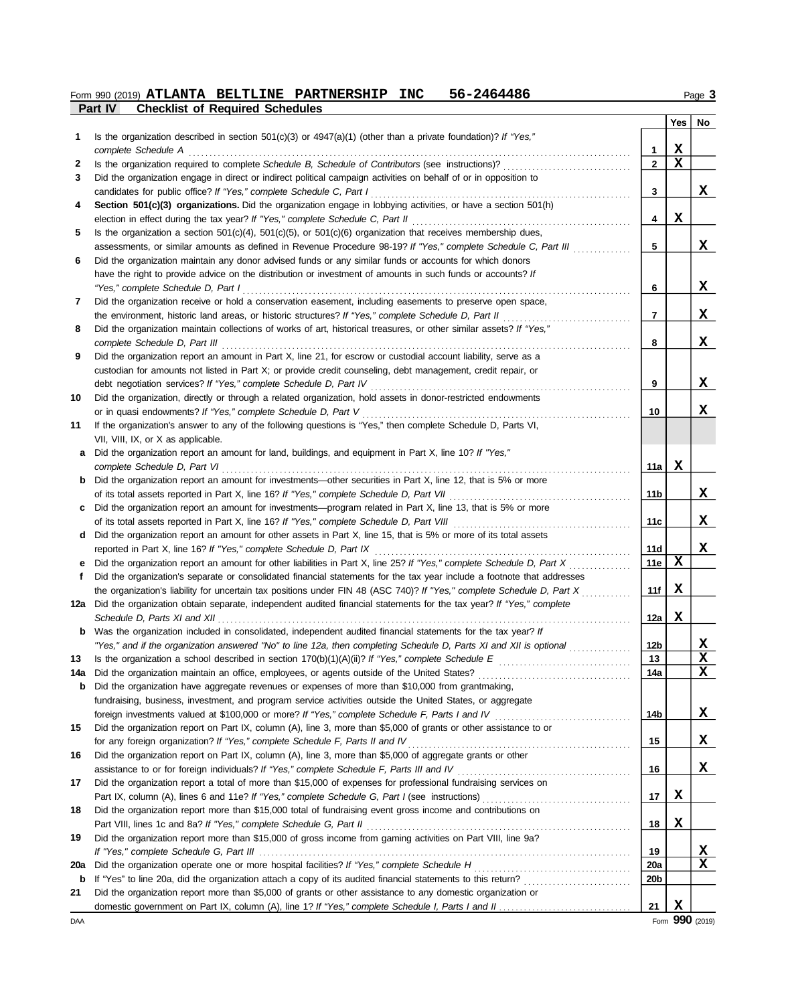### **Part IV Checklist of Required Schedules Form 990 (2019) ATLANTA BELTLINE PARTNERSHIP INC 56-2464486** Page 3

|     |                                                                                                                                                                                                        |                 | Yes         | No       |
|-----|--------------------------------------------------------------------------------------------------------------------------------------------------------------------------------------------------------|-----------------|-------------|----------|
| 1   | Is the organization described in section $501(c)(3)$ or $4947(a)(1)$ (other than a private foundation)? If "Yes,"                                                                                      |                 |             |          |
|     | complete Schedule A                                                                                                                                                                                    | 1               | x           |          |
| 2   |                                                                                                                                                                                                        | $\overline{2}$  | $\mathbf x$ |          |
| 3   | Did the organization engage in direct or indirect political campaign activities on behalf of or in opposition to                                                                                       |                 |             |          |
|     | candidates for public office? If "Yes," complete Schedule C, Part I                                                                                                                                    | 3               |             | x        |
| 4   | Section 501(c)(3) organizations. Did the organization engage in lobbying activities, or have a section 501(h)                                                                                          | 4               | X           |          |
| 5   | election in effect during the tax year? If "Yes," complete Schedule C, Part II<br>Is the organization a section $501(c)(4)$ , $501(c)(5)$ , or $501(c)(6)$ organization that receives membership dues, |                 |             |          |
|     | assessments, or similar amounts as defined in Revenue Procedure 98-19? If "Yes," complete Schedule C, Part III                                                                                         | 5               |             | X.       |
| 6   | Did the organization maintain any donor advised funds or any similar funds or accounts for which donors                                                                                                |                 |             |          |
|     | have the right to provide advice on the distribution or investment of amounts in such funds or accounts? If                                                                                            |                 |             |          |
|     | "Yes," complete Schedule D, Part I                                                                                                                                                                     | 6               |             | x        |
| 7   | Did the organization receive or hold a conservation easement, including easements to preserve open space,                                                                                              |                 |             |          |
|     | the environment, historic land areas, or historic structures? If "Yes," complete Schedule D, Part II                                                                                                   | $\overline{7}$  |             | x        |
| 8   | Did the organization maintain collections of works of art, historical treasures, or other similar assets? If "Yes,"                                                                                    |                 |             |          |
|     | complete Schedule D, Part III                                                                                                                                                                          | 8               |             | X        |
| 9   | Did the organization report an amount in Part X, line 21, for escrow or custodial account liability, serve as a                                                                                        |                 |             |          |
|     | custodian for amounts not listed in Part X; or provide credit counseling, debt management, credit repair, or                                                                                           |                 |             |          |
|     | debt negotiation services? If "Yes," complete Schedule D, Part IV                                                                                                                                      | 9               |             | x        |
| 10  | Did the organization, directly or through a related organization, hold assets in donor-restricted endowments                                                                                           |                 |             |          |
|     | or in quasi endowments? If "Yes," complete Schedule D, Part V                                                                                                                                          | 10              |             | x        |
| 11  | If the organization's answer to any of the following questions is "Yes," then complete Schedule D, Parts VI,                                                                                           |                 |             |          |
|     | VII, VIII, IX, or X as applicable.                                                                                                                                                                     |                 |             |          |
| a   | Did the organization report an amount for land, buildings, and equipment in Part X, line 10? If "Yes,"                                                                                                 |                 |             |          |
|     | complete Schedule D, Part VI                                                                                                                                                                           | 11a             | х           |          |
|     | <b>b</b> Did the organization report an amount for investments—other securities in Part X, line 12, that is 5% or more                                                                                 |                 |             |          |
|     | of its total assets reported in Part X, line 16? If "Yes," complete Schedule D, Part VII                                                                                                               | 11b             |             | x        |
|     | Did the organization report an amount for investments—program related in Part X, line 13, that is 5% or more                                                                                           |                 |             |          |
|     |                                                                                                                                                                                                        | 11c             |             | x        |
|     | d Did the organization report an amount for other assets in Part X, line 15, that is 5% or more of its total assets<br>reported in Part X, line 16? If "Yes," complete Schedule D, Part IX             | 11d             |             | X        |
|     | Did the organization report an amount for other liabilities in Part X, line 25? If "Yes," complete Schedule D, Part X                                                                                  | 11e             | х           |          |
| f   | Did the organization's separate or consolidated financial statements for the tax year include a footnote that addresses                                                                                |                 |             |          |
|     | the organization's liability for uncertain tax positions under FIN 48 (ASC 740)? If "Yes," complete Schedule D, Part X                                                                                 | 11f             | X           |          |
| 12a | Did the organization obtain separate, independent audited financial statements for the tax year? If "Yes," complete                                                                                    |                 |             |          |
|     |                                                                                                                                                                                                        | 12a             | X           |          |
|     | <b>b</b> Was the organization included in consolidated, independent audited financial statements for the tax year? If                                                                                  |                 |             |          |
|     | "Yes," and if the organization answered "No" to line 12a, then completing Schedule D, Parts XI and XII is optional                                                                                     | 12b             |             | X        |
| 13  | Is the organization a school described in section $170(b)(1)(A)(ii)?$ If "Yes," complete Schedule E                                                                                                    | 13              |             | X        |
|     |                                                                                                                                                                                                        | 14a             |             | X        |
|     | Did the organization have aggregate revenues or expenses of more than \$10,000 from grantmaking,                                                                                                       |                 |             |          |
|     | fundraising, business, investment, and program service activities outside the United States, or aggregate                                                                                              |                 |             |          |
|     |                                                                                                                                                                                                        | 14b             |             | x        |
| 15  | Did the organization report on Part IX, column (A), line 3, more than \$5,000 of grants or other assistance to or                                                                                      |                 |             |          |
|     | for any foreign organization? If "Yes," complete Schedule F, Parts II and IV                                                                                                                           | 15              |             | <u>x</u> |
| 16  | Did the organization report on Part IX, column (A), line 3, more than \$5,000 of aggregate grants or other                                                                                             |                 |             |          |
|     |                                                                                                                                                                                                        | 16              |             | x        |
| 17  | Did the organization report a total of more than \$15,000 of expenses for professional fundraising services on                                                                                         |                 |             |          |
|     |                                                                                                                                                                                                        | 17              | X           |          |
| 18  | Did the organization report more than \$15,000 total of fundraising event gross income and contributions on                                                                                            |                 | X           |          |
| 19  | Part VIII, lines 1c and 8a? If "Yes," complete Schedule G, Part II<br>Did the organization report more than \$15,000 of gross income from gaming activities on Part VIII, line 9a?                     | 18              |             |          |
|     |                                                                                                                                                                                                        | 19              |             | x        |
| 20a |                                                                                                                                                                                                        | <b>20a</b>      |             | x        |
| b   |                                                                                                                                                                                                        | 20 <sub>b</sub> |             |          |
| 21  | Did the organization report more than \$5,000 of grants or other assistance to any domestic organization or                                                                                            |                 |             |          |
|     |                                                                                                                                                                                                        | 21              | $\mathbf x$ |          |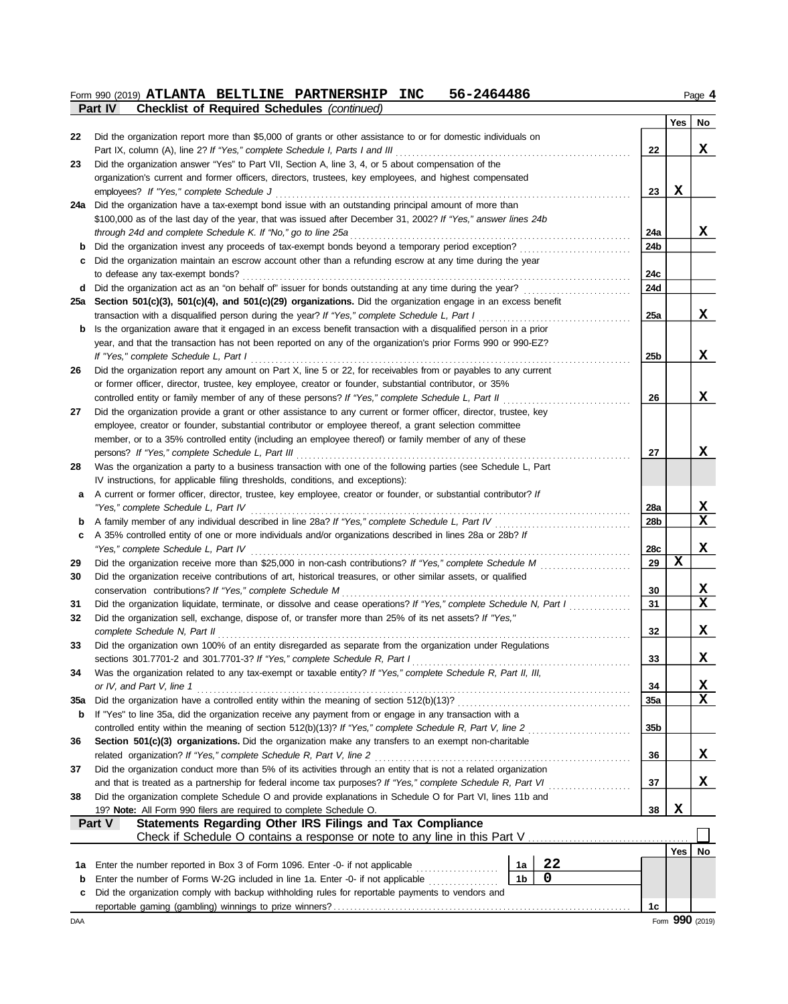#### $F$ orm 990 (2019) **ATLANTA BELTLINE PARTNERSHIP INC** 56-2464486  $P$ age 4 **ATLANTA BELTLINE PARTNERSHIP INC 56-2464486**

|     | Part IV<br><b>Checklist of Required Schedules (continued)</b>                                                                                                     |                 |             |                                 |  |  |  |  |  |  |
|-----|-------------------------------------------------------------------------------------------------------------------------------------------------------------------|-----------------|-------------|---------------------------------|--|--|--|--|--|--|
|     |                                                                                                                                                                   |                 | Yes         | No                              |  |  |  |  |  |  |
| 22  | Did the organization report more than \$5,000 of grants or other assistance to or for domestic individuals on                                                     |                 |             |                                 |  |  |  |  |  |  |
|     | Part IX, column (A), line 2? If "Yes," complete Schedule I, Parts I and III                                                                                       | 22              |             | X                               |  |  |  |  |  |  |
| 23  | Did the organization answer "Yes" to Part VII, Section A, line 3, 4, or 5 about compensation of the                                                               |                 |             |                                 |  |  |  |  |  |  |
|     | organization's current and former officers, directors, trustees, key employees, and highest compensated                                                           |                 |             |                                 |  |  |  |  |  |  |
|     | employees? If "Yes," complete Schedule J                                                                                                                          | 23              | X           |                                 |  |  |  |  |  |  |
|     | 24a Did the organization have a tax-exempt bond issue with an outstanding principal amount of more than                                                           |                 |             |                                 |  |  |  |  |  |  |
|     | \$100,000 as of the last day of the year, that was issued after December 31, 2002? If "Yes," answer lines 24b                                                     |                 |             | x                               |  |  |  |  |  |  |
|     | through 24d and complete Schedule K. If "No," go to line 25a<br>Did the organization invest any proceeds of tax-exempt bonds beyond a temporary period exception? | 24a<br>24b      |             |                                 |  |  |  |  |  |  |
| b   | Did the organization maintain an escrow account other than a refunding escrow at any time during the year                                                         |                 |             |                                 |  |  |  |  |  |  |
| c   | to defease any tax-exempt bonds?                                                                                                                                  | 24c             |             |                                 |  |  |  |  |  |  |
| d   | Did the organization act as an "on behalf of" issuer for bonds outstanding at any time during the year?                                                           | 24d             |             |                                 |  |  |  |  |  |  |
| 25a | Section 501(c)(3), 501(c)(4), and 501(c)(29) organizations. Did the organization engage in an excess benefit                                                      |                 |             |                                 |  |  |  |  |  |  |
|     | transaction with a disqualified person during the year? If "Yes," complete Schedule L, Part I                                                                     | 25a             |             | X                               |  |  |  |  |  |  |
| b   | Is the organization aware that it engaged in an excess benefit transaction with a disqualified person in a prior                                                  |                 |             |                                 |  |  |  |  |  |  |
|     | year, and that the transaction has not been reported on any of the organization's prior Forms 990 or 990-EZ?                                                      |                 |             |                                 |  |  |  |  |  |  |
|     | If "Yes," complete Schedule L, Part I                                                                                                                             | 25 <sub>b</sub> |             | x                               |  |  |  |  |  |  |
| 26  | Did the organization report any amount on Part X, line 5 or 22, for receivables from or payables to any current                                                   |                 |             |                                 |  |  |  |  |  |  |
|     | or former officer, director, trustee, key employee, creator or founder, substantial contributor, or 35%                                                           |                 |             |                                 |  |  |  |  |  |  |
|     | controlled entity or family member of any of these persons? If "Yes," complete Schedule L, Part II                                                                | 26              |             | X                               |  |  |  |  |  |  |
| 27  | Did the organization provide a grant or other assistance to any current or former officer, director, trustee, key                                                 |                 |             |                                 |  |  |  |  |  |  |
|     | employee, creator or founder, substantial contributor or employee thereof, a grant selection committee                                                            |                 |             |                                 |  |  |  |  |  |  |
|     | member, or to a 35% controlled entity (including an employee thereof) or family member of any of these                                                            |                 |             |                                 |  |  |  |  |  |  |
|     | persons? If "Yes," complete Schedule L, Part III                                                                                                                  | 27              |             | x                               |  |  |  |  |  |  |
| 28  | Was the organization a party to a business transaction with one of the following parties (see Schedule L, Part                                                    |                 |             |                                 |  |  |  |  |  |  |
|     | IV instructions, for applicable filing thresholds, conditions, and exceptions):                                                                                   |                 |             |                                 |  |  |  |  |  |  |
| a   | A current or former officer, director, trustee, key employee, creator or founder, or substantial contributor? If                                                  |                 |             |                                 |  |  |  |  |  |  |
|     |                                                                                                                                                                   | <b>28a</b>      |             | <u>x</u>                        |  |  |  |  |  |  |
|     |                                                                                                                                                                   | 28 <sub>b</sub> |             | $\mathbf{x}$                    |  |  |  |  |  |  |
| c   | A 35% controlled entity of one or more individuals and/or organizations described in lines 28a or 28b? If                                                         |                 |             |                                 |  |  |  |  |  |  |
|     | "Yes," complete Schedule L, Part IV                                                                                                                               | 28c             |             | X.                              |  |  |  |  |  |  |
| 29  |                                                                                                                                                                   | 29              | $\mathbf x$ |                                 |  |  |  |  |  |  |
| 30  | Did the organization receive contributions of art, historical treasures, or other similar assets, or qualified                                                    |                 |             |                                 |  |  |  |  |  |  |
|     | conservation contributions? If "Yes," complete Schedule M                                                                                                         | 30              |             |                                 |  |  |  |  |  |  |
| 31  | Did the organization liquidate, terminate, or dissolve and cease operations? If "Yes," complete Schedule N, Part I                                                | 31              |             | $\frac{\mathbf{x}}{\mathbf{x}}$ |  |  |  |  |  |  |
| 32  | Did the organization sell, exchange, dispose of, or transfer more than 25% of its net assets? If "Yes,"                                                           |                 |             |                                 |  |  |  |  |  |  |
|     | complete Schedule N, Part II                                                                                                                                      | 32              |             | X                               |  |  |  |  |  |  |
| 33  | Did the organization own 100% of an entity disregarded as separate from the organization under Regulations                                                        |                 |             |                                 |  |  |  |  |  |  |
|     |                                                                                                                                                                   | 33              |             | X                               |  |  |  |  |  |  |
| 34  | Was the organization related to any tax-exempt or taxable entity? If "Yes," complete Schedule R, Part II, III,                                                    |                 |             |                                 |  |  |  |  |  |  |
|     | or IV, and Part V, line 1                                                                                                                                         | 34              |             | <u>x</u>                        |  |  |  |  |  |  |
| 35a |                                                                                                                                                                   | 35a             |             | $\mathbf x$                     |  |  |  |  |  |  |
| b   | If "Yes" to line 35a, did the organization receive any payment from or engage in any transaction with a                                                           |                 |             |                                 |  |  |  |  |  |  |
|     | controlled entity within the meaning of section 512(b)(13)? If "Yes," complete Schedule R, Part V, line 2                                                         | 35 <sub>b</sub> |             |                                 |  |  |  |  |  |  |
| 36  | Section 501(c)(3) organizations. Did the organization make any transfers to an exempt non-charitable                                                              |                 |             |                                 |  |  |  |  |  |  |
|     | related organization? If "Yes," complete Schedule R, Part V, line 2                                                                                               |                 |             |                                 |  |  |  |  |  |  |
| 37  | Did the organization conduct more than 5% of its activities through an entity that is not a related organization                                                  |                 |             |                                 |  |  |  |  |  |  |
|     | and that is treated as a partnership for federal income tax purposes? If "Yes," complete Schedule R, Part VI                                                      | 37              |             | X                               |  |  |  |  |  |  |
| 38  | Did the organization complete Schedule O and provide explanations in Schedule O for Part VI, lines 11b and                                                        |                 |             |                                 |  |  |  |  |  |  |
|     | 19? Note: All Form 990 filers are required to complete Schedule O.                                                                                                | 38              | X           |                                 |  |  |  |  |  |  |
|     | Part V<br>Statements Regarding Other IRS Filings and Tax Compliance                                                                                               |                 |             |                                 |  |  |  |  |  |  |
|     | Check if Schedule O contains a response or note to any line in this Part V.                                                                                       |                 |             |                                 |  |  |  |  |  |  |
|     |                                                                                                                                                                   |                 | Yes         | No                              |  |  |  |  |  |  |
| 1а  | 22<br>Enter the number reported in Box 3 of Form 1096. Enter -0- if not applicable<br>1a                                                                          |                 |             |                                 |  |  |  |  |  |  |
| b   | 0<br>1b<br>Enter the number of Forms W-2G included in line 1a. Enter -0- if not applicable                                                                        |                 |             |                                 |  |  |  |  |  |  |
| c   | Did the organization comply with backup withholding rules for reportable payments to vendors and                                                                  |                 |             |                                 |  |  |  |  |  |  |
|     |                                                                                                                                                                   | 1c              |             |                                 |  |  |  |  |  |  |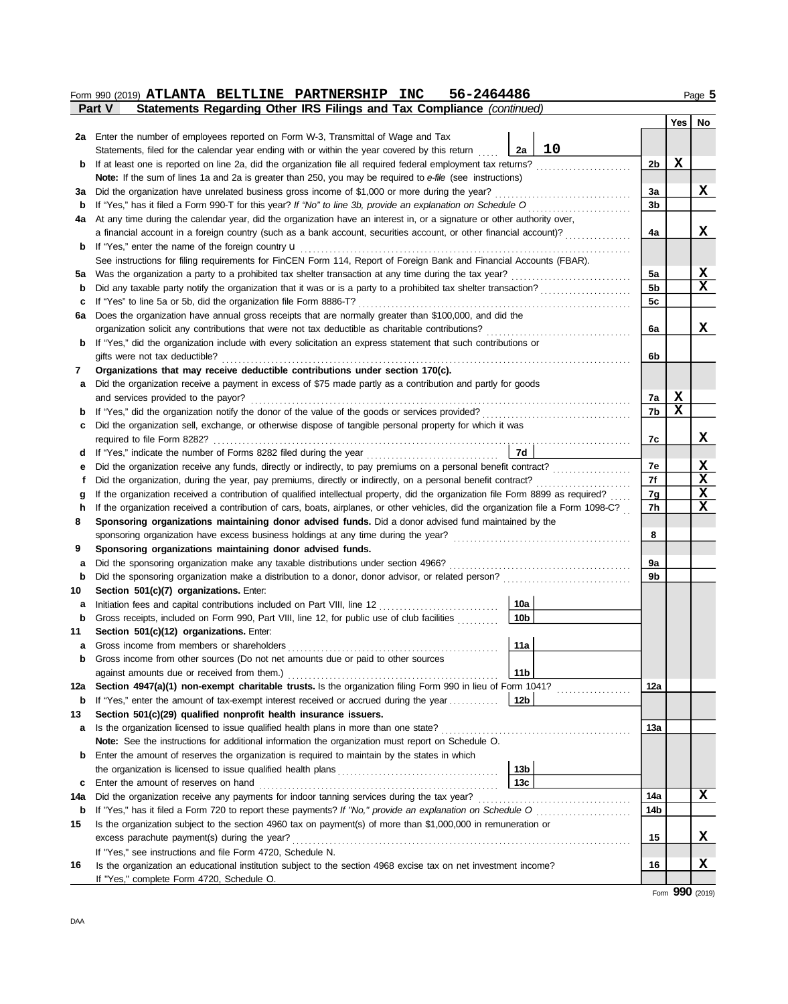|        | 56-2464486<br>Form 990 (2019) ATLANTA BELTLINE PARTNERSHIP INC                                                                                                                 |                |     | Page 5      |
|--------|--------------------------------------------------------------------------------------------------------------------------------------------------------------------------------|----------------|-----|-------------|
|        | Statements Regarding Other IRS Filings and Tax Compliance (continued)<br>Part V                                                                                                |                |     |             |
|        |                                                                                                                                                                                |                | Yes | No          |
|        | 2a Enter the number of employees reported on Form W-3, Transmittal of Wage and Tax                                                                                             |                |     |             |
|        | 10<br>2a<br>Statements, filed for the calendar year ending with or within the year covered by this return                                                                      |                |     |             |
| b      | If at least one is reported on line 2a, did the organization file all required federal employment tax returns?                                                                 | 2 <sub>b</sub> | X   |             |
|        | Note: If the sum of lines 1a and 2a is greater than 250, you may be required to e-file (see instructions)                                                                      |                |     |             |
| За     | Did the organization have unrelated business gross income of \$1,000 or more during the year?                                                                                  | За             |     | x           |
| b      | If "Yes," has it filed a Form 990-T for this year? If "No" to line 3b, provide an explanation on Schedule O                                                                    | 3b             |     |             |
| 4a     | At any time during the calendar year, did the organization have an interest in, or a signature or other authority over,                                                        | 4a             |     | X           |
| b      | a financial account in a foreign country (such as a bank account, securities account, or other financial account)?<br>If "Yes," enter the name of the foreign country <b>u</b> |                |     |             |
|        | See instructions for filing requirements for FinCEN Form 114, Report of Foreign Bank and Financial Accounts (FBAR).                                                            |                |     |             |
| 5а     |                                                                                                                                                                                | 5a             |     | х           |
| b      |                                                                                                                                                                                | 5 <sub>b</sub> |     | x           |
| c      | If "Yes" to line 5a or 5b, did the organization file Form 8886-T?                                                                                                              | 5 <sub>c</sub> |     |             |
| 6a     | Does the organization have annual gross receipts that are normally greater than \$100,000, and did the                                                                         |                |     |             |
|        | organization solicit any contributions that were not tax deductible as charitable contributions?                                                                               | 6a             |     | X           |
| b      | If "Yes," did the organization include with every solicitation an express statement that such contributions or                                                                 |                |     |             |
|        | gifts were not tax deductible?                                                                                                                                                 | 6b             |     |             |
| 7      | Organizations that may receive deductible contributions under section 170(c).                                                                                                  |                |     |             |
| а      | Did the organization receive a payment in excess of \$75 made partly as a contribution and partly for goods                                                                    |                |     |             |
|        | and services provided to the payor?                                                                                                                                            | 7a             | X   |             |
| b      |                                                                                                                                                                                | 7b             | X   |             |
| c      | Did the organization sell, exchange, or otherwise dispose of tangible personal property for which it was                                                                       |                |     |             |
|        | required to file Form 8282?                                                                                                                                                    | 7c             |     | x           |
| d      | 7d<br>If "Yes," indicate the number of Forms 8282 filed during the year                                                                                                        |                |     |             |
| е      | Did the organization receive any funds, directly or indirectly, to pay premiums on a personal benefit contract?                                                                | 7e             |     | X           |
| f      | Did the organization, during the year, pay premiums, directly or indirectly, on a personal benefit contract?                                                                   | 7f             |     | $\mathbf x$ |
| g      | If the organization received a contribution of qualified intellectual property, did the organization file Form 8899 as required?                                               | 7g             |     | X           |
| h      | If the organization received a contribution of cars, boats, airplanes, or other vehicles, did the organization file a Form 1098-C?                                             | 7h             |     | x           |
| 8      | Sponsoring organizations maintaining donor advised funds. Did a donor advised fund maintained by the                                                                           |                |     |             |
|        | sponsoring organization have excess business holdings at any time during the year?                                                                                             | 8              |     |             |
| 9      | Sponsoring organizations maintaining donor advised funds.                                                                                                                      |                |     |             |
| а      | Did the sponsoring organization make any taxable distributions under section 4966?                                                                                             | 9a             |     |             |
| b      |                                                                                                                                                                                | 9b             |     |             |
| 10     | Section 501(c)(7) organizations. Enter:                                                                                                                                        |                |     |             |
| а      | 10a<br>Initiation fees and capital contributions included on Part VIII, line 12<br>10 <sub>b</sub>                                                                             |                |     |             |
| b      | Gross receipts, included on Form 990, Part VIII, line 12, for public use of club facilities                                                                                    |                |     |             |
| 11     | Section 501(c)(12) organizations. Enter:<br>11a                                                                                                                                |                |     |             |
| а<br>b | Gross income from other sources (Do not net amounts due or paid to other sources                                                                                               |                |     |             |
|        | 11 <sub>b</sub>                                                                                                                                                                |                |     |             |
| 12a    | Section 4947(a)(1) non-exempt charitable trusts. Is the organization filing Form 990 in lieu of Form 1041?                                                                     | 12a            |     |             |
| b      | If "Yes," enter the amount of tax-exempt interest received or accrued during the year<br>12b                                                                                   |                |     |             |
| 13     | Section 501(c)(29) qualified nonprofit health insurance issuers.                                                                                                               |                |     |             |
| а      | Is the organization licensed to issue qualified health plans in more than one state?                                                                                           | 13а            |     |             |
|        | Note: See the instructions for additional information the organization must report on Schedule O.                                                                              |                |     |             |
| b      | Enter the amount of reserves the organization is required to maintain by the states in which                                                                                   |                |     |             |
|        | 13 <sub>b</sub>                                                                                                                                                                |                |     |             |
| c      | 13c<br>Enter the amount of reserves on hand                                                                                                                                    |                |     |             |
| 14a    | Did the organization receive any payments for indoor tanning services during the tax year?                                                                                     | 14a            |     | x           |
| b      | If "Yes," has it filed a Form 720 to report these payments? If "No," provide an explanation on Schedule O                                                                      | 14b            |     |             |
| 15     | Is the organization subject to the section 4960 tax on payment(s) of more than \$1,000,000 in remuneration or                                                                  |                |     |             |
|        | excess parachute payment(s) during the year?                                                                                                                                   | 15             |     | <u>x</u>    |
|        | If "Yes," see instructions and file Form 4720, Schedule N.                                                                                                                     |                |     |             |
| 16     | Is the organization an educational institution subject to the section 4968 excise tax on net investment income?                                                                | 16             |     | x           |
|        | If "Yes," complete Form 4720, Schedule O.                                                                                                                                      |                |     |             |

Form **990** (2019)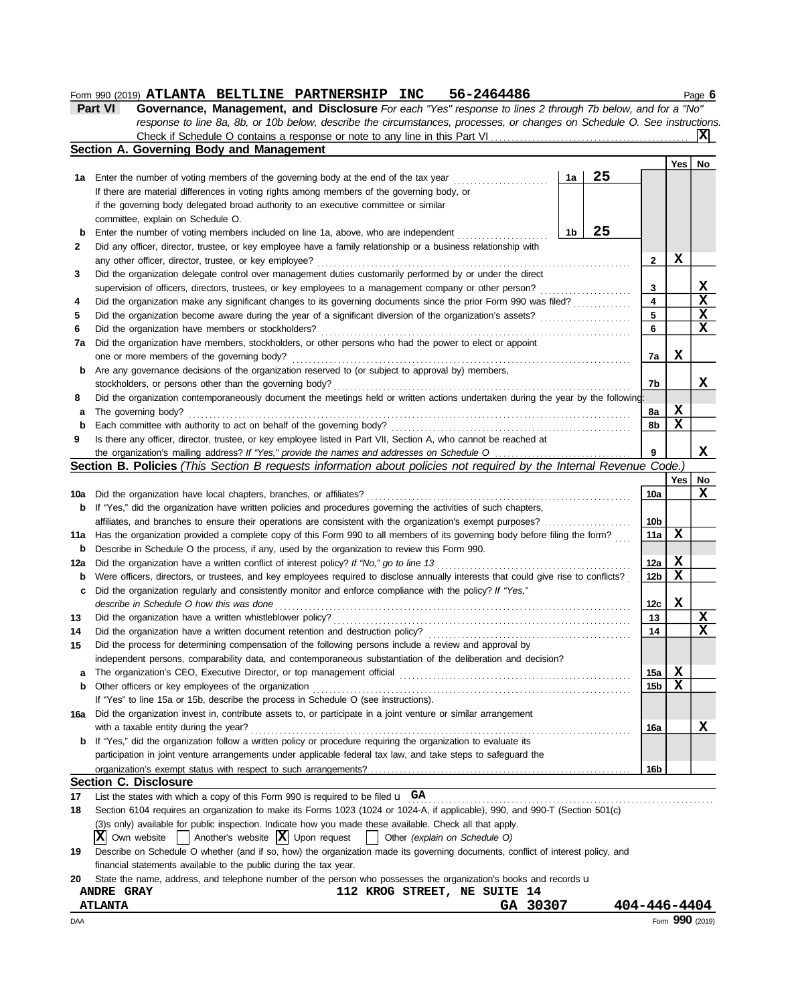## **Form 990 (2019) ATLANTA BELTLINE PARTNERSHIP INC 56-2464486** Page 6

| Part VI | <b>Governance, Management, and Disclosure</b> For each "Yes" response to lines 2 through 7b below, and for a "No"         |
|---------|---------------------------------------------------------------------------------------------------------------------------|
|         | response to line 8a, 8b, or 10b below, describe the circumstances, processes, or changes on Schedule O. See instructions. |
|         |                                                                                                                           |
|         | Section A. Governing Body and Management                                                                                  |

|     | and manage                                                                                                                          |    |    |                 |            |                 |  |  |  |  |
|-----|-------------------------------------------------------------------------------------------------------------------------------------|----|----|-----------------|------------|-----------------|--|--|--|--|
|     |                                                                                                                                     |    | 25 |                 | Yes        | No              |  |  |  |  |
| 1а  | Enter the number of voting members of the governing body at the end of the tax year                                                 | 1a |    |                 |            |                 |  |  |  |  |
|     | If there are material differences in voting rights among members of the governing body, or                                          |    |    |                 |            |                 |  |  |  |  |
|     | if the governing body delegated broad authority to an executive committee or similar                                                |    |    |                 |            |                 |  |  |  |  |
|     | committee, explain on Schedule O.                                                                                                   |    |    |                 |            |                 |  |  |  |  |
| b   | 25<br>1b<br>Enter the number of voting members included on line 1a, above, who are independent                                      |    |    |                 |            |                 |  |  |  |  |
| 2   | Did any officer, director, trustee, or key employee have a family relationship or a business relationship with                      |    |    |                 |            |                 |  |  |  |  |
|     | any other officer, director, trustee, or key employee?                                                                              |    |    | 2               | X          |                 |  |  |  |  |
| 3   | Did the organization delegate control over management duties customarily performed by or under the direct                           |    |    | 3               |            | X               |  |  |  |  |
|     | supervision of officers, directors, trustees, or key employees to a management company or other person?                             |    |    |                 |            |                 |  |  |  |  |
| 4   | Did the organization make any significant changes to its governing documents since the prior Form 990 was filed?                    |    |    |                 |            |                 |  |  |  |  |
| 5   | Did the organization become aware during the year of a significant diversion of the organization's assets?                          |    |    | 5               |            | $\mathbf x$     |  |  |  |  |
| 6   | Did the organization have members or stockholders?                                                                                  |    |    | 6               |            | X               |  |  |  |  |
| 7a  | Did the organization have members, stockholders, or other persons who had the power to elect or appoint                             |    |    |                 |            |                 |  |  |  |  |
|     | one or more members of the governing body?                                                                                          |    |    | 7a              | X          |                 |  |  |  |  |
| b   | Are any governance decisions of the organization reserved to (or subject to approval by) members,                                   |    |    |                 |            |                 |  |  |  |  |
|     | stockholders, or persons other than the governing body?                                                                             |    |    | 7b              |            | x               |  |  |  |  |
| 8   | Did the organization contemporaneously document the meetings held or written actions undertaken during the year by the following:   |    |    |                 |            |                 |  |  |  |  |
| а   | The governing body?                                                                                                                 |    |    | 8a              | х          |                 |  |  |  |  |
| b   | Each committee with authority to act on behalf of the governing body?                                                               |    |    | 8b              | x          |                 |  |  |  |  |
| 9   | Is there any officer, director, trustee, or key employee listed in Part VII, Section A, who cannot be reached at                    |    |    |                 |            |                 |  |  |  |  |
|     | the organization's mailing address? If "Yes," provide the names and addresses on Schedule O                                         |    |    | 9               |            | x               |  |  |  |  |
|     | Section B. Policies (This Section B requests information about policies not required by the Internal Revenue Code.)                 |    |    |                 |            |                 |  |  |  |  |
|     |                                                                                                                                     |    |    |                 | $Yes \mid$ | No              |  |  |  |  |
| 10a | Did the organization have local chapters, branches, or affiliates?                                                                  |    |    | 10a             |            | X               |  |  |  |  |
| b   | If "Yes," did the organization have written policies and procedures governing the activities of such chapters,                      |    |    |                 |            |                 |  |  |  |  |
|     | affiliates, and branches to ensure their operations are consistent with the organization's exempt purposes?                         |    |    | 10b             |            |                 |  |  |  |  |
| 11a | Has the organization provided a complete copy of this Form 990 to all members of its governing body before filing the form?         |    |    | 11a             | х          |                 |  |  |  |  |
| b   | Describe in Schedule O the process, if any, used by the organization to review this Form 990.                                       |    |    |                 |            |                 |  |  |  |  |
| 12a | Did the organization have a written conflict of interest policy? If "No," go to line 13                                             |    |    | 12a             | X          |                 |  |  |  |  |
| b   | Were officers, directors, or trustees, and key employees required to disclose annually interests that could give rise to conflicts? |    |    |                 |            |                 |  |  |  |  |
| c   | Did the organization regularly and consistently monitor and enforce compliance with the policy? If "Yes,"                           |    |    |                 |            |                 |  |  |  |  |
|     | describe in Schedule O how this was done                                                                                            |    |    | 12c             | х          |                 |  |  |  |  |
| 13  | Did the organization have a written whistleblower policy?                                                                           |    |    | 13              |            | X               |  |  |  |  |
| 14  | Did the organization have a written document retention and destruction policy?                                                      |    |    | 14              |            | X               |  |  |  |  |
| 15  | Did the process for determining compensation of the following persons include a review and approval by                              |    |    |                 |            |                 |  |  |  |  |
|     | independent persons, comparability data, and contemporaneous substantiation of the deliberation and decision?                       |    |    |                 |            |                 |  |  |  |  |
| а   |                                                                                                                                     |    |    | 15a             | X          |                 |  |  |  |  |
|     | Other officers or key employees of the organization                                                                                 |    |    | 15 <sub>b</sub> | x          |                 |  |  |  |  |
|     | If "Yes" to line 15a or 15b, describe the process in Schedule O (see instructions).                                                 |    |    |                 |            |                 |  |  |  |  |
| 16a | Did the organization invest in, contribute assets to, or participate in a joint venture or similar arrangement                      |    |    |                 |            |                 |  |  |  |  |
|     | with a taxable entity during the year?<br>.                                                                                         |    |    | 16a             |            | X               |  |  |  |  |
|     | If "Yes," did the organization follow a written policy or procedure requiring the organization to evaluate its                      |    |    |                 |            |                 |  |  |  |  |
|     | participation in joint venture arrangements under applicable federal tax law, and take steps to safeguard the                       |    |    |                 |            |                 |  |  |  |  |
|     |                                                                                                                                     |    |    | 16 <sub>b</sub> |            |                 |  |  |  |  |
|     | <b>Section C. Disclosure</b>                                                                                                        |    |    |                 |            |                 |  |  |  |  |
| 17  | List the states with which a copy of this Form 990 is required to be filed $\mathbf{u}$ GA                                          |    |    |                 |            |                 |  |  |  |  |
| 18  | Section 6104 requires an organization to make its Forms 1023 (1024 or 1024-A, if applicable), 990, and 990-T (Section 501(c)        |    |    |                 |            |                 |  |  |  |  |
|     | (3) sonly) available for public inspection. Indicate how you made these available. Check all that apply.                            |    |    |                 |            |                 |  |  |  |  |
|     | Another's website $ \mathbf{X} $ Upon request<br><b>X</b> Own website<br>Other (explain on Schedule O)                              |    |    |                 |            |                 |  |  |  |  |
| 19  | Describe on Schedule O whether (and if so, how) the organization made its governing documents, conflict of interest policy, and     |    |    |                 |            |                 |  |  |  |  |
|     | financial statements available to the public during the tax year.                                                                   |    |    |                 |            |                 |  |  |  |  |
| 20  | State the name, address, and telephone number of the person who possesses the organization's books and records u                    |    |    |                 |            |                 |  |  |  |  |
|     | <b>ANDRE GRAY</b><br>112 KROG STREET, NE SUITE 14                                                                                   |    |    |                 |            |                 |  |  |  |  |
|     | <b>ATLANTA</b><br>GA 30307                                                                                                          |    |    | 404-446-4404    |            |                 |  |  |  |  |
| DAA |                                                                                                                                     |    |    |                 |            | Form 990 (2019) |  |  |  |  |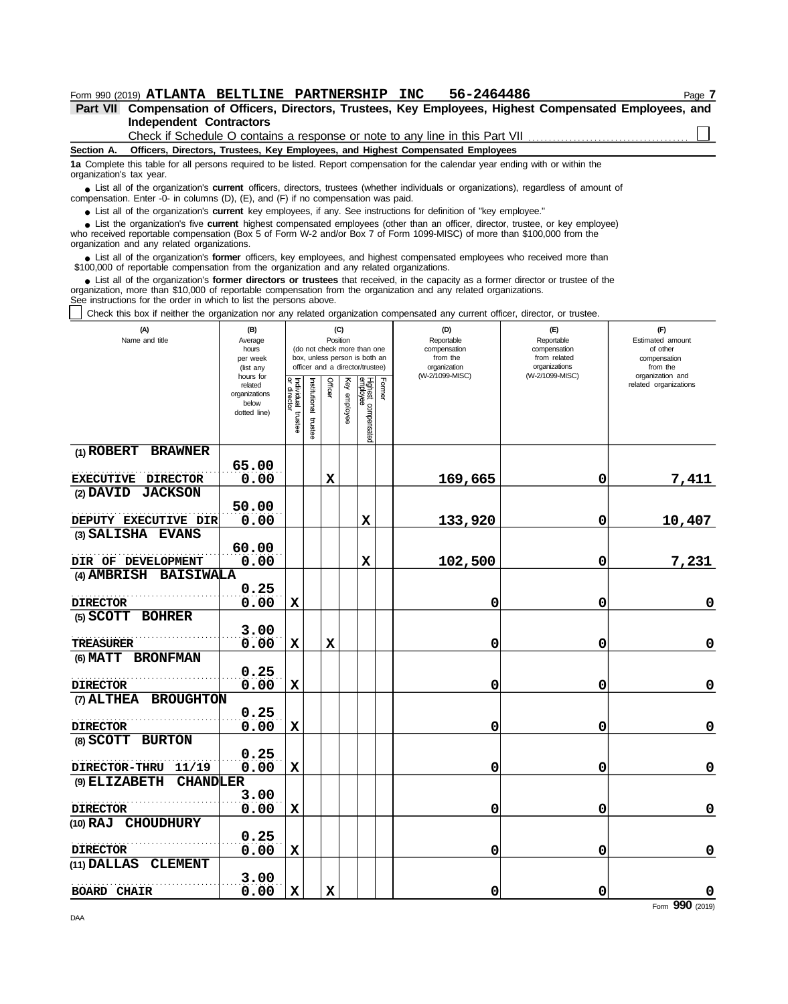| Form 990 (2019) ATLANTA BELTLINE PARTNERSHIP INC                                                                                                                                                                                                                                                                                     |                                                    |  | 56-2464486 |  | Page / |  |  |  |  |  |  |  |
|--------------------------------------------------------------------------------------------------------------------------------------------------------------------------------------------------------------------------------------------------------------------------------------------------------------------------------------|----------------------------------------------------|--|------------|--|--------|--|--|--|--|--|--|--|
| Compensation of Officers, Directors, Trustees, Key Employees, Highest Compensated Employees, and<br><b>Part VII</b>                                                                                                                                                                                                                  |                                                    |  |            |  |        |  |  |  |  |  |  |  |
| <b>Independent Contractors</b>                                                                                                                                                                                                                                                                                                       |                                                    |  |            |  |        |  |  |  |  |  |  |  |
| Check if Schedule O contains a response or note to any line in this Part VII                                                                                                                                                                                                                                                         |                                                    |  |            |  |        |  |  |  |  |  |  |  |
| Officers, Directors, Trustees, Key Employees, and Highest Compensated Employees<br>Section A.                                                                                                                                                                                                                                        |                                                    |  |            |  |        |  |  |  |  |  |  |  |
| 1a Complete this table for all persons required to be listed. Report compensation for the calendar year ending with or within the<br>organization's tax year.                                                                                                                                                                        |                                                    |  |            |  |        |  |  |  |  |  |  |  |
| List all of the organization's <b>current</b> officers, directors, trustees (whether individuals or organizations), regardless of amount of<br>compensation. Enter -0- in columns (D), (E), and (F) if no compensation was paid.                                                                                                     |                                                    |  |            |  |        |  |  |  |  |  |  |  |
| • List all of the organization's <b>current</b> key employees, if any. See instructions for definition of "key employee."                                                                                                                                                                                                            |                                                    |  |            |  |        |  |  |  |  |  |  |  |
| • List the organization's five <b>current</b> highest compensated employees (other than an officer, director, trustee, or key employee)<br>who received reportable compensation (Box 5 of Form W-2 and/or Box 7 of Form 1099-MISC) of more than \$100,000 from the<br>organization and any related organizations.                    |                                                    |  |            |  |        |  |  |  |  |  |  |  |
| List all of the organization's former officers, key employees, and highest compensated employees who received more than<br>\$100,000 of reportable compensation from the organization and any related organizations.                                                                                                                 |                                                    |  |            |  |        |  |  |  |  |  |  |  |
| • List all of the organization's <b>former directors or trustees</b> that received, in the capacity as a former director or trustee of the<br>organization, more than \$10,000 of reportable compensation from the organization and any related organizations.<br>See instructions for the order in which to list the persons above. |                                                    |  |            |  |        |  |  |  |  |  |  |  |
| Check this box if neither the organization nor any related organization compensated any current officer, director, or trustee.                                                                                                                                                                                                       |                                                    |  |            |  |        |  |  |  |  |  |  |  |
| 1A)                                                                                                                                                                                                                                                                                                                                  | $\sim$<br>(F)<br>(R)<br>$\mathsf{m}$<br>$\sqrt{E}$ |  |            |  |        |  |  |  |  |  |  |  |

| (A)<br>Name and title            | (B)<br>Average<br>hours<br>per week<br>(list any               | (C)<br>Position<br>(do not check more than one<br>box, unless person is both an<br>officer and a director/trustee) |                         |             |                 |                                 |        | (D)<br>Reportable<br>compensation<br>from the<br>organization | (E)<br>Reportable<br>compensation<br>from related<br>organizations | (F)<br>Estimated amount<br>of other<br>compensation<br>from the |  |
|----------------------------------|----------------------------------------------------------------|--------------------------------------------------------------------------------------------------------------------|-------------------------|-------------|-----------------|---------------------------------|--------|---------------------------------------------------------------|--------------------------------------------------------------------|-----------------------------------------------------------------|--|
|                                  | hours for<br>related<br>organizations<br>below<br>dotted line) | Individual trustee<br>or director                                                                                  | nstitutional<br>trustee | Officer     | Ķey<br>employee | Highest compensated<br>employee | Former | (W-2/1099-MISC)                                               | (W-2/1099-MISC)                                                    | organization and<br>related organizations                       |  |
| (1) ROBERT BRAWNER               |                                                                |                                                                                                                    |                         |             |                 |                                 |        |                                                               |                                                                    |                                                                 |  |
| <b>EXECUTIVE DIRECTOR</b>        | 65.00<br>0.00                                                  |                                                                                                                    |                         | $\mathbf x$ |                 |                                 |        | 169,665                                                       | 0                                                                  | 7,411                                                           |  |
| <b>JACKSON</b><br>$(2)$ DAVID    |                                                                |                                                                                                                    |                         |             |                 |                                 |        |                                                               |                                                                    |                                                                 |  |
|                                  | 50.00                                                          |                                                                                                                    |                         |             |                 |                                 |        |                                                               |                                                                    |                                                                 |  |
| DEPUTY EXECUTIVE DIR             | 0.00                                                           |                                                                                                                    |                         |             |                 | X                               |        | 133,920                                                       | 0                                                                  | 10,407                                                          |  |
| (3) SALISHA EVANS                |                                                                |                                                                                                                    |                         |             |                 |                                 |        |                                                               |                                                                    |                                                                 |  |
|                                  | 60.00                                                          |                                                                                                                    |                         |             |                 |                                 |        |                                                               |                                                                    |                                                                 |  |
| DIR OF DEVELOPMENT               | 0.00                                                           |                                                                                                                    |                         |             |                 | X                               |        | 102,500                                                       | 0                                                                  | 7,231                                                           |  |
| (4) AMBRISH<br><b>BAISIWALA</b>  |                                                                |                                                                                                                    |                         |             |                 |                                 |        |                                                               |                                                                    |                                                                 |  |
| <b>DIRECTOR</b>                  | 0.25<br>0.00                                                   | $\mathbf x$                                                                                                        |                         |             |                 |                                 |        | 0                                                             | 0                                                                  | $\mathbf 0$                                                     |  |
| (5) SCOTT BOHRER                 |                                                                |                                                                                                                    |                         |             |                 |                                 |        |                                                               |                                                                    |                                                                 |  |
|                                  | 3.00                                                           |                                                                                                                    |                         |             |                 |                                 |        |                                                               |                                                                    |                                                                 |  |
| <b>TREASURER</b>                 | 0.00                                                           | $\mathbf x$                                                                                                        |                         | X           |                 |                                 |        | 0                                                             | 0                                                                  | $\mathbf 0$                                                     |  |
| (6) MATT BRONFMAN                |                                                                |                                                                                                                    |                         |             |                 |                                 |        |                                                               |                                                                    |                                                                 |  |
| <b>DIRECTOR</b>                  | 0.25<br>0.00                                                   | $\mathbf x$                                                                                                        |                         |             |                 |                                 |        | 0                                                             | 0                                                                  | $\mathbf 0$                                                     |  |
| (7) ALTHEA<br><b>BROUGHTON</b>   |                                                                |                                                                                                                    |                         |             |                 |                                 |        |                                                               |                                                                    |                                                                 |  |
|                                  | 0.25                                                           |                                                                                                                    |                         |             |                 |                                 |        |                                                               |                                                                    |                                                                 |  |
| <b>DIRECTOR</b>                  | 0.00                                                           | X                                                                                                                  |                         |             |                 |                                 |        | 0                                                             | 0                                                                  | $\mathbf 0$                                                     |  |
| (8) SCOTT<br><b>BURTON</b>       |                                                                |                                                                                                                    |                         |             |                 |                                 |        |                                                               |                                                                    |                                                                 |  |
| 11/19<br><b>DIRECTOR-THRU</b>    | 0.25<br>0.00                                                   | $\mathbf x$                                                                                                        |                         |             |                 |                                 |        |                                                               |                                                                    | $\pmb{0}$                                                       |  |
| (9) ELIZABETH<br><b>CHANDLER</b> |                                                                |                                                                                                                    |                         |             |                 |                                 |        | 0                                                             | 0                                                                  |                                                                 |  |
|                                  | 3.00                                                           |                                                                                                                    |                         |             |                 |                                 |        |                                                               |                                                                    |                                                                 |  |
| <b>DIRECTOR</b>                  | 0.00                                                           | $\mathbf x$                                                                                                        |                         |             |                 |                                 |        | 0                                                             | 0                                                                  | $\mathbf 0$                                                     |  |
| (10) RAJ CHOUDHURY               |                                                                |                                                                                                                    |                         |             |                 |                                 |        |                                                               |                                                                    |                                                                 |  |
|                                  | 0.25                                                           |                                                                                                                    |                         |             |                 |                                 |        |                                                               |                                                                    |                                                                 |  |
| <b>DIRECTOR</b>                  | 0.00                                                           | $\mathbf x$                                                                                                        |                         |             |                 |                                 |        | 0                                                             | 0                                                                  | $\mathbf 0$                                                     |  |
| <b>CLEMENT</b><br>(11) DALLAS    |                                                                |                                                                                                                    |                         |             |                 |                                 |        |                                                               |                                                                    |                                                                 |  |
|                                  | 3.00                                                           |                                                                                                                    |                         |             |                 |                                 |        |                                                               |                                                                    |                                                                 |  |
| <b>BOARD CHAIR</b>               | 0.00                                                           | $\mathbf x$                                                                                                        |                         | X           |                 |                                 |        | 0                                                             | 0                                                                  | $\mathbf 0$                                                     |  |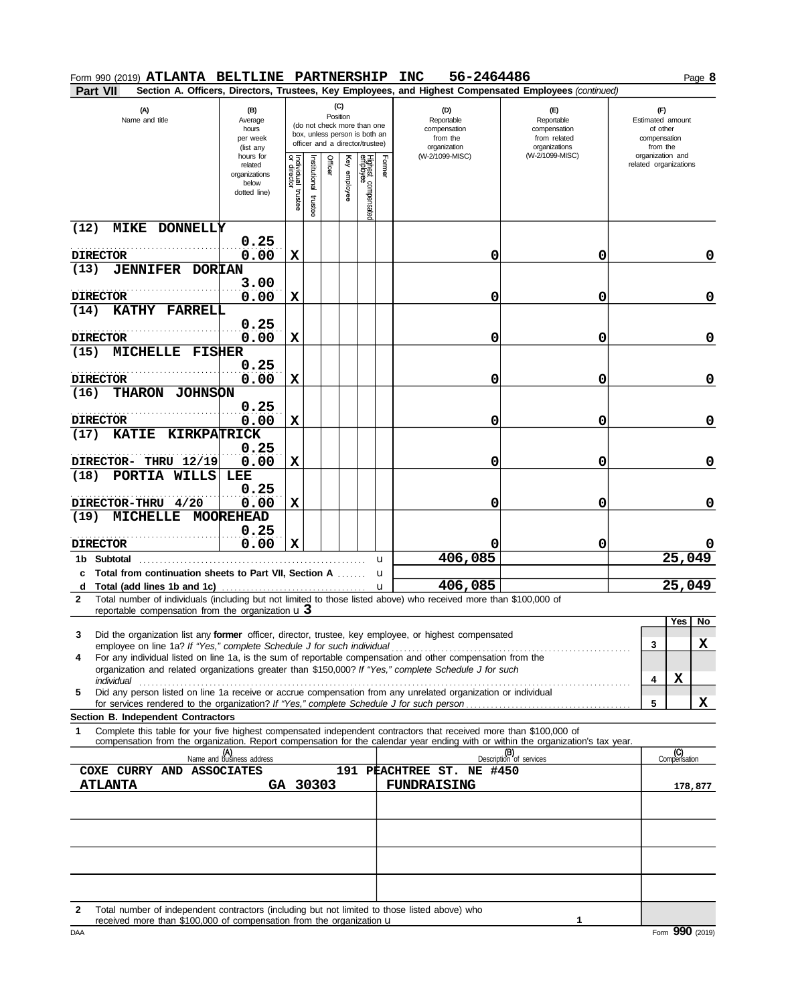| Form 990 (2019) ATLANTA BELTLINE PARTNERSHIP                                                                  |                                                                |                                                                                                                    |                       |         |                 |                                 |             | 56-2464486<br><b>INC</b>                                                                                                         |                                                                    | Page 8                                                          |
|---------------------------------------------------------------------------------------------------------------|----------------------------------------------------------------|--------------------------------------------------------------------------------------------------------------------|-----------------------|---------|-----------------|---------------------------------|-------------|----------------------------------------------------------------------------------------------------------------------------------|--------------------------------------------------------------------|-----------------------------------------------------------------|
| Part VII                                                                                                      |                                                                |                                                                                                                    |                       |         |                 |                                 |             | Section A. Officers, Directors, Trustees, Key Employees, and Highest Compensated Employees (continued)                           |                                                                    |                                                                 |
| (A)<br>(B)<br>Name and title<br>Average<br>hours<br>per week<br>(list any                                     |                                                                | (C)<br>Position<br>(do not check more than one<br>box, unless person is both an<br>officer and a director/trustee) |                       |         |                 |                                 |             | (D)<br>Reportable<br>compensation<br>from the<br>organization                                                                    | (E)<br>Reportable<br>compensation<br>from related<br>organizations | (F)<br>Estimated amount<br>of other<br>compensation<br>from the |
|                                                                                                               | hours for<br>related<br>organizations<br>below<br>dotted line) | Individual<br>or director<br>trustee                                                                               | nstitutional<br>trust | Officer | Key<br>employee | Highest compensated<br>employee | Former      | (W-2/1099-MISC)                                                                                                                  | (W-2/1099-MISC)                                                    | organization and<br>related organizations                       |
| <b>MIKE DONNELLY</b><br>(12)<br><b>DIRECTOR</b>                                                               | 0.25<br>0.00                                                   | X                                                                                                                  |                       |         |                 |                                 |             | 0                                                                                                                                | 0                                                                  | 0                                                               |
| (13)<br><b>JENNIFER</b>                                                                                       | <b>DORIAN</b>                                                  |                                                                                                                    |                       |         |                 |                                 |             |                                                                                                                                  |                                                                    |                                                                 |
| <b>DIRECTOR</b>                                                                                               | 3.00<br>0.00                                                   | X                                                                                                                  |                       |         |                 |                                 |             | 0                                                                                                                                | 0                                                                  | 0                                                               |
| KATHY FARRELL<br>(14)                                                                                         | 0.25                                                           |                                                                                                                    |                       |         |                 |                                 |             |                                                                                                                                  |                                                                    |                                                                 |
| <b>DIRECTOR</b>                                                                                               | 0.00                                                           | X                                                                                                                  |                       |         |                 |                                 |             | 0                                                                                                                                | 0                                                                  | 0                                                               |
| <b>MICHELLE</b><br>(15)                                                                                       | <b>FISHER</b><br>0.25                                          |                                                                                                                    |                       |         |                 |                                 |             |                                                                                                                                  |                                                                    |                                                                 |
| <b>DIRECTOR</b>                                                                                               | 0.00                                                           | X                                                                                                                  |                       |         |                 |                                 |             | 0                                                                                                                                | 0                                                                  | 0                                                               |
| (16)<br><b>THARON</b>                                                                                         | <b>JOHNSON</b><br>0.25                                         |                                                                                                                    |                       |         |                 |                                 |             |                                                                                                                                  |                                                                    |                                                                 |
| <b>DIRECTOR</b>                                                                                               | 0.00                                                           | X                                                                                                                  |                       |         |                 |                                 |             | 0                                                                                                                                | 0                                                                  | 0                                                               |
| (17)<br><b>KATIE</b>                                                                                          | <b>KIRKPATRICK</b><br>0.25                                     |                                                                                                                    |                       |         |                 |                                 |             |                                                                                                                                  |                                                                    |                                                                 |
| DIRECTOR- THRU 12/19                                                                                          | 0.00                                                           | х                                                                                                                  |                       |         |                 |                                 |             | 0                                                                                                                                | 0                                                                  | 0                                                               |
| (18)<br>PORTIA<br>WILLS                                                                                       | LEE                                                            |                                                                                                                    |                       |         |                 |                                 |             |                                                                                                                                  |                                                                    |                                                                 |
| DIRECTOR-THRU 4/20                                                                                            | 0.25<br>0.00                                                   | X                                                                                                                  |                       |         |                 |                                 |             | 0                                                                                                                                | 0                                                                  | 0                                                               |
| (19)<br><b>MICHELLE</b>                                                                                       | <b>MOOREHEAD</b><br>0.25                                       |                                                                                                                    |                       |         |                 |                                 |             |                                                                                                                                  |                                                                    |                                                                 |
| <b>DIRECTOR</b>                                                                                               | 0.00                                                           | X                                                                                                                  |                       |         |                 |                                 |             |                                                                                                                                  | 0                                                                  |                                                                 |
| 1b Subtotal                                                                                                   |                                                                |                                                                                                                    |                       |         |                 |                                 | u           | 406,085                                                                                                                          |                                                                    | 25,049                                                          |
| Total from continuation sheets to Part VII, Section A                                                         |                                                                |                                                                                                                    |                       |         |                 |                                 | $\mathbf u$ | 406,085                                                                                                                          |                                                                    | 25,049                                                          |
| Total (add lines 1b and 1c)<br>d<br>$\mathbf{2}$                                                              |                                                                |                                                                                                                    |                       |         |                 |                                 | u           | Total number of individuals (including but not limited to those listed above) who received more than \$100,000 of                |                                                                    |                                                                 |
| reportable compensation from the organization $\mathbf u$ 3                                                   |                                                                |                                                                                                                    |                       |         |                 |                                 |             |                                                                                                                                  |                                                                    | Yes <sup>[</sup><br>No                                          |
| 3                                                                                                             |                                                                |                                                                                                                    |                       |         |                 |                                 |             | Did the organization list any former officer, director, trustee, key employee, or highest compensated                            |                                                                    |                                                                 |
| 4                                                                                                             |                                                                |                                                                                                                    |                       |         |                 |                                 |             | For any individual listed on line 1a, is the sum of reportable compensation and other compensation from the                      |                                                                    | x<br>3                                                          |
|                                                                                                               |                                                                |                                                                                                                    |                       |         |                 |                                 |             | organization and related organizations greater than \$150,000? If "Yes," complete Schedule J for such                            |                                                                    | X                                                               |
| 5                                                                                                             |                                                                |                                                                                                                    |                       |         |                 |                                 |             | Did any person listed on line 1a receive or accrue compensation from any unrelated organization or individual                    |                                                                    | 4                                                               |
|                                                                                                               |                                                                |                                                                                                                    |                       |         |                 |                                 |             |                                                                                                                                  |                                                                    | x<br>5                                                          |
| Section B. Independent Contractors<br>1                                                                       |                                                                |                                                                                                                    |                       |         |                 |                                 |             | Complete this table for your five highest compensated independent contractors that received more than \$100,000 of               |                                                                    |                                                                 |
|                                                                                                               |                                                                |                                                                                                                    |                       |         |                 |                                 |             | compensation from the organization. Report compensation for the calendar year ending with or within the organization's tax year. |                                                                    |                                                                 |
|                                                                                                               | (A)<br>Name and business address                               |                                                                                                                    |                       |         |                 |                                 |             |                                                                                                                                  | (B)<br>Description of services                                     | (C)<br>Compensation                                             |
| COXE CURRY AND ASSOCIATES<br><b>ATLANTA</b>                                                                   | GA 30303                                                       |                                                                                                                    |                       |         |                 |                                 |             | 191 PEACHTREE ST. NE #450<br><b>FUNDRAISING</b>                                                                                  |                                                                    |                                                                 |
|                                                                                                               |                                                                |                                                                                                                    |                       |         |                 |                                 |             |                                                                                                                                  |                                                                    | 178,877                                                         |
|                                                                                                               |                                                                |                                                                                                                    |                       |         |                 |                                 |             |                                                                                                                                  |                                                                    |                                                                 |
|                                                                                                               |                                                                |                                                                                                                    |                       |         |                 |                                 |             |                                                                                                                                  |                                                                    |                                                                 |
|                                                                                                               |                                                                |                                                                                                                    |                       |         |                 |                                 |             |                                                                                                                                  |                                                                    |                                                                 |
|                                                                                                               |                                                                |                                                                                                                    |                       |         |                 |                                 |             |                                                                                                                                  |                                                                    |                                                                 |
|                                                                                                               |                                                                |                                                                                                                    |                       |         |                 |                                 |             |                                                                                                                                  |                                                                    |                                                                 |
| Total number of independent contractors (including but not limited to those listed above) who<br>$\mathbf{2}$ |                                                                |                                                                                                                    |                       |         |                 |                                 |             |                                                                                                                                  |                                                                    |                                                                 |
| received more than \$100,000 of compensation from the organization u                                          |                                                                |                                                                                                                    |                       |         |                 |                                 |             |                                                                                                                                  | 1                                                                  |                                                                 |
| <b>DAA</b>                                                                                                    |                                                                |                                                                                                                    |                       |         |                 |                                 |             |                                                                                                                                  |                                                                    | Form 990 (2019)                                                 |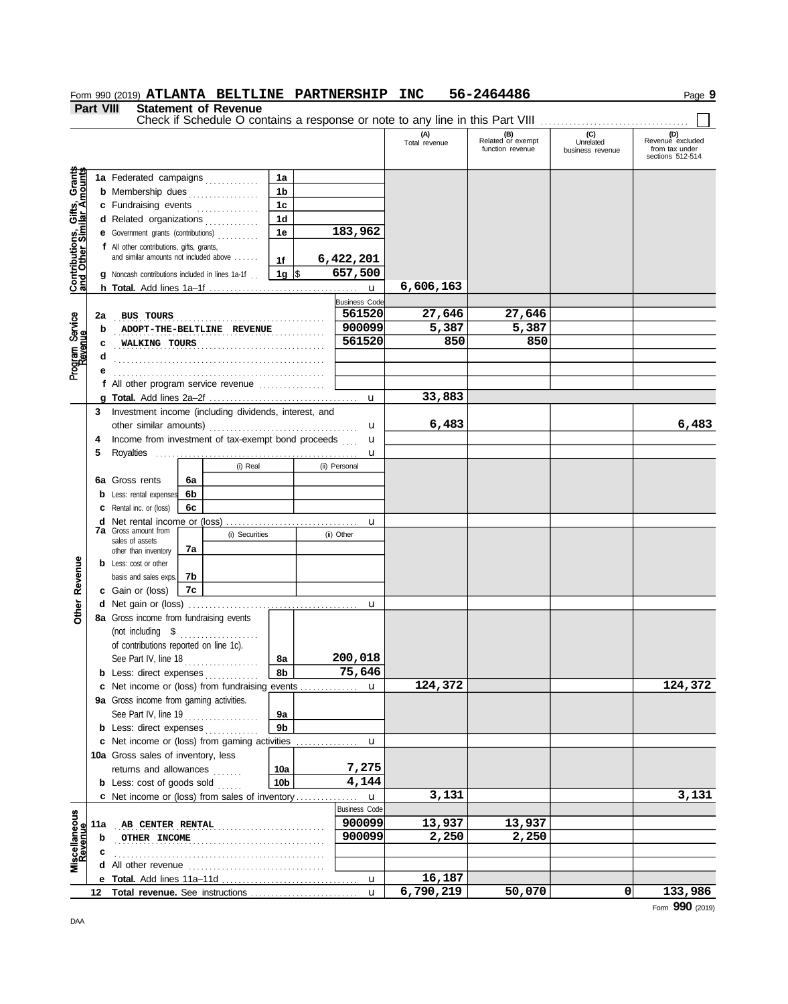|                                                                  | <b>Part VIII</b> | $\sim$                                                                          |    | <b>Statement of Revenue</b> |                      |                      | Check if Schedule O contains a response or note to any line in this Part VIII |                                              |                                      |                                                               |
|------------------------------------------------------------------|------------------|---------------------------------------------------------------------------------|----|-----------------------------|----------------------|----------------------|-------------------------------------------------------------------------------|----------------------------------------------|--------------------------------------|---------------------------------------------------------------|
|                                                                  |                  |                                                                                 |    |                             |                      |                      | (A)<br>Total revenue                                                          | (B)<br>Related or exempt<br>function revenue | (C)<br>Unrelated<br>business revenue | (D)<br>Revenue excluded<br>from tax under<br>sections 512-514 |
|                                                                  |                  | 1a Federated campaigns                                                          |    |                             | 1a                   |                      |                                                                               |                                              |                                      |                                                               |
| <b>Contributions, Gifts, Grants</b><br>and Other Similar Amounts |                  | <b>b</b> Membership dues                                                        |    | .                           | 1 <sub>b</sub>       |                      |                                                                               |                                              |                                      |                                                               |
|                                                                  |                  | c Fundraising events                                                            |    |                             | 1 <sub>c</sub>       |                      |                                                                               |                                              |                                      |                                                               |
|                                                                  |                  | d Related organizations                                                         |    |                             | 1d                   |                      |                                                                               |                                              |                                      |                                                               |
|                                                                  |                  | e Government grants (contributions)                                             |    |                             | 1е                   | 183,962              |                                                                               |                                              |                                      |                                                               |
|                                                                  |                  | f All other contributions, gifts, grants,                                       |    |                             |                      |                      |                                                                               |                                              |                                      |                                                               |
|                                                                  |                  | and similar amounts not included above                                          |    |                             | 1f                   | 6,422,201            |                                                                               |                                              |                                      |                                                               |
|                                                                  |                  | <b>g</b> Noncash contributions included in lines 1a-1f                          |    |                             | $1g$ \$              | 657,500              |                                                                               |                                              |                                      |                                                               |
|                                                                  |                  |                                                                                 |    |                             |                      | $\mathbf u$          | 6,606,163                                                                     |                                              |                                      |                                                               |
|                                                                  |                  |                                                                                 |    |                             |                      | <b>Business Code</b> |                                                                               |                                              |                                      |                                                               |
|                                                                  | 2a               | <b>BUS TOURS</b>                                                                |    |                             |                      | 561520               | 27,646                                                                        | 27,646                                       |                                      |                                                               |
|                                                                  | b                |                                                                                 |    | ADOPT-THE-BELTLINE REVENUE  |                      | 900099               | 5,387                                                                         | 5,387                                        |                                      |                                                               |
|                                                                  | c                | WALKING TOURS                                                                   |    |                             |                      | 561520               | 850                                                                           | 850                                          |                                      |                                                               |
| Program Service<br>Revenue                                       | d                |                                                                                 |    |                             |                      |                      |                                                                               |                                              |                                      |                                                               |
|                                                                  |                  |                                                                                 |    |                             |                      |                      |                                                                               |                                              |                                      |                                                               |
|                                                                  |                  | f All other program service revenue <i>container</i>                            |    |                             |                      |                      |                                                                               |                                              |                                      |                                                               |
|                                                                  |                  |                                                                                 |    |                             |                      | $\mathbf u$          | 33,883                                                                        |                                              |                                      |                                                               |
|                                                                  | 3                | Investment income (including dividends, interest, and                           |    |                             |                      |                      | 6,483                                                                         |                                              |                                      | 6,483                                                         |
|                                                                  |                  |                                                                                 |    |                             |                      | u                    |                                                                               |                                              |                                      |                                                               |
|                                                                  | 4                | Income from investment of tax-exempt bond proceeds                              |    |                             |                      | u                    |                                                                               |                                              |                                      |                                                               |
|                                                                  | 5                |                                                                                 |    | (i) Real                    |                      | u<br>(ii) Personal   |                                                                               |                                              |                                      |                                                               |
|                                                                  |                  | <b>6a</b> Gross rents                                                           | 6а |                             |                      |                      |                                                                               |                                              |                                      |                                                               |
|                                                                  |                  | <b>b</b> Less: rental expenses                                                  | 6b |                             |                      |                      |                                                                               |                                              |                                      |                                                               |
|                                                                  |                  | <b>c</b> Rental inc. or (loss)                                                  | 6c |                             |                      |                      |                                                                               |                                              |                                      |                                                               |
|                                                                  |                  | <b>d</b> Net rental income or (loss)                                            |    |                             |                      | u                    |                                                                               |                                              |                                      |                                                               |
|                                                                  |                  | <b>7a</b> Gross amount from                                                     |    | (i) Securities              |                      | (ii) Other           |                                                                               |                                              |                                      |                                                               |
|                                                                  |                  | sales of assets<br>other than inventory                                         | 7a |                             |                      |                      |                                                                               |                                              |                                      |                                                               |
|                                                                  |                  | <b>b</b> Less: cost or other                                                    |    |                             |                      |                      |                                                                               |                                              |                                      |                                                               |
| Revenue                                                          |                  | basis and sales exps.                                                           | 7b |                             |                      |                      |                                                                               |                                              |                                      |                                                               |
|                                                                  |                  | c Gain or (loss)                                                                | 7c |                             |                      |                      |                                                                               |                                              |                                      |                                                               |
| Other                                                            |                  |                                                                                 |    |                             |                      | u                    |                                                                               |                                              |                                      |                                                               |
|                                                                  |                  | 8a Gross income from fundraising events                                         |    |                             |                      |                      |                                                                               |                                              |                                      |                                                               |
|                                                                  |                  | (not including \$                                                               |    | .                           |                      |                      |                                                                               |                                              |                                      |                                                               |
|                                                                  |                  | of contributions reported on line 1c).                                          |    |                             |                      |                      |                                                                               |                                              |                                      |                                                               |
|                                                                  |                  | See Part IV, line 18                                                            |    |                             | 8a                   | 200,018              |                                                                               |                                              |                                      |                                                               |
|                                                                  |                  | <b>b</b> Less: direct expenses                                                  |    |                             | 8b                   | 75,646               |                                                                               |                                              |                                      |                                                               |
|                                                                  |                  | c Net income or (loss) from fundraising events                                  |    |                             |                      | u                    | 124,372                                                                       |                                              |                                      | 124,372                                                       |
|                                                                  |                  | 9a Gross income from gaming activities.                                         |    |                             |                      |                      |                                                                               |                                              |                                      |                                                               |
|                                                                  |                  | See Part IV, line $19$                                                          |    |                             | 9a<br>9 <sub>b</sub> |                      |                                                                               |                                              |                                      |                                                               |
|                                                                  |                  | <b>b</b> Less: direct expenses<br>c Net income or (loss) from gaming activities |    |                             |                      | u                    |                                                                               |                                              |                                      |                                                               |
|                                                                  |                  | <b>10a</b> Gross sales of inventory, less                                       |    |                             |                      |                      |                                                                               |                                              |                                      |                                                               |
|                                                                  |                  | returns and allowances                                                          |    |                             | 10a                  | 7,275                |                                                                               |                                              |                                      |                                                               |
|                                                                  |                  | <b>b</b> Less: cost of goods sold                                               |    |                             | 10 <sub>b</sub>      | 4,144                |                                                                               |                                              |                                      |                                                               |
|                                                                  |                  | c Net income or (loss) from sales of inventory                                  |    |                             |                      | $\mathbf{u}$         | 3,131                                                                         |                                              |                                      | 3,131                                                         |
|                                                                  |                  |                                                                                 |    |                             |                      | <b>Business Code</b> |                                                                               |                                              |                                      |                                                               |
| Miscellaneous<br>Revenue                                         | 11a              | <b>AB CENTER RENTAL</b>                                                         |    |                             |                      | 900099               | 13,937                                                                        | 13,937                                       |                                      |                                                               |
|                                                                  | b                | OTHER INCOME                                                                    |    |                             |                      | 900099               | 2,250                                                                         | 2,250                                        |                                      |                                                               |
|                                                                  | c                |                                                                                 |    |                             |                      |                      |                                                                               |                                              |                                      |                                                               |
|                                                                  |                  |                                                                                 |    |                             |                      |                      |                                                                               |                                              |                                      |                                                               |
|                                                                  |                  |                                                                                 |    |                             |                      | u                    | 16,187                                                                        |                                              |                                      |                                                               |
|                                                                  | 12               |                                                                                 |    |                             |                      | $\mathbf{u}$         | 6,790,219                                                                     | 50,070                                       | 0                                    | 133,986                                                       |

# **Form 990 (2019) ATLANTA BELTLINE PARTNERSHIP INC 56-2464486** Page 9

Form **990** (2019)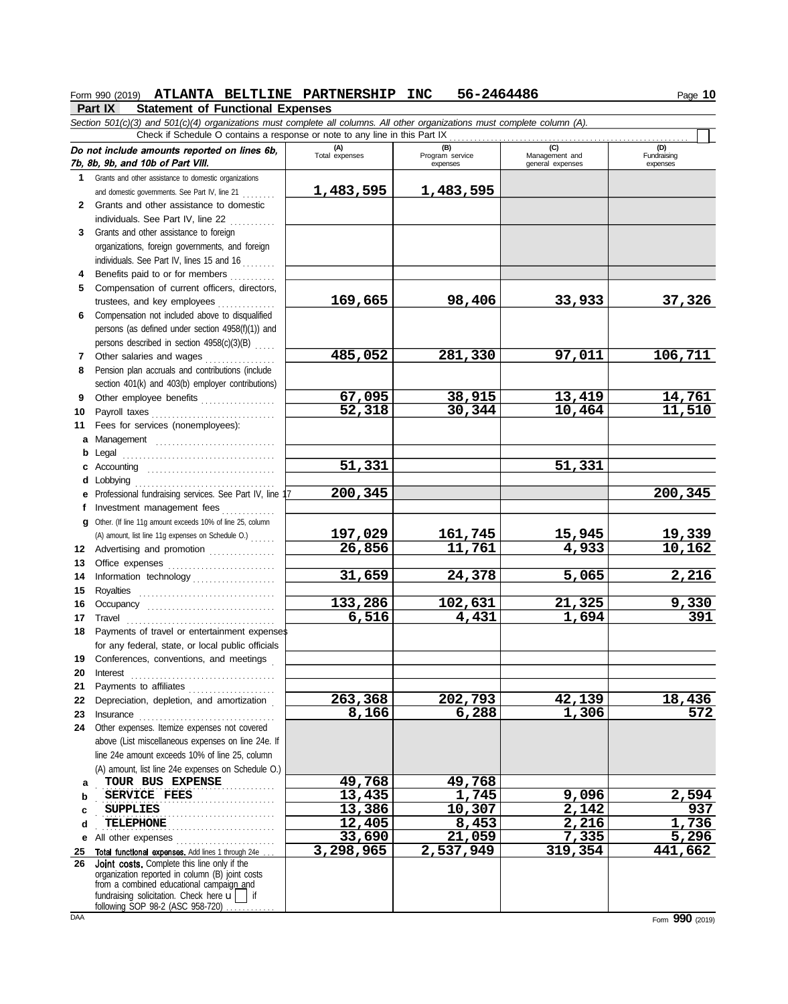## **Form 990 (2019) ATLANTA BELTLINE PARTNERSHIP INC 56-2464486** Page 10

### **Part IX Statement of Functional Expenses**

|              | Section 501(c)(3) and 501(c)(4) organizations must complete all columns. All other organizations must complete column (A).<br>Check if Schedule O contains a response or note to any line in this Part IX |                       |                             |                                    |                                |
|--------------|-----------------------------------------------------------------------------------------------------------------------------------------------------------------------------------------------------------|-----------------------|-----------------------------|------------------------------------|--------------------------------|
|              | Do not include amounts reported on lines 6b,                                                                                                                                                              |                       | (B)                         | (C)                                |                                |
|              | 7b, 8b, 9b, and 10b of Part VIII.                                                                                                                                                                         | (A)<br>Total expenses | Program service<br>expenses | Management and<br>general expenses | (D)<br>Fundraising<br>expenses |
| $\mathbf{1}$ |                                                                                                                                                                                                           |                       |                             |                                    |                                |
|              | Grants and other assistance to domestic organizations                                                                                                                                                     | 1,483,595             | 1,483,595                   |                                    |                                |
| $\mathbf{2}$ | and domestic governments. See Part IV, line 21<br>Grants and other assistance to domestic                                                                                                                 |                       |                             |                                    |                                |
|              |                                                                                                                                                                                                           |                       |                             |                                    |                                |
|              | individuals. See Part IV, line 22                                                                                                                                                                         |                       |                             |                                    |                                |
| 3            | Grants and other assistance to foreign                                                                                                                                                                    |                       |                             |                                    |                                |
|              | organizations, foreign governments, and foreign                                                                                                                                                           |                       |                             |                                    |                                |
|              | individuals. See Part IV, lines 15 and 16                                                                                                                                                                 |                       |                             |                                    |                                |
| 4            | Benefits paid to or for members                                                                                                                                                                           |                       |                             |                                    |                                |
| 5            | Compensation of current officers, directors,                                                                                                                                                              |                       |                             |                                    |                                |
|              | trustees, and key employees                                                                                                                                                                               | 169,665               | 98,406                      | 33,933                             | 37,326                         |
| 6            | Compensation not included above to disqualified                                                                                                                                                           |                       |                             |                                    |                                |
|              | persons (as defined under section 4958(f)(1)) and                                                                                                                                                         |                       |                             |                                    |                                |
|              | persons described in section 4958(c)(3)(B)                                                                                                                                                                |                       |                             |                                    |                                |
| 7            | Other salaries and wages                                                                                                                                                                                  | 485,052               | 281,330                     | 97,011                             | 106,711                        |
| 8            | Pension plan accruals and contributions (include                                                                                                                                                          |                       |                             |                                    |                                |
|              | section 401(k) and 403(b) employer contributions)                                                                                                                                                         |                       |                             |                                    |                                |
| 9            | Other employee benefits                                                                                                                                                                                   | 67,095                | 38,915                      | 13,419                             | 14,761                         |
| 10           |                                                                                                                                                                                                           | 52,318                | 30,344                      | 10,464                             | 11,510                         |
| 11           | Fees for services (nonemployees):                                                                                                                                                                         |                       |                             |                                    |                                |
|              |                                                                                                                                                                                                           |                       |                             |                                    |                                |
| b            | Legal                                                                                                                                                                                                     |                       |                             |                                    |                                |
| C            | Accounting                                                                                                                                                                                                | 51,331                |                             | 51,331                             |                                |
|              | d Lobbying                                                                                                                                                                                                |                       |                             |                                    |                                |
|              | e Professional fundraising services. See Part IV, line                                                                                                                                                    | 200,345               |                             |                                    | 200,345                        |
|              |                                                                                                                                                                                                           |                       |                             |                                    |                                |
| f            | Investment management fees                                                                                                                                                                                |                       |                             |                                    |                                |
|              | g Other. (If line 11g amount exceeds 10% of line 25, column                                                                                                                                               |                       |                             |                                    |                                |
|              | (A) amount, list line 11g expenses on Schedule O.)                                                                                                                                                        | 197,029               | 161,745                     | <u>15,945</u><br>4,933             | <u>19,339</u><br>10,162        |
| 12           | Advertising and promotion                                                                                                                                                                                 | 26,856                | 11,761                      |                                    |                                |
| 13           |                                                                                                                                                                                                           |                       |                             |                                    |                                |
| 14           | Information technology                                                                                                                                                                                    | 31,659                | 24,378                      | 5,065                              | 2,216                          |
| 15           | Royalties                                                                                                                                                                                                 |                       |                             |                                    |                                |
| 16           |                                                                                                                                                                                                           | 133,286               | 102,631                     | 21,325                             | 9,330                          |
| 17           | Travel                                                                                                                                                                                                    | 6,516                 | 4,431                       | 1,694                              | 391                            |
| 18           | Payments of travel or entertainment expenses                                                                                                                                                              |                       |                             |                                    |                                |
|              | for any federal, state, or local public officials                                                                                                                                                         |                       |                             |                                    |                                |
|              | 19 Conferences, conventions, and meetings                                                                                                                                                                 |                       |                             |                                    |                                |
| 20           |                                                                                                                                                                                                           |                       |                             |                                    |                                |
| 21           | Payments to affiliates                                                                                                                                                                                    |                       |                             |                                    |                                |
| 22           | Depreciation, depletion, and amortization                                                                                                                                                                 | 263,368               | 202,793                     | 42,139                             | 18,436                         |
| 23           | Insurance                                                                                                                                                                                                 | 8,166                 | 6,288                       | 1,306                              | 572                            |
| 24           | Other expenses. Itemize expenses not covered                                                                                                                                                              |                       |                             |                                    |                                |
|              | above (List miscellaneous expenses on line 24e. If                                                                                                                                                        |                       |                             |                                    |                                |
|              | line 24e amount exceeds 10% of line 25, column                                                                                                                                                            |                       |                             |                                    |                                |
|              | (A) amount, list line 24e expenses on Schedule O.)                                                                                                                                                        |                       |                             |                                    |                                |
| a            | TOUR BUS EXPENSE                                                                                                                                                                                          | 49,768                | 49,768                      |                                    |                                |
| b            | SERVICE FEES                                                                                                                                                                                              | 13,435                | 1,745                       | 9,096                              | 2,594                          |
|              | <b>SUPPLIES</b>                                                                                                                                                                                           | 13,386                | 10,307                      | 2,142                              | 937                            |
| d            | TELEPHONE                                                                                                                                                                                                 | 12,405                | 8,453                       | 2,216                              | 1,736                          |
|              | <b>e</b> All other expenses                                                                                                                                                                               | 33,690                | 21,059                      | 7,335                              | 5,296                          |
|              | .<br>Total functional expenses. Add lines 1 through 24e                                                                                                                                                   | 3,298,965             | 2,537,949                   | 319,354                            | 441,662                        |
| 25<br>26     | Joint costs. Complete this line only if the                                                                                                                                                               |                       |                             |                                    |                                |
|              | organization reported in column (B) joint costs                                                                                                                                                           |                       |                             |                                    |                                |
|              | from a combined educational campaign and                                                                                                                                                                  |                       |                             |                                    |                                |
|              | fundraising solicitation. Check here $\mathbf{u}$<br>if                                                                                                                                                   |                       |                             |                                    |                                |

following SOP 98-2 (ASC 958-720) . . . . . . . . . . .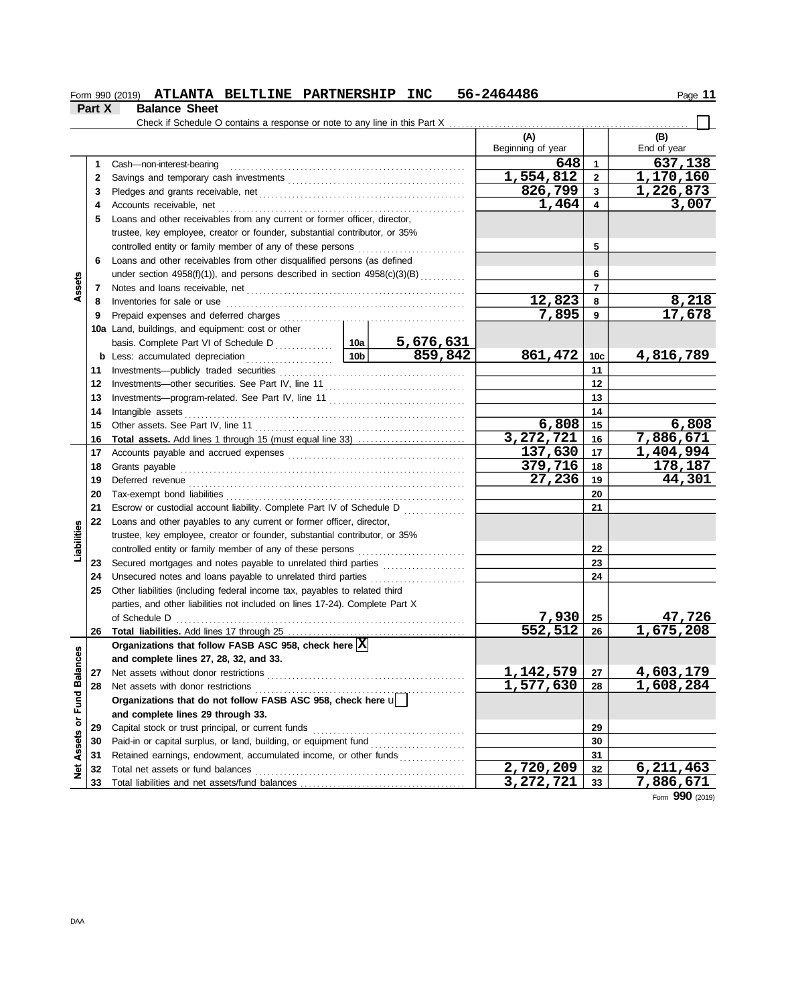|               |                      | Form 990 (2019) ATLANTA BELTLINE PARTNERSHIP INC | 56-2464486 |
|---------------|----------------------|--------------------------------------------------|------------|
| <b>Part X</b> | <b>Balance Sheet</b> |                                                  |            |

Form 990 (2019) Page **11**

|                   |    | Check if Schedule O contains a response or note to any line in this Part X $\ldots$ |                                          |                   |                |                        |  |
|-------------------|----|-------------------------------------------------------------------------------------|------------------------------------------|-------------------|----------------|------------------------|--|
|                   |    |                                                                                     |                                          | (A)               |                | (B)                    |  |
|                   |    |                                                                                     |                                          | Beginning of year |                | End of year            |  |
|                   | 1  | Cash-non-interest-bearing                                                           |                                          | 648               | $\mathbf{1}$   | 637,138                |  |
|                   | 2  |                                                                                     |                                          | 1,554,812         | $\mathbf{2}$   | 1,170,160              |  |
|                   | 3  |                                                                                     |                                          | 826,799           | $\mathbf{3}$   | 1,226,873              |  |
|                   | 4  |                                                                                     |                                          | 1,464             | 4              | 3,007                  |  |
|                   | 5  | Loans and other receivables from any current or former officer, director,           |                                          |                   |                |                        |  |
|                   |    | trustee, key employee, creator or founder, substantial contributor, or 35%          |                                          |                   |                |                        |  |
|                   |    | controlled entity or family member of any of these persons                          |                                          |                   | 5              |                        |  |
|                   | 6  | Loans and other receivables from other disqualified persons (as defined             |                                          |                   |                |                        |  |
|                   |    | under section 4958(f)(1)), and persons described in section $4958(c)(3)(B)$         |                                          |                   | 6              |                        |  |
| Assets            | 7  | Notes and loans receivable, net                                                     |                                          |                   | $\overline{7}$ |                        |  |
|                   | 8  | Inventories for sale or use                                                         |                                          | 12,823            | 8              | 8,218                  |  |
|                   | 9  |                                                                                     |                                          | 7,895             | 9              | 17,678                 |  |
|                   |    | 10a Land, buildings, and equipment: cost or other                                   |                                          |                   |                |                        |  |
|                   |    |                                                                                     | <u>5,676,631</u>                         |                   |                |                        |  |
|                   |    | 10b<br><b>b</b> Less: accumulated depreciation                                      | 859,842                                  | 861,472           | 10c            | 4,816,789              |  |
|                   | 11 |                                                                                     |                                          |                   | 11             |                        |  |
|                   | 12 |                                                                                     |                                          |                   | 12             |                        |  |
|                   | 13 |                                                                                     |                                          |                   | 13             |                        |  |
|                   | 14 | Intangible assets                                                                   |                                          |                   | 14             |                        |  |
|                   | 15 |                                                                                     |                                          | 6,808             | 15             | 6,808                  |  |
|                   | 16 | <b>Total assets.</b> Add lines 1 through 15 (must equal line 33)                    |                                          | 3,272,721         | 16             | 7,886,671              |  |
|                   | 17 |                                                                                     |                                          | 137,630           | 17             | 1,404,994              |  |
|                   | 18 | Grants payable                                                                      |                                          | 379,716           | 18             | 178,187                |  |
|                   | 19 |                                                                                     |                                          | 27,236            | 19             | 44,301                 |  |
|                   | 20 | Tax-exempt bond liabilities                                                         |                                          |                   | 20             |                        |  |
|                   | 21 | Escrow or custodial account liability. Complete Part IV of Schedule D               | <u>.</u><br>1980 - Johann Land, amerikan |                   | 21             |                        |  |
|                   | 22 | Loans and other payables to any current or former officer, director,                |                                          |                   |                |                        |  |
| Liabilities       |    | trustee, key employee, creator or founder, substantial contributor, or 35%          |                                          |                   |                |                        |  |
|                   |    | controlled entity or family member of any of these persons                          |                                          |                   | 22             |                        |  |
|                   | 23 | Secured mortgages and notes payable to unrelated third parties                      |                                          |                   | 23             |                        |  |
|                   | 24 | Unsecured notes and loans payable to unrelated third parties                        |                                          |                   | 24             |                        |  |
|                   | 25 | Other liabilities (including federal income tax, payables to related third          |                                          |                   |                |                        |  |
|                   |    | parties, and other liabilities not included on lines 17-24). Complete Part X        |                                          |                   |                |                        |  |
|                   |    | of Schedule D                                                                       |                                          | 7,930             | 25             | 47,726                 |  |
|                   | 26 |                                                                                     |                                          | 552,512           | 26             | $\overline{1,675,208}$ |  |
|                   |    | Organizations that follow FASB ASC 958, check here  X                               |                                          |                   |                |                        |  |
| <b>Ces</b>        |    | and complete lines 27, 28, 32, and 33.                                              |                                          |                   |                |                        |  |
|                   | 27 | Net assets without donor restrictions                                               |                                          | 1, 142, 579       | 27             | 4,603,179              |  |
| or Fund Balano    | 28 | Net assets with donor restrictions                                                  |                                          | 1,577,630         | 28             | 1,608,284              |  |
|                   |    | Organizations that do not follow FASB ASC 958, check here u                         |                                          |                   |                |                        |  |
|                   |    | and complete lines 29 through 33.                                                   |                                          |                   |                |                        |  |
|                   | 29 | Capital stock or trust principal, or current funds                                  |                                          |                   | 29             |                        |  |
|                   | 30 | Paid-in or capital surplus, or land, building, or equipment fund                    |                                          |                   | 30             |                        |  |
|                   | 31 | Retained earnings, endowment, accumulated income, or other funds                    |                                          |                   | 31             |                        |  |
| <b>Net Assets</b> | 32 | Total net assets or fund balances                                                   |                                          | 2,720,209         | 32             | 6,211,463              |  |
|                   | 33 | Total liabilities and net assets/fund balances                                      |                                          | 3, 272, 721       | 33             | 7,886,671              |  |

Form **990** (2019)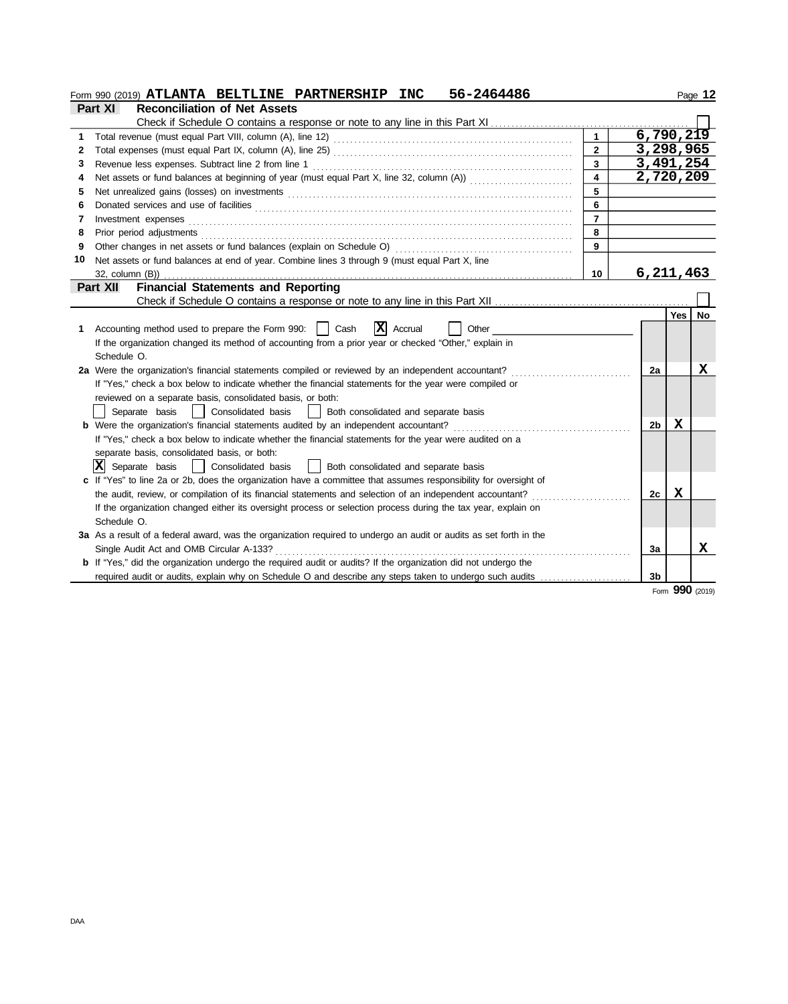|    | Form 990 (2019) ATLANTA BELTLINE PARTNERSHIP INC<br>56-2464486                                                                |                         |                |        | Page 12 |
|----|-------------------------------------------------------------------------------------------------------------------------------|-------------------------|----------------|--------|---------|
|    | <b>Reconciliation of Net Assets</b><br><b>Part XI</b>                                                                         |                         |                |        |         |
|    |                                                                                                                               |                         |                |        |         |
| 1  |                                                                                                                               |                         | 6,790,219      |        |         |
| 2  |                                                                                                                               | $\overline{2}$          | 3,298,965      |        |         |
| 3  |                                                                                                                               | $\overline{3}$          | 3,491,254      |        |         |
| 4  | Net assets or fund balances at beginning of year (must equal Part X, line 32, column (A))                                     | $\overline{\mathbf{4}}$ | 2,720,209      |        |         |
| 5  |                                                                                                                               | 5                       |                |        |         |
| 6  | Donated services and use of facilities <b>constructs</b> and the service of the service of the services and use of facilities | 6                       |                |        |         |
| 7  | Investment expenses                                                                                                           | $\overline{7}$          |                |        |         |
| 8  | Prior period adjustments                                                                                                      | 8                       |                |        |         |
| 9  | Other changes in net assets or fund balances (explain on Schedule O)                                                          | 9                       |                |        |         |
| 10 | Net assets or fund balances at end of year. Combine lines 3 through 9 (must equal Part X, line                                |                         |                |        |         |
|    | 32, column (B))                                                                                                               | 10                      | 6, 211, 463    |        |         |
|    | <b>Financial Statements and Reporting</b><br>Part XII                                                                         |                         |                |        |         |
|    |                                                                                                                               |                         |                |        |         |
|    |                                                                                                                               |                         |                | Yes    | No      |
| 1. | $ \mathbf{X} $ Accrual<br>Cash<br>Accounting method used to prepare the Form 990:    <br>Other                                |                         |                |        |         |
|    | If the organization changed its method of accounting from a prior year or checked "Other," explain in                         |                         |                |        |         |
|    | Schedule O.                                                                                                                   |                         |                |        |         |
|    | 2a Were the organization's financial statements compiled or reviewed by an independent accountant?                            |                         | 2a             |        | x       |
|    | If "Yes," check a box below to indicate whether the financial statements for the year were compiled or                        |                         |                |        |         |
|    | reviewed on a separate basis, consolidated basis, or both:                                                                    |                         |                |        |         |
|    | Separate basis<br>Consolidated basis<br>Both consolidated and separate basis<br>$\mathbf{1}$                                  |                         |                |        |         |
|    | <b>b</b> Were the organization's financial statements audited by an independent accountant?                                   |                         | 2 <sub>b</sub> | X      |         |
|    | If "Yes," check a box below to indicate whether the financial statements for the year were audited on a                       |                         |                |        |         |
|    | separate basis, consolidated basis, or both:                                                                                  |                         |                |        |         |
|    | $ \mathbf{X} $ Separate basis<br>Consolidated basis<br>  Both consolidated and separate basis                                 |                         |                |        |         |
|    | c If "Yes" to line 2a or 2b, does the organization have a committee that assumes responsibility for oversight of              |                         |                |        |         |
|    | the audit, review, or compilation of its financial statements and selection of an independent accountant?                     |                         | 2c             | X      |         |
|    | If the organization changed either its oversight process or selection process during the tax year, explain on                 |                         |                |        |         |
|    | Schedule O.                                                                                                                   |                         |                |        |         |
|    | 3a As a result of a federal award, was the organization required to undergo an audit or audits as set forth in the            |                         |                |        |         |
|    | Single Audit Act and OMB Circular A-133?                                                                                      |                         | 3a             |        | x       |
|    | <b>b</b> If "Yes," did the organization undergo the required audit or audits? If the organization did not undergo the         |                         |                |        |         |
|    | required audit or audits, explain why on Schedule O and describe any steps taken to undergo such audits                       |                         | 3 <sub>b</sub> |        |         |
|    |                                                                                                                               |                         |                | $\sim$ |         |

Form **990** (2019)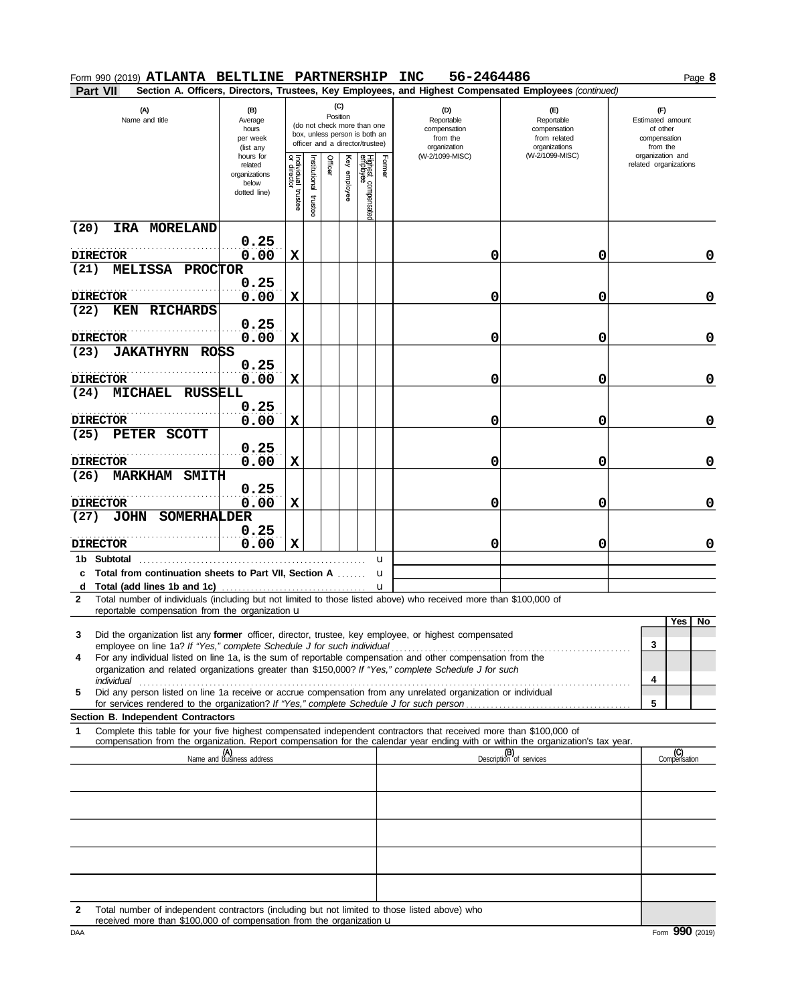| Form 990 (2019) ATLANTA BELTLINE PARTNERSHIP                                                                                                                                                                                                                                                                                                       |                                                                |                                   |                         |                 |          |                                                                                                 |                                 | 56-2464486<br><b>INC</b>                                      |                                                                                                        |   |                                                                 | Page 8 |
|----------------------------------------------------------------------------------------------------------------------------------------------------------------------------------------------------------------------------------------------------------------------------------------------------------------------------------------------------|----------------------------------------------------------------|-----------------------------------|-------------------------|-----------------|----------|-------------------------------------------------------------------------------------------------|---------------------------------|---------------------------------------------------------------|--------------------------------------------------------------------------------------------------------|---|-----------------------------------------------------------------|--------|
| <b>Part VII</b>                                                                                                                                                                                                                                                                                                                                    |                                                                |                                   |                         |                 |          |                                                                                                 |                                 |                                                               | Section A. Officers, Directors, Trustees, Key Employees, and Highest Compensated Employees (continued) |   |                                                                 |        |
| (A)<br>Name and title                                                                                                                                                                                                                                                                                                                              | (B)<br>Average<br>hours<br>per week<br>(list any               |                                   |                         | (C)<br>Position |          | (do not check more than one<br>box, unless person is both an<br>officer and a director/trustee) |                                 | (D)<br>Reportable<br>compensation<br>from the<br>organization | (E)<br>Reportable<br>compensation<br>from related<br>organizations                                     |   | (F)<br>Estimated amount<br>of other<br>compensation<br>from the |        |
|                                                                                                                                                                                                                                                                                                                                                    | hours for<br>related<br>organizations<br>below<br>dotted line) | Individual trustee<br>or director | nstitutional<br>trustee | Officer         | employee | Highest compensated<br>employee                                                                 | Form<br>$\overline{\mathbf{D}}$ | (W-2/1099-MISC)                                               | (W-2/1099-MISC)                                                                                        |   | organization and<br>related organizations                       |        |
| (20)<br>IRA MORELAND                                                                                                                                                                                                                                                                                                                               | 0.25                                                           |                                   |                         |                 |          |                                                                                                 |                                 |                                                               |                                                                                                        |   |                                                                 |        |
| <b>DIRECTOR</b>                                                                                                                                                                                                                                                                                                                                    | 0.00                                                           | X                                 |                         |                 |          |                                                                                                 |                                 | 0                                                             | 0                                                                                                      |   |                                                                 | 0      |
| (21)<br>MELISSA PROCTOR                                                                                                                                                                                                                                                                                                                            | 0.25                                                           |                                   |                         |                 |          |                                                                                                 |                                 |                                                               |                                                                                                        |   |                                                                 |        |
| <b>DIRECTOR</b>                                                                                                                                                                                                                                                                                                                                    | 0.00                                                           | $\mathbf x$                       |                         |                 |          |                                                                                                 |                                 | 0                                                             | 0                                                                                                      |   |                                                                 | 0      |
| <b>KEN</b><br><b>RICHARDS</b><br>(22)                                                                                                                                                                                                                                                                                                              |                                                                |                                   |                         |                 |          |                                                                                                 |                                 |                                                               |                                                                                                        |   |                                                                 |        |
| <b>DIRECTOR</b>                                                                                                                                                                                                                                                                                                                                    | 0.25<br>0.00                                                   | X                                 |                         |                 |          |                                                                                                 |                                 | 0                                                             | 0                                                                                                      |   |                                                                 | 0      |
| <b>JAKATHYRN</b><br>(23)<br><b>ROSS</b>                                                                                                                                                                                                                                                                                                            |                                                                |                                   |                         |                 |          |                                                                                                 |                                 |                                                               |                                                                                                        |   |                                                                 |        |
|                                                                                                                                                                                                                                                                                                                                                    | 0.25                                                           |                                   |                         |                 |          |                                                                                                 |                                 |                                                               |                                                                                                        |   |                                                                 |        |
| <b>DIRECTOR</b><br>(24)<br><b>MICHAEL</b><br><b>RUSSELL</b>                                                                                                                                                                                                                                                                                        | 0.00                                                           | X                                 |                         |                 |          |                                                                                                 |                                 | 0                                                             | 0                                                                                                      |   |                                                                 | 0      |
|                                                                                                                                                                                                                                                                                                                                                    | 0.25                                                           |                                   |                         |                 |          |                                                                                                 |                                 |                                                               |                                                                                                        |   |                                                                 |        |
| <b>DIRECTOR</b>                                                                                                                                                                                                                                                                                                                                    | 0.00                                                           | х                                 |                         |                 |          |                                                                                                 |                                 | 0                                                             | 0                                                                                                      |   |                                                                 | 0      |
| (25)<br>PETER<br><b>SCOTT</b>                                                                                                                                                                                                                                                                                                                      | 0.25                                                           |                                   |                         |                 |          |                                                                                                 |                                 |                                                               |                                                                                                        |   |                                                                 |        |
| <b>DIRECTOR</b>                                                                                                                                                                                                                                                                                                                                    | 0.00                                                           | х                                 |                         |                 |          |                                                                                                 |                                 | 0                                                             | 0                                                                                                      |   |                                                                 | 0      |
| <b>MARKHAM</b><br><b>SMITH</b><br>(26)                                                                                                                                                                                                                                                                                                             | 0.25                                                           |                                   |                         |                 |          |                                                                                                 |                                 |                                                               |                                                                                                        |   |                                                                 |        |
| <b>DIRECTOR</b>                                                                                                                                                                                                                                                                                                                                    | 0.00                                                           | x                                 |                         |                 |          |                                                                                                 |                                 | 0                                                             | 0                                                                                                      |   |                                                                 | 0      |
| <b>JOHN</b><br>SOMERHALDER<br>(27)                                                                                                                                                                                                                                                                                                                 |                                                                |                                   |                         |                 |          |                                                                                                 |                                 |                                                               |                                                                                                        |   |                                                                 |        |
|                                                                                                                                                                                                                                                                                                                                                    | 0.25                                                           |                                   |                         |                 |          |                                                                                                 |                                 |                                                               |                                                                                                        |   |                                                                 |        |
| <b>DIRECTOR</b>                                                                                                                                                                                                                                                                                                                                    | 0.00                                                           | X                                 |                         |                 |          |                                                                                                 |                                 | 0                                                             | 0                                                                                                      |   |                                                                 | 0      |
| 1b Subtotal<br>Total from continuation sheets to Part VII, Section A<br>c                                                                                                                                                                                                                                                                          |                                                                |                                   |                         |                 |          | u<br>u                                                                                          |                                 |                                                               |                                                                                                        |   |                                                                 |        |
| d Total (add lines 1b and 1c)                                                                                                                                                                                                                                                                                                                      |                                                                |                                   |                         | .               |          | u                                                                                               |                                 |                                                               |                                                                                                        |   |                                                                 |        |
| Total number of individuals (including but not limited to those listed above) who received more than \$100,000 of<br>2                                                                                                                                                                                                                             |                                                                |                                   |                         |                 |          |                                                                                                 |                                 |                                                               |                                                                                                        |   |                                                                 |        |
| reportable compensation from the organization $\mathbf u$                                                                                                                                                                                                                                                                                          |                                                                |                                   |                         |                 |          |                                                                                                 |                                 |                                                               |                                                                                                        |   | Yes No                                                          |        |
| Did the organization list any former officer, director, trustee, key employee, or highest compensated<br>3                                                                                                                                                                                                                                         |                                                                |                                   |                         |                 |          |                                                                                                 |                                 |                                                               |                                                                                                        | 3 |                                                                 |        |
| employee on line 1a? If "Yes," complete Schedule J for such individual material contents of the set of the set of the set of the set of the set of the set of the set of the set of the set of the set of the set of the set o<br>For any individual listed on line 1a, is the sum of reportable compensation and other compensation from the<br>4 |                                                                |                                   |                         |                 |          |                                                                                                 |                                 |                                                               |                                                                                                        |   |                                                                 |        |
| organization and related organizations greater than \$150,000? If "Yes," complete Schedule J for such                                                                                                                                                                                                                                              |                                                                |                                   |                         |                 |          |                                                                                                 |                                 |                                                               |                                                                                                        | 4 |                                                                 |        |
| individual<br>Did any person listed on line 1a receive or accrue compensation from any unrelated organization or individual<br>5                                                                                                                                                                                                                   |                                                                |                                   |                         |                 |          |                                                                                                 |                                 |                                                               |                                                                                                        |   |                                                                 |        |
|                                                                                                                                                                                                                                                                                                                                                    |                                                                |                                   |                         |                 |          |                                                                                                 |                                 |                                                               |                                                                                                        | 5 |                                                                 |        |
| Section B. Independent Contractors<br>Complete this table for your five highest compensated independent contractors that received more than \$100,000 of<br>1<br>compensation from the organization. Report compensation for the calendar year ending with or within the organization's tax year.                                                  |                                                                |                                   |                         |                 |          |                                                                                                 |                                 |                                                               |                                                                                                        |   |                                                                 |        |
|                                                                                                                                                                                                                                                                                                                                                    | (A)<br>Name and business address                               |                                   |                         |                 |          |                                                                                                 |                                 |                                                               | (B)<br>Description of services                                                                         |   | (C)<br>Compensation                                             |        |
|                                                                                                                                                                                                                                                                                                                                                    |                                                                |                                   |                         |                 |          |                                                                                                 |                                 |                                                               |                                                                                                        |   |                                                                 |        |
|                                                                                                                                                                                                                                                                                                                                                    |                                                                |                                   |                         |                 |          |                                                                                                 |                                 |                                                               |                                                                                                        |   |                                                                 |        |
|                                                                                                                                                                                                                                                                                                                                                    |                                                                |                                   |                         |                 |          |                                                                                                 |                                 |                                                               |                                                                                                        |   |                                                                 |        |
|                                                                                                                                                                                                                                                                                                                                                    |                                                                |                                   |                         |                 |          |                                                                                                 |                                 |                                                               |                                                                                                        |   |                                                                 |        |
|                                                                                                                                                                                                                                                                                                                                                    |                                                                |                                   |                         |                 |          |                                                                                                 |                                 |                                                               |                                                                                                        |   |                                                                 |        |
| Total number of independent contractors (including but not limited to those listed above) who<br>2                                                                                                                                                                                                                                                 |                                                                |                                   |                         |                 |          |                                                                                                 |                                 |                                                               |                                                                                                        |   |                                                                 |        |
| received more than \$100,000 of compensation from the organization u                                                                                                                                                                                                                                                                               |                                                                |                                   |                         |                 |          |                                                                                                 |                                 |                                                               |                                                                                                        |   |                                                                 |        |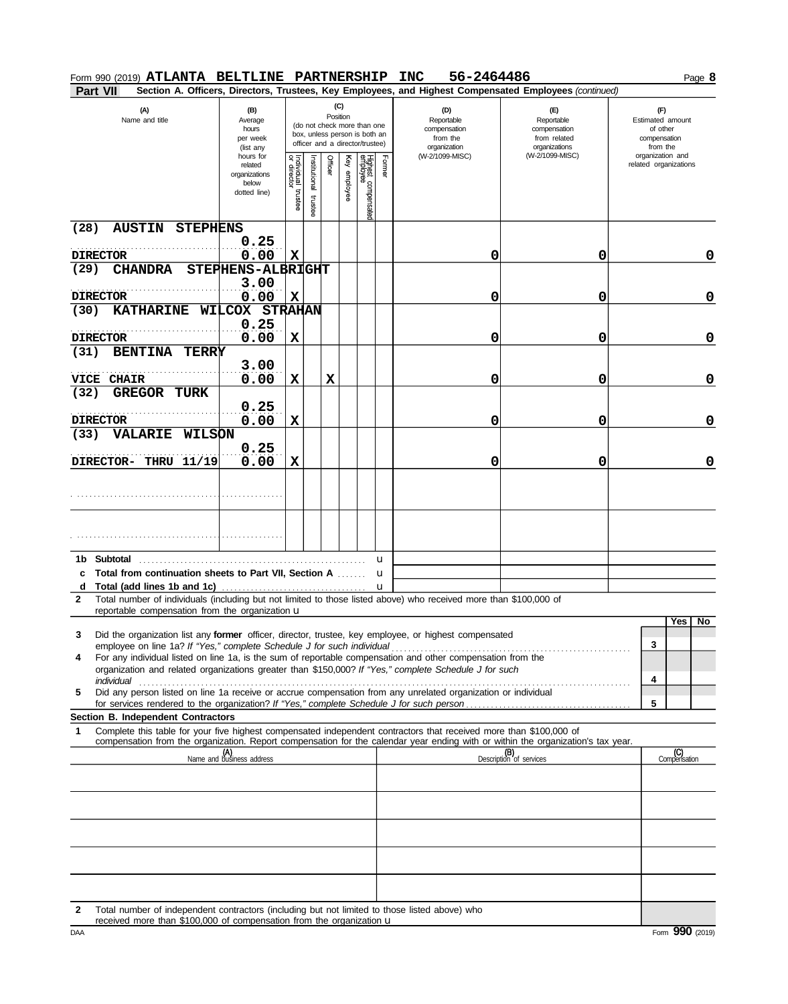| <b>Part VII</b><br>Section A. Officers, Directors, Trustees, Key Employees, and Highest Compensated Employees (continued)<br>(C)<br>(A)<br>(F)<br>(B)<br>(D)<br>(E)<br>Position<br>Name and title<br>Reportable<br>Reportable<br>Estimated amount<br>Average<br>(do not check more than one<br>compensation<br>compensation<br>of other<br>hours<br>box, unless person is both an<br>from the<br>from related<br>compensation<br>per week<br>officer and a director/trustee)<br>organizations<br>organization<br>from the<br>(list any<br>(W-2/1099-MISC)<br>organization and<br>(W-2/1099-MISC)<br>hours for<br>Individual<br>or director<br>Highest compensated<br>employee<br>Former<br>Officer<br>Ķey<br>nstitutional<br>related organizations<br>related<br>employee<br>organizations<br>below<br>trustee<br>dotted line)<br>trustee<br>(28)<br><b>AUSTIN STEPHENS</b><br>0.25<br>$\mathbf x$<br>0.00<br>0<br>0<br>0<br><b>DIRECTOR</b><br>(29)<br>STEPHENS-ALBRIGHT<br><b>CHANDRA</b><br>3.00<br>0.00<br>$\mathbf x$<br>0<br>0<br><b>DIRECTOR</b><br>0<br>WILCOX STRAHAN<br><b>KATHARINE</b><br>(30)<br>0.25<br>0.00<br>X<br>0<br>0<br>0<br><b>DIRECTOR</b><br>(31)<br><b>BENTINA</b><br><b>TERRY</b><br>3.00<br>X<br>X<br>0<br>0.00<br>0<br>0<br><b>VICE</b><br><b>CHAIR</b><br>(32)<br><b>GREGOR</b><br>TURK<br>0.25<br>0.00<br>X<br>0<br>0<br>0<br><b>DIRECTOR</b><br>(33)<br><b>VALARIE</b><br><b>WILSON</b><br>0.25<br>0.00<br>X<br>0<br>0<br>0<br><b>Subtotal</b><br>1b.<br>u<br><b>Total from continuation sheets to Part VII, Section A </b><br>u<br>c<br>Total (add lines 1b and 1c)<br>d<br>u<br>Total number of individuals (including but not limited to those listed above) who received more than \$100,000 of<br>$\mathbf{2}$<br>reportable compensation from the organization $\mathbf u$<br>Yes <sub>1</sub><br>No<br>Did the organization list any former officer, director, trustee, key employee, or highest compensated<br>3<br>3<br>employee on line 1a? If "Yes," complete Schedule J for such individual manufacture content to the content of the state of the employee on line 1a? If "Yes," complete Schedule J for such individual<br>For any individual listed on line 1a, is the sum of reportable compensation and other compensation from the<br>4<br>organization and related organizations greater than \$150,000? If "Yes," complete Schedule J for such<br>4<br>Did any person listed on line 1a receive or accrue compensation from any unrelated organization or individual<br>5<br>5<br>Section B. Independent Contractors<br>Complete this table for your five highest compensated independent contractors that received more than \$100,000 of<br>1<br>compensation from the organization. Report compensation for the calendar year ending with or within the organization's tax year.<br>(A)<br>Name and business address<br>(B)<br>Description of services<br>(C)<br>Compensation<br>Total number of independent contractors (including but not limited to those listed above) who<br>2<br>received more than \$100,000 of compensation from the organization u | Form 990 (2019) ATLANTA BELTLINE PARTNERSHIP |  |  |  | 56-2464486<br><b>INC</b> |  | Page 8 |
|-------------------------------------------------------------------------------------------------------------------------------------------------------------------------------------------------------------------------------------------------------------------------------------------------------------------------------------------------------------------------------------------------------------------------------------------------------------------------------------------------------------------------------------------------------------------------------------------------------------------------------------------------------------------------------------------------------------------------------------------------------------------------------------------------------------------------------------------------------------------------------------------------------------------------------------------------------------------------------------------------------------------------------------------------------------------------------------------------------------------------------------------------------------------------------------------------------------------------------------------------------------------------------------------------------------------------------------------------------------------------------------------------------------------------------------------------------------------------------------------------------------------------------------------------------------------------------------------------------------------------------------------------------------------------------------------------------------------------------------------------------------------------------------------------------------------------------------------------------------------------------------------------------------------------------------------------------------------------------------------------------------------------------------------------------------------------------------------------------------------------------------------------------------------------------------------------------------------------------------------------------------------------------------------------------------------------------------------------------------------------------------------------------------------------------------------------------------------------------------------------------------------------------------------------------------------------------------------------------------------------------------------------------------------------------------------------------------------------------------------------------------------------------------------------------------------------------------------------------------------------------------------------------------------------------------------------------------------------------------------------------------------------------------------------------------------------------------------------------------------|----------------------------------------------|--|--|--|--------------------------|--|--------|
|                                                                                                                                                                                                                                                                                                                                                                                                                                                                                                                                                                                                                                                                                                                                                                                                                                                                                                                                                                                                                                                                                                                                                                                                                                                                                                                                                                                                                                                                                                                                                                                                                                                                                                                                                                                                                                                                                                                                                                                                                                                                                                                                                                                                                                                                                                                                                                                                                                                                                                                                                                                                                                                                                                                                                                                                                                                                                                                                                                                                                                                                                                                   |                                              |  |  |  |                          |  |        |
|                                                                                                                                                                                                                                                                                                                                                                                                                                                                                                                                                                                                                                                                                                                                                                                                                                                                                                                                                                                                                                                                                                                                                                                                                                                                                                                                                                                                                                                                                                                                                                                                                                                                                                                                                                                                                                                                                                                                                                                                                                                                                                                                                                                                                                                                                                                                                                                                                                                                                                                                                                                                                                                                                                                                                                                                                                                                                                                                                                                                                                                                                                                   |                                              |  |  |  |                          |  |        |
|                                                                                                                                                                                                                                                                                                                                                                                                                                                                                                                                                                                                                                                                                                                                                                                                                                                                                                                                                                                                                                                                                                                                                                                                                                                                                                                                                                                                                                                                                                                                                                                                                                                                                                                                                                                                                                                                                                                                                                                                                                                                                                                                                                                                                                                                                                                                                                                                                                                                                                                                                                                                                                                                                                                                                                                                                                                                                                                                                                                                                                                                                                                   |                                              |  |  |  |                          |  |        |
|                                                                                                                                                                                                                                                                                                                                                                                                                                                                                                                                                                                                                                                                                                                                                                                                                                                                                                                                                                                                                                                                                                                                                                                                                                                                                                                                                                                                                                                                                                                                                                                                                                                                                                                                                                                                                                                                                                                                                                                                                                                                                                                                                                                                                                                                                                                                                                                                                                                                                                                                                                                                                                                                                                                                                                                                                                                                                                                                                                                                                                                                                                                   |                                              |  |  |  |                          |  |        |
|                                                                                                                                                                                                                                                                                                                                                                                                                                                                                                                                                                                                                                                                                                                                                                                                                                                                                                                                                                                                                                                                                                                                                                                                                                                                                                                                                                                                                                                                                                                                                                                                                                                                                                                                                                                                                                                                                                                                                                                                                                                                                                                                                                                                                                                                                                                                                                                                                                                                                                                                                                                                                                                                                                                                                                                                                                                                                                                                                                                                                                                                                                                   |                                              |  |  |  |                          |  |        |
|                                                                                                                                                                                                                                                                                                                                                                                                                                                                                                                                                                                                                                                                                                                                                                                                                                                                                                                                                                                                                                                                                                                                                                                                                                                                                                                                                                                                                                                                                                                                                                                                                                                                                                                                                                                                                                                                                                                                                                                                                                                                                                                                                                                                                                                                                                                                                                                                                                                                                                                                                                                                                                                                                                                                                                                                                                                                                                                                                                                                                                                                                                                   |                                              |  |  |  |                          |  |        |
|                                                                                                                                                                                                                                                                                                                                                                                                                                                                                                                                                                                                                                                                                                                                                                                                                                                                                                                                                                                                                                                                                                                                                                                                                                                                                                                                                                                                                                                                                                                                                                                                                                                                                                                                                                                                                                                                                                                                                                                                                                                                                                                                                                                                                                                                                                                                                                                                                                                                                                                                                                                                                                                                                                                                                                                                                                                                                                                                                                                                                                                                                                                   |                                              |  |  |  |                          |  |        |
|                                                                                                                                                                                                                                                                                                                                                                                                                                                                                                                                                                                                                                                                                                                                                                                                                                                                                                                                                                                                                                                                                                                                                                                                                                                                                                                                                                                                                                                                                                                                                                                                                                                                                                                                                                                                                                                                                                                                                                                                                                                                                                                                                                                                                                                                                                                                                                                                                                                                                                                                                                                                                                                                                                                                                                                                                                                                                                                                                                                                                                                                                                                   |                                              |  |  |  |                          |  |        |
|                                                                                                                                                                                                                                                                                                                                                                                                                                                                                                                                                                                                                                                                                                                                                                                                                                                                                                                                                                                                                                                                                                                                                                                                                                                                                                                                                                                                                                                                                                                                                                                                                                                                                                                                                                                                                                                                                                                                                                                                                                                                                                                                                                                                                                                                                                                                                                                                                                                                                                                                                                                                                                                                                                                                                                                                                                                                                                                                                                                                                                                                                                                   |                                              |  |  |  |                          |  |        |
|                                                                                                                                                                                                                                                                                                                                                                                                                                                                                                                                                                                                                                                                                                                                                                                                                                                                                                                                                                                                                                                                                                                                                                                                                                                                                                                                                                                                                                                                                                                                                                                                                                                                                                                                                                                                                                                                                                                                                                                                                                                                                                                                                                                                                                                                                                                                                                                                                                                                                                                                                                                                                                                                                                                                                                                                                                                                                                                                                                                                                                                                                                                   |                                              |  |  |  |                          |  |        |
|                                                                                                                                                                                                                                                                                                                                                                                                                                                                                                                                                                                                                                                                                                                                                                                                                                                                                                                                                                                                                                                                                                                                                                                                                                                                                                                                                                                                                                                                                                                                                                                                                                                                                                                                                                                                                                                                                                                                                                                                                                                                                                                                                                                                                                                                                                                                                                                                                                                                                                                                                                                                                                                                                                                                                                                                                                                                                                                                                                                                                                                                                                                   |                                              |  |  |  |                          |  |        |
|                                                                                                                                                                                                                                                                                                                                                                                                                                                                                                                                                                                                                                                                                                                                                                                                                                                                                                                                                                                                                                                                                                                                                                                                                                                                                                                                                                                                                                                                                                                                                                                                                                                                                                                                                                                                                                                                                                                                                                                                                                                                                                                                                                                                                                                                                                                                                                                                                                                                                                                                                                                                                                                                                                                                                                                                                                                                                                                                                                                                                                                                                                                   |                                              |  |  |  |                          |  |        |
|                                                                                                                                                                                                                                                                                                                                                                                                                                                                                                                                                                                                                                                                                                                                                                                                                                                                                                                                                                                                                                                                                                                                                                                                                                                                                                                                                                                                                                                                                                                                                                                                                                                                                                                                                                                                                                                                                                                                                                                                                                                                                                                                                                                                                                                                                                                                                                                                                                                                                                                                                                                                                                                                                                                                                                                                                                                                                                                                                                                                                                                                                                                   |                                              |  |  |  |                          |  |        |
|                                                                                                                                                                                                                                                                                                                                                                                                                                                                                                                                                                                                                                                                                                                                                                                                                                                                                                                                                                                                                                                                                                                                                                                                                                                                                                                                                                                                                                                                                                                                                                                                                                                                                                                                                                                                                                                                                                                                                                                                                                                                                                                                                                                                                                                                                                                                                                                                                                                                                                                                                                                                                                                                                                                                                                                                                                                                                                                                                                                                                                                                                                                   |                                              |  |  |  |                          |  |        |
|                                                                                                                                                                                                                                                                                                                                                                                                                                                                                                                                                                                                                                                                                                                                                                                                                                                                                                                                                                                                                                                                                                                                                                                                                                                                                                                                                                                                                                                                                                                                                                                                                                                                                                                                                                                                                                                                                                                                                                                                                                                                                                                                                                                                                                                                                                                                                                                                                                                                                                                                                                                                                                                                                                                                                                                                                                                                                                                                                                                                                                                                                                                   |                                              |  |  |  |                          |  |        |
|                                                                                                                                                                                                                                                                                                                                                                                                                                                                                                                                                                                                                                                                                                                                                                                                                                                                                                                                                                                                                                                                                                                                                                                                                                                                                                                                                                                                                                                                                                                                                                                                                                                                                                                                                                                                                                                                                                                                                                                                                                                                                                                                                                                                                                                                                                                                                                                                                                                                                                                                                                                                                                                                                                                                                                                                                                                                                                                                                                                                                                                                                                                   | DIRECTOR- THRU 11/19                         |  |  |  |                          |  |        |
|                                                                                                                                                                                                                                                                                                                                                                                                                                                                                                                                                                                                                                                                                                                                                                                                                                                                                                                                                                                                                                                                                                                                                                                                                                                                                                                                                                                                                                                                                                                                                                                                                                                                                                                                                                                                                                                                                                                                                                                                                                                                                                                                                                                                                                                                                                                                                                                                                                                                                                                                                                                                                                                                                                                                                                                                                                                                                                                                                                                                                                                                                                                   |                                              |  |  |  |                          |  |        |
|                                                                                                                                                                                                                                                                                                                                                                                                                                                                                                                                                                                                                                                                                                                                                                                                                                                                                                                                                                                                                                                                                                                                                                                                                                                                                                                                                                                                                                                                                                                                                                                                                                                                                                                                                                                                                                                                                                                                                                                                                                                                                                                                                                                                                                                                                                                                                                                                                                                                                                                                                                                                                                                                                                                                                                                                                                                                                                                                                                                                                                                                                                                   |                                              |  |  |  |                          |  |        |
|                                                                                                                                                                                                                                                                                                                                                                                                                                                                                                                                                                                                                                                                                                                                                                                                                                                                                                                                                                                                                                                                                                                                                                                                                                                                                                                                                                                                                                                                                                                                                                                                                                                                                                                                                                                                                                                                                                                                                                                                                                                                                                                                                                                                                                                                                                                                                                                                                                                                                                                                                                                                                                                                                                                                                                                                                                                                                                                                                                                                                                                                                                                   |                                              |  |  |  |                          |  |        |
|                                                                                                                                                                                                                                                                                                                                                                                                                                                                                                                                                                                                                                                                                                                                                                                                                                                                                                                                                                                                                                                                                                                                                                                                                                                                                                                                                                                                                                                                                                                                                                                                                                                                                                                                                                                                                                                                                                                                                                                                                                                                                                                                                                                                                                                                                                                                                                                                                                                                                                                                                                                                                                                                                                                                                                                                                                                                                                                                                                                                                                                                                                                   |                                              |  |  |  |                          |  |        |
|                                                                                                                                                                                                                                                                                                                                                                                                                                                                                                                                                                                                                                                                                                                                                                                                                                                                                                                                                                                                                                                                                                                                                                                                                                                                                                                                                                                                                                                                                                                                                                                                                                                                                                                                                                                                                                                                                                                                                                                                                                                                                                                                                                                                                                                                                                                                                                                                                                                                                                                                                                                                                                                                                                                                                                                                                                                                                                                                                                                                                                                                                                                   |                                              |  |  |  |                          |  |        |
|                                                                                                                                                                                                                                                                                                                                                                                                                                                                                                                                                                                                                                                                                                                                                                                                                                                                                                                                                                                                                                                                                                                                                                                                                                                                                                                                                                                                                                                                                                                                                                                                                                                                                                                                                                                                                                                                                                                                                                                                                                                                                                                                                                                                                                                                                                                                                                                                                                                                                                                                                                                                                                                                                                                                                                                                                                                                                                                                                                                                                                                                                                                   |                                              |  |  |  |                          |  |        |
|                                                                                                                                                                                                                                                                                                                                                                                                                                                                                                                                                                                                                                                                                                                                                                                                                                                                                                                                                                                                                                                                                                                                                                                                                                                                                                                                                                                                                                                                                                                                                                                                                                                                                                                                                                                                                                                                                                                                                                                                                                                                                                                                                                                                                                                                                                                                                                                                                                                                                                                                                                                                                                                                                                                                                                                                                                                                                                                                                                                                                                                                                                                   |                                              |  |  |  |                          |  |        |
|                                                                                                                                                                                                                                                                                                                                                                                                                                                                                                                                                                                                                                                                                                                                                                                                                                                                                                                                                                                                                                                                                                                                                                                                                                                                                                                                                                                                                                                                                                                                                                                                                                                                                                                                                                                                                                                                                                                                                                                                                                                                                                                                                                                                                                                                                                                                                                                                                                                                                                                                                                                                                                                                                                                                                                                                                                                                                                                                                                                                                                                                                                                   |                                              |  |  |  |                          |  |        |
|                                                                                                                                                                                                                                                                                                                                                                                                                                                                                                                                                                                                                                                                                                                                                                                                                                                                                                                                                                                                                                                                                                                                                                                                                                                                                                                                                                                                                                                                                                                                                                                                                                                                                                                                                                                                                                                                                                                                                                                                                                                                                                                                                                                                                                                                                                                                                                                                                                                                                                                                                                                                                                                                                                                                                                                                                                                                                                                                                                                                                                                                                                                   |                                              |  |  |  |                          |  |        |
|                                                                                                                                                                                                                                                                                                                                                                                                                                                                                                                                                                                                                                                                                                                                                                                                                                                                                                                                                                                                                                                                                                                                                                                                                                                                                                                                                                                                                                                                                                                                                                                                                                                                                                                                                                                                                                                                                                                                                                                                                                                                                                                                                                                                                                                                                                                                                                                                                                                                                                                                                                                                                                                                                                                                                                                                                                                                                                                                                                                                                                                                                                                   |                                              |  |  |  |                          |  |        |
|                                                                                                                                                                                                                                                                                                                                                                                                                                                                                                                                                                                                                                                                                                                                                                                                                                                                                                                                                                                                                                                                                                                                                                                                                                                                                                                                                                                                                                                                                                                                                                                                                                                                                                                                                                                                                                                                                                                                                                                                                                                                                                                                                                                                                                                                                                                                                                                                                                                                                                                                                                                                                                                                                                                                                                                                                                                                                                                                                                                                                                                                                                                   |                                              |  |  |  |                          |  |        |
|                                                                                                                                                                                                                                                                                                                                                                                                                                                                                                                                                                                                                                                                                                                                                                                                                                                                                                                                                                                                                                                                                                                                                                                                                                                                                                                                                                                                                                                                                                                                                                                                                                                                                                                                                                                                                                                                                                                                                                                                                                                                                                                                                                                                                                                                                                                                                                                                                                                                                                                                                                                                                                                                                                                                                                                                                                                                                                                                                                                                                                                                                                                   |                                              |  |  |  |                          |  |        |
|                                                                                                                                                                                                                                                                                                                                                                                                                                                                                                                                                                                                                                                                                                                                                                                                                                                                                                                                                                                                                                                                                                                                                                                                                                                                                                                                                                                                                                                                                                                                                                                                                                                                                                                                                                                                                                                                                                                                                                                                                                                                                                                                                                                                                                                                                                                                                                                                                                                                                                                                                                                                                                                                                                                                                                                                                                                                                                                                                                                                                                                                                                                   |                                              |  |  |  |                          |  |        |
|                                                                                                                                                                                                                                                                                                                                                                                                                                                                                                                                                                                                                                                                                                                                                                                                                                                                                                                                                                                                                                                                                                                                                                                                                                                                                                                                                                                                                                                                                                                                                                                                                                                                                                                                                                                                                                                                                                                                                                                                                                                                                                                                                                                                                                                                                                                                                                                                                                                                                                                                                                                                                                                                                                                                                                                                                                                                                                                                                                                                                                                                                                                   |                                              |  |  |  |                          |  |        |
|                                                                                                                                                                                                                                                                                                                                                                                                                                                                                                                                                                                                                                                                                                                                                                                                                                                                                                                                                                                                                                                                                                                                                                                                                                                                                                                                                                                                                                                                                                                                                                                                                                                                                                                                                                                                                                                                                                                                                                                                                                                                                                                                                                                                                                                                                                                                                                                                                                                                                                                                                                                                                                                                                                                                                                                                                                                                                                                                                                                                                                                                                                                   |                                              |  |  |  |                          |  |        |
|                                                                                                                                                                                                                                                                                                                                                                                                                                                                                                                                                                                                                                                                                                                                                                                                                                                                                                                                                                                                                                                                                                                                                                                                                                                                                                                                                                                                                                                                                                                                                                                                                                                                                                                                                                                                                                                                                                                                                                                                                                                                                                                                                                                                                                                                                                                                                                                                                                                                                                                                                                                                                                                                                                                                                                                                                                                                                                                                                                                                                                                                                                                   |                                              |  |  |  |                          |  |        |
|                                                                                                                                                                                                                                                                                                                                                                                                                                                                                                                                                                                                                                                                                                                                                                                                                                                                                                                                                                                                                                                                                                                                                                                                                                                                                                                                                                                                                                                                                                                                                                                                                                                                                                                                                                                                                                                                                                                                                                                                                                                                                                                                                                                                                                                                                                                                                                                                                                                                                                                                                                                                                                                                                                                                                                                                                                                                                                                                                                                                                                                                                                                   |                                              |  |  |  |                          |  |        |
|                                                                                                                                                                                                                                                                                                                                                                                                                                                                                                                                                                                                                                                                                                                                                                                                                                                                                                                                                                                                                                                                                                                                                                                                                                                                                                                                                                                                                                                                                                                                                                                                                                                                                                                                                                                                                                                                                                                                                                                                                                                                                                                                                                                                                                                                                                                                                                                                                                                                                                                                                                                                                                                                                                                                                                                                                                                                                                                                                                                                                                                                                                                   |                                              |  |  |  |                          |  |        |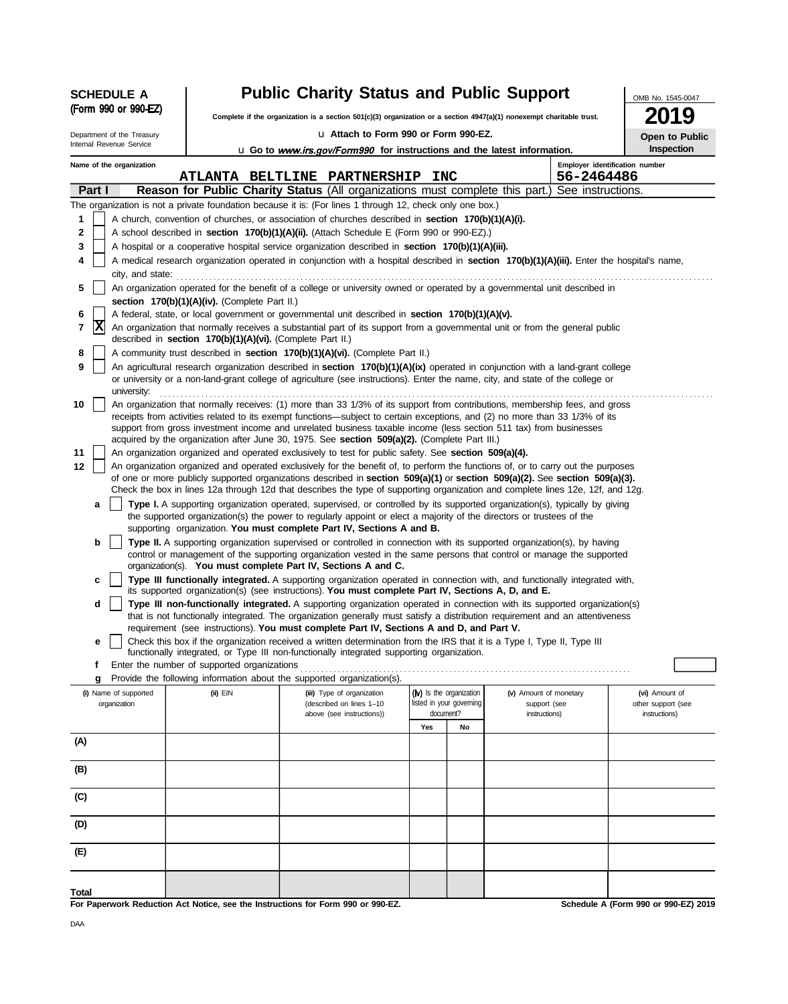|                                                             | <b>SCHEDULE A</b>                                             |                                                                                                             | <b>Public Charity Status and Public Support</b>                                                                                                                                                                                                                                                                                                                                                                                                                                                                                                                                                                                                                                                                                                                                                                                                                                                                                                                                                                                                                                                                                                                                                                                                                                                                                                                                                                                                                                                                                                                                                                                                                                                                                                                                                                                                                                                                                                                                                                                                                                                                                                                                                                                                                                                                                                                                                                                                                                                                                                                                                                                                                                                                                                                                                                                                                                                                                                                                                                                                                                                                                                                                                                                                                                                                                                                                                                                                                                                                                                                                                                                                                                                                                                                       |                                                      |                                        | OMB No. 1545-0047                    |
|-------------------------------------------------------------|---------------------------------------------------------------|-------------------------------------------------------------------------------------------------------------|-----------------------------------------------------------------------------------------------------------------------------------------------------------------------------------------------------------------------------------------------------------------------------------------------------------------------------------------------------------------------------------------------------------------------------------------------------------------------------------------------------------------------------------------------------------------------------------------------------------------------------------------------------------------------------------------------------------------------------------------------------------------------------------------------------------------------------------------------------------------------------------------------------------------------------------------------------------------------------------------------------------------------------------------------------------------------------------------------------------------------------------------------------------------------------------------------------------------------------------------------------------------------------------------------------------------------------------------------------------------------------------------------------------------------------------------------------------------------------------------------------------------------------------------------------------------------------------------------------------------------------------------------------------------------------------------------------------------------------------------------------------------------------------------------------------------------------------------------------------------------------------------------------------------------------------------------------------------------------------------------------------------------------------------------------------------------------------------------------------------------------------------------------------------------------------------------------------------------------------------------------------------------------------------------------------------------------------------------------------------------------------------------------------------------------------------------------------------------------------------------------------------------------------------------------------------------------------------------------------------------------------------------------------------------------------------------------------------------------------------------------------------------------------------------------------------------------------------------------------------------------------------------------------------------------------------------------------------------------------------------------------------------------------------------------------------------------------------------------------------------------------------------------------------------------------------------------------------------------------------------------------------------------------------------------------------------------------------------------------------------------------------------------------------------------------------------------------------------------------------------------------------------------------------------------------------------------------------------------------------------------------------------------------------------------------------------------------------------------------------------------------------------|------------------------------------------------------|----------------------------------------|--------------------------------------|
|                                                             | (Form 990 or 990-EZ)                                          |                                                                                                             | Complete if the organization is a section 501(c)(3) organization or a section 4947(a)(1) nonexempt charitable trust.                                                                                                                                                                                                                                                                                                                                                                                                                                                                                                                                                                                                                                                                                                                                                                                                                                                                                                                                                                                                                                                                                                                                                                                                                                                                                                                                                                                                                                                                                                                                                                                                                                                                                                                                                                                                                                                                                                                                                                                                                                                                                                                                                                                                                                                                                                                                                                                                                                                                                                                                                                                                                                                                                                                                                                                                                                                                                                                                                                                                                                                                                                                                                                                                                                                                                                                                                                                                                                                                                                                                                                                                                                                  |                                                      |                                        | 19                                   |
|                                                             | Department of the Treasury                                    |                                                                                                             | u Attach to Form 990 or Form 990-EZ.                                                                                                                                                                                                                                                                                                                                                                                                                                                                                                                                                                                                                                                                                                                                                                                                                                                                                                                                                                                                                                                                                                                                                                                                                                                                                                                                                                                                                                                                                                                                                                                                                                                                                                                                                                                                                                                                                                                                                                                                                                                                                                                                                                                                                                                                                                                                                                                                                                                                                                                                                                                                                                                                                                                                                                                                                                                                                                                                                                                                                                                                                                                                                                                                                                                                                                                                                                                                                                                                                                                                                                                                                                                                                                                                  |                                                      |                                        | Open to Public                       |
|                                                             | Internal Revenue Service                                      |                                                                                                             | <b>u</b> Go to <i>www.irs.gov/Form990</i> for instructions and the latest information.                                                                                                                                                                                                                                                                                                                                                                                                                                                                                                                                                                                                                                                                                                                                                                                                                                                                                                                                                                                                                                                                                                                                                                                                                                                                                                                                                                                                                                                                                                                                                                                                                                                                                                                                                                                                                                                                                                                                                                                                                                                                                                                                                                                                                                                                                                                                                                                                                                                                                                                                                                                                                                                                                                                                                                                                                                                                                                                                                                                                                                                                                                                                                                                                                                                                                                                                                                                                                                                                                                                                                                                                                                                                                |                                                      |                                        | Inspection                           |
|                                                             | Name of the organization                                      |                                                                                                             | <b>ATLANTA BELTLINE PARTNERSHIP</b>                                                                                                                                                                                                                                                                                                                                                                                                                                                                                                                                                                                                                                                                                                                                                                                                                                                                                                                                                                                                                                                                                                                                                                                                                                                                                                                                                                                                                                                                                                                                                                                                                                                                                                                                                                                                                                                                                                                                                                                                                                                                                                                                                                                                                                                                                                                                                                                                                                                                                                                                                                                                                                                                                                                                                                                                                                                                                                                                                                                                                                                                                                                                                                                                                                                                                                                                                                                                                                                                                                                                                                                                                                                                                                                                   | <b>INC</b>                                           | Employer identification number         |                                      |
|                                                             | Part I                                                        |                                                                                                             | <b>Reason for Public Charity Status</b> (All organizations must complete this part.) See instructions.                                                                                                                                                                                                                                                                                                                                                                                                                                                                                                                                                                                                                                                                                                                                                                                                                                                                                                                                                                                                                                                                                                                                                                                                                                                                                                                                                                                                                                                                                                                                                                                                                                                                                                                                                                                                                                                                                                                                                                                                                                                                                                                                                                                                                                                                                                                                                                                                                                                                                                                                                                                                                                                                                                                                                                                                                                                                                                                                                                                                                                                                                                                                                                                                                                                                                                                                                                                                                                                                                                                                                                                                                                                                |                                                      |                                        |                                      |
| 1<br>2<br>3<br>4<br>5<br>6<br>7<br>8<br>9<br>10<br>11<br>12 | city, and state:<br>X<br>university:<br>a<br>b<br>c<br>d<br>е | section 170(b)(1)(A)(iv). (Complete Part II.)<br>described in section 170(b)(1)(A)(vi). (Complete Part II.) | The organization is not a private foundation because it is: (For lines 1 through 12, check only one box.)<br>A church, convention of churches, or association of churches described in section 170(b)(1)(A)(i).<br>A school described in <b>section 170(b)(1)(A)(ii).</b> (Attach Schedule E (Form 990 or 990-EZ).)<br>A hospital or a cooperative hospital service organization described in section 170(b)(1)(A)(iii).<br>A medical research organization operated in conjunction with a hospital described in section 170(b)(1)(A)(iii). Enter the hospital's name,<br>An organization operated for the benefit of a college or university owned or operated by a governmental unit described in<br>A federal, state, or local government or governmental unit described in section 170(b)(1)(A)(v).<br>An organization that normally receives a substantial part of its support from a governmental unit or from the general public<br>A community trust described in section 170(b)(1)(A)(vi). (Complete Part II.)<br>An agricultural research organization described in section 170(b)(1)(A)(ix) operated in conjunction with a land-grant college<br>or university or a non-land-grant college of agriculture (see instructions). Enter the name, city, and state of the college or<br>An organization that normally receives: (1) more than 33 1/3% of its support from contributions, membership fees, and gross<br>receipts from activities related to its exempt functions—subject to certain exceptions, and (2) no more than 33 1/3% of its<br>support from gross investment income and unrelated business taxable income (less section 511 tax) from businesses<br>acquired by the organization after June 30, 1975. See section 509(a)(2). (Complete Part III.)<br>An organization organized and operated exclusively to test for public safety. See section 509(a)(4).<br>An organization organized and operated exclusively for the benefit of, to perform the functions of, or to carry out the purposes<br>of one or more publicly supported organizations described in section 509(a)(1) or section 509(a)(2). See section 509(a)(3).<br>Check the box in lines 12a through 12d that describes the type of supporting organization and complete lines 12e, 12f, and 12g.<br>Type I. A supporting organization operated, supervised, or controlled by its supported organization(s), typically by giving<br>the supported organization(s) the power to regularly appoint or elect a majority of the directors or trustees of the<br>supporting organization. You must complete Part IV, Sections A and B.<br>Type II. A supporting organization supervised or controlled in connection with its supported organization(s), by having<br>control or management of the supporting organization vested in the same persons that control or manage the supported<br>organization(s). You must complete Part IV, Sections A and C.<br>Type III functionally integrated. A supporting organization operated in connection with, and functionally integrated with,<br>its supported organization(s) (see instructions). You must complete Part IV, Sections A, D, and E.<br>Type III non-functionally integrated. A supporting organization operated in connection with its supported organization(s)<br>that is not functionally integrated. The organization generally must satisfy a distribution requirement and an attentiveness<br>requirement (see instructions). You must complete Part IV, Sections A and D, and Part V.<br>Check this box if the organization received a written determination from the IRS that it is a Type I, Type II, Type III<br>functionally integrated, or Type III non-functionally integrated supporting organization. |                                                      | 56-2464486                             |                                      |
|                                                             | f                                                             | Enter the number of supported organizations                                                                 |                                                                                                                                                                                                                                                                                                                                                                                                                                                                                                                                                                                                                                                                                                                                                                                                                                                                                                                                                                                                                                                                                                                                                                                                                                                                                                                                                                                                                                                                                                                                                                                                                                                                                                                                                                                                                                                                                                                                                                                                                                                                                                                                                                                                                                                                                                                                                                                                                                                                                                                                                                                                                                                                                                                                                                                                                                                                                                                                                                                                                                                                                                                                                                                                                                                                                                                                                                                                                                                                                                                                                                                                                                                                                                                                                                       |                                                      |                                        |                                      |
|                                                             | g                                                             |                                                                                                             | Provide the following information about the supported organization(s).                                                                                                                                                                                                                                                                                                                                                                                                                                                                                                                                                                                                                                                                                                                                                                                                                                                                                                                                                                                                                                                                                                                                                                                                                                                                                                                                                                                                                                                                                                                                                                                                                                                                                                                                                                                                                                                                                                                                                                                                                                                                                                                                                                                                                                                                                                                                                                                                                                                                                                                                                                                                                                                                                                                                                                                                                                                                                                                                                                                                                                                                                                                                                                                                                                                                                                                                                                                                                                                                                                                                                                                                                                                                                                |                                                      |                                        |                                      |
|                                                             | (i) Name of supported<br>organization                         | (ii) EIN                                                                                                    | (iii) Type of organization<br>(described on lines 1-10                                                                                                                                                                                                                                                                                                                                                                                                                                                                                                                                                                                                                                                                                                                                                                                                                                                                                                                                                                                                                                                                                                                                                                                                                                                                                                                                                                                                                                                                                                                                                                                                                                                                                                                                                                                                                                                                                                                                                                                                                                                                                                                                                                                                                                                                                                                                                                                                                                                                                                                                                                                                                                                                                                                                                                                                                                                                                                                                                                                                                                                                                                                                                                                                                                                                                                                                                                                                                                                                                                                                                                                                                                                                                                                | (iv) Is the organization<br>listed in your governing | (v) Amount of monetary<br>support (see | (vi) Amount of<br>other support (see |
|                                                             |                                                               |                                                                                                             | above (see instructions))                                                                                                                                                                                                                                                                                                                                                                                                                                                                                                                                                                                                                                                                                                                                                                                                                                                                                                                                                                                                                                                                                                                                                                                                                                                                                                                                                                                                                                                                                                                                                                                                                                                                                                                                                                                                                                                                                                                                                                                                                                                                                                                                                                                                                                                                                                                                                                                                                                                                                                                                                                                                                                                                                                                                                                                                                                                                                                                                                                                                                                                                                                                                                                                                                                                                                                                                                                                                                                                                                                                                                                                                                                                                                                                                             | document?                                            | instructions)                          | instructions)                        |
| (A)                                                         |                                                               |                                                                                                             |                                                                                                                                                                                                                                                                                                                                                                                                                                                                                                                                                                                                                                                                                                                                                                                                                                                                                                                                                                                                                                                                                                                                                                                                                                                                                                                                                                                                                                                                                                                                                                                                                                                                                                                                                                                                                                                                                                                                                                                                                                                                                                                                                                                                                                                                                                                                                                                                                                                                                                                                                                                                                                                                                                                                                                                                                                                                                                                                                                                                                                                                                                                                                                                                                                                                                                                                                                                                                                                                                                                                                                                                                                                                                                                                                                       | Yes<br>No                                            |                                        |                                      |
| (B)                                                         |                                                               |                                                                                                             |                                                                                                                                                                                                                                                                                                                                                                                                                                                                                                                                                                                                                                                                                                                                                                                                                                                                                                                                                                                                                                                                                                                                                                                                                                                                                                                                                                                                                                                                                                                                                                                                                                                                                                                                                                                                                                                                                                                                                                                                                                                                                                                                                                                                                                                                                                                                                                                                                                                                                                                                                                                                                                                                                                                                                                                                                                                                                                                                                                                                                                                                                                                                                                                                                                                                                                                                                                                                                                                                                                                                                                                                                                                                                                                                                                       |                                                      |                                        |                                      |
| (C)                                                         |                                                               |                                                                                                             |                                                                                                                                                                                                                                                                                                                                                                                                                                                                                                                                                                                                                                                                                                                                                                                                                                                                                                                                                                                                                                                                                                                                                                                                                                                                                                                                                                                                                                                                                                                                                                                                                                                                                                                                                                                                                                                                                                                                                                                                                                                                                                                                                                                                                                                                                                                                                                                                                                                                                                                                                                                                                                                                                                                                                                                                                                                                                                                                                                                                                                                                                                                                                                                                                                                                                                                                                                                                                                                                                                                                                                                                                                                                                                                                                                       |                                                      |                                        |                                      |
| (D)                                                         |                                                               |                                                                                                             |                                                                                                                                                                                                                                                                                                                                                                                                                                                                                                                                                                                                                                                                                                                                                                                                                                                                                                                                                                                                                                                                                                                                                                                                                                                                                                                                                                                                                                                                                                                                                                                                                                                                                                                                                                                                                                                                                                                                                                                                                                                                                                                                                                                                                                                                                                                                                                                                                                                                                                                                                                                                                                                                                                                                                                                                                                                                                                                                                                                                                                                                                                                                                                                                                                                                                                                                                                                                                                                                                                                                                                                                                                                                                                                                                                       |                                                      |                                        |                                      |
| (E)                                                         |                                                               |                                                                                                             |                                                                                                                                                                                                                                                                                                                                                                                                                                                                                                                                                                                                                                                                                                                                                                                                                                                                                                                                                                                                                                                                                                                                                                                                                                                                                                                                                                                                                                                                                                                                                                                                                                                                                                                                                                                                                                                                                                                                                                                                                                                                                                                                                                                                                                                                                                                                                                                                                                                                                                                                                                                                                                                                                                                                                                                                                                                                                                                                                                                                                                                                                                                                                                                                                                                                                                                                                                                                                                                                                                                                                                                                                                                                                                                                                                       |                                                      |                                        |                                      |
| Total                                                       |                                                               |                                                                                                             | For Paperwork Reduction Act Notice, see the Instructions for Form 990 or 990-EZ.                                                                                                                                                                                                                                                                                                                                                                                                                                                                                                                                                                                                                                                                                                                                                                                                                                                                                                                                                                                                                                                                                                                                                                                                                                                                                                                                                                                                                                                                                                                                                                                                                                                                                                                                                                                                                                                                                                                                                                                                                                                                                                                                                                                                                                                                                                                                                                                                                                                                                                                                                                                                                                                                                                                                                                                                                                                                                                                                                                                                                                                                                                                                                                                                                                                                                                                                                                                                                                                                                                                                                                                                                                                                                      |                                                      |                                        | Schedule A (Form 990 or 990-EZ) 2019 |

DAA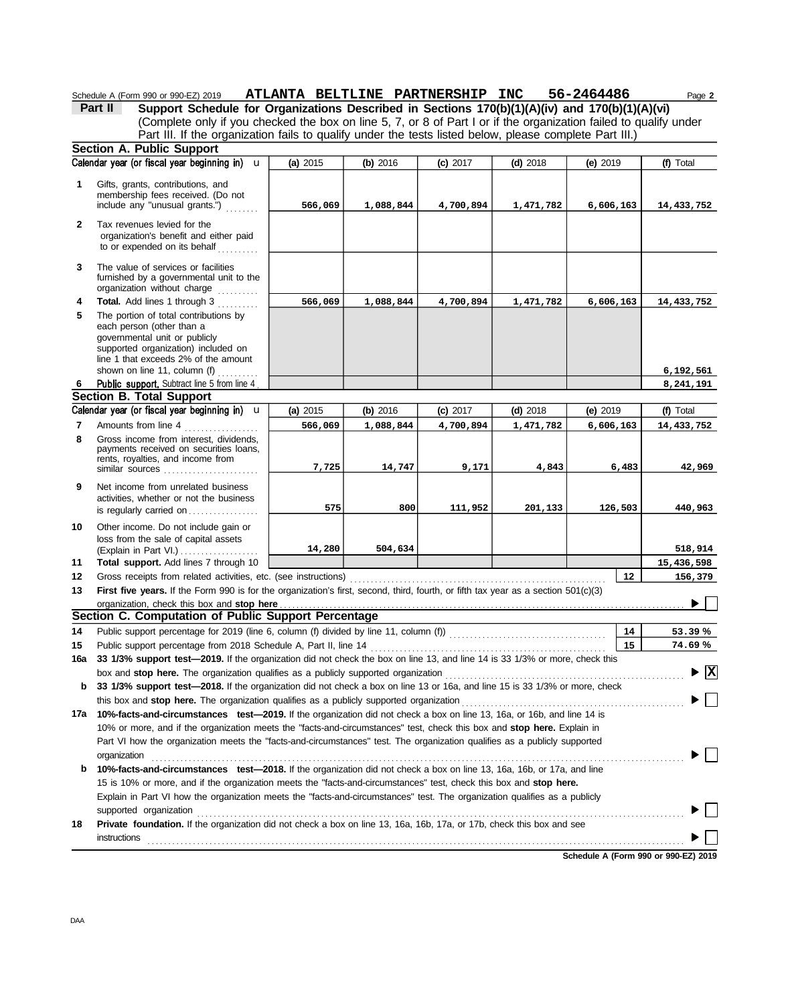#### Schedule A (Form 990 or 990-EZ) 2019 **ATLANTA BELTLINE PARTNERSHIP INC 56-Z464486** Page **2 ATLANTA BELTLINE PARTNERSHIP INC 56-2464486**

(Complete only if you checked the box on line 5, 7, or 8 of Part I or if the organization failed to qualify under **Part II Support Schedule for Organizations Described in Sections 170(b)(1)(A)(iv) and 170(b)(1)(A)(vi)** Part III. If the organization fails to qualify under the tests listed below, please complete Part III.)

|              | <b>Section A. Public Support</b>                                                                                                                                                                                                                                                                                                                                                          |          |           |            |            |            |                                          |
|--------------|-------------------------------------------------------------------------------------------------------------------------------------------------------------------------------------------------------------------------------------------------------------------------------------------------------------------------------------------------------------------------------------------|----------|-----------|------------|------------|------------|------------------------------------------|
|              | Calendar year (or fiscal year beginning in) u                                                                                                                                                                                                                                                                                                                                             | (a) 2015 | (b) 2016  | $(c)$ 2017 | $(d)$ 2018 | (e) 2019   | (f) Total                                |
| 1            | Gifts, grants, contributions, and<br>membership fees received. (Do not<br>include any "unusual grants.")                                                                                                                                                                                                                                                                                  | 566,069  | 1,088,844 | 4,700,894  | 1,471,782  | 6,606,163  | 14,433,752                               |
| $\mathbf{2}$ | Tax revenues levied for the<br>organization's benefit and either paid<br>to or expended on its behalf                                                                                                                                                                                                                                                                                     |          |           |            |            |            |                                          |
| 3            | The value of services or facilities<br>furnished by a governmental unit to the<br>organization without charge                                                                                                                                                                                                                                                                             |          |           |            |            |            |                                          |
| 4            | Total. Add lines 1 through 3                                                                                                                                                                                                                                                                                                                                                              | 566,069  | 1,088,844 | 4,700,894  | 1,471,782  | 6,606,163  | 14,433,752                               |
| 5            | The portion of total contributions by<br>each person (other than a<br>governmental unit or publicly<br>supported organization) included on<br>line 1 that exceeds 2% of the amount                                                                                                                                                                                                        |          |           |            |            |            |                                          |
|              | shown on line 11, column (f)                                                                                                                                                                                                                                                                                                                                                              |          |           |            |            |            | 6,192,561                                |
| 6            | Public support. Subtract line 5 from line 4                                                                                                                                                                                                                                                                                                                                               |          |           |            |            |            | 8,241,191                                |
|              | <b>Section B. Total Support</b>                                                                                                                                                                                                                                                                                                                                                           |          |           |            |            |            |                                          |
|              | Calendar year (or fiscal year beginning in) u                                                                                                                                                                                                                                                                                                                                             | (a) 2015 | (b) 2016  | $(c)$ 2017 | $(d)$ 2018 | $(e)$ 2019 | (f) Total                                |
| 7            | Amounts from line 4                                                                                                                                                                                                                                                                                                                                                                       | 566,069  | 1,088,844 | 4,700,894  | 1,471,782  | 6,606,163  | 14, 433, 752                             |
| 8            | Gross income from interest, dividends,<br>payments received on securities loans,<br>rents, royalties, and income from<br>similar sources                                                                                                                                                                                                                                                  | 7,725    | 14,747    | 9,171      | 4,843      | 6,483      | 42,969                                   |
| 9            | Net income from unrelated business<br>activities, whether or not the business<br>is regularly carried on                                                                                                                                                                                                                                                                                  | 575      | 800       | 111,952    | 201,133    | 126,503    | 440,963                                  |
| 10           | Other income. Do not include gain or<br>loss from the sale of capital assets                                                                                                                                                                                                                                                                                                              | 14,280   | 504,634   |            |            |            | 518,914                                  |
| 11           | Total support. Add lines 7 through 10                                                                                                                                                                                                                                                                                                                                                     |          |           |            |            |            | 15,436,598                               |
| 12           |                                                                                                                                                                                                                                                                                                                                                                                           |          |           |            |            | 12         | 156,379                                  |
| 13           | First five years. If the Form 990 is for the organization's first, second, third, fourth, or fifth tax year as a section $501(c)(3)$                                                                                                                                                                                                                                                      |          |           |            |            |            |                                          |
|              | organization, check this box and stop here                                                                                                                                                                                                                                                                                                                                                |          |           |            |            |            |                                          |
|              | Section C. Computation of Public Support Percentage                                                                                                                                                                                                                                                                                                                                       |          |           |            |            |            |                                          |
| 14           | Public support percentage for 2019 (line 6, column (f) divided by line 11, column (f)) [[[[[[[[[[[[[[[[[[[[[[                                                                                                                                                                                                                                                                             |          |           |            |            | 14         | 53.39%                                   |
| 15           | Public support percentage from 2018 Schedule A, Part II, line 14                                                                                                                                                                                                                                                                                                                          |          |           |            |            | 15         | 74.69%                                   |
| 16a          | 33 1/3% support test-2019. If the organization did not check the box on line 13, and line 14 is 33 1/3% or more, check this                                                                                                                                                                                                                                                               |          |           |            |            |            |                                          |
|              | box and stop here. The organization qualifies as a publicly supported organization                                                                                                                                                                                                                                                                                                        |          |           |            |            |            | $\blacktriangleright$ $\boxed{\text{X}}$ |
| b            | 33 1/3% support test—2018. If the organization did not check a box on line 13 or 16a, and line 15 is 33 1/3% or more, check                                                                                                                                                                                                                                                               |          |           |            |            |            |                                          |
| 17a          | 10%-facts-and-circumstances test-2019. If the organization did not check a box on line 13, 16a, or 16b, and line 14 is                                                                                                                                                                                                                                                                    |          |           |            |            |            |                                          |
|              | 10% or more, and if the organization meets the "facts-and-circumstances" test, check this box and stop here. Explain in<br>Part VI how the organization meets the "facts-and-circumstances" test. The organization qualifies as a publicly supported                                                                                                                                      |          |           |            |            |            |                                          |
| b            | organization<br>10%-facts-and-circumstances test-2018. If the organization did not check a box on line 13, 16a, 16b, or 17a, and line<br>15 is 10% or more, and if the organization meets the "facts-and-circumstances" test, check this box and stop here.<br>Explain in Part VI how the organization meets the "facts-and-circumstances" test. The organization qualifies as a publicly |          |           |            |            |            |                                          |
| 18           | supported organization contains and contains a supported organization contains a supported organization contains a supported organization<br>Private foundation. If the organization did not check a box on line 13, 16a, 16b, 17a, or 17b, check this box and see<br>instructions                                                                                                        |          |           |            |            |            |                                          |

**Schedule A (Form 990 or 990-EZ) 2019**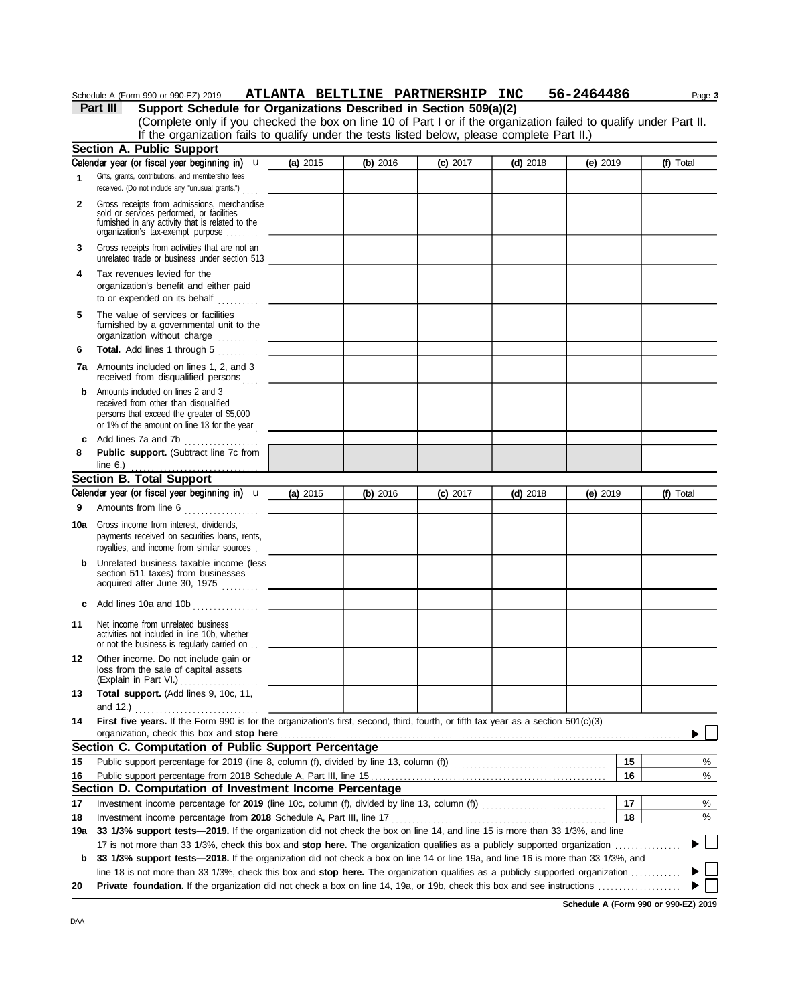## Schedule A (Form 990 or 990-EZ) 2019 ATLANTA BELTLINE PARTNERSHIP INC 56-2464486 Page 3

**Part III Support Schedule for Organizations Described in Section 509(a)(2)**

(Complete only if you checked the box on line 10 of Part I or if the organization failed to qualify under Part II. If the organization fails to qualify under the tests listed below, please complete Part II.)

|     | <b>Section A. Public Support</b>                                                                                                                                                  |            |            |            |            |            |              |
|-----|-----------------------------------------------------------------------------------------------------------------------------------------------------------------------------------|------------|------------|------------|------------|------------|--------------|
|     | Calendar year (or fiscal year beginning in)<br>u                                                                                                                                  | (a) $2015$ | $(b)$ 2016 | $(c)$ 2017 | $(d)$ 2018 | (e) 2019   | (f) Total    |
| 1   | Gifts, grants, contributions, and membership fees<br>received. (Do not include any "unusual grants.")                                                                             |            |            |            |            |            |              |
| 2   | Gross receipts from admissions, merchandise<br>sold or services performed, or facilities<br>furnished in any activity that is related to the<br>organization's fax-exempt purpose |            |            |            |            |            |              |
| 3   | Gross receipts from activities that are not an<br>unrelated trade or business under section 513                                                                                   |            |            |            |            |            |              |
| 4   | Tax revenues levied for the<br>organization's benefit and either paid<br>to or expended on its behalf                                                                             |            |            |            |            |            |              |
| 5   | The value of services or facilities<br>furnished by a governmental unit to the<br>organization without charge                                                                     |            |            |            |            |            |              |
| 6   | Total. Add lines 1 through 5                                                                                                                                                      |            |            |            |            |            |              |
|     | <b>7a</b> Amounts included on lines 1, 2, and 3<br>received from disqualified persons                                                                                             |            |            |            |            |            |              |
| b   | Amounts included on lines 2 and 3<br>received from other than disqualified<br>persons that exceed the greater of \$5,000<br>or 1% of the amount on line 13 for the year           |            |            |            |            |            |              |
| c   | Add lines 7a and 7b<br>.                                                                                                                                                          |            |            |            |            |            |              |
| 8   | Public support. (Subtract line 7c from<br>line $6.$ )                                                                                                                             |            |            |            |            |            |              |
|     | <b>Section B. Total Support</b>                                                                                                                                                   |            |            |            |            |            |              |
|     | Calendar year (or fiscal year beginning in) u                                                                                                                                     | (a) 2015   | (b) 2016   | $(c)$ 2017 | $(d)$ 2018 | (e) $2019$ | (f) Total    |
| 9   | Amounts from line 6                                                                                                                                                               |            |            |            |            |            |              |
| 10a | Gross income from interest, dividends,<br>payments received on securities loans, rents,<br>royalties, and income from similar sources.                                            |            |            |            |            |            |              |
| b   | Unrelated business taxable income (less<br>section 511 taxes) from businesses<br>acquired after June 30, 1975                                                                     |            |            |            |            |            |              |
| c   | Add lines 10a and 10b                                                                                                                                                             |            |            |            |            |            |              |
| 11  | Net income from unrelated business<br>activities not included in line 10b, whether<br>or not the business is regularly carried on                                                 |            |            |            |            |            |              |
| 12  | Other income. Do not include gain or<br>loss from the sale of capital assets<br>(Explain in Part VI.)<br>.                                                                        |            |            |            |            |            |              |
| 13  | <b>Total support.</b> (Add lines 9, 10c, 11,<br>and 12.)                                                                                                                          |            |            |            |            |            |              |
| 14  | First five years. If the Form 990 is for the organization's first, second, third, fourth, or fifth tax year as a section 501(c)(3)<br>organization, check this box and stop here  |            |            |            |            |            |              |
|     | Section C. Computation of Public Support Percentage                                                                                                                               |            |            |            |            |            |              |
| 15  | Public support percentage for 2019 (line 8, column (f), divided by line 13, column (f)) [[[[[[[[[[[[[[[[[[[[[                                                                     |            |            |            |            | 15         | %            |
| 16  |                                                                                                                                                                                   |            |            |            |            | 16         | %            |
|     | Section D. Computation of Investment Income Percentage                                                                                                                            |            |            |            |            |            |              |
| 17  |                                                                                                                                                                                   |            |            |            |            | 17         | %            |
| 18  | Investment income percentage from 2018 Schedule A, Part III, line 17                                                                                                              |            |            |            |            | 18         | %            |
| 19a | 33 1/3% support tests-2019. If the organization did not check the box on line 14, and line 15 is more than 33 1/3%, and line                                                      |            |            |            |            |            |              |
|     |                                                                                                                                                                                   |            |            |            |            |            | $\Box$       |
| b   | 33 1/3% support tests—2018. If the organization did not check a box on line 14 or line 19a, and line 16 is more than 33 1/3%, and                                                 |            |            |            |            |            |              |
|     | line 18 is not more than 33 1/3%, check this box and stop here. The organization qualifies as a publicly supported organization $\ldots$                                          |            |            |            |            |            | $\mathbf{L}$ |
| 20  |                                                                                                                                                                                   |            |            |            |            |            |              |

**Schedule A (Form 990 or 990-EZ) 2019**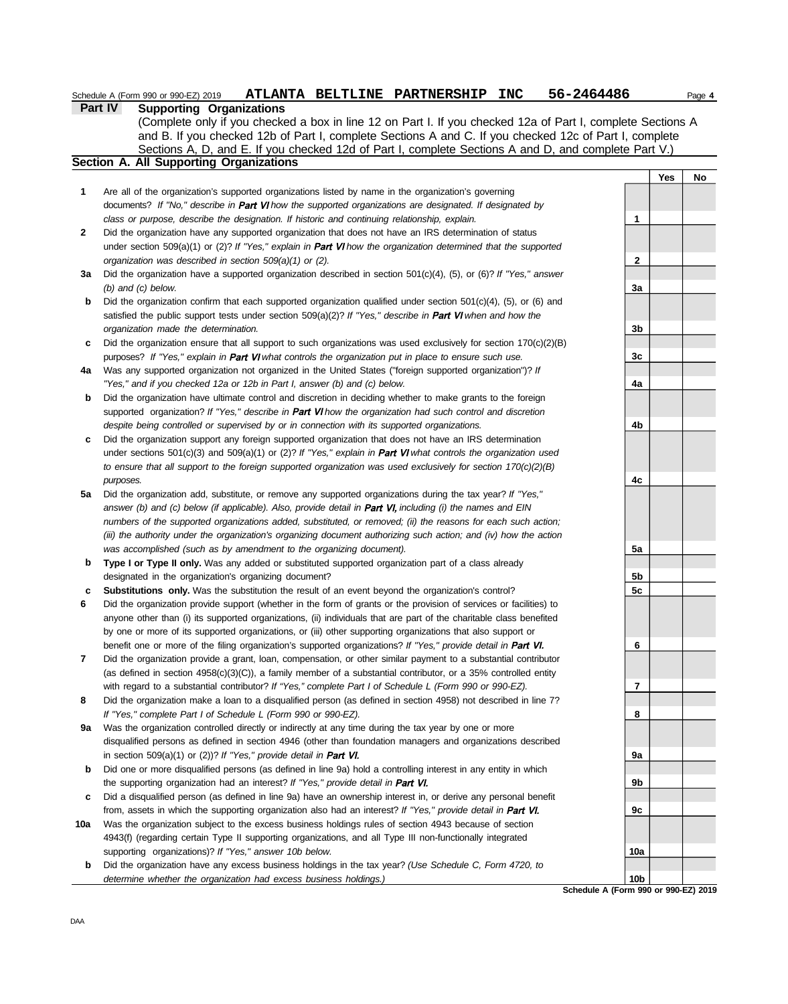|              | . <b>.</b><br><b>Supporting Organizations</b>                                                                          |                |            |  |
|--------------|------------------------------------------------------------------------------------------------------------------------|----------------|------------|--|
|              | (Complete only if you checked a box in line 12 on Part I. If you checked 12a of Part I, complete Sections A            |                |            |  |
|              | and B. If you checked 12b of Part I, complete Sections A and C. If you checked 12c of Part I, complete                 |                |            |  |
|              | Sections A, D, and E. If you checked 12d of Part I, complete Sections A and D, and complete Part V.)                   |                |            |  |
|              | Section A. All Supporting Organizations                                                                                |                |            |  |
|              |                                                                                                                        |                | <b>Yes</b> |  |
| 1            | Are all of the organization's supported organizations listed by name in the organization's governing                   |                |            |  |
|              | documents? If "No," describe in Part VI how the supported organizations are designated. If designated by               |                |            |  |
|              | class or purpose, describe the designation. If historic and continuing relationship, explain.                          | 1              |            |  |
| $\mathbf{2}$ | Did the organization have any supported organization that does not have an IRS determination of status                 |                |            |  |
|              | under section 509(a)(1) or (2)? If "Yes," explain in <b>Part VI</b> how the organization determined that the supported |                |            |  |
|              | organization was described in section 509(a)(1) or (2).                                                                | 2              |            |  |
| За           | Did the organization have a supported organization described in section $501(c)(4)$ , (5), or (6)? If "Yes," answer    |                |            |  |
|              | $(b)$ and $(c)$ below.                                                                                                 | 3a             |            |  |
| b            | Did the organization confirm that each supported organization qualified under section $501(c)(4)$ , (5), or (6) and    |                |            |  |
|              | satisfied the public support tests under section $509(a)(2)$ ? If "Yes," describe in <b>Part VI</b> when and how the   |                |            |  |
|              | organization made the determination.                                                                                   | 3 <sub>b</sub> |            |  |
| c            | Did the organization ensure that all support to such organizations was used exclusively for section $170(c)(2)(B)$     |                |            |  |
|              | purposes? If "Yes," explain in Part VI what controls the organization put in place to ensure such use.                 | 3c             |            |  |
| 4a           | Was any supported organization not organized in the United States ("foreign supported organization")? If               |                |            |  |
|              | "Yes," and if you checked 12a or 12b in Part I, answer (b) and (c) below.                                              | 4a             |            |  |
|              |                                                                                                                        |                |            |  |

Schedule A (Form 990 or 990-EZ) 2019 ATLANTA BELTLINE PARTNERSHIP INC 56-2464486 Page 4

**b** Did the organization have ultimate control and discretion in deciding whether to make grants to the foreign supported organization? If "Yes," describe in Part VI how the organization had such control and discretion *despite being controlled or supervised by or in connection with its supported organizations.*

**Part IV Supporting Organizations**

- **c** Did the organization support any foreign supported organization that does not have an IRS determination under sections 501(c)(3) and 509(a)(1) or (2)? *If "Yes," explain in Part VI what controls the organization used to ensure that all support to the foreign supported organization was used exclusively for section 170(c)(2)(B) purposes.*
- **5a** Did the organization add, substitute, or remove any supported organizations during the tax year? *If "Yes,"* answer (b) and (c) below (if applicable). Also, provide detail in **Part VI**, including (i) the names and EIN *numbers of the supported organizations added, substituted, or removed; (ii) the reasons for each such action; (iii) the authority under the organization's organizing document authorizing such action; and (iv) how the action was accomplished (such as by amendment to the organizing document).*
- **b** Type I or Type II only. Was any added or substituted supported organization part of a class already designated in the organization's organizing document?
- **c Substitutions only.** Was the substitution the result of an event beyond the organization's control?
- **6** Did the organization provide support (whether in the form of grants or the provision of services or facilities) to anyone other than (i) its supported organizations, (ii) individuals that are part of the charitable class benefited by one or more of its supported organizations, or (iii) other supporting organizations that also support or benefit one or more of the filing organization's supported organizations? If "Yes," provide detail in Part VI.
- **7** Did the organization provide a grant, loan, compensation, or other similar payment to a substantial contributor (as defined in section 4958(c)(3)(C)), a family member of a substantial contributor, or a 35% controlled entity with regard to a substantial contributor? *If "Yes," complete Part I of Schedule L (Form 990 or 990-EZ).*
- **8** Did the organization make a loan to a disqualified person (as defined in section 4958) not described in line 7? *If "Yes," complete Part I of Schedule L (Form 990 or 990-EZ).*
- **9a** Was the organization controlled directly or indirectly at any time during the tax year by one or more disqualified persons as defined in section 4946 (other than foundation managers and organizations described in section 509(a)(1) or (2))? *If "Yes," provide detail in Part VI.*
- **b** Did one or more disqualified persons (as defined in line 9a) hold a controlling interest in any entity in which the supporting organization had an interest? *If "Yes," provide detail in*
- **c** Did a disqualified person (as defined in line 9a) have an ownership interest in, or derive any personal benefit from, assets in which the supporting organization also had an interest? *If "Yes," provide detail in*
- **10a** Was the organization subject to the excess business holdings rules of section 4943 because of section 4943(f) (regarding certain Type II supporting organizations, and all Type III non-functionally integrated supporting organizations)? *If "Yes," answer 10b below.*
- **b** Did the organization have any excess business holdings in the tax year? *(Use Schedule C, Form 4720, to determine whether the organization had excess business holdings.)*



**Yes No**

**Schedule A (Form 990 or 990-EZ) 2019 10b**

**10a**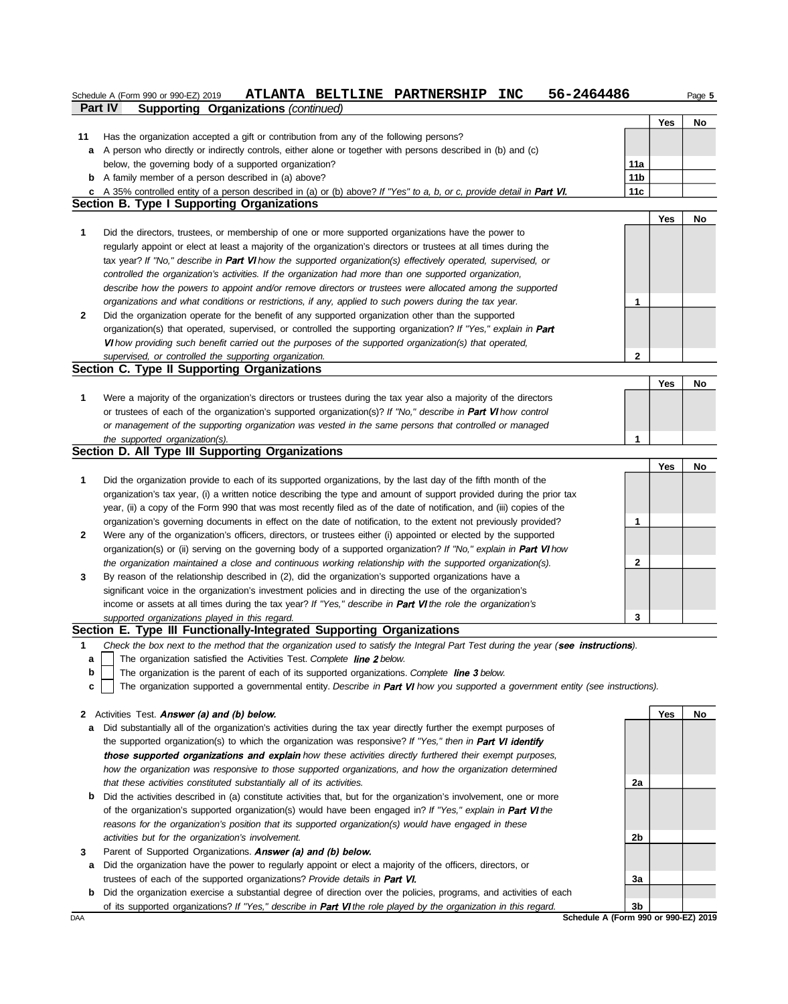|         | 56-2464486<br>ATLANTA BELTLINE PARTNERSHIP<br><b>INC</b><br>Schedule A (Form 990 or 990-EZ) 2019                                                                                                        |     |     | Page 5 |
|---------|---------------------------------------------------------------------------------------------------------------------------------------------------------------------------------------------------------|-----|-----|--------|
|         | Part IV<br>Supporting Organizations (continued)                                                                                                                                                         |     |     |        |
|         |                                                                                                                                                                                                         |     | Yes | No     |
| 11<br>а | Has the organization accepted a gift or contribution from any of the following persons?<br>A person who directly or indirectly controls, either alone or together with persons described in (b) and (c) |     |     |        |
|         | below, the governing body of a supported organization?                                                                                                                                                  | 11a |     |        |
|         | <b>b</b> A family member of a person described in (a) above?                                                                                                                                            | 11b |     |        |
|         | c A 35% controlled entity of a person described in (a) or (b) above? If "Yes" to a, b, or c, provide detail in Part VI.                                                                                 | 11c |     |        |
|         | Section B. Type I Supporting Organizations                                                                                                                                                              |     |     |        |
|         |                                                                                                                                                                                                         |     | Yes | No     |
| 1       | Did the directors, trustees, or membership of one or more supported organizations have the power to                                                                                                     |     |     |        |
|         | regularly appoint or elect at least a majority of the organization's directors or trustees at all times during the                                                                                      |     |     |        |
|         | tax year? If "No," describe in Part VI how the supported organization(s) effectively operated, supervised, or                                                                                           |     |     |        |
|         | controlled the organization's activities. If the organization had more than one supported organization,                                                                                                 |     |     |        |
|         | describe how the powers to appoint and/or remove directors or trustees were allocated among the supported                                                                                               |     |     |        |
|         | organizations and what conditions or restrictions, if any, applied to such powers during the tax year.                                                                                                  | 1   |     |        |
| 2       | Did the organization operate for the benefit of any supported organization other than the supported                                                                                                     |     |     |        |
|         | organization(s) that operated, supervised, or controlled the supporting organization? If "Yes," explain in Part                                                                                         |     |     |        |
|         | VI how providing such benefit carried out the purposes of the supported organization(s) that operated,                                                                                                  |     |     |        |
|         | supervised, or controlled the supporting organization.<br>Section C. Type II Supporting Organizations                                                                                                   | 2   |     |        |
|         |                                                                                                                                                                                                         |     | Yes | No     |
| 1       | Were a majority of the organization's directors or trustees during the tax year also a majority of the directors                                                                                        |     |     |        |
|         | or trustees of each of the organization's supported organization(s)? If "No," describe in Part VI how control                                                                                           |     |     |        |
|         | or management of the supporting organization was vested in the same persons that controlled or managed                                                                                                  |     |     |        |
|         | the supported organization(s).                                                                                                                                                                          | 1   |     |        |
|         | Section D. All Type III Supporting Organizations                                                                                                                                                        |     |     |        |
|         |                                                                                                                                                                                                         |     | Yes | No     |
| 1       | Did the organization provide to each of its supported organizations, by the last day of the fifth month of the                                                                                          |     |     |        |
|         | organization's tax year, (i) a written notice describing the type and amount of support provided during the prior tax                                                                                   |     |     |        |
|         | year, (ii) a copy of the Form 990 that was most recently filed as of the date of notification, and (iii) copies of the                                                                                  |     |     |        |
|         | organization's governing documents in effect on the date of notification, to the extent not previously provided?                                                                                        | 1   |     |        |
| 2       | Were any of the organization's officers, directors, or trustees either (i) appointed or elected by the supported                                                                                        |     |     |        |
|         | organization(s) or (ii) serving on the governing body of a supported organization? If "No," explain in Part VI how                                                                                      |     |     |        |
|         | the organization maintained a close and continuous working relationship with the supported organization(s).                                                                                             | 2   |     |        |
| 3       | By reason of the relationship described in (2), did the organization's supported organizations have a                                                                                                   |     |     |        |
|         | significant voice in the organization's investment policies and in directing the use of the organization's                                                                                              |     |     |        |
|         | income or assets at all times during the tax year? If "Yes," describe in Part VI the role the organization's<br>supported organizations played in this regard.                                          | 3   |     |        |
|         | Section E. Type III Functionally-Integrated Supporting Organizations                                                                                                                                    |     |     |        |
| 1       | Check the box next to the method that the organization used to satisfy the Integral Part Test during the year (see instructions).                                                                       |     |     |        |
| а       | The organization satisfied the Activities Test. Complete line 2 below.                                                                                                                                  |     |     |        |
| b       | The organization is the parent of each of its supported organizations. Complete line 3 below.                                                                                                           |     |     |        |
| c       | The organization supported a governmental entity. Describe in Part VI how you supported a government entity (see instructions).                                                                         |     |     |        |
|         |                                                                                                                                                                                                         |     |     |        |
| 2       | Activities Test. Answer (a) and (b) below.                                                                                                                                                              |     | Yes | No     |
| а       | Did substantially all of the organization's activities during the tax year directly further the exempt purposes of                                                                                      |     |     |        |
|         | the supported organization(s) to which the organization was responsive? If "Yes," then in Part VI identify                                                                                              |     |     |        |
|         | those supported organizations and explain how these activities directly furthered their exempt purposes,                                                                                                |     |     |        |
|         | how the organization was responsive to those supported organizations, and how the organization determined                                                                                               |     |     |        |
|         | that these activities constituted substantially all of its activities.                                                                                                                                  | 2a  |     |        |
| b       | Did the activities described in (a) constitute activities that, but for the organization's involvement, one or more                                                                                     |     |     |        |
|         | of the organization's supported organization(s) would have been engaged in? If "Yes," explain in Part VI the                                                                                            |     |     |        |
|         | reasons for the organization's position that its supported organization(s) would have engaged in these                                                                                                  |     |     |        |
| 3       | activities but for the organization's involvement.<br>Parent of Supported Organizations. Answer (a) and (b) below.                                                                                      | 2b  |     |        |
| а       | Did the organization have the power to regularly appoint or elect a majority of the officers, directors, or                                                                                             |     |     |        |
|         | trustees of each of the supported organizations? Provide details in Part VI.                                                                                                                            | За  |     |        |
| b       | Did the organization exercise a substantial degree of direction over the policies, programs, and activities of each                                                                                     |     |     |        |
|         | of its supported organizations? If "Yes," describe in Part VI the role played by the organization in this regard.                                                                                       | 3b  |     |        |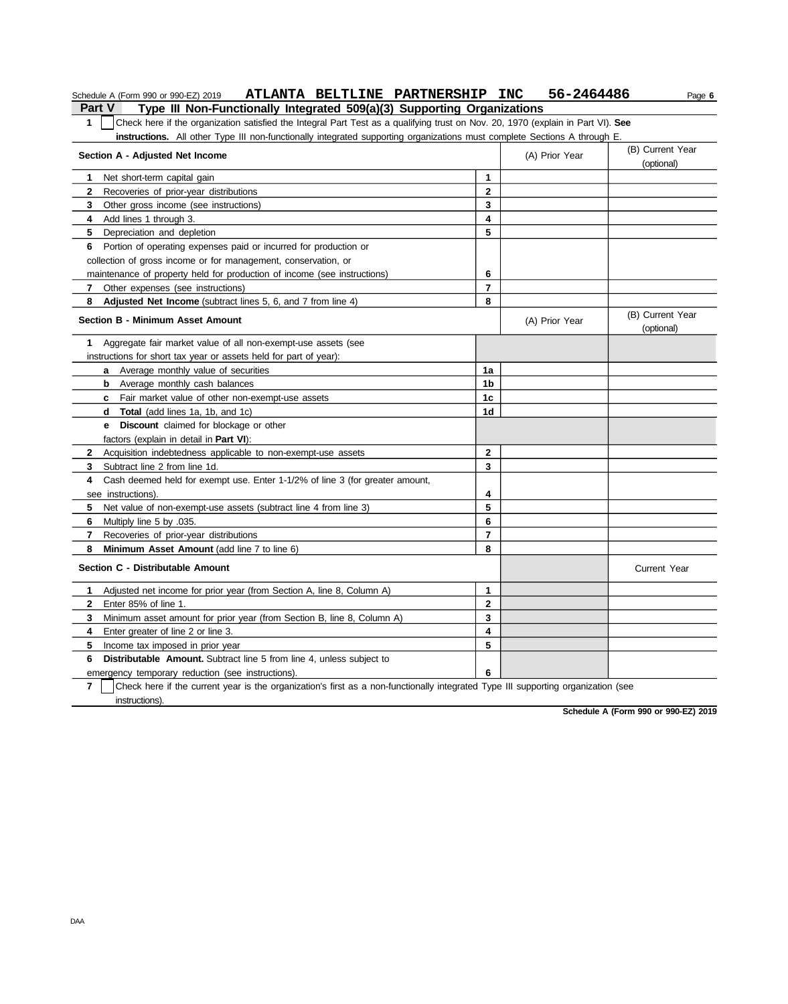| ATLANTA BELTLINE PARTNERSHIP INC<br>Schedule A (Form 990 or 990-EZ) 2019                                                                         |                | 56-2464486     | Page 6                         |
|--------------------------------------------------------------------------------------------------------------------------------------------------|----------------|----------------|--------------------------------|
| Type III Non-Functionally Integrated 509(a)(3) Supporting Organizations<br><b>Part V</b>                                                         |                |                |                                |
| $\mathbf{1}$<br>Check here if the organization satisfied the Integral Part Test as a qualifying trust on Nov. 20, 1970 (explain in Part VI). See |                |                |                                |
| <b>instructions.</b> All other Type III non-functionally integrated supporting organizations must complete Sections A through E.                 |                |                |                                |
| Section A - Adjusted Net Income                                                                                                                  |                | (A) Prior Year | (B) Current Year<br>(optional) |
| 1<br>Net short-term capital gain                                                                                                                 | 1              |                |                                |
| $\mathbf{2}$<br>Recoveries of prior-year distributions                                                                                           | $\overline{2}$ |                |                                |
| 3 Other gross income (see instructions)                                                                                                          | 3              |                |                                |
| Add lines 1 through 3.<br>4                                                                                                                      | 4              |                |                                |
| 5<br>Depreciation and depletion                                                                                                                  | 5              |                |                                |
| Portion of operating expenses paid or incurred for production or<br>6                                                                            |                |                |                                |
| collection of gross income or for management, conservation, or                                                                                   |                |                |                                |
| maintenance of property held for production of income (see instructions)                                                                         | 6              |                |                                |
| 7 Other expenses (see instructions)                                                                                                              | $\overline{7}$ |                |                                |
| 8<br><b>Adjusted Net Income</b> (subtract lines 5, 6, and 7 from line 4)                                                                         | 8              |                |                                |
| <b>Section B - Minimum Asset Amount</b>                                                                                                          |                | (A) Prior Year | (B) Current Year<br>(optional) |
| 1<br>Aggregate fair market value of all non-exempt-use assets (see                                                                               |                |                |                                |
| instructions for short tax year or assets held for part of year):                                                                                |                |                |                                |
| <b>a</b> Average monthly value of securities                                                                                                     | 1a             |                |                                |
| <b>b</b> Average monthly cash balances                                                                                                           | 1 <sub>b</sub> |                |                                |
| <b>c</b> Fair market value of other non-exempt-use assets                                                                                        | 1c             |                |                                |
| <b>Total</b> (add lines 1a, 1b, and 1c)<br>d                                                                                                     | 1d             |                |                                |
| <b>e</b> Discount claimed for blockage or other                                                                                                  |                |                |                                |
| factors (explain in detail in <b>Part VI)</b> :                                                                                                  |                |                |                                |
| $\mathbf{2}$<br>Acquisition indebtedness applicable to non-exempt-use assets                                                                     | $\overline{2}$ |                |                                |
| Subtract line 2 from line 1d.<br>3                                                                                                               | 3              |                |                                |
| Cash deemed held for exempt use. Enter 1-1/2% of line 3 (for greater amount,<br>4                                                                |                |                |                                |
| see instructions).                                                                                                                               | 4              |                |                                |
| Net value of non-exempt-use assets (subtract line 4 from line 3)<br>5.                                                                           | 5              |                |                                |
| 6<br>Multiply line 5 by .035.                                                                                                                    | 6              |                |                                |
| 7<br>Recoveries of prior-year distributions                                                                                                      | $\overline{7}$ |                |                                |
| 8<br>Minimum Asset Amount (add line 7 to line 6)                                                                                                 | 8              |                |                                |
| Section C - Distributable Amount                                                                                                                 |                |                | <b>Current Year</b>            |
| Adjusted net income for prior year (from Section A, line 8, Column A)<br>1                                                                       | 1              |                |                                |
| $\overline{2}$<br>Enter 85% of line 1.                                                                                                           | $\overline{2}$ |                |                                |
| 3<br>Minimum asset amount for prior year (from Section B, line 8, Column A)                                                                      | 3              |                |                                |
| Enter greater of line 2 or line 3.<br>4                                                                                                          | 4              |                |                                |
| 5<br>Income tax imposed in prior year                                                                                                            | 5              |                |                                |
| <b>Distributable Amount.</b> Subtract line 5 from line 4, unless subject to<br>6                                                                 |                |                |                                |
| emergency temporary reduction (see instructions).                                                                                                | 6              |                |                                |
| 7<br>Check here if the current year is the organization's first as a non-functionally integrated Type III supporting organization (see           |                |                |                                |
| instructions).                                                                                                                                   |                |                |                                |

**Schedule A (Form 990 or 990-EZ) 2019**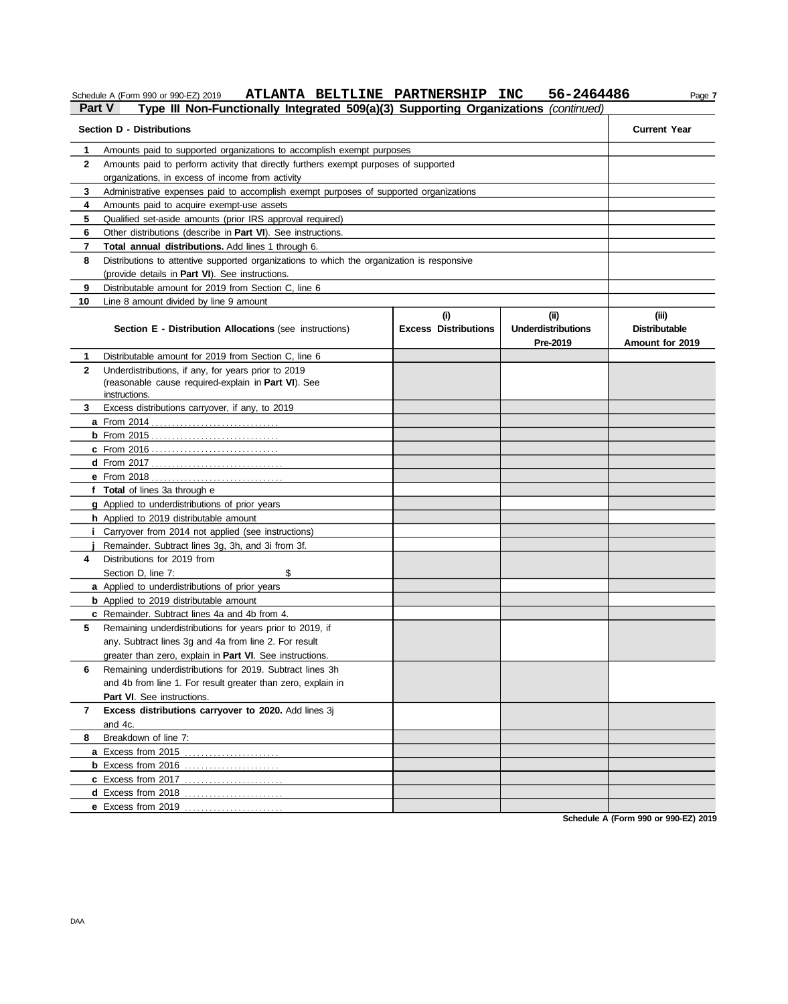Schedule A (Form 990 or 990-EZ) 2019 **ATLANTA BELTLINE PARTNERSHIP INC** 56-2464486 Page 7

### **Part V Type III Non-Functionally Integrated 509(a)(3) Supporting Organizations** *(continued)* **Section D - Distributions Current Year 1 2** Amounts paid to perform activity that directly furthers exempt purposes of supported **3** Administrative expenses paid to accomplish exempt purposes of supported organizations **4 5** Qualified set-aside amounts (prior IRS approval required) **6 7 8 9 10** Line 8 amount divided by line 9 amount Amounts paid to supported organizations to accomplish exempt purposes organizations, in excess of income from activity Amounts paid to acquire exempt-use assets Other distributions (describe in **Part VI**). See instructions. **Total annual distributions.** Add lines 1 through 6. Distributions to attentive supported organizations to which the organization is responsive (provide details in **Part VI**). See instructions. Distributable amount for 2019 from Section C, line 6 **Section E - Distribution Allocations** (see instructions) **Excess Distributions (i) (ii) Underdistributions Pre-2019 (iii) Distributable Amount for 2019 8** Breakdown of line 7: **7 Excess distributions carryover to 2020.** Add lines 3j **6** Remaining underdistributions for 2019. Subtract lines 3h **5 4** Distributions for 2019 from **3 2 1 a** From 2014 . . . . . . . . . . . . . . . . . . . . . . . . . . . . . . . **b** From 2015 . . . . . . . . . . . . . . . . . . . . . . . . . . . . . . . **c** From 2016 . . . . . . . . . . . . . . . . . . . . . . . . . . . . . . . **d** From 2017 . . . . . . . . . . . . . . . . . . . . . . . . . . . . . . . . **e** From 2018 . . . . . . . . . . . . . . . . . . . . . . . . . . . . . . . . **f Total** of lines 3a through e **g** Applied to underdistributions of prior years **h** Applied to 2019 distributable amount **i** Carryover from 2014 not applied (see instructions) **j** Remainder. Subtract lines 3g, 3h, and 3i from 3f. **a** Applied to underdistributions of prior years **b** Applied to 2019 distributable amount **c** Remainder. Subtract lines 4a and 4b from 4. **a** Excess from 2015 . . . . . . . . . . . . . . . . . . . . . . . **b** Excess from 2016 . . . . . . . . . . . . . . . . . . . . . . . **c** Excess from 2017 . . . . . . . . . . . . . . . . . . . . . . . . **d** Excess from 2018 . . . . . . . . . . . . . . . . . . . . . . . . **e** Excess from 2019 . . . . . . . . . . . . . . . . . . . . . . . . Distributable amount for 2019 from Section C, line 6 Underdistributions, if any, for years prior to 2019 (reasonable cause required-explain in **Part VI**). See Excess distributions carryover, if any, to 2019 Section D, line 7: \$ Remaining underdistributions for years prior to 2019, if any. Subtract lines 3g and 4a from line 2. For result greater than zero, explain in **Part VI**. See instructions. and 4b from line 1. For result greater than zero, explain in Part VI. See instructions. and 4c. **instructions**

**Schedule A (Form 990 or 990-EZ) 2019**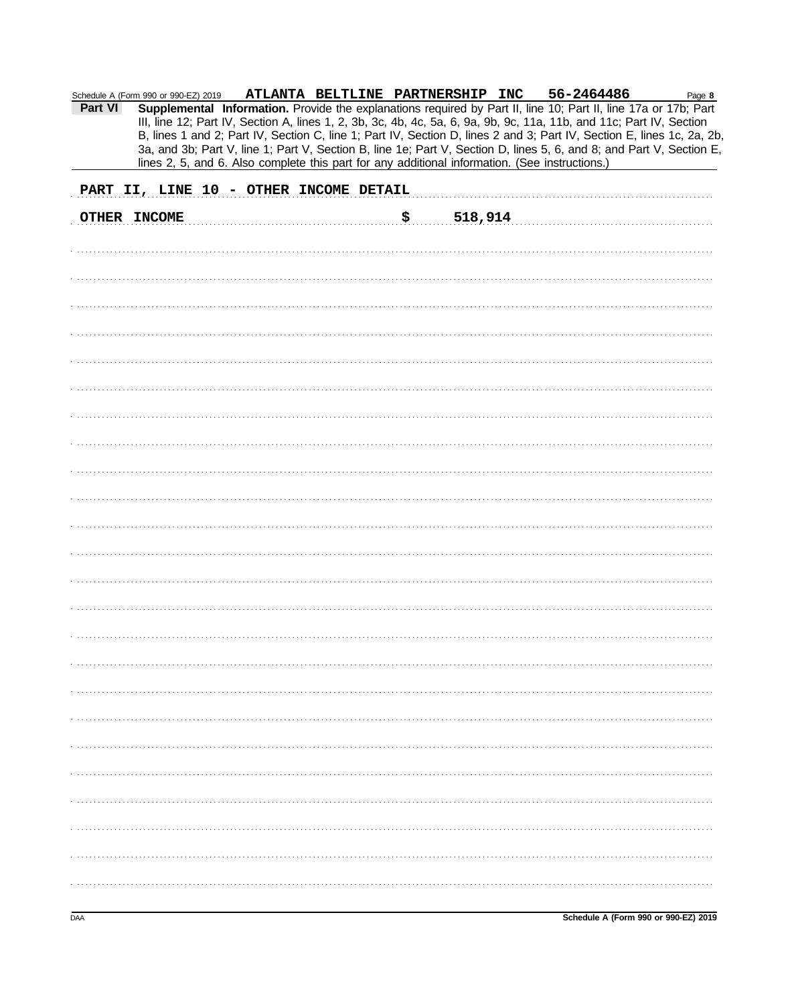| Schedule A (Form 990 or 990-EZ) 2019   |  |  |  |  |     |         | ATLANTA BELTLINE PARTNERSHIP INC 56-2464486                                                    |  |                                                                                                                      | Page 8                                                                                                                 |
|----------------------------------------|--|--|--|--|-----|---------|------------------------------------------------------------------------------------------------|--|----------------------------------------------------------------------------------------------------------------------|------------------------------------------------------------------------------------------------------------------------|
| Part VI                                |  |  |  |  |     |         |                                                                                                |  | Supplemental Information. Provide the explanations required by Part II, line 10; Part II, line 17a or 17b; Part      |                                                                                                                        |
|                                        |  |  |  |  |     |         |                                                                                                |  | III, line 12; Part IV, Section A, lines 1, 2, 3b, 3c, 4b, 4c, 5a, 6, 9a, 9b, 9c, 11a, 11b, and 11c; Part IV, Section |                                                                                                                        |
|                                        |  |  |  |  |     |         |                                                                                                |  |                                                                                                                      | B, lines 1 and 2; Part IV, Section C, line 1; Part IV, Section D, lines 2 and 3; Part IV, Section E, lines 1c, 2a, 2b, |
|                                        |  |  |  |  |     |         | lines 2, 5, and 6. Also complete this part for any additional information. (See instructions.) |  |                                                                                                                      | 3a, and 3b; Part V, line 1; Part V, Section B, line 1e; Part V, Section D, lines 5, 6, and 8; and Part V, Section E,   |
|                                        |  |  |  |  |     |         |                                                                                                |  |                                                                                                                      |                                                                                                                        |
| PART II, LINE 10 - OTHER INCOME DETAIL |  |  |  |  |     |         |                                                                                                |  |                                                                                                                      |                                                                                                                        |
|                                        |  |  |  |  |     |         |                                                                                                |  |                                                                                                                      |                                                                                                                        |
| OTHER INCOME                           |  |  |  |  | \$. | 518,914 |                                                                                                |  |                                                                                                                      |                                                                                                                        |
|                                        |  |  |  |  |     |         |                                                                                                |  |                                                                                                                      |                                                                                                                        |
|                                        |  |  |  |  |     |         |                                                                                                |  |                                                                                                                      |                                                                                                                        |
|                                        |  |  |  |  |     |         |                                                                                                |  |                                                                                                                      |                                                                                                                        |
|                                        |  |  |  |  |     |         |                                                                                                |  |                                                                                                                      |                                                                                                                        |
|                                        |  |  |  |  |     |         |                                                                                                |  |                                                                                                                      |                                                                                                                        |
|                                        |  |  |  |  |     |         |                                                                                                |  |                                                                                                                      |                                                                                                                        |
|                                        |  |  |  |  |     |         |                                                                                                |  |                                                                                                                      |                                                                                                                        |
|                                        |  |  |  |  |     |         |                                                                                                |  |                                                                                                                      |                                                                                                                        |
|                                        |  |  |  |  |     |         |                                                                                                |  |                                                                                                                      |                                                                                                                        |
|                                        |  |  |  |  |     |         |                                                                                                |  |                                                                                                                      |                                                                                                                        |
|                                        |  |  |  |  |     |         |                                                                                                |  |                                                                                                                      |                                                                                                                        |
|                                        |  |  |  |  |     |         |                                                                                                |  |                                                                                                                      |                                                                                                                        |
|                                        |  |  |  |  |     |         |                                                                                                |  |                                                                                                                      |                                                                                                                        |
|                                        |  |  |  |  |     |         |                                                                                                |  |                                                                                                                      |                                                                                                                        |
|                                        |  |  |  |  |     |         |                                                                                                |  |                                                                                                                      |                                                                                                                        |
|                                        |  |  |  |  |     |         |                                                                                                |  |                                                                                                                      |                                                                                                                        |
|                                        |  |  |  |  |     |         |                                                                                                |  |                                                                                                                      |                                                                                                                        |
|                                        |  |  |  |  |     |         |                                                                                                |  |                                                                                                                      |                                                                                                                        |
|                                        |  |  |  |  |     |         |                                                                                                |  |                                                                                                                      |                                                                                                                        |
|                                        |  |  |  |  |     |         |                                                                                                |  |                                                                                                                      |                                                                                                                        |
|                                        |  |  |  |  |     |         |                                                                                                |  |                                                                                                                      |                                                                                                                        |
|                                        |  |  |  |  |     |         |                                                                                                |  |                                                                                                                      |                                                                                                                        |
|                                        |  |  |  |  |     |         |                                                                                                |  |                                                                                                                      |                                                                                                                        |
|                                        |  |  |  |  |     |         |                                                                                                |  |                                                                                                                      |                                                                                                                        |
|                                        |  |  |  |  |     |         |                                                                                                |  |                                                                                                                      |                                                                                                                        |
|                                        |  |  |  |  |     |         |                                                                                                |  |                                                                                                                      |                                                                                                                        |
|                                        |  |  |  |  |     |         |                                                                                                |  |                                                                                                                      |                                                                                                                        |
|                                        |  |  |  |  |     |         |                                                                                                |  |                                                                                                                      |                                                                                                                        |
|                                        |  |  |  |  |     |         |                                                                                                |  |                                                                                                                      |                                                                                                                        |
|                                        |  |  |  |  |     |         |                                                                                                |  |                                                                                                                      |                                                                                                                        |
|                                        |  |  |  |  |     |         |                                                                                                |  |                                                                                                                      |                                                                                                                        |
|                                        |  |  |  |  |     |         |                                                                                                |  |                                                                                                                      |                                                                                                                        |
|                                        |  |  |  |  |     |         |                                                                                                |  |                                                                                                                      |                                                                                                                        |
|                                        |  |  |  |  |     |         |                                                                                                |  |                                                                                                                      |                                                                                                                        |
|                                        |  |  |  |  |     |         |                                                                                                |  |                                                                                                                      |                                                                                                                        |
|                                        |  |  |  |  |     |         |                                                                                                |  |                                                                                                                      |                                                                                                                        |
|                                        |  |  |  |  |     |         |                                                                                                |  |                                                                                                                      |                                                                                                                        |
|                                        |  |  |  |  |     |         |                                                                                                |  |                                                                                                                      |                                                                                                                        |
|                                        |  |  |  |  |     |         |                                                                                                |  |                                                                                                                      |                                                                                                                        |
|                                        |  |  |  |  |     |         |                                                                                                |  |                                                                                                                      |                                                                                                                        |
|                                        |  |  |  |  |     |         |                                                                                                |  |                                                                                                                      |                                                                                                                        |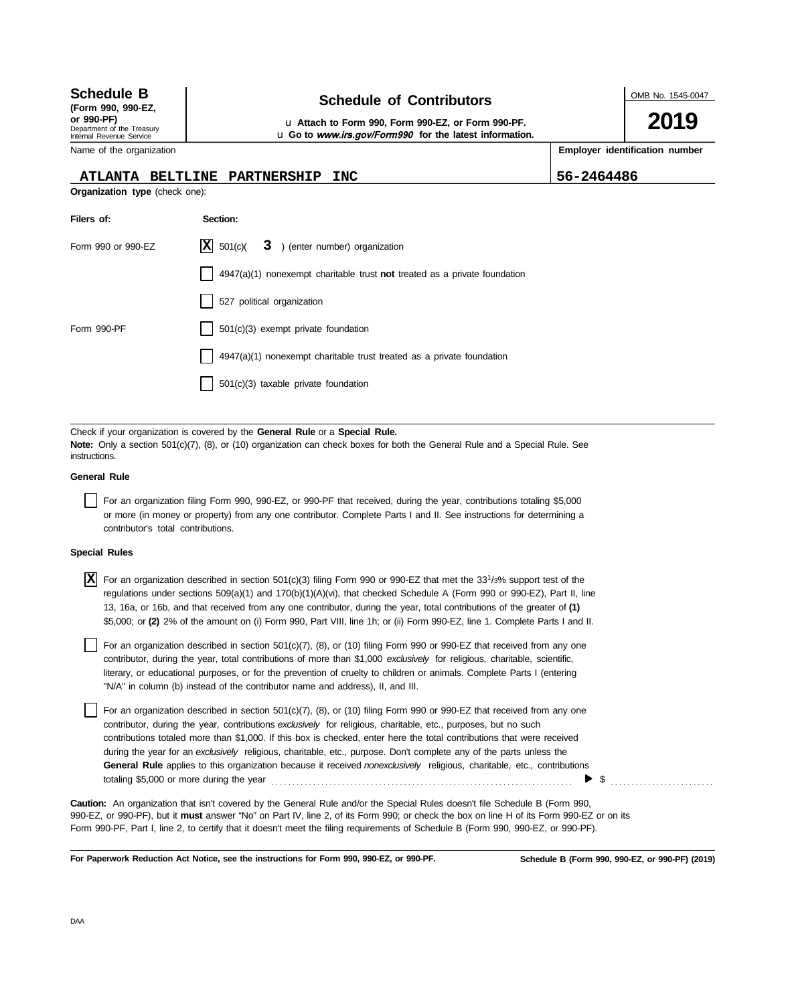| <b>Schedule B</b>                                                                          | <b>Schedule of Contributors</b>                                                                                                                                                                                                               | OMB No. 1545-0047 |  |  |  |
|--------------------------------------------------------------------------------------------|-----------------------------------------------------------------------------------------------------------------------------------------------------------------------------------------------------------------------------------------------|-------------------|--|--|--|
| (Form 990, 990-EZ,<br>or 990-PF)<br>Department of the Treasury<br>Internal Revenue Service | u Attach to Form 990, Form 990-EZ, or Form 990-PF.<br>u Go to www.irs.gov/Form990 for the latest information.                                                                                                                                 | 2019              |  |  |  |
| Employer identification number<br>Name of the organization                                 |                                                                                                                                                                                                                                               |                   |  |  |  |
| <b>ATLANTA BELTLINE</b>                                                                    | <b>PARTNERSHIP</b><br><b>INC</b>                                                                                                                                                                                                              | 56-2464486        |  |  |  |
| Organization type (check one):                                                             |                                                                                                                                                                                                                                               |                   |  |  |  |
| Filers of:                                                                                 | Section:                                                                                                                                                                                                                                      |                   |  |  |  |
| Form 990 or 990-EZ                                                                         | X <br>501(c)<br>3 ) (enter number) organization                                                                                                                                                                                               |                   |  |  |  |
|                                                                                            | $4947(a)(1)$ nonexempt charitable trust not treated as a private foundation                                                                                                                                                                   |                   |  |  |  |
|                                                                                            | 527 political organization                                                                                                                                                                                                                    |                   |  |  |  |
| Form 990-PF                                                                                | 501(c)(3) exempt private foundation                                                                                                                                                                                                           |                   |  |  |  |
|                                                                                            | 4947(a)(1) nonexempt charitable trust treated as a private foundation                                                                                                                                                                         |                   |  |  |  |
|                                                                                            | 501(c)(3) taxable private foundation                                                                                                                                                                                                          |                   |  |  |  |
|                                                                                            |                                                                                                                                                                                                                                               |                   |  |  |  |
| instructions.                                                                              | Check if your organization is covered by the <b>General Rule</b> or a <b>Special Rule.</b><br>Note: Only a section 501(c)(7), (8), or (10) organization can check boxes for both the General Rule and a Special Rule. See                     |                   |  |  |  |
| <b>General Rule</b>                                                                        |                                                                                                                                                                                                                                               |                   |  |  |  |
| contributor's total contributions.                                                         | For an organization filing Form 990, 990-EZ, or 990-PF that received, during the year, contributions totaling \$5,000<br>or more (in money or property) from any one contributor. Complete Parts I and II. See instructions for determining a |                   |  |  |  |

### **Special Rules**

| $\vert X\vert$ For an organization described in section 501(c)(3) filing Form 990 or 990-EZ that met the 331/3% support test of the |
|-------------------------------------------------------------------------------------------------------------------------------------|
| regulations under sections 509(a)(1) and 170(b)(1)(A)(vi), that checked Schedule A (Form 990 or 990-EZ), Part II, line              |
| 13, 16a, or 16b, and that received from any one contributor, during the year, total contributions of the greater of (1)             |
| \$5,000; or (2) 2% of the amount on (i) Form 990, Part VIII, line 1h; or (ii) Form 990-EZ, line 1. Complete Parts I and II.         |

literary, or educational purposes, or for the prevention of cruelty to children or animals. Complete Parts I (entering For an organization described in section  $501(c)(7)$ , (8), or (10) filing Form 990 or 990-EZ that received from any one contributor, during the year, total contributions of more than \$1,000 *exclusively* for religious, charitable, scientific, "N/A" in column (b) instead of the contributor name and address), II, and III.

For an organization described in section 501(c)(7), (8), or (10) filing Form 990 or 990-EZ that received from any one contributor, during the year, contributions *exclusively* for religious, charitable, etc., purposes, but no such contributions totaled more than \$1,000. If this box is checked, enter here the total contributions that were received during the year for an *exclusively* religious, charitable, etc., purpose. Don't complete any of the parts unless the **General Rule** applies to this organization because it received *nonexclusively* religious, charitable, etc., contributions totaling \$5,000 or more during the year . . . . . . . . . . . . . . . . . . . . . . . . . . . . . . . . . . . . . . . . . . . . . . . . . . . . . . . . . . . . . . . . . . . . . . . . .  $\triangleright$  \$

990-EZ, or 990-PF), but it **must** answer "No" on Part IV, line 2, of its Form 990; or check the box on line H of its Form 990-EZ or on its Form 990-PF, Part I, line 2, to certify that it doesn't meet the filing requirements of Schedule B (Form 990, 990-EZ, or 990-PF). **Caution:** An organization that isn't covered by the General Rule and/or the Special Rules doesn't file Schedule B (Form 990,

**For Paperwork Reduction Act Notice, see the instructions for Form 990, 990-EZ, or 990-PF.**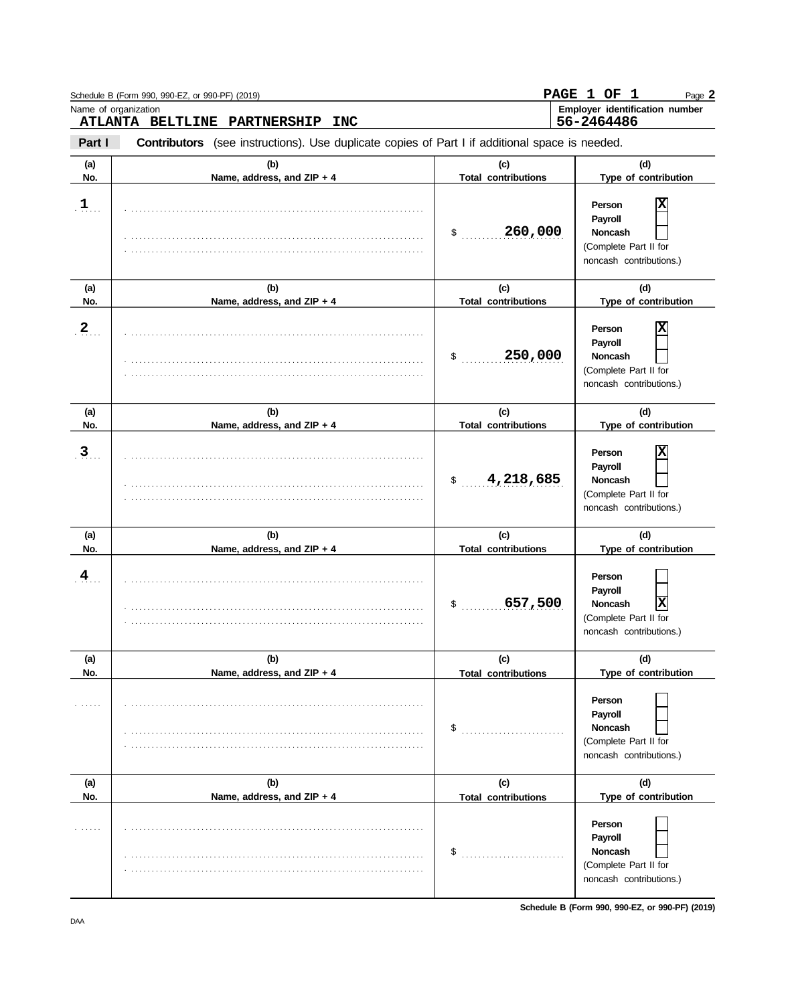|                | Schedule B (Form 990, 990-EZ, or 990-PF) (2019)<br>Name of organization                                                                      |                                                 | PAGE 1 OF 1<br>Page 2<br>Employer identification number                                                              |
|----------------|----------------------------------------------------------------------------------------------------------------------------------------------|-------------------------------------------------|----------------------------------------------------------------------------------------------------------------------|
| Part I         | ATLANTA BELTLINE PARTNERSHIP<br><b>INC</b><br>Contributors (see instructions). Use duplicate copies of Part I if additional space is needed. |                                                 | 56-2464486                                                                                                           |
| (a)<br>No.     | (b)<br>Name, address, and ZIP + 4                                                                                                            | (c)<br><b>Total contributions</b>               | (d)<br>Type of contribution                                                                                          |
| $\mathbf{1}$   |                                                                                                                                              | 260,000<br>\$                                   | X<br>Person<br>Payroll<br><b>Noncash</b><br>(Complete Part II for<br>noncash contributions.)                         |
| (a)            | (b)                                                                                                                                          | (c)                                             | (d)                                                                                                                  |
| No.            | Name, address, and ZIP + 4                                                                                                                   | <b>Total contributions</b>                      | Type of contribution                                                                                                 |
| $\overline{2}$ |                                                                                                                                              | 250,000<br>$\sim$                               | х<br>Person<br>Payroll<br>Noncash<br>(Complete Part II for<br>noncash contributions.)                                |
| (a)<br>No.     | (b)<br>Name, address, and ZIP + 4                                                                                                            | (c)<br><b>Total contributions</b>               | (d)<br>Type of contribution                                                                                          |
| $\mathbf{3}$   |                                                                                                                                              | 4,218,685<br>$\mathfrak s$                      | X<br>Person<br>Payroll<br><b>Noncash</b><br>(Complete Part II for<br>noncash contributions.)                         |
| (a)            | (b)                                                                                                                                          | (c)                                             | (d)                                                                                                                  |
| No.<br>4       | Name, address, and ZIP + 4                                                                                                                   | <b>Total contributions</b><br>657,500<br>$\sim$ | Type of contribution<br>Person<br>Payroll<br>X<br><b>Noncash</b><br>(Complete Part II for<br>noncash contributions.) |
| (a)<br>No.     | (b)<br>Name, address, and ZIP + 4                                                                                                            | (c)<br><b>Total contributions</b>               | (d)<br>Type of contribution                                                                                          |
|                |                                                                                                                                              | \$                                              | Person<br>Payroll<br><b>Noncash</b><br>(Complete Part II for<br>noncash contributions.)                              |
| (a)<br>No.     | (b)<br>Name, address, and ZIP + 4                                                                                                            | (c)                                             | (d)<br>Type of contribution                                                                                          |
|                |                                                                                                                                              | <b>Total contributions</b><br>\$                | Person<br>Payroll<br><b>Noncash</b><br>(Complete Part II for<br>noncash contributions.)                              |

**Schedule B (Form 990, 990-EZ, or 990-PF) (2019)**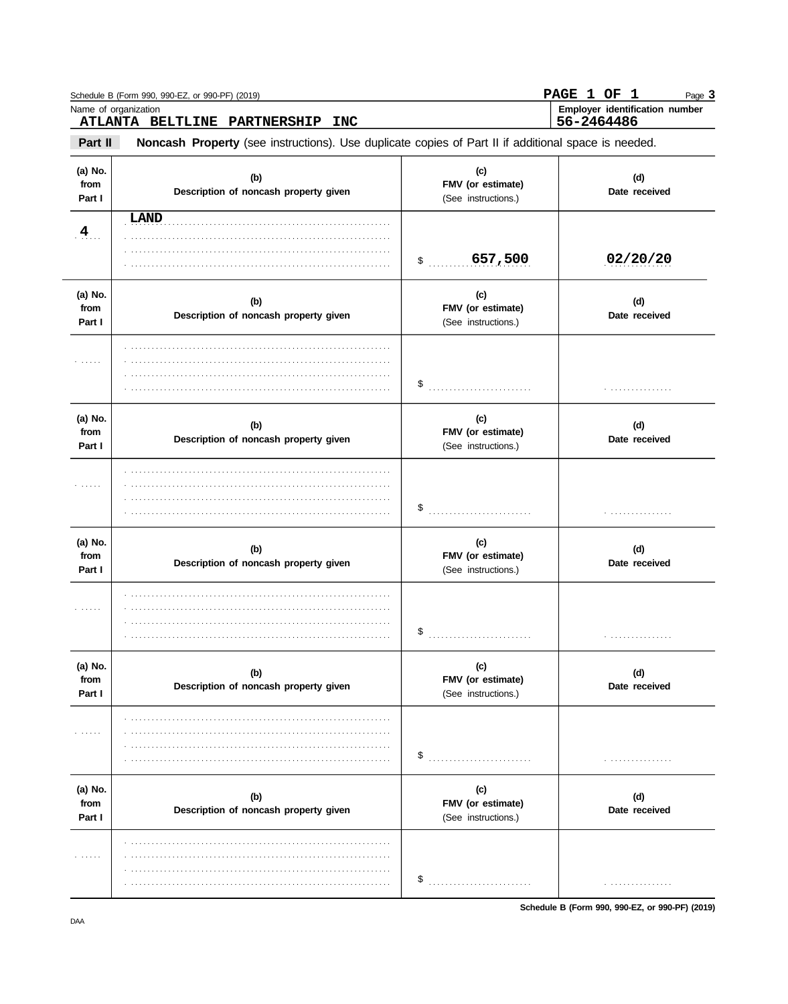|                                  | ATLANTA BELTLINE PARTNERSHIP<br><b>INC</b>                                                          |                                                 | 56-2464486           |
|----------------------------------|-----------------------------------------------------------------------------------------------------|-------------------------------------------------|----------------------|
| Part II                          | Noncash Property (see instructions). Use duplicate copies of Part II if additional space is needed. |                                                 |                      |
| (a) No.<br>from<br>Part I        | (b)<br>Description of noncash property given                                                        | (c)<br>FMV (or estimate)<br>(See instructions.) | (d)<br>Date received |
| 4                                | LAND                                                                                                | 657,500<br>$\ddot{\textbf{S}}$                  | 02/20/20             |
| (a) No.<br>from<br>Part I        | (b)<br>Description of noncash property given                                                        | (c)<br>FMV (or estimate)<br>(See instructions.) | (d)<br>Date received |
| .                                |                                                                                                     | \$                                              | .                    |
| (a) No.<br>from<br>Part I        | (b)<br>Description of noncash property given                                                        | (c)<br>FMV (or estimate)<br>(See instructions.) | (d)<br>Date received |
| .                                |                                                                                                     |                                                 | .                    |
| (a) No.<br>from<br>Part I        | (b)<br>Description of noncash property given                                                        | (c)<br>FMV (or estimate)<br>(See instructions.) | (d)<br>Date received |
| $\alpha$ , and a set of $\alpha$ |                                                                                                     | \$                                              | .                    |
| (a) No.<br>from<br>Part I        | (b)<br>Description of noncash property given                                                        | (c)<br>FMV (or estimate)<br>(See instructions.) | (d)<br>Date received |
| <b>.</b>                         |                                                                                                     |                                                 |                      |
| (a) No.<br>from<br>Part I        | (b)<br>Description of noncash property given                                                        | (c)<br>FMV (or estimate)<br>(See instructions.) | (d)<br>Date received |
| .                                |                                                                                                     |                                                 |                      |

Schedule B (Form 990, 990-EZ, or 990-PF) (2019)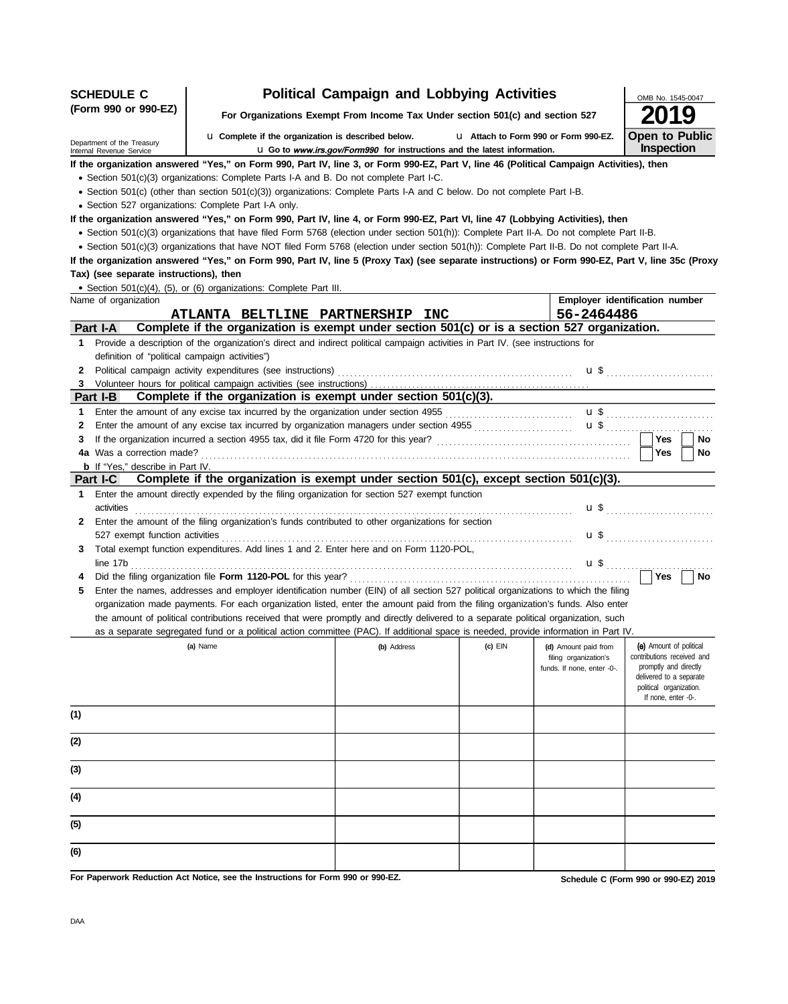| (Form 990 or 990-EZ)<br>For Organizations Exempt From Income Tax Under section 501(c) and section 527<br><b>Open to Public</b><br><b>u</b> Complete if the organization is described below.<br>L1 Attach to Form 990 or Form 990-EZ.<br>Department of the Treasury<br>Inspection<br>L Go to www.irs.gov/Form990 for instructions and the latest information.<br>Internal Revenue Service<br>If the organization answered "Yes," on Form 990, Part IV, line 3, or Form 990-EZ, Part V, line 46 (Political Campaign Activities), then<br>• Section 501(c)(3) organizations: Complete Parts I-A and B. Do not complete Part I-C.<br>• Section 501(c) (other than section 501(c)(3)) organizations: Complete Parts I-A and C below. Do not complete Part I-B.<br>· Section 527 organizations: Complete Part I-A only.<br>If the organization answered "Yes," on Form 990, Part IV, line 4, or Form 990-EZ, Part VI, line 47 (Lobbying Activities), then<br>• Section 501(c)(3) organizations that have filed Form 5768 (election under section 501(h)): Complete Part II-A. Do not complete Part II-B.<br>• Section 501(c)(3) organizations that have NOT filed Form 5768 (election under section 501(h)): Complete Part II-B. Do not complete Part II-A.<br>If the organization answered "Yes," on Form 990, Part IV, line 5 (Proxy Tax) (see separate instructions) or Form 990-EZ, Part V, line 35c (Proxy<br>Tax) (see separate instructions), then<br>· Section 501(c)(4), (5), or (6) organizations: Complete Part III.<br>Employer identification number<br>Name of organization<br>56-2464486<br>ATLANTA BELTLINE PARTNERSHIP INC<br>Complete if the organization is exempt under section 501(c) or is a section 527 organization.<br>Part I-A<br>1 Provide a description of the organization's direct and indirect political campaign activities in Part IV. (see instructions for<br>definition of "political campaign activities")<br>$\mathbf{u}$ \$<br>$\mathbf{2}$<br>Complete if the organization is exempt under section 501(c)(3).<br>Part I-B<br>Enter the amount of any excise tax incurred by the organization under section 4955 [[[[[[[[[[[[[[[[[[[[[[[[[[[<br>1<br>2<br>Yes<br>No<br>3<br>4a Was a correction made?<br>Yes<br><b>No</b><br><b>b</b> If "Yes," describe in Part IV.<br>Complete if the organization is exempt under section 501(c), except section 501(c)(3).<br><b>Part I-C</b><br>Enter the amount directly expended by the filing organization for section 527 exempt function<br>1.<br>activities<br>Enter the amount of the filing organization's funds contributed to other organizations for section<br>$\mathbf{2}$<br>527 exempt function activities<br>$\mathbf{u}$ \$<br>Total exempt function expenditures. Add lines 1 and 2. Enter here and on Form 1120-POL,<br>3<br>No<br>4<br>Enter the names, addresses and employer identification number (EIN) of all section 527 political organizations to which the filing<br>5<br>organization made payments. For each organization listed, enter the amount paid from the filing organization's funds. Also enter<br>the amount of political contributions received that were promptly and directly delivered to a separate political organization, such<br>as a separate segregated fund or a political action committee (PAC). If additional space is needed, provide information in Part IV.<br>(e) Amount of political<br>(a) Name<br>(c) $EIN$<br>(b) Address<br>(d) Amount paid from<br>contributions received and<br>filing organization's<br>promptly and directly<br>funds. If none, enter -0-.<br>delivered to a separate<br>political organization.<br>If none, enter -0-.<br>(1)<br>(2)<br>(3)<br>(4)<br>(5)<br>(6)<br>For Paperwork Reduction Act Notice, see the Instructions for Form 990 or 990-EZ.<br>Schedule C (Form 990 or 990-EZ) 2019 | <b>SCHEDULE C</b> |  | <b>Political Campaign and Lobbying Activities</b> |  |  | OMB No. 1545-0047 |  |
|--------------------------------------------------------------------------------------------------------------------------------------------------------------------------------------------------------------------------------------------------------------------------------------------------------------------------------------------------------------------------------------------------------------------------------------------------------------------------------------------------------------------------------------------------------------------------------------------------------------------------------------------------------------------------------------------------------------------------------------------------------------------------------------------------------------------------------------------------------------------------------------------------------------------------------------------------------------------------------------------------------------------------------------------------------------------------------------------------------------------------------------------------------------------------------------------------------------------------------------------------------------------------------------------------------------------------------------------------------------------------------------------------------------------------------------------------------------------------------------------------------------------------------------------------------------------------------------------------------------------------------------------------------------------------------------------------------------------------------------------------------------------------------------------------------------------------------------------------------------------------------------------------------------------------------------------------------------------------------------------------------------------------------------------------------------------------------------------------------------------------------------------------------------------------------------------------------------------------------------------------------------------------------------------------------------------------------------------------------------------------------------------------------------------------------------------------------------------------------------------------------------------------------------------------------------------------------------------------------------------------------------------------------------------------------------------------------------------------------------------------------------------------------------------------------------------------------------------------------------------------------------------------------------------------------------------------------------------------------------------------------------------------------------------------------------------------------------------------------------------------------------------------------------------------------------------------------------------------------------------------------------------------------------------------------------------------------------------------------------------------------------------------------------------------------------------------------------------------------------------------------------------------------------------------------------------------------------------------------------------------------------------------------------------------------------------------------------------------------------------------------------------------------------------------------------------------------------------------------|-------------------|--|---------------------------------------------------|--|--|-------------------|--|
|                                                                                                                                                                                                                                                                                                                                                                                                                                                                                                                                                                                                                                                                                                                                                                                                                                                                                                                                                                                                                                                                                                                                                                                                                                                                                                                                                                                                                                                                                                                                                                                                                                                                                                                                                                                                                                                                                                                                                                                                                                                                                                                                                                                                                                                                                                                                                                                                                                                                                                                                                                                                                                                                                                                                                                                                                                                                                                                                                                                                                                                                                                                                                                                                                                                                                                                                                                                                                                                                                                                                                                                                                                                                                                                                                                                                                                                        |                   |  |                                                   |  |  |                   |  |
|                                                                                                                                                                                                                                                                                                                                                                                                                                                                                                                                                                                                                                                                                                                                                                                                                                                                                                                                                                                                                                                                                                                                                                                                                                                                                                                                                                                                                                                                                                                                                                                                                                                                                                                                                                                                                                                                                                                                                                                                                                                                                                                                                                                                                                                                                                                                                                                                                                                                                                                                                                                                                                                                                                                                                                                                                                                                                                                                                                                                                                                                                                                                                                                                                                                                                                                                                                                                                                                                                                                                                                                                                                                                                                                                                                                                                                                        |                   |  |                                                   |  |  |                   |  |
|                                                                                                                                                                                                                                                                                                                                                                                                                                                                                                                                                                                                                                                                                                                                                                                                                                                                                                                                                                                                                                                                                                                                                                                                                                                                                                                                                                                                                                                                                                                                                                                                                                                                                                                                                                                                                                                                                                                                                                                                                                                                                                                                                                                                                                                                                                                                                                                                                                                                                                                                                                                                                                                                                                                                                                                                                                                                                                                                                                                                                                                                                                                                                                                                                                                                                                                                                                                                                                                                                                                                                                                                                                                                                                                                                                                                                                                        |                   |  |                                                   |  |  |                   |  |
|                                                                                                                                                                                                                                                                                                                                                                                                                                                                                                                                                                                                                                                                                                                                                                                                                                                                                                                                                                                                                                                                                                                                                                                                                                                                                                                                                                                                                                                                                                                                                                                                                                                                                                                                                                                                                                                                                                                                                                                                                                                                                                                                                                                                                                                                                                                                                                                                                                                                                                                                                                                                                                                                                                                                                                                                                                                                                                                                                                                                                                                                                                                                                                                                                                                                                                                                                                                                                                                                                                                                                                                                                                                                                                                                                                                                                                                        |                   |  |                                                   |  |  |                   |  |
|                                                                                                                                                                                                                                                                                                                                                                                                                                                                                                                                                                                                                                                                                                                                                                                                                                                                                                                                                                                                                                                                                                                                                                                                                                                                                                                                                                                                                                                                                                                                                                                                                                                                                                                                                                                                                                                                                                                                                                                                                                                                                                                                                                                                                                                                                                                                                                                                                                                                                                                                                                                                                                                                                                                                                                                                                                                                                                                                                                                                                                                                                                                                                                                                                                                                                                                                                                                                                                                                                                                                                                                                                                                                                                                                                                                                                                                        |                   |  |                                                   |  |  |                   |  |
|                                                                                                                                                                                                                                                                                                                                                                                                                                                                                                                                                                                                                                                                                                                                                                                                                                                                                                                                                                                                                                                                                                                                                                                                                                                                                                                                                                                                                                                                                                                                                                                                                                                                                                                                                                                                                                                                                                                                                                                                                                                                                                                                                                                                                                                                                                                                                                                                                                                                                                                                                                                                                                                                                                                                                                                                                                                                                                                                                                                                                                                                                                                                                                                                                                                                                                                                                                                                                                                                                                                                                                                                                                                                                                                                                                                                                                                        |                   |  |                                                   |  |  |                   |  |
|                                                                                                                                                                                                                                                                                                                                                                                                                                                                                                                                                                                                                                                                                                                                                                                                                                                                                                                                                                                                                                                                                                                                                                                                                                                                                                                                                                                                                                                                                                                                                                                                                                                                                                                                                                                                                                                                                                                                                                                                                                                                                                                                                                                                                                                                                                                                                                                                                                                                                                                                                                                                                                                                                                                                                                                                                                                                                                                                                                                                                                                                                                                                                                                                                                                                                                                                                                                                                                                                                                                                                                                                                                                                                                                                                                                                                                                        |                   |  |                                                   |  |  |                   |  |
|                                                                                                                                                                                                                                                                                                                                                                                                                                                                                                                                                                                                                                                                                                                                                                                                                                                                                                                                                                                                                                                                                                                                                                                                                                                                                                                                                                                                                                                                                                                                                                                                                                                                                                                                                                                                                                                                                                                                                                                                                                                                                                                                                                                                                                                                                                                                                                                                                                                                                                                                                                                                                                                                                                                                                                                                                                                                                                                                                                                                                                                                                                                                                                                                                                                                                                                                                                                                                                                                                                                                                                                                                                                                                                                                                                                                                                                        |                   |  |                                                   |  |  |                   |  |
|                                                                                                                                                                                                                                                                                                                                                                                                                                                                                                                                                                                                                                                                                                                                                                                                                                                                                                                                                                                                                                                                                                                                                                                                                                                                                                                                                                                                                                                                                                                                                                                                                                                                                                                                                                                                                                                                                                                                                                                                                                                                                                                                                                                                                                                                                                                                                                                                                                                                                                                                                                                                                                                                                                                                                                                                                                                                                                                                                                                                                                                                                                                                                                                                                                                                                                                                                                                                                                                                                                                                                                                                                                                                                                                                                                                                                                                        |                   |  |                                                   |  |  |                   |  |
|                                                                                                                                                                                                                                                                                                                                                                                                                                                                                                                                                                                                                                                                                                                                                                                                                                                                                                                                                                                                                                                                                                                                                                                                                                                                                                                                                                                                                                                                                                                                                                                                                                                                                                                                                                                                                                                                                                                                                                                                                                                                                                                                                                                                                                                                                                                                                                                                                                                                                                                                                                                                                                                                                                                                                                                                                                                                                                                                                                                                                                                                                                                                                                                                                                                                                                                                                                                                                                                                                                                                                                                                                                                                                                                                                                                                                                                        |                   |  |                                                   |  |  |                   |  |
|                                                                                                                                                                                                                                                                                                                                                                                                                                                                                                                                                                                                                                                                                                                                                                                                                                                                                                                                                                                                                                                                                                                                                                                                                                                                                                                                                                                                                                                                                                                                                                                                                                                                                                                                                                                                                                                                                                                                                                                                                                                                                                                                                                                                                                                                                                                                                                                                                                                                                                                                                                                                                                                                                                                                                                                                                                                                                                                                                                                                                                                                                                                                                                                                                                                                                                                                                                                                                                                                                                                                                                                                                                                                                                                                                                                                                                                        |                   |  |                                                   |  |  |                   |  |
|                                                                                                                                                                                                                                                                                                                                                                                                                                                                                                                                                                                                                                                                                                                                                                                                                                                                                                                                                                                                                                                                                                                                                                                                                                                                                                                                                                                                                                                                                                                                                                                                                                                                                                                                                                                                                                                                                                                                                                                                                                                                                                                                                                                                                                                                                                                                                                                                                                                                                                                                                                                                                                                                                                                                                                                                                                                                                                                                                                                                                                                                                                                                                                                                                                                                                                                                                                                                                                                                                                                                                                                                                                                                                                                                                                                                                                                        |                   |  |                                                   |  |  |                   |  |
|                                                                                                                                                                                                                                                                                                                                                                                                                                                                                                                                                                                                                                                                                                                                                                                                                                                                                                                                                                                                                                                                                                                                                                                                                                                                                                                                                                                                                                                                                                                                                                                                                                                                                                                                                                                                                                                                                                                                                                                                                                                                                                                                                                                                                                                                                                                                                                                                                                                                                                                                                                                                                                                                                                                                                                                                                                                                                                                                                                                                                                                                                                                                                                                                                                                                                                                                                                                                                                                                                                                                                                                                                                                                                                                                                                                                                                                        |                   |  |                                                   |  |  |                   |  |
|                                                                                                                                                                                                                                                                                                                                                                                                                                                                                                                                                                                                                                                                                                                                                                                                                                                                                                                                                                                                                                                                                                                                                                                                                                                                                                                                                                                                                                                                                                                                                                                                                                                                                                                                                                                                                                                                                                                                                                                                                                                                                                                                                                                                                                                                                                                                                                                                                                                                                                                                                                                                                                                                                                                                                                                                                                                                                                                                                                                                                                                                                                                                                                                                                                                                                                                                                                                                                                                                                                                                                                                                                                                                                                                                                                                                                                                        |                   |  |                                                   |  |  |                   |  |
|                                                                                                                                                                                                                                                                                                                                                                                                                                                                                                                                                                                                                                                                                                                                                                                                                                                                                                                                                                                                                                                                                                                                                                                                                                                                                                                                                                                                                                                                                                                                                                                                                                                                                                                                                                                                                                                                                                                                                                                                                                                                                                                                                                                                                                                                                                                                                                                                                                                                                                                                                                                                                                                                                                                                                                                                                                                                                                                                                                                                                                                                                                                                                                                                                                                                                                                                                                                                                                                                                                                                                                                                                                                                                                                                                                                                                                                        |                   |  |                                                   |  |  |                   |  |
|                                                                                                                                                                                                                                                                                                                                                                                                                                                                                                                                                                                                                                                                                                                                                                                                                                                                                                                                                                                                                                                                                                                                                                                                                                                                                                                                                                                                                                                                                                                                                                                                                                                                                                                                                                                                                                                                                                                                                                                                                                                                                                                                                                                                                                                                                                                                                                                                                                                                                                                                                                                                                                                                                                                                                                                                                                                                                                                                                                                                                                                                                                                                                                                                                                                                                                                                                                                                                                                                                                                                                                                                                                                                                                                                                                                                                                                        |                   |  |                                                   |  |  |                   |  |
|                                                                                                                                                                                                                                                                                                                                                                                                                                                                                                                                                                                                                                                                                                                                                                                                                                                                                                                                                                                                                                                                                                                                                                                                                                                                                                                                                                                                                                                                                                                                                                                                                                                                                                                                                                                                                                                                                                                                                                                                                                                                                                                                                                                                                                                                                                                                                                                                                                                                                                                                                                                                                                                                                                                                                                                                                                                                                                                                                                                                                                                                                                                                                                                                                                                                                                                                                                                                                                                                                                                                                                                                                                                                                                                                                                                                                                                        |                   |  |                                                   |  |  |                   |  |
|                                                                                                                                                                                                                                                                                                                                                                                                                                                                                                                                                                                                                                                                                                                                                                                                                                                                                                                                                                                                                                                                                                                                                                                                                                                                                                                                                                                                                                                                                                                                                                                                                                                                                                                                                                                                                                                                                                                                                                                                                                                                                                                                                                                                                                                                                                                                                                                                                                                                                                                                                                                                                                                                                                                                                                                                                                                                                                                                                                                                                                                                                                                                                                                                                                                                                                                                                                                                                                                                                                                                                                                                                                                                                                                                                                                                                                                        |                   |  |                                                   |  |  |                   |  |
|                                                                                                                                                                                                                                                                                                                                                                                                                                                                                                                                                                                                                                                                                                                                                                                                                                                                                                                                                                                                                                                                                                                                                                                                                                                                                                                                                                                                                                                                                                                                                                                                                                                                                                                                                                                                                                                                                                                                                                                                                                                                                                                                                                                                                                                                                                                                                                                                                                                                                                                                                                                                                                                                                                                                                                                                                                                                                                                                                                                                                                                                                                                                                                                                                                                                                                                                                                                                                                                                                                                                                                                                                                                                                                                                                                                                                                                        |                   |  |                                                   |  |  |                   |  |
|                                                                                                                                                                                                                                                                                                                                                                                                                                                                                                                                                                                                                                                                                                                                                                                                                                                                                                                                                                                                                                                                                                                                                                                                                                                                                                                                                                                                                                                                                                                                                                                                                                                                                                                                                                                                                                                                                                                                                                                                                                                                                                                                                                                                                                                                                                                                                                                                                                                                                                                                                                                                                                                                                                                                                                                                                                                                                                                                                                                                                                                                                                                                                                                                                                                                                                                                                                                                                                                                                                                                                                                                                                                                                                                                                                                                                                                        |                   |  |                                                   |  |  |                   |  |
|                                                                                                                                                                                                                                                                                                                                                                                                                                                                                                                                                                                                                                                                                                                                                                                                                                                                                                                                                                                                                                                                                                                                                                                                                                                                                                                                                                                                                                                                                                                                                                                                                                                                                                                                                                                                                                                                                                                                                                                                                                                                                                                                                                                                                                                                                                                                                                                                                                                                                                                                                                                                                                                                                                                                                                                                                                                                                                                                                                                                                                                                                                                                                                                                                                                                                                                                                                                                                                                                                                                                                                                                                                                                                                                                                                                                                                                        |                   |  |                                                   |  |  |                   |  |
|                                                                                                                                                                                                                                                                                                                                                                                                                                                                                                                                                                                                                                                                                                                                                                                                                                                                                                                                                                                                                                                                                                                                                                                                                                                                                                                                                                                                                                                                                                                                                                                                                                                                                                                                                                                                                                                                                                                                                                                                                                                                                                                                                                                                                                                                                                                                                                                                                                                                                                                                                                                                                                                                                                                                                                                                                                                                                                                                                                                                                                                                                                                                                                                                                                                                                                                                                                                                                                                                                                                                                                                                                                                                                                                                                                                                                                                        |                   |  |                                                   |  |  |                   |  |
|                                                                                                                                                                                                                                                                                                                                                                                                                                                                                                                                                                                                                                                                                                                                                                                                                                                                                                                                                                                                                                                                                                                                                                                                                                                                                                                                                                                                                                                                                                                                                                                                                                                                                                                                                                                                                                                                                                                                                                                                                                                                                                                                                                                                                                                                                                                                                                                                                                                                                                                                                                                                                                                                                                                                                                                                                                                                                                                                                                                                                                                                                                                                                                                                                                                                                                                                                                                                                                                                                                                                                                                                                                                                                                                                                                                                                                                        |                   |  |                                                   |  |  |                   |  |
|                                                                                                                                                                                                                                                                                                                                                                                                                                                                                                                                                                                                                                                                                                                                                                                                                                                                                                                                                                                                                                                                                                                                                                                                                                                                                                                                                                                                                                                                                                                                                                                                                                                                                                                                                                                                                                                                                                                                                                                                                                                                                                                                                                                                                                                                                                                                                                                                                                                                                                                                                                                                                                                                                                                                                                                                                                                                                                                                                                                                                                                                                                                                                                                                                                                                                                                                                                                                                                                                                                                                                                                                                                                                                                                                                                                                                                                        |                   |  |                                                   |  |  |                   |  |
|                                                                                                                                                                                                                                                                                                                                                                                                                                                                                                                                                                                                                                                                                                                                                                                                                                                                                                                                                                                                                                                                                                                                                                                                                                                                                                                                                                                                                                                                                                                                                                                                                                                                                                                                                                                                                                                                                                                                                                                                                                                                                                                                                                                                                                                                                                                                                                                                                                                                                                                                                                                                                                                                                                                                                                                                                                                                                                                                                                                                                                                                                                                                                                                                                                                                                                                                                                                                                                                                                                                                                                                                                                                                                                                                                                                                                                                        |                   |  |                                                   |  |  |                   |  |
|                                                                                                                                                                                                                                                                                                                                                                                                                                                                                                                                                                                                                                                                                                                                                                                                                                                                                                                                                                                                                                                                                                                                                                                                                                                                                                                                                                                                                                                                                                                                                                                                                                                                                                                                                                                                                                                                                                                                                                                                                                                                                                                                                                                                                                                                                                                                                                                                                                                                                                                                                                                                                                                                                                                                                                                                                                                                                                                                                                                                                                                                                                                                                                                                                                                                                                                                                                                                                                                                                                                                                                                                                                                                                                                                                                                                                                                        |                   |  |                                                   |  |  |                   |  |
|                                                                                                                                                                                                                                                                                                                                                                                                                                                                                                                                                                                                                                                                                                                                                                                                                                                                                                                                                                                                                                                                                                                                                                                                                                                                                                                                                                                                                                                                                                                                                                                                                                                                                                                                                                                                                                                                                                                                                                                                                                                                                                                                                                                                                                                                                                                                                                                                                                                                                                                                                                                                                                                                                                                                                                                                                                                                                                                                                                                                                                                                                                                                                                                                                                                                                                                                                                                                                                                                                                                                                                                                                                                                                                                                                                                                                                                        |                   |  |                                                   |  |  |                   |  |
|                                                                                                                                                                                                                                                                                                                                                                                                                                                                                                                                                                                                                                                                                                                                                                                                                                                                                                                                                                                                                                                                                                                                                                                                                                                                                                                                                                                                                                                                                                                                                                                                                                                                                                                                                                                                                                                                                                                                                                                                                                                                                                                                                                                                                                                                                                                                                                                                                                                                                                                                                                                                                                                                                                                                                                                                                                                                                                                                                                                                                                                                                                                                                                                                                                                                                                                                                                                                                                                                                                                                                                                                                                                                                                                                                                                                                                                        |                   |  |                                                   |  |  |                   |  |
|                                                                                                                                                                                                                                                                                                                                                                                                                                                                                                                                                                                                                                                                                                                                                                                                                                                                                                                                                                                                                                                                                                                                                                                                                                                                                                                                                                                                                                                                                                                                                                                                                                                                                                                                                                                                                                                                                                                                                                                                                                                                                                                                                                                                                                                                                                                                                                                                                                                                                                                                                                                                                                                                                                                                                                                                                                                                                                                                                                                                                                                                                                                                                                                                                                                                                                                                                                                                                                                                                                                                                                                                                                                                                                                                                                                                                                                        |                   |  |                                                   |  |  |                   |  |
|                                                                                                                                                                                                                                                                                                                                                                                                                                                                                                                                                                                                                                                                                                                                                                                                                                                                                                                                                                                                                                                                                                                                                                                                                                                                                                                                                                                                                                                                                                                                                                                                                                                                                                                                                                                                                                                                                                                                                                                                                                                                                                                                                                                                                                                                                                                                                                                                                                                                                                                                                                                                                                                                                                                                                                                                                                                                                                                                                                                                                                                                                                                                                                                                                                                                                                                                                                                                                                                                                                                                                                                                                                                                                                                                                                                                                                                        |                   |  |                                                   |  |  |                   |  |
|                                                                                                                                                                                                                                                                                                                                                                                                                                                                                                                                                                                                                                                                                                                                                                                                                                                                                                                                                                                                                                                                                                                                                                                                                                                                                                                                                                                                                                                                                                                                                                                                                                                                                                                                                                                                                                                                                                                                                                                                                                                                                                                                                                                                                                                                                                                                                                                                                                                                                                                                                                                                                                                                                                                                                                                                                                                                                                                                                                                                                                                                                                                                                                                                                                                                                                                                                                                                                                                                                                                                                                                                                                                                                                                                                                                                                                                        |                   |  |                                                   |  |  |                   |  |
|                                                                                                                                                                                                                                                                                                                                                                                                                                                                                                                                                                                                                                                                                                                                                                                                                                                                                                                                                                                                                                                                                                                                                                                                                                                                                                                                                                                                                                                                                                                                                                                                                                                                                                                                                                                                                                                                                                                                                                                                                                                                                                                                                                                                                                                                                                                                                                                                                                                                                                                                                                                                                                                                                                                                                                                                                                                                                                                                                                                                                                                                                                                                                                                                                                                                                                                                                                                                                                                                                                                                                                                                                                                                                                                                                                                                                                                        |                   |  |                                                   |  |  |                   |  |
|                                                                                                                                                                                                                                                                                                                                                                                                                                                                                                                                                                                                                                                                                                                                                                                                                                                                                                                                                                                                                                                                                                                                                                                                                                                                                                                                                                                                                                                                                                                                                                                                                                                                                                                                                                                                                                                                                                                                                                                                                                                                                                                                                                                                                                                                                                                                                                                                                                                                                                                                                                                                                                                                                                                                                                                                                                                                                                                                                                                                                                                                                                                                                                                                                                                                                                                                                                                                                                                                                                                                                                                                                                                                                                                                                                                                                                                        |                   |  |                                                   |  |  |                   |  |
|                                                                                                                                                                                                                                                                                                                                                                                                                                                                                                                                                                                                                                                                                                                                                                                                                                                                                                                                                                                                                                                                                                                                                                                                                                                                                                                                                                                                                                                                                                                                                                                                                                                                                                                                                                                                                                                                                                                                                                                                                                                                                                                                                                                                                                                                                                                                                                                                                                                                                                                                                                                                                                                                                                                                                                                                                                                                                                                                                                                                                                                                                                                                                                                                                                                                                                                                                                                                                                                                                                                                                                                                                                                                                                                                                                                                                                                        |                   |  |                                                   |  |  |                   |  |
|                                                                                                                                                                                                                                                                                                                                                                                                                                                                                                                                                                                                                                                                                                                                                                                                                                                                                                                                                                                                                                                                                                                                                                                                                                                                                                                                                                                                                                                                                                                                                                                                                                                                                                                                                                                                                                                                                                                                                                                                                                                                                                                                                                                                                                                                                                                                                                                                                                                                                                                                                                                                                                                                                                                                                                                                                                                                                                                                                                                                                                                                                                                                                                                                                                                                                                                                                                                                                                                                                                                                                                                                                                                                                                                                                                                                                                                        |                   |  |                                                   |  |  |                   |  |
|                                                                                                                                                                                                                                                                                                                                                                                                                                                                                                                                                                                                                                                                                                                                                                                                                                                                                                                                                                                                                                                                                                                                                                                                                                                                                                                                                                                                                                                                                                                                                                                                                                                                                                                                                                                                                                                                                                                                                                                                                                                                                                                                                                                                                                                                                                                                                                                                                                                                                                                                                                                                                                                                                                                                                                                                                                                                                                                                                                                                                                                                                                                                                                                                                                                                                                                                                                                                                                                                                                                                                                                                                                                                                                                                                                                                                                                        |                   |  |                                                   |  |  |                   |  |
|                                                                                                                                                                                                                                                                                                                                                                                                                                                                                                                                                                                                                                                                                                                                                                                                                                                                                                                                                                                                                                                                                                                                                                                                                                                                                                                                                                                                                                                                                                                                                                                                                                                                                                                                                                                                                                                                                                                                                                                                                                                                                                                                                                                                                                                                                                                                                                                                                                                                                                                                                                                                                                                                                                                                                                                                                                                                                                                                                                                                                                                                                                                                                                                                                                                                                                                                                                                                                                                                                                                                                                                                                                                                                                                                                                                                                                                        |                   |  |                                                   |  |  |                   |  |
|                                                                                                                                                                                                                                                                                                                                                                                                                                                                                                                                                                                                                                                                                                                                                                                                                                                                                                                                                                                                                                                                                                                                                                                                                                                                                                                                                                                                                                                                                                                                                                                                                                                                                                                                                                                                                                                                                                                                                                                                                                                                                                                                                                                                                                                                                                                                                                                                                                                                                                                                                                                                                                                                                                                                                                                                                                                                                                                                                                                                                                                                                                                                                                                                                                                                                                                                                                                                                                                                                                                                                                                                                                                                                                                                                                                                                                                        |                   |  |                                                   |  |  |                   |  |
|                                                                                                                                                                                                                                                                                                                                                                                                                                                                                                                                                                                                                                                                                                                                                                                                                                                                                                                                                                                                                                                                                                                                                                                                                                                                                                                                                                                                                                                                                                                                                                                                                                                                                                                                                                                                                                                                                                                                                                                                                                                                                                                                                                                                                                                                                                                                                                                                                                                                                                                                                                                                                                                                                                                                                                                                                                                                                                                                                                                                                                                                                                                                                                                                                                                                                                                                                                                                                                                                                                                                                                                                                                                                                                                                                                                                                                                        |                   |  |                                                   |  |  |                   |  |
|                                                                                                                                                                                                                                                                                                                                                                                                                                                                                                                                                                                                                                                                                                                                                                                                                                                                                                                                                                                                                                                                                                                                                                                                                                                                                                                                                                                                                                                                                                                                                                                                                                                                                                                                                                                                                                                                                                                                                                                                                                                                                                                                                                                                                                                                                                                                                                                                                                                                                                                                                                                                                                                                                                                                                                                                                                                                                                                                                                                                                                                                                                                                                                                                                                                                                                                                                                                                                                                                                                                                                                                                                                                                                                                                                                                                                                                        |                   |  |                                                   |  |  |                   |  |
|                                                                                                                                                                                                                                                                                                                                                                                                                                                                                                                                                                                                                                                                                                                                                                                                                                                                                                                                                                                                                                                                                                                                                                                                                                                                                                                                                                                                                                                                                                                                                                                                                                                                                                                                                                                                                                                                                                                                                                                                                                                                                                                                                                                                                                                                                                                                                                                                                                                                                                                                                                                                                                                                                                                                                                                                                                                                                                                                                                                                                                                                                                                                                                                                                                                                                                                                                                                                                                                                                                                                                                                                                                                                                                                                                                                                                                                        |                   |  |                                                   |  |  |                   |  |
|                                                                                                                                                                                                                                                                                                                                                                                                                                                                                                                                                                                                                                                                                                                                                                                                                                                                                                                                                                                                                                                                                                                                                                                                                                                                                                                                                                                                                                                                                                                                                                                                                                                                                                                                                                                                                                                                                                                                                                                                                                                                                                                                                                                                                                                                                                                                                                                                                                                                                                                                                                                                                                                                                                                                                                                                                                                                                                                                                                                                                                                                                                                                                                                                                                                                                                                                                                                                                                                                                                                                                                                                                                                                                                                                                                                                                                                        |                   |  |                                                   |  |  |                   |  |
|                                                                                                                                                                                                                                                                                                                                                                                                                                                                                                                                                                                                                                                                                                                                                                                                                                                                                                                                                                                                                                                                                                                                                                                                                                                                                                                                                                                                                                                                                                                                                                                                                                                                                                                                                                                                                                                                                                                                                                                                                                                                                                                                                                                                                                                                                                                                                                                                                                                                                                                                                                                                                                                                                                                                                                                                                                                                                                                                                                                                                                                                                                                                                                                                                                                                                                                                                                                                                                                                                                                                                                                                                                                                                                                                                                                                                                                        |                   |  |                                                   |  |  |                   |  |
|                                                                                                                                                                                                                                                                                                                                                                                                                                                                                                                                                                                                                                                                                                                                                                                                                                                                                                                                                                                                                                                                                                                                                                                                                                                                                                                                                                                                                                                                                                                                                                                                                                                                                                                                                                                                                                                                                                                                                                                                                                                                                                                                                                                                                                                                                                                                                                                                                                                                                                                                                                                                                                                                                                                                                                                                                                                                                                                                                                                                                                                                                                                                                                                                                                                                                                                                                                                                                                                                                                                                                                                                                                                                                                                                                                                                                                                        |                   |  |                                                   |  |  |                   |  |
|                                                                                                                                                                                                                                                                                                                                                                                                                                                                                                                                                                                                                                                                                                                                                                                                                                                                                                                                                                                                                                                                                                                                                                                                                                                                                                                                                                                                                                                                                                                                                                                                                                                                                                                                                                                                                                                                                                                                                                                                                                                                                                                                                                                                                                                                                                                                                                                                                                                                                                                                                                                                                                                                                                                                                                                                                                                                                                                                                                                                                                                                                                                                                                                                                                                                                                                                                                                                                                                                                                                                                                                                                                                                                                                                                                                                                                                        |                   |  |                                                   |  |  |                   |  |
|                                                                                                                                                                                                                                                                                                                                                                                                                                                                                                                                                                                                                                                                                                                                                                                                                                                                                                                                                                                                                                                                                                                                                                                                                                                                                                                                                                                                                                                                                                                                                                                                                                                                                                                                                                                                                                                                                                                                                                                                                                                                                                                                                                                                                                                                                                                                                                                                                                                                                                                                                                                                                                                                                                                                                                                                                                                                                                                                                                                                                                                                                                                                                                                                                                                                                                                                                                                                                                                                                                                                                                                                                                                                                                                                                                                                                                                        |                   |  |                                                   |  |  |                   |  |
|                                                                                                                                                                                                                                                                                                                                                                                                                                                                                                                                                                                                                                                                                                                                                                                                                                                                                                                                                                                                                                                                                                                                                                                                                                                                                                                                                                                                                                                                                                                                                                                                                                                                                                                                                                                                                                                                                                                                                                                                                                                                                                                                                                                                                                                                                                                                                                                                                                                                                                                                                                                                                                                                                                                                                                                                                                                                                                                                                                                                                                                                                                                                                                                                                                                                                                                                                                                                                                                                                                                                                                                                                                                                                                                                                                                                                                                        |                   |  |                                                   |  |  |                   |  |
|                                                                                                                                                                                                                                                                                                                                                                                                                                                                                                                                                                                                                                                                                                                                                                                                                                                                                                                                                                                                                                                                                                                                                                                                                                                                                                                                                                                                                                                                                                                                                                                                                                                                                                                                                                                                                                                                                                                                                                                                                                                                                                                                                                                                                                                                                                                                                                                                                                                                                                                                                                                                                                                                                                                                                                                                                                                                                                                                                                                                                                                                                                                                                                                                                                                                                                                                                                                                                                                                                                                                                                                                                                                                                                                                                                                                                                                        |                   |  |                                                   |  |  |                   |  |
|                                                                                                                                                                                                                                                                                                                                                                                                                                                                                                                                                                                                                                                                                                                                                                                                                                                                                                                                                                                                                                                                                                                                                                                                                                                                                                                                                                                                                                                                                                                                                                                                                                                                                                                                                                                                                                                                                                                                                                                                                                                                                                                                                                                                                                                                                                                                                                                                                                                                                                                                                                                                                                                                                                                                                                                                                                                                                                                                                                                                                                                                                                                                                                                                                                                                                                                                                                                                                                                                                                                                                                                                                                                                                                                                                                                                                                                        |                   |  |                                                   |  |  |                   |  |
|                                                                                                                                                                                                                                                                                                                                                                                                                                                                                                                                                                                                                                                                                                                                                                                                                                                                                                                                                                                                                                                                                                                                                                                                                                                                                                                                                                                                                                                                                                                                                                                                                                                                                                                                                                                                                                                                                                                                                                                                                                                                                                                                                                                                                                                                                                                                                                                                                                                                                                                                                                                                                                                                                                                                                                                                                                                                                                                                                                                                                                                                                                                                                                                                                                                                                                                                                                                                                                                                                                                                                                                                                                                                                                                                                                                                                                                        |                   |  |                                                   |  |  |                   |  |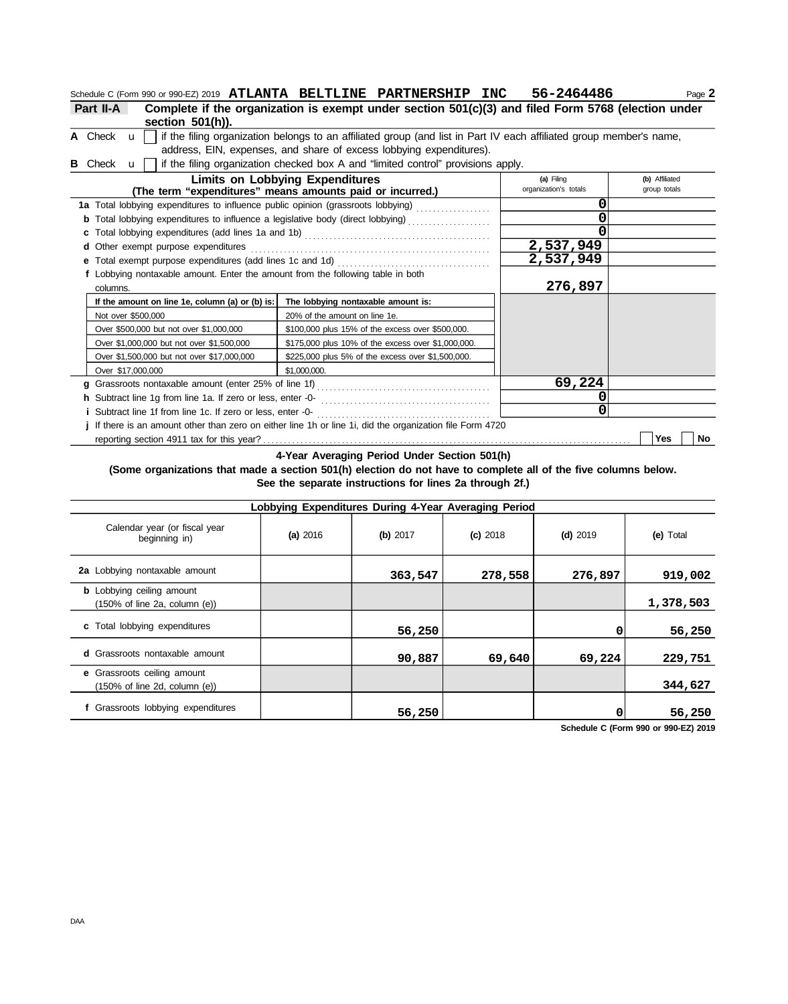|                                                                                                         | Schedule C (Form 990 or 990-EZ) 2019 ATLANTA BELTLINE PARTNERSHIP INC 56-2464486                                    |                       | Page 2         |  |  |  |  |
|---------------------------------------------------------------------------------------------------------|---------------------------------------------------------------------------------------------------------------------|-----------------------|----------------|--|--|--|--|
| Part II-A                                                                                               | Complete if the organization is exempt under section 501(c)(3) and filed Form 5768 (election under                  |                       |                |  |  |  |  |
| section $501(h)$ ).                                                                                     |                                                                                                                     |                       |                |  |  |  |  |
| A Check $\mathbf{u}$                                                                                    | if the filing organization belongs to an affiliated group (and list in Part IV each affiliated group member's name, |                       |                |  |  |  |  |
|                                                                                                         | address, EIN, expenses, and share of excess lobbying expenditures).                                                 |                       |                |  |  |  |  |
| Check <b>u</b>                                                                                          | if the filing organization checked box A and "limited control" provisions apply.                                    |                       |                |  |  |  |  |
|                                                                                                         | <b>Limits on Lobbying Expenditures</b>                                                                              | (a) Filing            | (b) Affiliated |  |  |  |  |
|                                                                                                         | (The term "expenditures" means amounts paid or incurred.)                                                           | organization's totals | group totals   |  |  |  |  |
| 1a Total lobbying expenditures to influence public opinion (grassroots lobbying)                        |                                                                                                                     | 0                     |                |  |  |  |  |
|                                                                                                         |                                                                                                                     |                       |                |  |  |  |  |
|                                                                                                         |                                                                                                                     |                       |                |  |  |  |  |
| <b>d</b> Other exempt purpose expenditures                                                              |                                                                                                                     | 2,537,949             |                |  |  |  |  |
| <b>e</b> Total exempt purpose expenditures (add lines 1c and 1d)                                        |                                                                                                                     | 2,537,949             |                |  |  |  |  |
| f Lobbying nontaxable amount. Enter the amount from the following table in both                         |                                                                                                                     |                       |                |  |  |  |  |
| columns.                                                                                                |                                                                                                                     | 276,897               |                |  |  |  |  |
| If the amount on line 1e, column (a) or (b) is:                                                         | The lobbying nontaxable amount is:                                                                                  |                       |                |  |  |  |  |
| Not over \$500,000                                                                                      | 20% of the amount on line 1e.                                                                                       |                       |                |  |  |  |  |
| Over \$500,000 but not over \$1,000,000                                                                 | \$100,000 plus 15% of the excess over \$500,000.                                                                    |                       |                |  |  |  |  |
| Over \$1,000,000 but not over \$1,500,000                                                               | \$175,000 plus 10% of the excess over \$1,000,000.                                                                  |                       |                |  |  |  |  |
| Over \$1,500,000 but not over \$17,000,000                                                              | \$225,000 plus 5% of the excess over \$1,500,000.                                                                   |                       |                |  |  |  |  |
| Over \$17,000,000                                                                                       | \$1,000,000.                                                                                                        |                       |                |  |  |  |  |
| g Grassroots nontaxable amount (enter 25% of line 1f)                                                   |                                                                                                                     | 69,224                |                |  |  |  |  |
| h Subtract line 1g from line 1a. If zero or less, enter -0-                                             |                                                                                                                     |                       |                |  |  |  |  |
| ი<br><i>i</i> Subtract line 1f from line 1c. If zero or less, enter -0-                                 |                                                                                                                     |                       |                |  |  |  |  |
| If there is an amount other than zero on either line 1h or line 1i, did the organization file Form 4720 |                                                                                                                     |                       |                |  |  |  |  |

reporting section 4911 tax for this year? . . . . . . . . . . . . . . . . . . . . . . . . . . . . . . . . . . . . . . . . . . . . . . . . . . . . . . . . . . . . . . . . . . . . . . . . . . . . . . . . . . . . . . . . . **Yes No**

**4-Year Averaging Period Under Section 501(h)**

**(Some organizations that made a section 501(h) election do not have to complete all of the five columns below. See the separate instructions for lines 2a through 2f.)**

| Lobbying Expenditures During 4-Year Averaging Period                                   |          |          |            |            |           |  |  |  |  |  |
|----------------------------------------------------------------------------------------|----------|----------|------------|------------|-----------|--|--|--|--|--|
| Calendar year (or fiscal year<br>beginning in)                                         | (a) 2016 | (b) 2017 | $(c)$ 2018 | $(d)$ 2019 | (e) Total |  |  |  |  |  |
| 2a Lobbying nontaxable amount                                                          |          | 363,547  | 278,558    | 276,897    | 919,002   |  |  |  |  |  |
| <b>b</b> Lobbying ceiling amount<br>$(150\% \text{ of line } 2a, \text{ column } (e))$ |          |          |            |            | 1,378,503 |  |  |  |  |  |
| c Total lobbying expenditures                                                          |          | 56,250   |            |            | 56,250    |  |  |  |  |  |
| <b>d</b> Grassroots nontaxable amount                                                  |          | 90,887   | 69,640     | 69,224     | 229,751   |  |  |  |  |  |
| e Grassroots ceiling amount<br>$(150\% \text{ of line } 2d, \text{ column } (e))$      |          |          |            |            | 344,627   |  |  |  |  |  |
| f Grassroots lobbying expenditures                                                     |          | 56,250   |            |            | 56,250    |  |  |  |  |  |

**Schedule C (Form 990 or 990-EZ) 2019**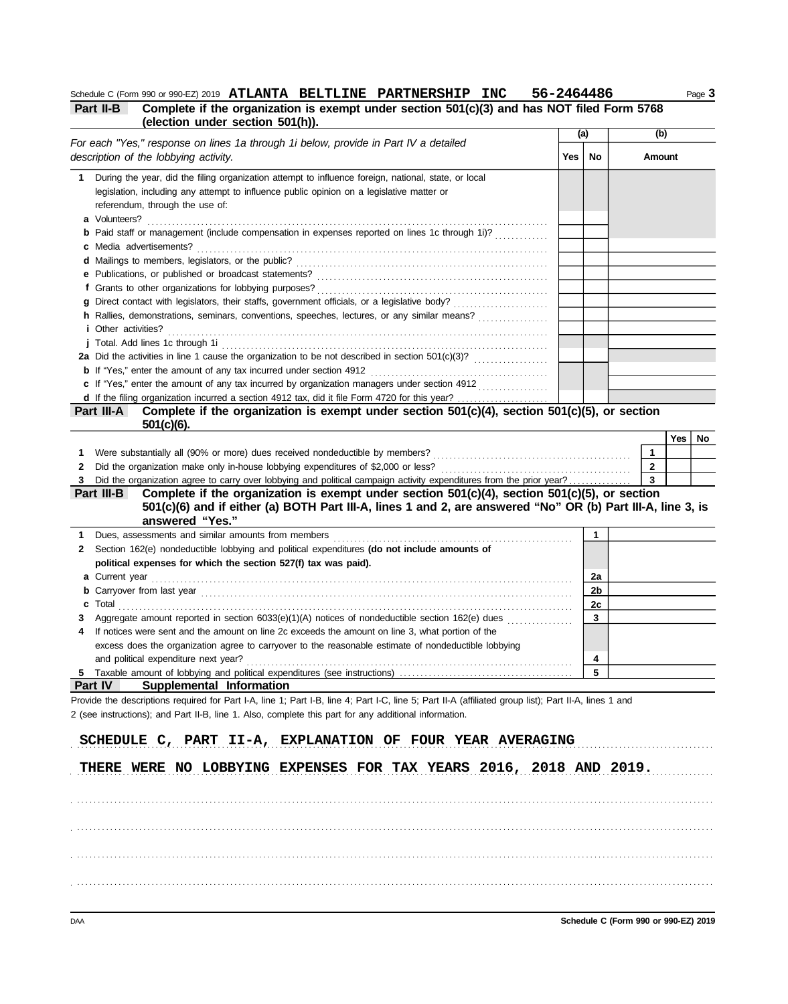Schedule C (Form 990 or 990-EZ) 2019 ATLANTA BELTLINE PARTNERSHIP INC 56-2464486 Page 3

| Part II-B | Complete if the organization is exempt under section 501(c)(3) and has NOT filed Form 5768 |              |
|-----------|--------------------------------------------------------------------------------------------|--------------|
|           | (election under section 501(h)).                                                           |              |
|           |                                                                                            | $\mathbf{L}$ |

|    |                                                                                                                                                                                                                                                     | (a) |    | (b) |              |     |     |
|----|-----------------------------------------------------------------------------------------------------------------------------------------------------------------------------------------------------------------------------------------------------|-----|----|-----|--------------|-----|-----|
|    | For each "Yes," response on lines 1a through 1i below, provide in Part IV a detailed<br>description of the lobbying activity.                                                                                                                       | Yes | No |     | Amount       |     |     |
|    |                                                                                                                                                                                                                                                     |     |    |     |              |     |     |
|    | 1 During the year, did the filing organization attempt to influence foreign, national, state, or local                                                                                                                                              |     |    |     |              |     |     |
|    | legislation, including any attempt to influence public opinion on a legislative matter or                                                                                                                                                           |     |    |     |              |     |     |
|    | referendum, through the use of:                                                                                                                                                                                                                     |     |    |     |              |     |     |
|    | a Volunteers?                                                                                                                                                                                                                                       |     |    |     |              |     |     |
|    | <b>b</b> Paid staff or management (include compensation in expenses reported on lines 1c through 1i)?                                                                                                                                               |     |    |     |              |     |     |
|    | c Media advertisements?                                                                                                                                                                                                                             |     |    |     |              |     |     |
|    |                                                                                                                                                                                                                                                     |     |    |     |              |     |     |
|    |                                                                                                                                                                                                                                                     |     |    |     |              |     |     |
|    | f Grants to other organizations for lobbying purposes?                                                                                                                                                                                              |     |    |     |              |     |     |
|    | h Rallies, demonstrations, seminars, conventions, speeches, lectures, or any similar means?                                                                                                                                                         |     |    |     |              |     |     |
|    | <i>i</i> Other activities?                                                                                                                                                                                                                          |     |    |     |              |     |     |
|    |                                                                                                                                                                                                                                                     |     |    |     |              |     |     |
|    |                                                                                                                                                                                                                                                     |     |    |     |              |     |     |
|    |                                                                                                                                                                                                                                                     |     |    |     |              |     |     |
|    |                                                                                                                                                                                                                                                     |     |    |     |              |     |     |
|    | d If the filing organization incurred a section 4912 tax, did it file Form 4720 for this year?                                                                                                                                                      |     |    |     |              |     |     |
|    | Complete if the organization is exempt under section $501(c)(4)$ , section $501(c)(5)$ , or section<br>Part III-A                                                                                                                                   |     |    |     |              |     |     |
|    | $501(c)(6)$ .                                                                                                                                                                                                                                       |     |    |     |              |     |     |
|    |                                                                                                                                                                                                                                                     |     |    |     |              | Yes | No. |
| 1  |                                                                                                                                                                                                                                                     |     |    |     | 1            |     |     |
| 2  |                                                                                                                                                                                                                                                     |     |    |     | $\mathbf{2}$ |     |     |
| 3  | Did the organization agree to carry over lobbying and political campaign activity expenditures from the prior year?                                                                                                                                 |     |    |     | 3            |     |     |
|    | Complete if the organization is exempt under section $501(c)(4)$ , section $501(c)(5)$ , or section<br>Part III-B<br>501(c)(6) and if either (a) BOTH Part III-A, lines 1 and 2, are answered "No" OR (b) Part III-A, line 3, is<br>answered "Yes." |     |    |     |              |     |     |
| 1. | Dues, assessments and similar amounts from members                                                                                                                                                                                                  |     | 1  |     |              |     |     |
| 2  | Section 162(e) nondeductible lobbying and political expenditures (do not include amounts of                                                                                                                                                         |     |    |     |              |     |     |
|    | political expenses for which the section 527(f) tax was paid).                                                                                                                                                                                      |     |    |     |              |     |     |
|    |                                                                                                                                                                                                                                                     |     | 2a |     |              |     |     |
|    |                                                                                                                                                                                                                                                     |     | 2b |     |              |     |     |
|    | $\text{c}$ Total $\ldots$                                                                                                                                                                                                                           |     | 2c |     |              |     |     |
|    | Aggregate amount reported in section 6033(e)(1)(A) notices of nondeductible section 162(e) dues                                                                                                                                                     |     | 3  |     |              |     |     |
|    | If notices were sent and the amount on line 2c exceeds the amount on line 3, what portion of the<br>excess does the organization agree to carryover to the reasonable estimate of nondeductible lobbying                                            |     |    |     |              |     |     |
|    |                                                                                                                                                                                                                                                     |     |    |     |              |     |     |
|    | and political expenditure next year?<br>Taxable amount of lobbying and political expenditures (see instructions).                                                                                                                                   |     | 4  |     |              |     |     |
|    | Supplemental Information<br><b>Part IV</b>                                                                                                                                                                                                          |     |    |     |              |     |     |
|    | Provide the descriptions required for Part I-A, line 1; Part I-B, line 4; Part I-C, line 5; Part II-A (affiliated group list); Part II-A, lines 1 and                                                                                               |     |    |     |              |     |     |
|    | 2 (see instructions); and Part II-B, line 1. Also, complete this part for any additional information.                                                                                                                                               |     |    |     |              |     |     |
|    |                                                                                                                                                                                                                                                     |     |    |     |              |     |     |
|    | SCHEDULE C, PART II-A, EXPLANATION OF FOUR YEAR AVERAGING                                                                                                                                                                                           |     |    |     |              |     |     |
|    |                                                                                                                                                                                                                                                     |     |    |     |              |     |     |
|    | THERE WERE NO LOBBYING EXPENSES FOR TAX YEARS 2016, 2018 AND 2019.                                                                                                                                                                                  |     |    |     |              |     |     |
|    |                                                                                                                                                                                                                                                     |     |    |     |              |     |     |
|    |                                                                                                                                                                                                                                                     |     |    |     |              |     |     |
|    |                                                                                                                                                                                                                                                     |     |    |     |              |     |     |
|    |                                                                                                                                                                                                                                                     |     |    |     |              |     |     |
|    |                                                                                                                                                                                                                                                     |     |    |     |              |     |     |
|    |                                                                                                                                                                                                                                                     |     |    |     |              |     |     |

. . . . . . . . . . . . . . . . . . . . . . . . . . . . . . . . . . . . . . . . . . . . . . . . . . . . . . . . . . . . . . . . . . . . . . . . . . . . . . . . . . . . . . . . . . . . . . . . . . . . . . . . . . . . . . . . . . . . . . . . . . . . . . . . . . . . . . . . . . . . . . . . . . . . . . . . . . .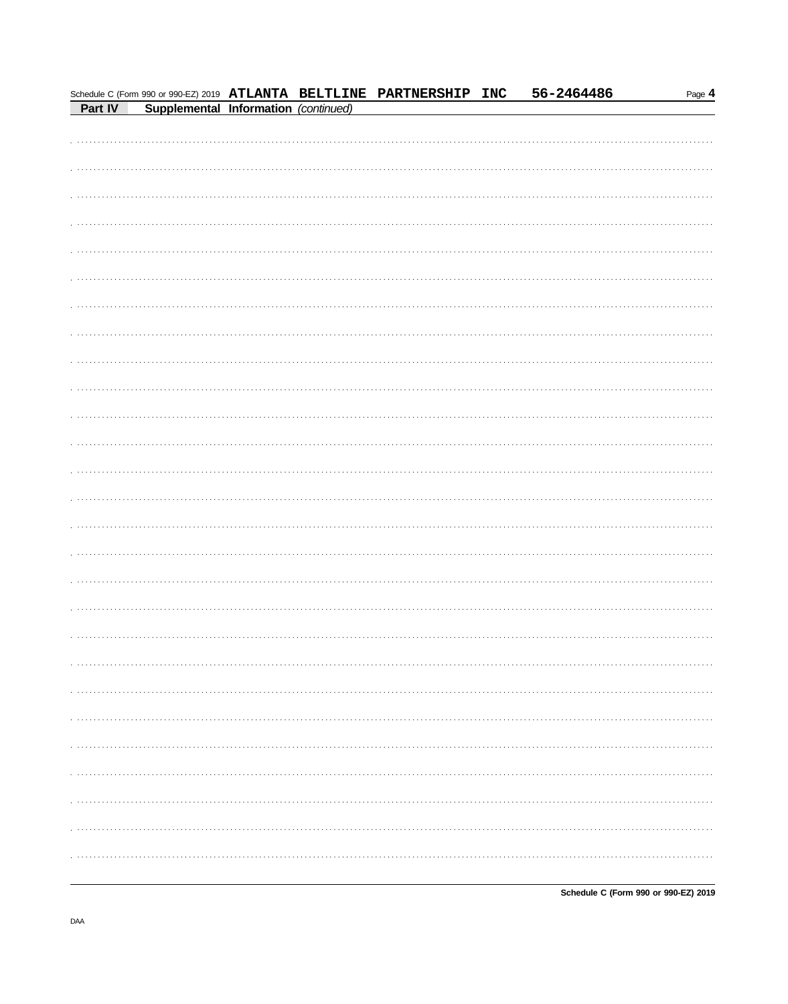|         |                                      |  | Schedule C (Form 990 or 990-EZ) 2019 ATLANTA BELTLINE PARTNERSHIP INC | 56-2464486 | Page 4 |
|---------|--------------------------------------|--|-----------------------------------------------------------------------|------------|--------|
| Part IV | Supplemental Information (continued) |  |                                                                       |            |        |
|         |                                      |  |                                                                       |            |        |
|         |                                      |  |                                                                       |            |        |
|         |                                      |  |                                                                       |            |        |
|         |                                      |  |                                                                       |            |        |
|         |                                      |  |                                                                       |            |        |
|         |                                      |  |                                                                       |            |        |
|         |                                      |  |                                                                       |            |        |
|         |                                      |  |                                                                       |            |        |
|         |                                      |  |                                                                       |            |        |
|         |                                      |  |                                                                       |            |        |
|         |                                      |  |                                                                       |            |        |
|         |                                      |  |                                                                       |            |        |
|         |                                      |  |                                                                       |            |        |
|         |                                      |  |                                                                       |            |        |
|         |                                      |  |                                                                       |            |        |
|         |                                      |  |                                                                       |            |        |
|         |                                      |  |                                                                       |            |        |
|         |                                      |  |                                                                       |            |        |
|         |                                      |  |                                                                       |            |        |
|         |                                      |  |                                                                       |            |        |
|         |                                      |  |                                                                       |            |        |
|         |                                      |  |                                                                       |            |        |
|         |                                      |  |                                                                       |            |        |
|         |                                      |  |                                                                       |            |        |
|         |                                      |  |                                                                       |            |        |
|         |                                      |  |                                                                       |            |        |
|         |                                      |  |                                                                       |            |        |
|         |                                      |  |                                                                       |            |        |
|         |                                      |  |                                                                       |            |        |
|         |                                      |  |                                                                       |            |        |
|         |                                      |  |                                                                       |            |        |
|         |                                      |  |                                                                       |            |        |
|         |                                      |  |                                                                       |            |        |
|         |                                      |  |                                                                       |            |        |
|         |                                      |  |                                                                       |            |        |
|         |                                      |  |                                                                       |            |        |
|         |                                      |  |                                                                       |            |        |
|         |                                      |  |                                                                       |            |        |
|         |                                      |  |                                                                       |            |        |
|         |                                      |  |                                                                       |            |        |
|         |                                      |  |                                                                       |            |        |
|         |                                      |  |                                                                       |            |        |
|         |                                      |  |                                                                       |            |        |
|         |                                      |  |                                                                       |            |        |
|         |                                      |  |                                                                       |            |        |
|         |                                      |  |                                                                       |            |        |
|         |                                      |  |                                                                       |            |        |
|         |                                      |  |                                                                       |            |        |
|         |                                      |  |                                                                       |            |        |
|         |                                      |  |                                                                       |            |        |
|         |                                      |  |                                                                       |            |        |
|         |                                      |  |                                                                       |            |        |
|         |                                      |  |                                                                       |            |        |
|         |                                      |  |                                                                       |            |        |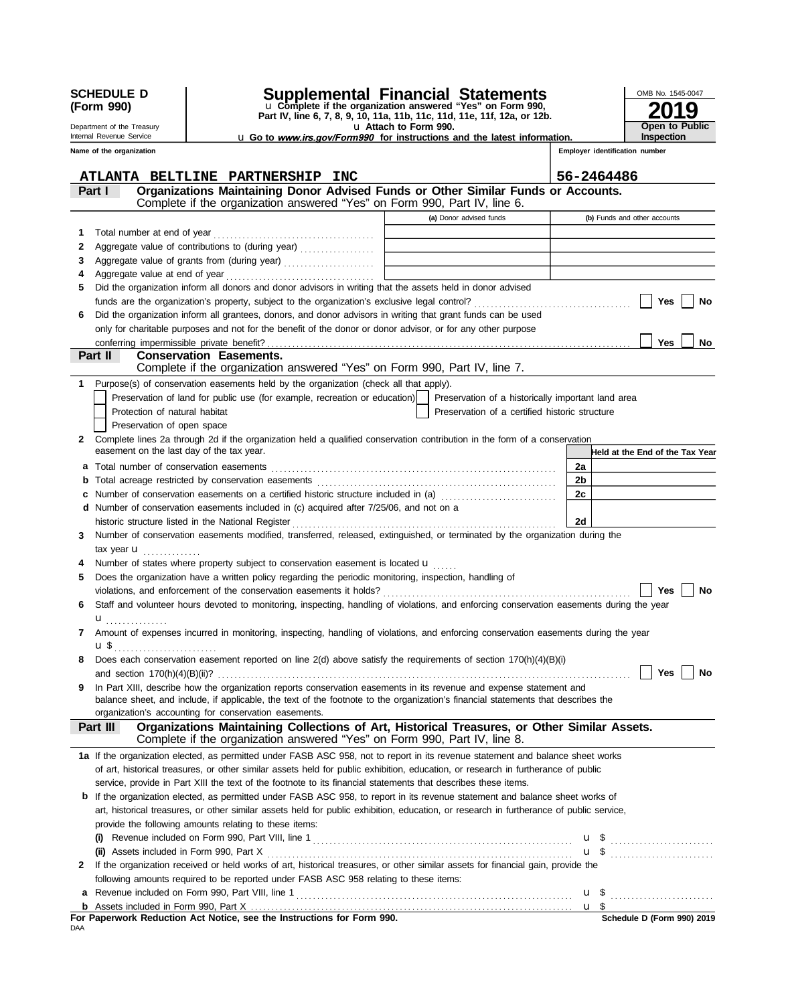|        | <b>SCHEDULE D</b><br>(Form 990)<br>Department of the Treasury<br>Internal Revenue Service |                                                                                                                                                                                                                                                                                                                                                               | <b>Supplemental Financial Statements</b><br>u Complete if the organization answered "Yes" on Form 990,<br>Part IV, line 6, 7, 8, 9, 10, 11a, 11b, 11c, 11d, 11e, 11f, 12a, or 12b.<br>u Attach to Form 990. |            | OMB No. 1545-0047<br>9<br><b>Open to Public</b><br><b>Inspection</b> |
|--------|-------------------------------------------------------------------------------------------|---------------------------------------------------------------------------------------------------------------------------------------------------------------------------------------------------------------------------------------------------------------------------------------------------------------------------------------------------------------|-------------------------------------------------------------------------------------------------------------------------------------------------------------------------------------------------------------|------------|----------------------------------------------------------------------|
|        | Name of the organization                                                                  |                                                                                                                                                                                                                                                                                                                                                               | <b>u</b> Go to <i>www.irs.gov/Form990</i> for instructions and the latest information.                                                                                                                      |            | Employer identification number                                       |
|        |                                                                                           |                                                                                                                                                                                                                                                                                                                                                               |                                                                                                                                                                                                             |            |                                                                      |
|        |                                                                                           | ATLANTA BELTLINE PARTNERSHIP INC                                                                                                                                                                                                                                                                                                                              |                                                                                                                                                                                                             | 56-2464486 |                                                                      |
|        | Part I                                                                                    | Organizations Maintaining Donor Advised Funds or Other Similar Funds or Accounts.                                                                                                                                                                                                                                                                             |                                                                                                                                                                                                             |            |                                                                      |
|        |                                                                                           | Complete if the organization answered "Yes" on Form 990, Part IV, line 6.                                                                                                                                                                                                                                                                                     |                                                                                                                                                                                                             |            |                                                                      |
|        |                                                                                           |                                                                                                                                                                                                                                                                                                                                                               | (a) Donor advised funds                                                                                                                                                                                     |            | (b) Funds and other accounts                                         |
| 1      | Total number at end of year                                                               |                                                                                                                                                                                                                                                                                                                                                               |                                                                                                                                                                                                             |            |                                                                      |
| 2      |                                                                                           | Aggregate value of contributions to (during year)                                                                                                                                                                                                                                                                                                             | <u> 1989 - Johann Barn, fransk politik (d. 1989)</u>                                                                                                                                                        |            |                                                                      |
| 3      |                                                                                           | Aggregate value of grants from (during year)                                                                                                                                                                                                                                                                                                                  | <u> 1980 - Johann Barn, fransk politik (d. 1980)</u>                                                                                                                                                        |            |                                                                      |
| 4<br>5 |                                                                                           | Did the organization inform all donors and donor advisors in writing that the assets held in donor advised                                                                                                                                                                                                                                                    |                                                                                                                                                                                                             |            |                                                                      |
|        |                                                                                           |                                                                                                                                                                                                                                                                                                                                                               |                                                                                                                                                                                                             |            | Yes<br><b>No</b>                                                     |
| 6      |                                                                                           | Did the organization inform all grantees, donors, and donor advisors in writing that grant funds can be used                                                                                                                                                                                                                                                  |                                                                                                                                                                                                             |            |                                                                      |
|        |                                                                                           | only for charitable purposes and not for the benefit of the donor or donor advisor, or for any other purpose                                                                                                                                                                                                                                                  |                                                                                                                                                                                                             |            |                                                                      |
|        |                                                                                           |                                                                                                                                                                                                                                                                                                                                                               |                                                                                                                                                                                                             |            | <b>Yes</b><br>No                                                     |
|        | Part II                                                                                   | <b>Conservation Easements.</b>                                                                                                                                                                                                                                                                                                                                |                                                                                                                                                                                                             |            |                                                                      |
|        |                                                                                           | Complete if the organization answered "Yes" on Form 990, Part IV, line 7.                                                                                                                                                                                                                                                                                     |                                                                                                                                                                                                             |            |                                                                      |
| 1      |                                                                                           | Purpose(s) of conservation easements held by the organization (check all that apply).                                                                                                                                                                                                                                                                         |                                                                                                                                                                                                             |            |                                                                      |
|        |                                                                                           | Preservation of land for public use (for example, recreation or education)                                                                                                                                                                                                                                                                                    | Preservation of a historically important land area                                                                                                                                                          |            |                                                                      |
|        | Protection of natural habitat                                                             |                                                                                                                                                                                                                                                                                                                                                               | Preservation of a certified historic structure                                                                                                                                                              |            |                                                                      |
|        | Preservation of open space                                                                |                                                                                                                                                                                                                                                                                                                                                               |                                                                                                                                                                                                             |            |                                                                      |
| 2      |                                                                                           | Complete lines 2a through 2d if the organization held a qualified conservation contribution in the form of a conservation                                                                                                                                                                                                                                     |                                                                                                                                                                                                             |            |                                                                      |
|        | easement on the last day of the tax year.                                                 |                                                                                                                                                                                                                                                                                                                                                               |                                                                                                                                                                                                             |            | Held at the End of the Tax Year                                      |
| a      | Total number of conservation easements                                                    |                                                                                                                                                                                                                                                                                                                                                               |                                                                                                                                                                                                             | 2a         |                                                                      |
| b      |                                                                                           |                                                                                                                                                                                                                                                                                                                                                               |                                                                                                                                                                                                             | 2b         |                                                                      |
| c      |                                                                                           | Number of conservation easements on a certified historic structure included in (a) [11] Number of conservation easements on a certified historic structure included in (a)                                                                                                                                                                                    |                                                                                                                                                                                                             | 2c         |                                                                      |
| d      |                                                                                           | Number of conservation easements included in (c) acquired after 7/25/06, and not on a                                                                                                                                                                                                                                                                         |                                                                                                                                                                                                             | 2d         |                                                                      |
| 3      |                                                                                           | historic structure listed in the National Register [11] contained a structure of the National Register [11] contained a structure of the National Register [11] contained a structure of the National Register [11] contained<br>Number of conservation easements modified, transferred, released, extinguished, or terminated by the organization during the |                                                                                                                                                                                                             |            |                                                                      |
|        | tax year $\mathbf u$                                                                      |                                                                                                                                                                                                                                                                                                                                                               |                                                                                                                                                                                                             |            |                                                                      |
| 4      |                                                                                           | Number of states where property subject to conservation easement is located $\mathbf{u}$                                                                                                                                                                                                                                                                      |                                                                                                                                                                                                             |            |                                                                      |
| 5      |                                                                                           | Does the organization have a written policy regarding the periodic monitoring, inspection, handling of                                                                                                                                                                                                                                                        |                                                                                                                                                                                                             |            |                                                                      |
|        |                                                                                           |                                                                                                                                                                                                                                                                                                                                                               |                                                                                                                                                                                                             |            | Yes<br>No                                                            |
|        |                                                                                           | Staff and volunteer hours devoted to monitoring, inspecting, handling of violations, and enforcing conservation easements during the year                                                                                                                                                                                                                     |                                                                                                                                                                                                             |            |                                                                      |
|        | u                                                                                         |                                                                                                                                                                                                                                                                                                                                                               |                                                                                                                                                                                                             |            |                                                                      |
|        |                                                                                           | 7 Amount of expenses incurred in monitoring, inspecting, handling of violations, and enforcing conservation easements during the year                                                                                                                                                                                                                         |                                                                                                                                                                                                             |            |                                                                      |
|        | $\mathbf{u} \, \mathbf{\$}$<br>.                                                          |                                                                                                                                                                                                                                                                                                                                                               |                                                                                                                                                                                                             |            |                                                                      |
| 8      |                                                                                           | Does each conservation easement reported on line 2(d) above satisfy the requirements of section 170(h)(4)(B)(i)                                                                                                                                                                                                                                               |                                                                                                                                                                                                             |            |                                                                      |
|        |                                                                                           |                                                                                                                                                                                                                                                                                                                                                               |                                                                                                                                                                                                             |            | Yes<br>No                                                            |
| 9      |                                                                                           | In Part XIII, describe how the organization reports conservation easements in its revenue and expense statement and                                                                                                                                                                                                                                           |                                                                                                                                                                                                             |            |                                                                      |
|        |                                                                                           | balance sheet, and include, if applicable, the text of the footnote to the organization's financial statements that describes the                                                                                                                                                                                                                             |                                                                                                                                                                                                             |            |                                                                      |
|        |                                                                                           | organization's accounting for conservation easements.<br>Organizations Maintaining Collections of Art, Historical Treasures, or Other Similar Assets.                                                                                                                                                                                                         |                                                                                                                                                                                                             |            |                                                                      |
|        | Part III                                                                                  | Complete if the organization answered "Yes" on Form 990, Part IV, line 8.                                                                                                                                                                                                                                                                                     |                                                                                                                                                                                                             |            |                                                                      |
|        |                                                                                           | 1a If the organization elected, as permitted under FASB ASC 958, not to report in its revenue statement and balance sheet works                                                                                                                                                                                                                               |                                                                                                                                                                                                             |            |                                                                      |
|        |                                                                                           | of art, historical treasures, or other similar assets held for public exhibition, education, or research in furtherance of public                                                                                                                                                                                                                             |                                                                                                                                                                                                             |            |                                                                      |
|        |                                                                                           | service, provide in Part XIII the text of the footnote to its financial statements that describes these items.                                                                                                                                                                                                                                                |                                                                                                                                                                                                             |            |                                                                      |
|        |                                                                                           | <b>b</b> If the organization elected, as permitted under FASB ASC 958, to report in its revenue statement and balance sheet works of                                                                                                                                                                                                                          |                                                                                                                                                                                                             |            |                                                                      |
|        |                                                                                           | art, historical treasures, or other similar assets held for public exhibition, education, or research in furtherance of public service,                                                                                                                                                                                                                       |                                                                                                                                                                                                             |            |                                                                      |
|        |                                                                                           | provide the following amounts relating to these items:                                                                                                                                                                                                                                                                                                        |                                                                                                                                                                                                             |            |                                                                      |
|        |                                                                                           |                                                                                                                                                                                                                                                                                                                                                               |                                                                                                                                                                                                             |            | $\mathbf{u}$ \$                                                      |
|        | (ii) Assets included in Form 990, Part X                                                  |                                                                                                                                                                                                                                                                                                                                                               |                                                                                                                                                                                                             |            |                                                                      |
| 2      |                                                                                           | If the organization received or held works of art, historical treasures, or other similar assets for financial gain, provide the                                                                                                                                                                                                                              |                                                                                                                                                                                                             |            |                                                                      |
|        |                                                                                           | following amounts required to be reported under FASB ASC 958 relating to these items:                                                                                                                                                                                                                                                                         |                                                                                                                                                                                                             |            |                                                                      |
|        |                                                                                           |                                                                                                                                                                                                                                                                                                                                                               |                                                                                                                                                                                                             |            | $\mathbf{u}$ \$                                                      |
|        |                                                                                           |                                                                                                                                                                                                                                                                                                                                                               |                                                                                                                                                                                                             | u \$       |                                                                      |
| DAA    |                                                                                           | For Paperwork Reduction Act Notice, see the Instructions for Form 990.                                                                                                                                                                                                                                                                                        |                                                                                                                                                                                                             |            | Schedule D (Form 990) 2019                                           |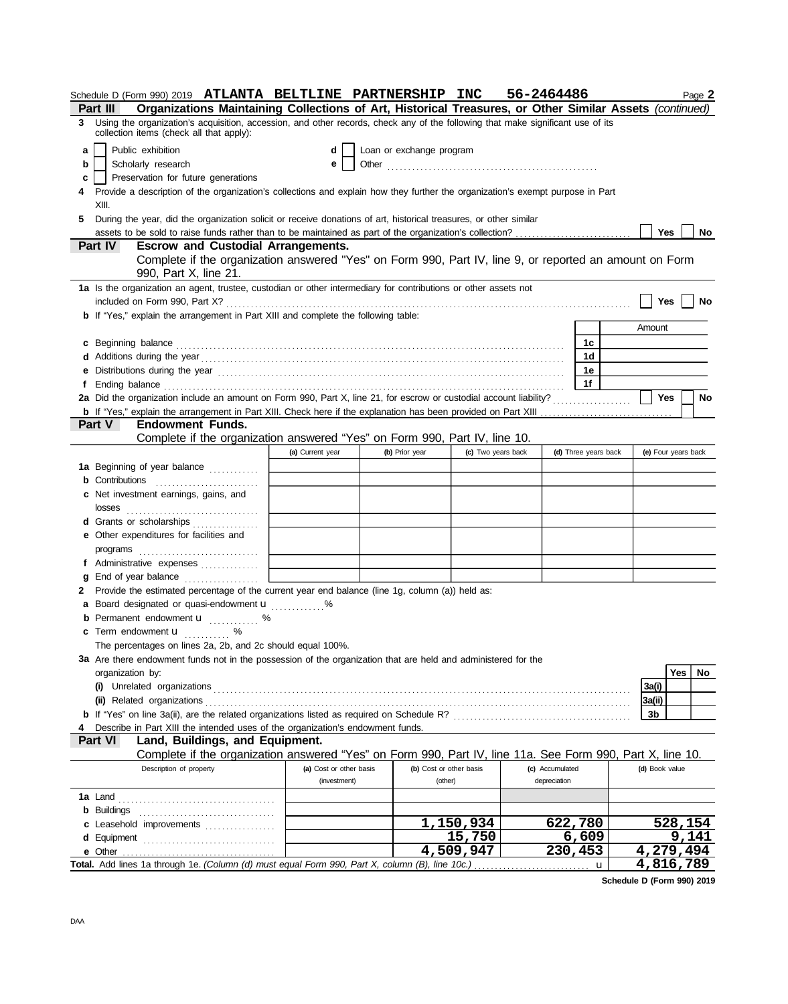|    |                                                                                                                                  | Schedule D (Form 990) 2019 ATLANTA BELTLINE PARTNERSHIP INC                                                                                                                                                                   |                         |  |                          |                    | 56-2464486      |                      | Page 2                                                                                                  |  |
|----|----------------------------------------------------------------------------------------------------------------------------------|-------------------------------------------------------------------------------------------------------------------------------------------------------------------------------------------------------------------------------|-------------------------|--|--------------------------|--------------------|-----------------|----------------------|---------------------------------------------------------------------------------------------------------|--|
|    | Part III                                                                                                                         |                                                                                                                                                                                                                               |                         |  |                          |                    |                 |                      | Organizations Maintaining Collections of Art, Historical Treasures, or Other Similar Assets (continued) |  |
|    | collection items (check all that apply):                                                                                         | 3 Using the organization's acquisition, accession, and other records, check any of the following that make significant use of its                                                                                             |                         |  |                          |                    |                 |                      |                                                                                                         |  |
| a  | Public exhibition                                                                                                                |                                                                                                                                                                                                                               | d                       |  | Loan or exchange program |                    |                 |                      |                                                                                                         |  |
| b  | Scholarly research                                                                                                               |                                                                                                                                                                                                                               | е                       |  |                          |                    |                 |                      |                                                                                                         |  |
| c  |                                                                                                                                  | Preservation for future generations                                                                                                                                                                                           |                         |  |                          |                    |                 |                      |                                                                                                         |  |
|    |                                                                                                                                  | Provide a description of the organization's collections and explain how they further the organization's exempt purpose in Part                                                                                                |                         |  |                          |                    |                 |                      |                                                                                                         |  |
|    | XIII.                                                                                                                            |                                                                                                                                                                                                                               |                         |  |                          |                    |                 |                      |                                                                                                         |  |
| 5. |                                                                                                                                  | During the year, did the organization solicit or receive donations of art, historical treasures, or other similar                                                                                                             |                         |  |                          |                    |                 |                      |                                                                                                         |  |
|    |                                                                                                                                  |                                                                                                                                                                                                                               |                         |  |                          |                    |                 |                      | <b>Yes</b><br>No                                                                                        |  |
|    | Part IV                                                                                                                          | <b>Escrow and Custodial Arrangements.</b>                                                                                                                                                                                     |                         |  |                          |                    |                 |                      |                                                                                                         |  |
|    | Complete if the organization answered "Yes" on Form 990, Part IV, line 9, or reported an amount on Form<br>990, Part X, line 21. |                                                                                                                                                                                                                               |                         |  |                          |                    |                 |                      |                                                                                                         |  |
|    |                                                                                                                                  | 1a Is the organization an agent, trustee, custodian or other intermediary for contributions or other assets not                                                                                                               |                         |  |                          |                    |                 |                      |                                                                                                         |  |
|    |                                                                                                                                  |                                                                                                                                                                                                                               |                         |  |                          |                    |                 |                      | <b>Yes</b><br>No                                                                                        |  |
|    |                                                                                                                                  | <b>b</b> If "Yes," explain the arrangement in Part XIII and complete the following table:                                                                                                                                     |                         |  |                          |                    |                 |                      |                                                                                                         |  |
|    |                                                                                                                                  |                                                                                                                                                                                                                               |                         |  |                          |                    |                 |                      | Amount                                                                                                  |  |
|    |                                                                                                                                  |                                                                                                                                                                                                                               |                         |  |                          |                    |                 | 1c                   |                                                                                                         |  |
|    |                                                                                                                                  | c Beginning balance encouragement and contact the contract of the contract of the contract of the contract of the contract of the contract of the contract of the contract of the contract of the contract of the contract of |                         |  |                          |                    |                 | 1d                   |                                                                                                         |  |
|    |                                                                                                                                  |                                                                                                                                                                                                                               |                         |  |                          |                    |                 | 1e                   |                                                                                                         |  |
|    |                                                                                                                                  |                                                                                                                                                                                                                               |                         |  |                          |                    |                 | 1f                   |                                                                                                         |  |
|    |                                                                                                                                  |                                                                                                                                                                                                                               |                         |  |                          |                    |                 |                      | <b>Yes</b><br>No                                                                                        |  |
|    |                                                                                                                                  | <b>b</b> If "Yes," explain the arrangement in Part XIII. Check here if the explanation has been provided on Part XIII                                                                                                         |                         |  |                          |                    |                 |                      |                                                                                                         |  |
|    | Part V                                                                                                                           | Endowment Funds.                                                                                                                                                                                                              |                         |  |                          |                    |                 |                      |                                                                                                         |  |
|    |                                                                                                                                  | Complete if the organization answered "Yes" on Form 990, Part IV, line 10.                                                                                                                                                    |                         |  |                          |                    |                 |                      |                                                                                                         |  |
|    |                                                                                                                                  |                                                                                                                                                                                                                               | (a) Current year        |  | (b) Prior year           | (c) Two years back |                 | (d) Three years back | (e) Four years back                                                                                     |  |
|    |                                                                                                                                  | 1a Beginning of year balance                                                                                                                                                                                                  |                         |  |                          |                    |                 |                      |                                                                                                         |  |
|    | <b>b</b> Contributions                                                                                                           |                                                                                                                                                                                                                               |                         |  |                          |                    |                 |                      |                                                                                                         |  |
|    | c Net investment earnings, gains, and                                                                                            |                                                                                                                                                                                                                               |                         |  |                          |                    |                 |                      |                                                                                                         |  |
|    |                                                                                                                                  |                                                                                                                                                                                                                               |                         |  |                          |                    |                 |                      |                                                                                                         |  |
|    |                                                                                                                                  | d Grants or scholarships                                                                                                                                                                                                      |                         |  |                          |                    |                 |                      |                                                                                                         |  |
|    | <b>e</b> Other expenditures for facilities and                                                                                   |                                                                                                                                                                                                                               |                         |  |                          |                    |                 |                      |                                                                                                         |  |
|    | programs                                                                                                                         |                                                                                                                                                                                                                               |                         |  |                          |                    |                 |                      |                                                                                                         |  |
|    |                                                                                                                                  |                                                                                                                                                                                                                               |                         |  |                          |                    |                 |                      |                                                                                                         |  |
| g  |                                                                                                                                  | End of year balance                                                                                                                                                                                                           |                         |  |                          |                    |                 |                      |                                                                                                         |  |
| 2  |                                                                                                                                  | Provide the estimated percentage of the current year end balance (line 1g, column (a)) held as:                                                                                                                               |                         |  |                          |                    |                 |                      |                                                                                                         |  |
|    |                                                                                                                                  | a Board designated or quasi-endowment <b>u</b> %                                                                                                                                                                              |                         |  |                          |                    |                 |                      |                                                                                                         |  |
|    |                                                                                                                                  | <b>b</b> Permanent endowment <b>u</b> %                                                                                                                                                                                       |                         |  |                          |                    |                 |                      |                                                                                                         |  |
|    | <b>c</b> Term endowment <b>u</b>                                                                                                 | %                                                                                                                                                                                                                             |                         |  |                          |                    |                 |                      |                                                                                                         |  |
|    |                                                                                                                                  | The percentages on lines 2a, 2b, and 2c should equal 100%.                                                                                                                                                                    |                         |  |                          |                    |                 |                      |                                                                                                         |  |
|    |                                                                                                                                  | 3a Are there endowment funds not in the possession of the organization that are held and administered for the                                                                                                                 |                         |  |                          |                    |                 |                      |                                                                                                         |  |
|    | organization by:                                                                                                                 |                                                                                                                                                                                                                               |                         |  |                          |                    |                 |                      | <b>Yes</b><br>No                                                                                        |  |
|    | (i) Unrelated organizations                                                                                                      |                                                                                                                                                                                                                               |                         |  |                          |                    |                 |                      | 3a(i)                                                                                                   |  |
|    | (ii) Related organizations                                                                                                       |                                                                                                                                                                                                                               |                         |  |                          |                    |                 |                      | 3a(ii)                                                                                                  |  |
|    |                                                                                                                                  |                                                                                                                                                                                                                               |                         |  |                          |                    |                 |                      | 3b                                                                                                      |  |
|    |                                                                                                                                  | Describe in Part XIII the intended uses of the organization's endowment funds.                                                                                                                                                |                         |  |                          |                    |                 |                      |                                                                                                         |  |
|    | Part VI                                                                                                                          | Land, Buildings, and Equipment.                                                                                                                                                                                               |                         |  |                          |                    |                 |                      |                                                                                                         |  |
|    |                                                                                                                                  | Complete if the organization answered "Yes" on Form 990, Part IV, line 11a. See Form 990, Part X, line 10.                                                                                                                    |                         |  |                          |                    |                 |                      |                                                                                                         |  |
|    |                                                                                                                                  | Description of property                                                                                                                                                                                                       | (a) Cost or other basis |  | (b) Cost or other basis  |                    | (c) Accumulated |                      | (d) Book value                                                                                          |  |
|    |                                                                                                                                  |                                                                                                                                                                                                                               | (investment)            |  | (other)                  |                    | depreciation    |                      |                                                                                                         |  |
|    | <b>1a</b> Land                                                                                                                   |                                                                                                                                                                                                                               |                         |  |                          |                    |                 |                      |                                                                                                         |  |
|    | <b>b</b> Buildings                                                                                                               |                                                                                                                                                                                                                               |                         |  |                          |                    |                 |                      |                                                                                                         |  |
|    |                                                                                                                                  | c Leasehold improvements                                                                                                                                                                                                      |                         |  |                          | 1,150,934          |                 | 622,780              | 528,154                                                                                                 |  |
|    |                                                                                                                                  | d Equipment                                                                                                                                                                                                                   |                         |  |                          | 15,750             |                 | 6,609                | 9,141                                                                                                   |  |
|    | e Other                                                                                                                          |                                                                                                                                                                                                                               |                         |  |                          | 4,509,947          |                 | 230,453              | 4,279,494                                                                                               |  |
|    |                                                                                                                                  | Total. Add lines 1a through 1e. (Column (d) must equal Form 990, Part X, column (B), line 10c.)                                                                                                                               |                         |  |                          |                    |                 | $\mathbf u$          | 4,816,789                                                                                               |  |

**Schedule D (Form 990) 2019**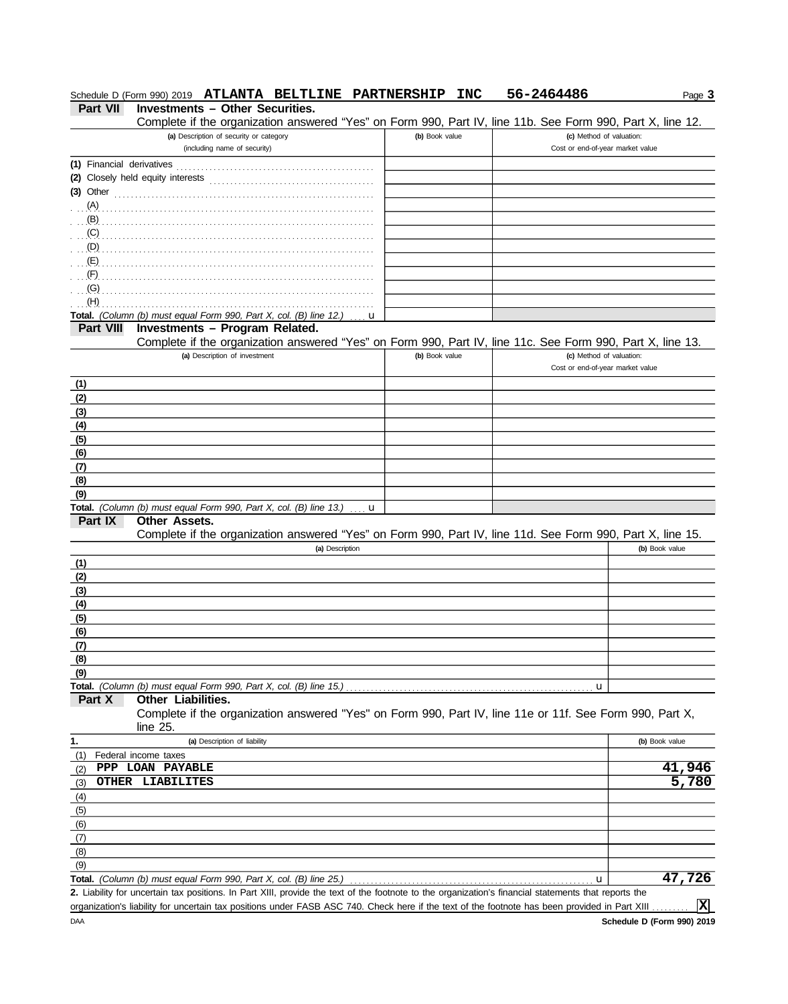|                  | Schedule D (Form 990) 2019 ATLANTA BELTLINE PARTNERSHIP INC                                                                                          |                | 56-2464486                       | Page 3                     |
|------------------|------------------------------------------------------------------------------------------------------------------------------------------------------|----------------|----------------------------------|----------------------------|
| <b>Part VII</b>  | <b>Investments - Other Securities.</b>                                                                                                               |                |                                  |                            |
|                  | Complete if the organization answered "Yes" on Form 990, Part IV, line 11b. See Form 990, Part X, line 12.                                           |                |                                  |                            |
|                  | (a) Description of security or category                                                                                                              | (b) Book value | (c) Method of valuation:         |                            |
|                  | (including name of security)                                                                                                                         |                | Cost or end-of-year market value |                            |
|                  |                                                                                                                                                      |                |                                  |                            |
|                  |                                                                                                                                                      |                |                                  |                            |
|                  | $(3)$ Other                                                                                                                                          |                |                                  |                            |
|                  |                                                                                                                                                      |                |                                  |                            |
| (B)              |                                                                                                                                                      |                |                                  |                            |
| (C)              |                                                                                                                                                      |                |                                  |                            |
| (D)              |                                                                                                                                                      |                |                                  |                            |
| (E)              |                                                                                                                                                      |                |                                  |                            |
| (F)              |                                                                                                                                                      |                |                                  |                            |
| (G)              |                                                                                                                                                      |                |                                  |                            |
| (H)              | Total. (Column (b) must equal Form 990, Part X, col. (B) line 12.)                                                                                   |                |                                  |                            |
| <b>Part VIII</b> | u<br>Investments - Program Related.                                                                                                                  |                |                                  |                            |
|                  | Complete if the organization answered "Yes" on Form 990, Part IV, line 11c. See Form 990, Part X, line 13.                                           |                |                                  |                            |
|                  | (a) Description of investment                                                                                                                        | (b) Book value | (c) Method of valuation:         |                            |
|                  |                                                                                                                                                      |                | Cost or end-of-year market value |                            |
| (1)              |                                                                                                                                                      |                |                                  |                            |
| (2)              |                                                                                                                                                      |                |                                  |                            |
| (3)              |                                                                                                                                                      |                |                                  |                            |
| (4)              |                                                                                                                                                      |                |                                  |                            |
| (5)              |                                                                                                                                                      |                |                                  |                            |
| (6)              |                                                                                                                                                      |                |                                  |                            |
| (7)              |                                                                                                                                                      |                |                                  |                            |
| (8)              |                                                                                                                                                      |                |                                  |                            |
| (9)              |                                                                                                                                                      |                |                                  |                            |
|                  | Total. (Column (b) must equal Form 990, Part X, col. (B) line 13.)<br>u                                                                              |                |                                  |                            |
| Part IX          | Other Assets.                                                                                                                                        |                |                                  |                            |
|                  | Complete if the organization answered "Yes" on Form 990, Part IV, line 11d. See Form 990, Part X, line 15.                                           |                |                                  |                            |
|                  | (a) Description                                                                                                                                      |                |                                  | (b) Book value             |
| (1)              |                                                                                                                                                      |                |                                  |                            |
| (2)              |                                                                                                                                                      |                |                                  |                            |
| (3)              |                                                                                                                                                      |                |                                  |                            |
| (4)              |                                                                                                                                                      |                |                                  |                            |
| (5)              |                                                                                                                                                      |                |                                  |                            |
| (6)              |                                                                                                                                                      |                |                                  |                            |
| (7)              |                                                                                                                                                      |                |                                  |                            |
| (8)              |                                                                                                                                                      |                |                                  |                            |
| (9)              | Total. (Column (b) must equal Form 990, Part X, col. (B) line 15.)                                                                                   |                |                                  |                            |
| Part X           | <b>Other Liabilities.</b>                                                                                                                            |                | u                                |                            |
|                  | Complete if the organization answered "Yes" on Form 990, Part IV, line 11e or 11f. See Form 990, Part X,                                             |                |                                  |                            |
|                  | line $25$ .                                                                                                                                          |                |                                  |                            |
| 1.               | (a) Description of liability                                                                                                                         |                |                                  | (b) Book value             |
| (1)              | Federal income taxes                                                                                                                                 |                |                                  |                            |
| (2)              | PPP LOAN PAYABLE                                                                                                                                     |                |                                  | 41,946                     |
| (3)              | OTHER LIABILITES                                                                                                                                     |                |                                  | 5,780                      |
| (4)              |                                                                                                                                                      |                |                                  |                            |
| (5)              |                                                                                                                                                      |                |                                  |                            |
| (6)              |                                                                                                                                                      |                |                                  |                            |
| (7)              |                                                                                                                                                      |                |                                  |                            |
| (8)              |                                                                                                                                                      |                |                                  |                            |
| (9)              |                                                                                                                                                      |                |                                  |                            |
| Total.           | (Column (b) must equal Form 990, Part X, col. (B) line 25.)                                                                                          |                | u                                | 47,726                     |
|                  | 2. Liability for uncertain tax positions. In Part XIII, provide the text of the footnote to the organization's financial statements that reports the |                |                                  |                            |
|                  | organization's liability for uncertain tax positions under FASB ASC 740. Check here if the text of the footnote has been provided in Part XIII       |                |                                  | ΙxΙ                        |
| <b>DAA</b>       |                                                                                                                                                      |                |                                  | Schedule D (Form 990) 2019 |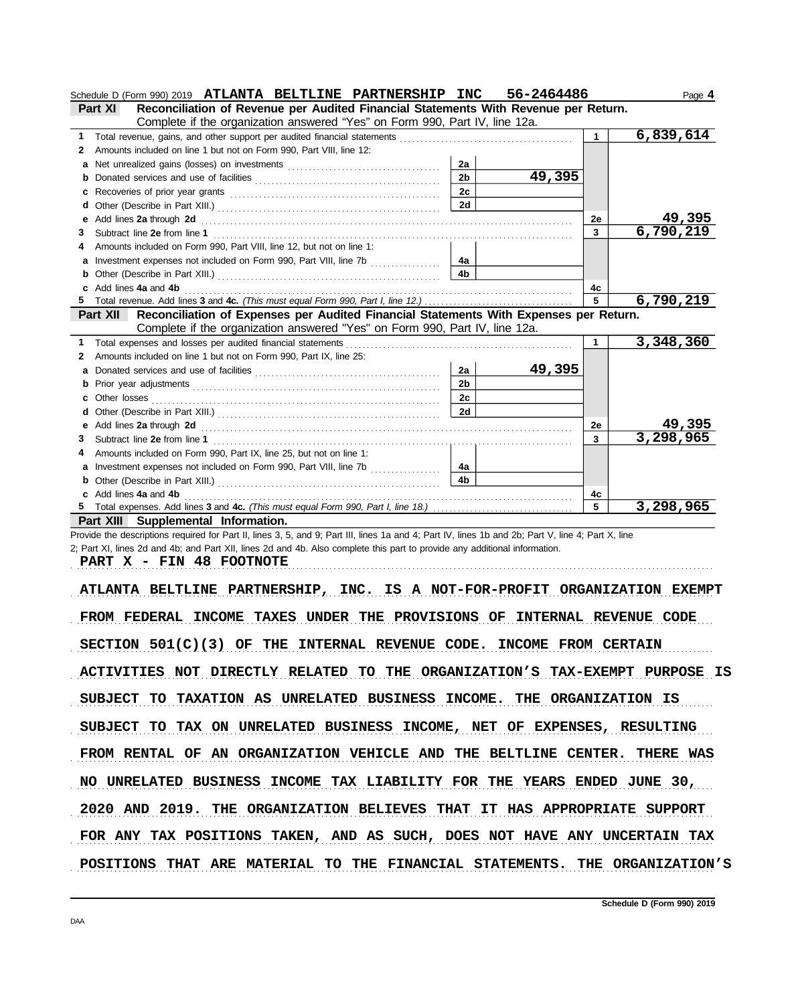|              | 56-2464486<br>Schedule D (Form 990) 2019 ATLANTA BELTLINE PARTNERSHIP INC                                                                 |                | Page 4    |
|--------------|-------------------------------------------------------------------------------------------------------------------------------------------|----------------|-----------|
|              | Reconciliation of Revenue per Audited Financial Statements With Revenue per Return.<br><b>Part XI</b>                                     |                |           |
|              | Complete if the organization answered "Yes" on Form 990, Part IV, line 12a.                                                               |                |           |
| 1.           |                                                                                                                                           | $\overline{1}$ | 6,839,614 |
| $\mathbf{2}$ | Amounts included on line 1 but not on Form 990, Part VIII, line 12:                                                                       |                |           |
| a            | 2a                                                                                                                                        |                |           |
| b            | 49,395<br>2 <sub>b</sub>                                                                                                                  |                |           |
| с            | 2c                                                                                                                                        |                |           |
| d            | 2d                                                                                                                                        |                |           |
| е            |                                                                                                                                           | 2e             | 49,395    |
| 3            |                                                                                                                                           | $\mathbf{3}$   | 6,790,219 |
|              | Amounts included on Form 990, Part VIII, line 12, but not on line 1:                                                                      |                |           |
| a            | Investment expenses not included on Form 990, Part VIII, line 7b<br>4a                                                                    |                |           |
| b            | 4 <sub>b</sub>                                                                                                                            |                |           |
|              | Add lines 4a and 4b                                                                                                                       | 4c             |           |
|              |                                                                                                                                           | 5              | 6,790,219 |
|              | Reconciliation of Expenses per Audited Financial Statements With Expenses per Return.<br>Part XII                                         |                |           |
|              | Complete if the organization answered "Yes" on Form 990, Part IV, line 12a.                                                               |                |           |
| 1.           |                                                                                                                                           |                | 3,348,360 |
| 2            | Amounts included on line 1 but not on Form 990, Part IX, line 25:                                                                         |                |           |
| a            | 49,395<br>2a                                                                                                                              |                |           |
| b            | 2 <sub>b</sub>                                                                                                                            |                |           |
|              | 2c<br>Other losses                                                                                                                        |                |           |
| d            | 2d                                                                                                                                        |                |           |
| е            | Add lines 2a through 2d [11] Add [12] Add lines 2a through 2d [12] Add lines 2a through 2d [12] Add lines 2a through 2d [12] Add and Addu | 2e             | 49,395    |
| 3            |                                                                                                                                           | 3              | 3,298,965 |
|              | Amounts included on Form 990, Part IX, line 25, but not on line 1:                                                                        |                |           |
| a            | Investment expenses not included on Form 990, Part VIII, line 7b<br>4a                                                                    |                |           |
|              | 4 <sub>b</sub>                                                                                                                            |                |           |
|              | Add lines 4a and 4b                                                                                                                       | 4c             |           |
| 5.           |                                                                                                                                           | 5              | 3,298,965 |
|              | Part XIII Supplemental Information.                                                                                                       |                |           |

Provide the descriptions required for Part II, lines 3, 5, and 9; Part III, lines 1a and 4; Part IV, lines 1b and 2b; Part V, line 4; Part X, line 2; Part XI, lines 2d and 4b; and Part XII, lines 2d and 4b. Also complete this part to provide any additional information.

**PART X - FIN 48 FOOTNOTE**

ATLANTA BELTLINE PARTNERSHIP, INC. IS A NOT-FOR-PROFIT ORGANIZATION EXEMPT FROM FEDERAL INCOME TAXES UNDER THE PROVISIONS OF INTERNAL REVENUE CODE  $SECTION 501(C)(3)$  OF THE INTERNAL REVENUE CODE. INCOME FROM CERTAIN ACTIVITIES NOT DIRECTLY RELATED TO THE ORGANIZATION'S TAX-EXEMPT PURPOSE IS SUBJECT TO TAXATION AS UNRELATED BUSINESS INCOME. THE ORGANIZATION IS SUBJECT TO TAX ON UNRELATED BUSINESS INCOME, NET OF EXPENSES, RESULTING 2020 AND 2019. THE ORGANIZATION BELIEVES THAT IT HAS APPROPRIATE SUPPORT FROM RENTAL OF AN ORGANIZATION VEHICLE AND THE BELTLINE CENTER. THERE WAS NO UNRELATED BUSINESS INCOME TAX LIABILITY FOR THE YEARS ENDED JUNE 30, FOR ANY TAX POSITIONS TAKEN, AND AS SUCH, DOES NOT HAVE ANY UNCERTAIN TAX POSITIONS THAT ARE MATERIAL TO THE FINANCIAL STATEMENTS. THE ORGANIZATION'S

. . . . . . . . . . . . . . . . . . . . . . . . . . . . . . . . . . . . . . . . . . . . . . . . . . . . . . . . . . . . . . . . . . . . . . . . . . . . . . . . . . . . . . . . . . . . . . . . . . . . . . . . . . . . . . . . . . . . . . . . . . . . . . . . . . . . . . . . . . . . . . . . . . . . . . . . . . .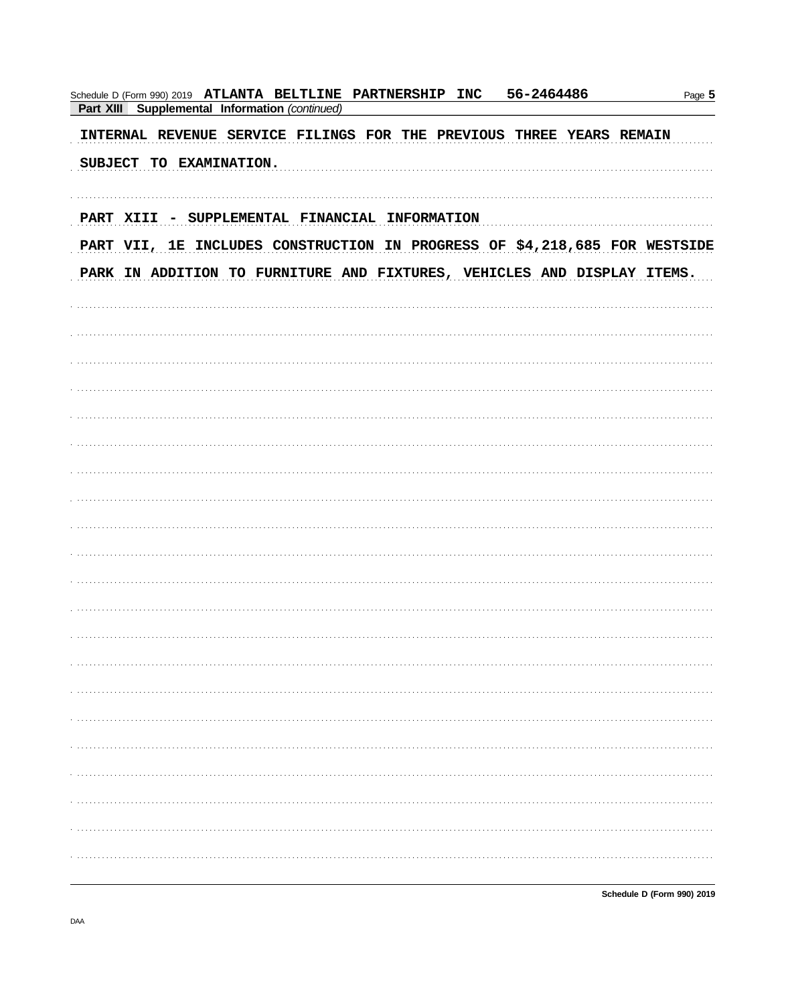| 56-2464486<br>Schedule D (Form 990) 2019 ATLANTA BELTLINE PARTNERSHIP INC<br>Part XIII Supplemental Information (continued) | Page 5 |
|-----------------------------------------------------------------------------------------------------------------------------|--------|
| INTERNAL REVENUE SERVICE FILINGS FOR THE PREVIOUS THREE YEARS REMAIN                                                        |        |
| SUBJECT TO EXAMINATION.                                                                                                     |        |
| PART XIII - SUPPLEMENTAL FINANCIAL INFORMATION                                                                              |        |
| PART VII, 1E INCLUDES CONSTRUCTION IN PROGRESS OF \$4,218,685 FOR WESTSIDE                                                  |        |
| PARK IN ADDITION TO FURNITURE AND FIXTURES, VEHICLES AND DISPLAY ITEMS.                                                     |        |
|                                                                                                                             |        |
|                                                                                                                             |        |
|                                                                                                                             |        |
|                                                                                                                             |        |
|                                                                                                                             |        |
|                                                                                                                             |        |
|                                                                                                                             |        |
|                                                                                                                             |        |
|                                                                                                                             |        |
|                                                                                                                             |        |
|                                                                                                                             |        |
|                                                                                                                             |        |
|                                                                                                                             |        |
|                                                                                                                             |        |
|                                                                                                                             |        |
|                                                                                                                             |        |
|                                                                                                                             |        |
|                                                                                                                             |        |
|                                                                                                                             |        |
|                                                                                                                             |        |

Schedule D (Form 990) 2019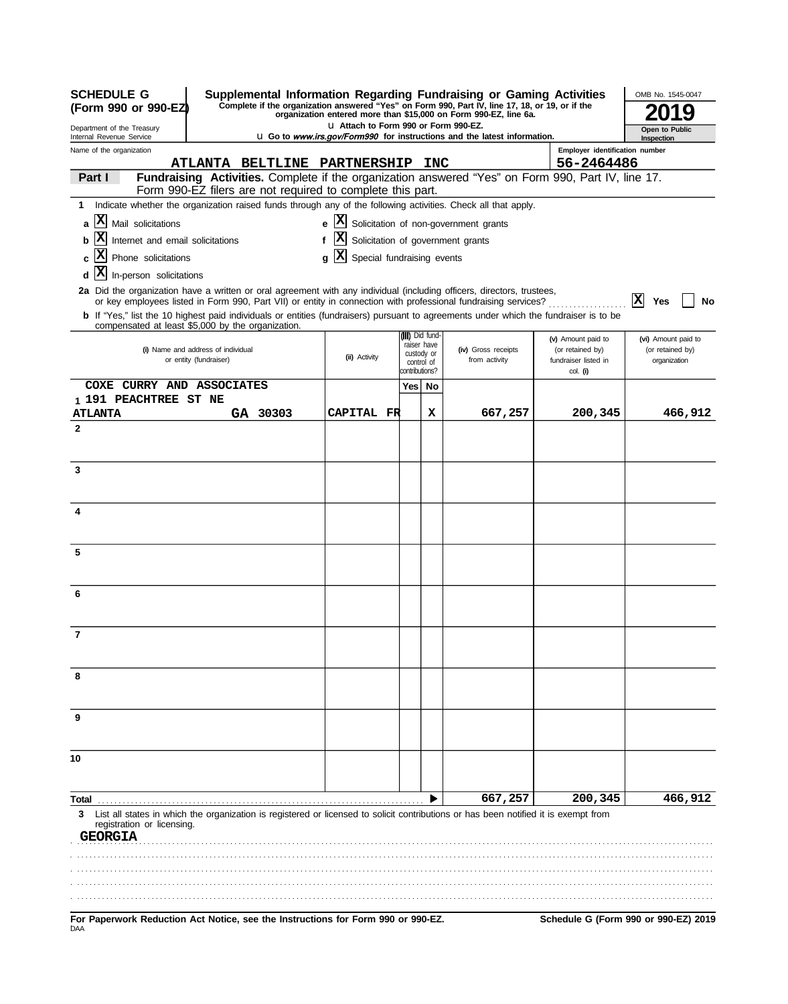| <b>SCHEDULE G</b><br>Supplemental Information Regarding Fundraising or Gaming Activities<br>Complete if the organization answered "Yes" on Form 990, Part IV, line 17, 18, or 19, or if the<br>(Form 990 or 990-EZ<br>organization entered more than \$15,000 on Form 990-EZ, line 6a.<br>LI Attach to Form 990 or Form 990-EZ. |                                       |                                                            |                   |  |                            |                          | OMB No. 1545-0047                                                                                              |                                        |                                         |  |
|---------------------------------------------------------------------------------------------------------------------------------------------------------------------------------------------------------------------------------------------------------------------------------------------------------------------------------|---------------------------------------|------------------------------------------------------------|-------------------|--|----------------------------|--------------------------|----------------------------------------------------------------------------------------------------------------|----------------------------------------|-----------------------------------------|--|
| Department of the Treasury<br>Internal Revenue Service                                                                                                                                                                                                                                                                          |                                       |                                                            |                   |  |                            |                          | <b>u</b> Go to www.irs.gov/Form990 for instructions and the latest information.                                |                                        | Open to Public<br>Inspection            |  |
| Name of the organization                                                                                                                                                                                                                                                                                                        |                                       |                                                            |                   |  |                            |                          |                                                                                                                | Employer identification number         |                                         |  |
|                                                                                                                                                                                                                                                                                                                                 |                                       | <b>ATLANTA BELTLINE PARTNERSHIP</b>                        |                   |  |                            | <b>INC</b>               |                                                                                                                | 56-2464486                             |                                         |  |
| Part I                                                                                                                                                                                                                                                                                                                          |                                       | Form 990-EZ filers are not required to complete this part. |                   |  |                            |                          | Fundraising Activities. Complete if the organization answered "Yes" on Form 990, Part IV, line 17.             |                                        |                                         |  |
| Indicate whether the organization raised funds through any of the following activities. Check all that apply.<br>1                                                                                                                                                                                                              |                                       |                                                            |                   |  |                            |                          |                                                                                                                |                                        |                                         |  |
| X Mail solicitations<br>$\mathbf{a}$                                                                                                                                                                                                                                                                                            |                                       |                                                            | e                 |  |                            |                          | X Solicitation of non-government grants                                                                        |                                        |                                         |  |
| Internet and email solicitations                                                                                                                                                                                                                                                                                                |                                       |                                                            | f                 |  |                            |                          | Solicitation of government grants                                                                              |                                        |                                         |  |
| X.<br>Phone solicitations                                                                                                                                                                                                                                                                                                       | IХ<br>Special fundraising events<br>q |                                                            |                   |  |                            |                          |                                                                                                                |                                        |                                         |  |
| x <br>In-person solicitations<br>d                                                                                                                                                                                                                                                                                              |                                       |                                                            |                   |  |                            |                          |                                                                                                                |                                        |                                         |  |
| 2a Did the organization have a written or oral agreement with any individual (including officers, directors, trustees,                                                                                                                                                                                                          |                                       |                                                            |                   |  |                            |                          |                                                                                                                |                                        |                                         |  |
| <b>b</b> If "Yes," list the 10 highest paid individuals or entities (fundraisers) pursuant to agreements under which the fundraiser is to be                                                                                                                                                                                    |                                       |                                                            |                   |  |                            |                          | or key employees listed in Form 990, Part VII) or entity in connection with professional fundraising services? |                                        | X<br>Yes<br>No                          |  |
| compensated at least \$5,000 by the organization.                                                                                                                                                                                                                                                                               |                                       |                                                            |                   |  | (iii) Did fund             |                          |                                                                                                                |                                        |                                         |  |
|                                                                                                                                                                                                                                                                                                                                 | (i) Name and address of individual    |                                                            |                   |  | raiser have                |                          | (iv) Gross receipts                                                                                            | (v) Amount paid to<br>(or retained by) | (vi) Amount paid to<br>(or retained by) |  |
|                                                                                                                                                                                                                                                                                                                                 | or entity (fundraiser)                |                                                            | (ii) Activity     |  |                            | custody or<br>control of | from activity                                                                                                  | fundraiser listed in                   | organization                            |  |
| COXE CURRY AND ASSOCIATES                                                                                                                                                                                                                                                                                                       |                                       |                                                            |                   |  | contributions?<br>Yes   No |                          |                                                                                                                | $col.$ (i)                             |                                         |  |
| 1 191 PEACHTREE ST NE                                                                                                                                                                                                                                                                                                           |                                       |                                                            |                   |  |                            |                          |                                                                                                                |                                        |                                         |  |
| <b>ATLANTA</b>                                                                                                                                                                                                                                                                                                                  |                                       | GA 30303                                                   | <b>CAPITAL FR</b> |  |                            | x                        | 667,257                                                                                                        | 200,345                                | 466,912                                 |  |
| $\mathbf{2}$                                                                                                                                                                                                                                                                                                                    |                                       |                                                            |                   |  |                            |                          |                                                                                                                |                                        |                                         |  |
|                                                                                                                                                                                                                                                                                                                                 |                                       |                                                            |                   |  |                            |                          |                                                                                                                |                                        |                                         |  |
| 3                                                                                                                                                                                                                                                                                                                               |                                       |                                                            |                   |  |                            |                          |                                                                                                                |                                        |                                         |  |
|                                                                                                                                                                                                                                                                                                                                 |                                       |                                                            |                   |  |                            |                          |                                                                                                                |                                        |                                         |  |
|                                                                                                                                                                                                                                                                                                                                 |                                       |                                                            |                   |  |                            |                          |                                                                                                                |                                        |                                         |  |
|                                                                                                                                                                                                                                                                                                                                 |                                       |                                                            |                   |  |                            |                          |                                                                                                                |                                        |                                         |  |
|                                                                                                                                                                                                                                                                                                                                 |                                       |                                                            |                   |  |                            |                          |                                                                                                                |                                        |                                         |  |
| 5                                                                                                                                                                                                                                                                                                                               |                                       |                                                            |                   |  |                            |                          |                                                                                                                |                                        |                                         |  |
|                                                                                                                                                                                                                                                                                                                                 |                                       |                                                            |                   |  |                            |                          |                                                                                                                |                                        |                                         |  |
|                                                                                                                                                                                                                                                                                                                                 |                                       |                                                            |                   |  |                            |                          |                                                                                                                |                                        |                                         |  |
| 6                                                                                                                                                                                                                                                                                                                               |                                       |                                                            |                   |  |                            |                          |                                                                                                                |                                        |                                         |  |
|                                                                                                                                                                                                                                                                                                                                 |                                       |                                                            |                   |  |                            |                          |                                                                                                                |                                        |                                         |  |
| 7                                                                                                                                                                                                                                                                                                                               |                                       |                                                            |                   |  |                            |                          |                                                                                                                |                                        |                                         |  |
|                                                                                                                                                                                                                                                                                                                                 |                                       |                                                            |                   |  |                            |                          |                                                                                                                |                                        |                                         |  |
|                                                                                                                                                                                                                                                                                                                                 |                                       |                                                            |                   |  |                            |                          |                                                                                                                |                                        |                                         |  |
| 8                                                                                                                                                                                                                                                                                                                               |                                       |                                                            |                   |  |                            |                          |                                                                                                                |                                        |                                         |  |
|                                                                                                                                                                                                                                                                                                                                 |                                       |                                                            |                   |  |                            |                          |                                                                                                                |                                        |                                         |  |
| 9                                                                                                                                                                                                                                                                                                                               |                                       |                                                            |                   |  |                            |                          |                                                                                                                |                                        |                                         |  |
|                                                                                                                                                                                                                                                                                                                                 |                                       |                                                            |                   |  |                            |                          |                                                                                                                |                                        |                                         |  |
|                                                                                                                                                                                                                                                                                                                                 |                                       |                                                            |                   |  |                            |                          |                                                                                                                |                                        |                                         |  |
| 10                                                                                                                                                                                                                                                                                                                              |                                       |                                                            |                   |  |                            |                          |                                                                                                                |                                        |                                         |  |
|                                                                                                                                                                                                                                                                                                                                 |                                       |                                                            |                   |  |                            |                          |                                                                                                                |                                        |                                         |  |
| Total                                                                                                                                                                                                                                                                                                                           |                                       |                                                            |                   |  |                            |                          | 667,257                                                                                                        | 200,345                                | 466,912                                 |  |
| List all states in which the organization is registered or licensed to solicit contributions or has been notified it is exempt from<br>3<br>registration or licensing.<br><b>GEORGIA</b>                                                                                                                                        |                                       |                                                            |                   |  |                            |                          |                                                                                                                |                                        |                                         |  |
|                                                                                                                                                                                                                                                                                                                                 |                                       |                                                            |                   |  |                            |                          |                                                                                                                |                                        |                                         |  |
|                                                                                                                                                                                                                                                                                                                                 |                                       |                                                            |                   |  |                            |                          |                                                                                                                |                                        |                                         |  |
|                                                                                                                                                                                                                                                                                                                                 |                                       |                                                            |                   |  |                            |                          |                                                                                                                |                                        |                                         |  |

. **For Paperwork Reduction Act Notice, see the Instructions for Form 990 or 990-EZ. Schedule G (Form 990 or 990-EZ) 2019** DAA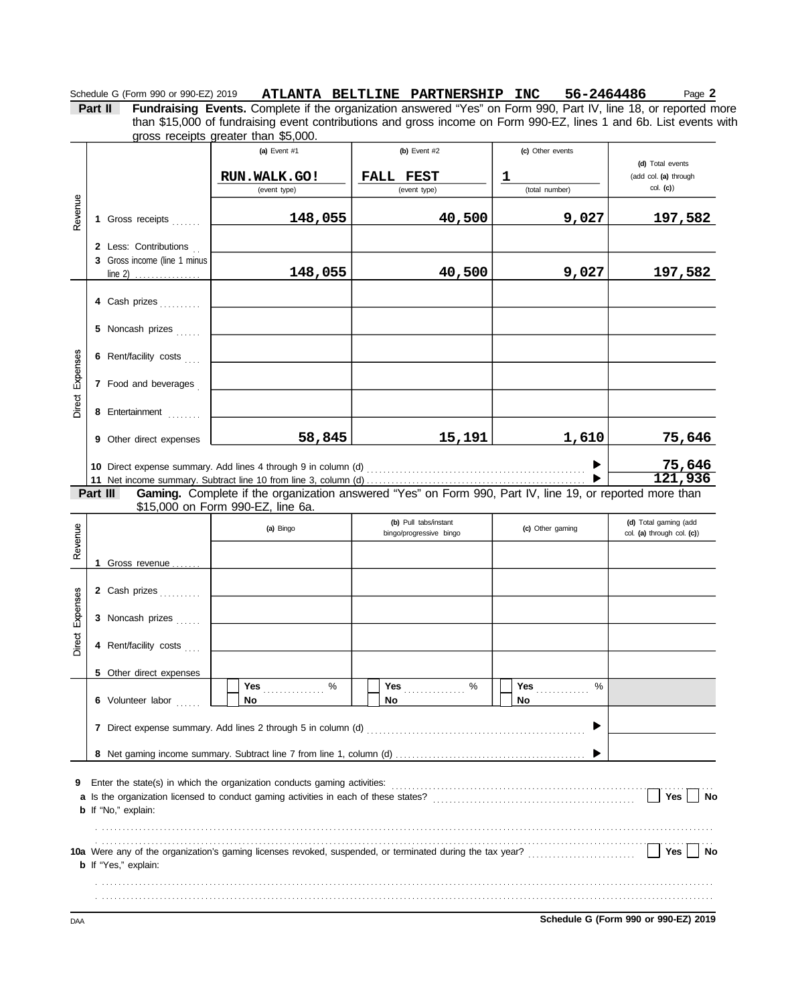Schedule G (Form 990 or 990-EZ) 2019 ATLANTA BELTLINE PARTNERSHIP INC 56-2464486 Page 2

**Part II Fundraising Events.** Complete if the organization answered "Yes" on Form 990, Part IV, line 18, or reported more gross receipts greater than \$5,000. than \$15,000 of fundraising event contributions and gross income on Form 990-EZ, lines 1 and 6b. List events with

|                 |          |                                                  | (a) Event $#1$                                                           | (b) Event $#2$                                                                                           | (c) Other events    |                                   |
|-----------------|----------|--------------------------------------------------|--------------------------------------------------------------------------|----------------------------------------------------------------------------------------------------------|---------------------|-----------------------------------|
|                 |          |                                                  |                                                                          |                                                                                                          |                     | (d) Total events                  |
|                 |          |                                                  | RUN.WALK.GO!                                                             | FALL FEST<br>(event type)                                                                                | 1<br>(total number) | (add col. (a) through<br>col. (c) |
|                 |          |                                                  | (event type)                                                             |                                                                                                          |                     |                                   |
| Revenue         |          | 1 Gross receipts                                 | 148,055                                                                  | 40,500                                                                                                   | 9,027               | 197,582                           |
|                 |          | 2 Less: Contributions                            |                                                                          |                                                                                                          |                     |                                   |
|                 |          | 3 Gross income (line 1 minus<br>line 2) $\ldots$ | 148,055                                                                  | 40,500                                                                                                   | 9,027               | <u>197,582</u>                    |
|                 |          |                                                  |                                                                          |                                                                                                          |                     |                                   |
|                 |          | 4 Cash prizes                                    |                                                                          |                                                                                                          |                     |                                   |
|                 |          | 5 Noncash prizes                                 |                                                                          |                                                                                                          |                     |                                   |
|                 |          | 6 Rent/facility costs                            |                                                                          |                                                                                                          |                     |                                   |
|                 |          | 7 Food and beverages                             |                                                                          |                                                                                                          |                     |                                   |
| Direct Expenses |          | 8 Entertainment                                  |                                                                          |                                                                                                          |                     |                                   |
|                 |          |                                                  |                                                                          |                                                                                                          |                     |                                   |
|                 |          | 9 Other direct expenses                          | 58,845                                                                   | 15,191                                                                                                   | 1,610               | 75,646                            |
|                 |          |                                                  | 10 Direct expense summary. Add lines 4 through 9 in column (d)           |                                                                                                          |                     | 75,646                            |
|                 |          |                                                  |                                                                          |                                                                                                          |                     | 121,936                           |
|                 | Part III |                                                  |                                                                          | Gaming. Complete if the organization answered "Yes" on Form 990, Part IV, line 19, or reported more than |                     |                                   |
|                 |          |                                                  | \$15,000 on Form 990-EZ, line 6a.                                        |                                                                                                          |                     |                                   |
|                 |          |                                                  | (a) Bingo                                                                | (b) Pull tabs/instant                                                                                    | (c) Other gaming    | (d) Total gaming (add             |
| Revenue         |          |                                                  |                                                                          | bingo/progressive bingo                                                                                  |                     | col. (a) through col. (c))        |
|                 |          | 1 Gross revenue                                  |                                                                          |                                                                                                          |                     |                                   |
|                 |          |                                                  |                                                                          |                                                                                                          |                     |                                   |
|                 |          | 2 Cash prizes                                    |                                                                          |                                                                                                          |                     |                                   |
| Expenses        |          | 3 Noncash prizes                                 |                                                                          |                                                                                                          |                     |                                   |
| Direct          |          | 4 Rent/facility costs                            |                                                                          |                                                                                                          |                     |                                   |
|                 |          | 5 Other direct expenses                          |                                                                          |                                                                                                          |                     |                                   |
|                 |          |                                                  | Yes<br>%                                                                 | Yes<br>%                                                                                                 | Yes<br>%            |                                   |
|                 |          | 6 Volunteer labor                                | No                                                                       | No                                                                                                       | No                  |                                   |
|                 |          |                                                  |                                                                          |                                                                                                          |                     |                                   |
|                 |          |                                                  |                                                                          |                                                                                                          |                     |                                   |
|                 |          |                                                  |                                                                          |                                                                                                          |                     |                                   |
| 9               |          |                                                  | Enter the state(s) in which the organization conducts gaming activities: |                                                                                                          |                     |                                   |
|                 |          |                                                  |                                                                          |                                                                                                          |                     | Yes<br>No                         |
|                 |          | <b>b</b> If "No," explain:                       |                                                                          |                                                                                                          |                     |                                   |
|                 |          |                                                  |                                                                          |                                                                                                          |                     |                                   |
|                 |          |                                                  |                                                                          |                                                                                                          |                     |                                   |
|                 |          | <b>b</b> If "Yes," explain:                      |                                                                          |                                                                                                          |                     | Yes<br>No                         |
|                 |          |                                                  |                                                                          |                                                                                                          |                     |                                   |
|                 |          |                                                  |                                                                          |                                                                                                          |                     |                                   |
|                 |          |                                                  |                                                                          |                                                                                                          |                     |                                   |

DAA **Schedule G (Form 990 or 990-EZ) 2019**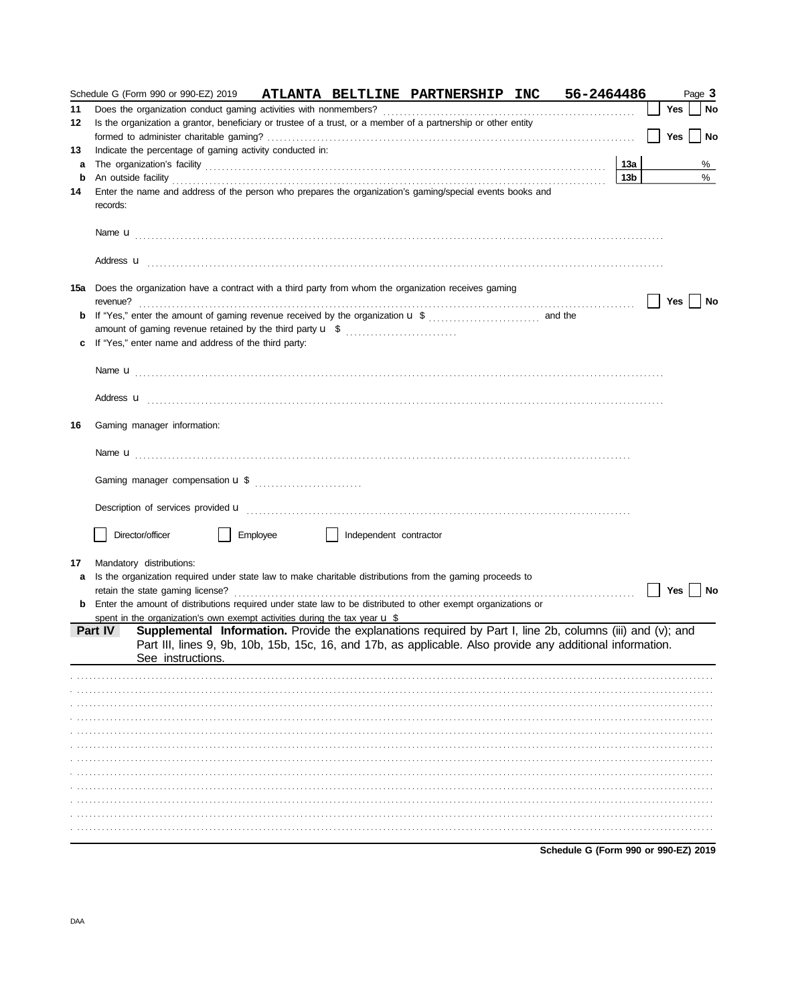|    |          |                                                                                      |          |                        | Schedule G (Form 990 or 990-EZ) 2019 ATLANTA BELTLINE PARTNERSHIP INC                                                                                                                                                                                                                           | 56-2464486                           |                 |     | Page 3 |    |
|----|----------|--------------------------------------------------------------------------------------|----------|------------------------|-------------------------------------------------------------------------------------------------------------------------------------------------------------------------------------------------------------------------------------------------------------------------------------------------|--------------------------------------|-----------------|-----|--------|----|
| 11 |          |                                                                                      |          |                        |                                                                                                                                                                                                                                                                                                 |                                      |                 | Yes |        | No |
| 12 |          |                                                                                      |          |                        | Is the organization a grantor, beneficiary or trustee of a trust, or a member of a partnership or other entity                                                                                                                                                                                  |                                      |                 |     |        |    |
|    |          |                                                                                      |          |                        |                                                                                                                                                                                                                                                                                                 |                                      |                 | Yes |        | No |
| 13 |          | Indicate the percentage of gaming activity conducted in:                             |          |                        |                                                                                                                                                                                                                                                                                                 |                                      |                 |     |        |    |
| a  |          |                                                                                      |          |                        |                                                                                                                                                                                                                                                                                                 |                                      | 13a             |     | %      |    |
| b  |          |                                                                                      |          |                        | An outside facility <b>contained an activity of the contract of the contract of the contract of the contract of the contract of the contract of the contract of the contract of the contract of the contract of the contract of </b>                                                            |                                      | 13 <sub>b</sub> |     | %      |    |
| 14 |          |                                                                                      |          |                        | Enter the name and address of the person who prepares the organization's gaming/special events books and                                                                                                                                                                                        |                                      |                 |     |        |    |
|    | records: |                                                                                      |          |                        |                                                                                                                                                                                                                                                                                                 |                                      |                 |     |        |    |
|    |          |                                                                                      |          |                        | Name $\mathbf{u}$ [1] $\cdots$ [1] $\cdots$ [1] $\cdots$ [1] $\cdots$ [1] $\cdots$ [1] $\cdots$ [1] $\cdots$ [1] $\cdots$ [1] $\cdots$ [1] $\cdots$ [1] $\cdots$ [1] $\cdots$ [1] $\cdots$ [1] $\cdots$ [1] $\cdots$ [1] $\cdots$ [1] $\cdots$ [1] $\cdots$ [1] $\cdots$ [1] $\cdots$ [1] $\cd$ |                                      |                 |     |        |    |
|    |          |                                                                                      |          |                        |                                                                                                                                                                                                                                                                                                 |                                      |                 |     |        |    |
|    |          |                                                                                      |          |                        | 15a Does the organization have a contract with a third party from whom the organization receives gaming                                                                                                                                                                                         |                                      |                 |     |        |    |
|    | revenue? |                                                                                      |          |                        |                                                                                                                                                                                                                                                                                                 |                                      |                 | Yes |        | No |
| b  |          |                                                                                      |          |                        |                                                                                                                                                                                                                                                                                                 |                                      |                 |     |        |    |
|    |          | amount of gaming revenue retained by the third party <b>u</b> \$                     |          |                        |                                                                                                                                                                                                                                                                                                 |                                      |                 |     |        |    |
| c  |          | If "Yes," enter name and address of the third party:                                 |          |                        |                                                                                                                                                                                                                                                                                                 |                                      |                 |     |        |    |
|    |          |                                                                                      |          |                        | Name ${\bf u}$ [1] $\cdots$ [1] $\cdots$ [1] $\cdots$ [1] $\cdots$ [1] $\cdots$ [1] $\cdots$ [1] $\cdots$ [1] $\cdots$ [1] $\cdots$ [1] $\cdots$ [1] $\cdots$ [1] $\cdots$ [1] $\cdots$ [1] $\cdots$ [1] $\cdots$ [1] $\cdots$ [1] $\cdots$ [1] $\cdots$ [1] $\cdots$ [1] $\cdots$ [1] $\cdots$ |                                      |                 |     |        |    |
|    |          |                                                                                      |          |                        |                                                                                                                                                                                                                                                                                                 |                                      |                 |     |        |    |
|    |          |                                                                                      |          |                        | Address <b>u</b>                                                                                                                                                                                                                                                                                |                                      |                 |     |        |    |
| 16 |          | Gaming manager information:                                                          |          |                        |                                                                                                                                                                                                                                                                                                 |                                      |                 |     |        |    |
|    |          |                                                                                      |          |                        |                                                                                                                                                                                                                                                                                                 |                                      |                 |     |        |    |
|    |          |                                                                                      |          |                        |                                                                                                                                                                                                                                                                                                 |                                      |                 |     |        |    |
|    |          |                                                                                      |          |                        |                                                                                                                                                                                                                                                                                                 |                                      |                 |     |        |    |
|    |          |                                                                                      |          |                        |                                                                                                                                                                                                                                                                                                 |                                      |                 |     |        |    |
|    |          | Director/officer                                                                     | Employee | Independent contractor |                                                                                                                                                                                                                                                                                                 |                                      |                 |     |        |    |
| 17 |          | Mandatory distributions:                                                             |          |                        |                                                                                                                                                                                                                                                                                                 |                                      |                 |     |        |    |
| a  |          |                                                                                      |          |                        | Is the organization required under state law to make charitable distributions from the gaming proceeds to                                                                                                                                                                                       |                                      |                 |     |        |    |
|    |          | retain the state gaming license?                                                     |          |                        |                                                                                                                                                                                                                                                                                                 |                                      |                 | Yes |        | No |
|    |          |                                                                                      |          |                        | Enter the amount of distributions required under state law to be distributed to other exempt organizations or                                                                                                                                                                                   |                                      |                 |     |        |    |
|    |          | spent in the organization's own exempt activities during the tax year $\mathbf u$ \$ |          |                        |                                                                                                                                                                                                                                                                                                 |                                      |                 |     |        |    |
|    |          |                                                                                      |          |                        | Part IV Supplemental Information. Provide the explanations required by Part I, line 2b, columns (iii) and (v); and<br>Part III, lines 9, 9b, 10b, 15b, 15c, 16, and 17b, as applicable. Also provide any additional information.                                                                |                                      |                 |     |        |    |
|    |          | See instructions.                                                                    |          |                        |                                                                                                                                                                                                                                                                                                 |                                      |                 |     |        |    |
|    |          |                                                                                      |          |                        |                                                                                                                                                                                                                                                                                                 |                                      |                 |     |        |    |
|    |          |                                                                                      |          |                        |                                                                                                                                                                                                                                                                                                 |                                      |                 |     |        |    |
|    |          |                                                                                      |          |                        |                                                                                                                                                                                                                                                                                                 |                                      |                 |     |        |    |
|    |          |                                                                                      |          |                        |                                                                                                                                                                                                                                                                                                 |                                      |                 |     |        |    |
|    |          |                                                                                      |          |                        |                                                                                                                                                                                                                                                                                                 |                                      |                 |     |        |    |
|    |          |                                                                                      |          |                        |                                                                                                                                                                                                                                                                                                 |                                      |                 |     |        |    |
|    |          |                                                                                      |          |                        |                                                                                                                                                                                                                                                                                                 |                                      |                 |     |        |    |
|    |          |                                                                                      |          |                        |                                                                                                                                                                                                                                                                                                 |                                      |                 |     |        |    |
|    |          |                                                                                      |          |                        |                                                                                                                                                                                                                                                                                                 |                                      |                 |     |        |    |
|    |          |                                                                                      |          |                        |                                                                                                                                                                                                                                                                                                 |                                      |                 |     |        |    |
|    |          |                                                                                      |          |                        |                                                                                                                                                                                                                                                                                                 |                                      |                 |     |        |    |
|    |          |                                                                                      |          |                        |                                                                                                                                                                                                                                                                                                 |                                      |                 |     |        |    |
|    |          |                                                                                      |          |                        |                                                                                                                                                                                                                                                                                                 | Schedule G (Form 990 or 990-EZ) 2019 |                 |     |        |    |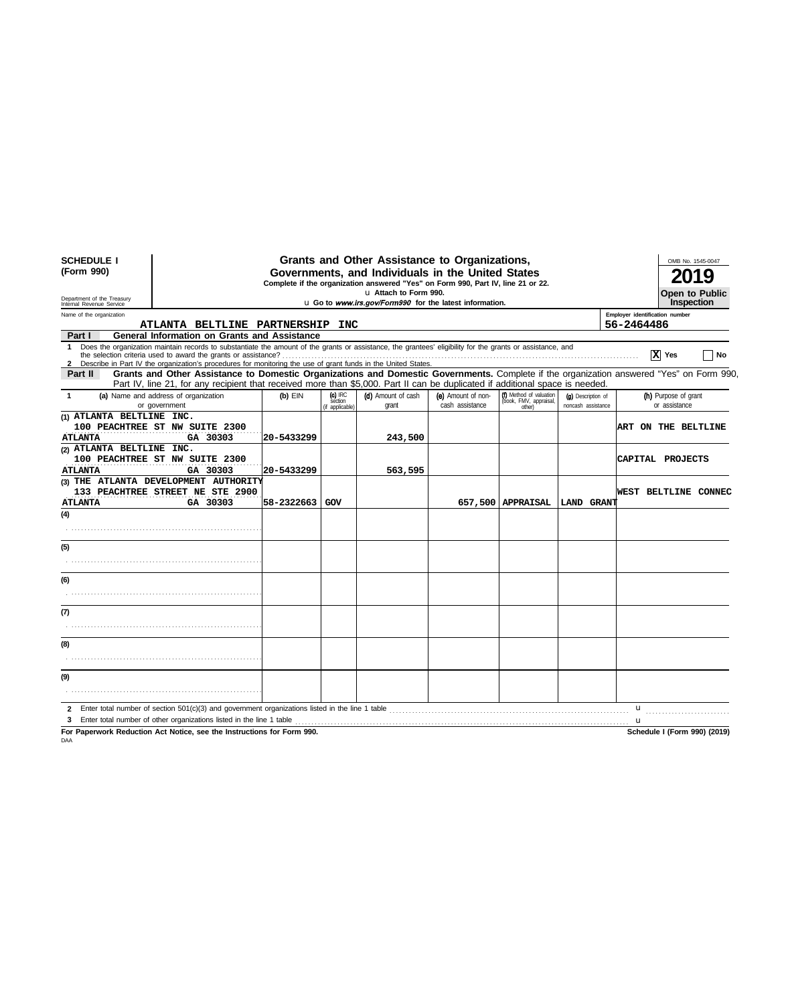| <b>SCHEDULE I</b><br>(Form 990)<br>Department of the Treasury<br>Internal Revenue Service | Grants and Other Assistance to Organizations,<br>Governments, and Individuals in the United States<br>Complete if the organization answered "Yes" on Form 990, Part IV, line 21 or 22.<br>u Attach to Form 990.<br>Open to Public<br>u Go to www.irs.gov/Form990 for the latest information.               |            |                                         |                             |                                       |                                                             |                                          |                                              |                                       |
|-------------------------------------------------------------------------------------------|------------------------------------------------------------------------------------------------------------------------------------------------------------------------------------------------------------------------------------------------------------------------------------------------------------|------------|-----------------------------------------|-----------------------------|---------------------------------------|-------------------------------------------------------------|------------------------------------------|----------------------------------------------|---------------------------------------|
| Name of the organization                                                                  | ATLANTA BELTLINE PARTNERSHIP INC                                                                                                                                                                                                                                                                           |            |                                         |                             |                                       |                                                             |                                          | Employer identification number<br>56-2464486 |                                       |
| Part I                                                                                    | General Information on Grants and Assistance                                                                                                                                                                                                                                                               |            |                                         |                             |                                       |                                                             |                                          |                                              |                                       |
| $\mathbf 1$                                                                               | Does the organization maintain records to substantiate the amount of the grants or assistance, the grantees' eligibility for the grants or assistance, and<br>2 Describe in Part IV the organization's procedures for monitoring the use of grant funds in the United States.                              |            |                                         |                             |                                       |                                                             |                                          |                                              | X Yes<br>No                           |
| Part II                                                                                   | Grants and Other Assistance to Domestic Organizations and Domestic Governments. Complete if the organization answered "Yes" on Form 990,<br>Part IV, line 21, for any recipient that received more than \$5,000. Part II can be duplicated if additional space is needed.                                  |            |                                         |                             |                                       |                                                             |                                          |                                              |                                       |
| $\mathbf{1}$                                                                              | (a) Name and address of organization<br>or government                                                                                                                                                                                                                                                      | $(b)$ EIN  | $(c)$ IRC<br>section<br>(if applicable) | (d) Amount of cash<br>grant | (e) Amount of non-<br>cash assistance | (f) Method of valuation<br>(book, FMV, appraisal,<br>other) | (g) Description of<br>noncash assistance |                                              | (h) Purpose of grant<br>or assistance |
| (1) ATLANTA BELTLINE INC.<br><b>ATLANTA</b>                                               | 100 PEACHTREE ST NW SUITE 2300<br>GA 30303                                                                                                                                                                                                                                                                 | 20-5433299 |                                         | 243,500                     |                                       |                                                             |                                          |                                              | <b>ART ON THE BELTLINE</b>            |
| (2) ATLANTA BELTLINE INC.<br><b>ATLANTA</b>                                               | 100 PEACHTREE ST NW SUITE 2300<br>GA 30303                                                                                                                                                                                                                                                                 | 20-5433299 |                                         | 563,595                     |                                       |                                                             |                                          |                                              | CAPITAL PROJECTS                      |
| <b>ATLANTA</b>                                                                            | (3) THE ATLANTA DEVELOPMENT AUTHORITY<br>133 PEACHTREE STREET NE STE 2900<br>GA 30303                                                                                                                                                                                                                      | 58-2322663 | GOV                                     |                             |                                       | 657,500   APPRAISAL                                         | LAND GRANT                               |                                              | WEST BELTLINE CONNEC                  |
| (4)                                                                                       |                                                                                                                                                                                                                                                                                                            |            |                                         |                             |                                       |                                                             |                                          |                                              |                                       |
| (5)                                                                                       |                                                                                                                                                                                                                                                                                                            |            |                                         |                             |                                       |                                                             |                                          |                                              |                                       |
| (6)                                                                                       |                                                                                                                                                                                                                                                                                                            |            |                                         |                             |                                       |                                                             |                                          |                                              |                                       |
| (7)                                                                                       |                                                                                                                                                                                                                                                                                                            |            |                                         |                             |                                       |                                                             |                                          |                                              |                                       |
| (8)                                                                                       |                                                                                                                                                                                                                                                                                                            |            |                                         |                             |                                       |                                                             |                                          |                                              |                                       |
| (9)                                                                                       |                                                                                                                                                                                                                                                                                                            |            |                                         |                             |                                       |                                                             |                                          |                                              |                                       |
|                                                                                           | $\mathbf{r}$ , and $\mathbf{r}$ , and $\mathbf{r}$ , and $\mathbf{r}$ , and $\mathbf{r}$ , $\mathbf{r}$ , $\mathbf{r}$ , $\mathbf{r}$ , $\mathbf{r}$ , $\mathbf{r}$ , $\mathbf{r}$ , $\mathbf{r}$ , $\mathbf{r}$ , $\mathbf{r}$ , $\mathbf{r}$ , $\mathbf{r}$ , $\mathbf{r}$ , $\mathbf{r}$ , $\mathbf{r}$ |            |                                         |                             |                                       |                                                             |                                          |                                              |                                       |

**For Paperwork Reduction Act Notice, see the Instructions for Form 990. Schedule I (Form 990) (2019)** DAA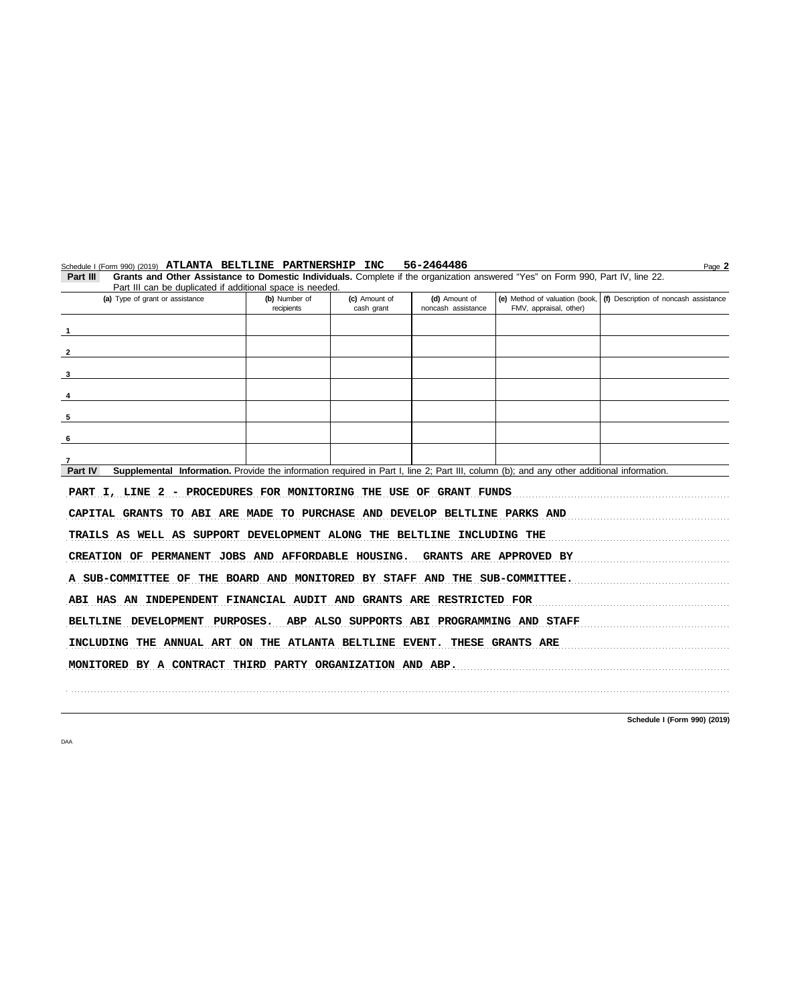| 56-2464486<br>Schedule I (Form 990) (2019) ATLANTA BELTLINE PARTNERSHIP INC<br>Page 2                                                                |                             |                             |                                     |                                                          |                                       |  |  |  |  |
|------------------------------------------------------------------------------------------------------------------------------------------------------|-----------------------------|-----------------------------|-------------------------------------|----------------------------------------------------------|---------------------------------------|--|--|--|--|
| Grants and Other Assistance to Domestic Individuals. Complete if the organization answered "Yes" on Form 990, Part IV, line 22.<br>Part III          |                             |                             |                                     |                                                          |                                       |  |  |  |  |
| Part III can be duplicated if additional space is needed.                                                                                            |                             |                             |                                     |                                                          |                                       |  |  |  |  |
| (a) Type of grant or assistance                                                                                                                      | (b) Number of<br>recipients | (c) Amount of<br>cash grant | (d) Amount of<br>noncash assistance | (e) Method of valuation (book,<br>FMV, appraisal, other) | (f) Description of noncash assistance |  |  |  |  |
|                                                                                                                                                      |                             |                             |                                     |                                                          |                                       |  |  |  |  |
|                                                                                                                                                      |                             |                             |                                     |                                                          |                                       |  |  |  |  |
|                                                                                                                                                      |                             |                             |                                     |                                                          |                                       |  |  |  |  |
|                                                                                                                                                      |                             |                             |                                     |                                                          |                                       |  |  |  |  |
| 3                                                                                                                                                    |                             |                             |                                     |                                                          |                                       |  |  |  |  |
|                                                                                                                                                      |                             |                             |                                     |                                                          |                                       |  |  |  |  |
|                                                                                                                                                      |                             |                             |                                     |                                                          |                                       |  |  |  |  |
| 5                                                                                                                                                    |                             |                             |                                     |                                                          |                                       |  |  |  |  |
|                                                                                                                                                      |                             |                             |                                     |                                                          |                                       |  |  |  |  |
| 6                                                                                                                                                    |                             |                             |                                     |                                                          |                                       |  |  |  |  |
|                                                                                                                                                      |                             |                             |                                     |                                                          |                                       |  |  |  |  |
| Supplemental Information. Provide the information required in Part I, line 2; Part III, column (b); and any other additional information.<br>Part IV |                             |                             |                                     |                                                          |                                       |  |  |  |  |
|                                                                                                                                                      |                             |                             |                                     |                                                          |                                       |  |  |  |  |
| PART I, LINE 2 - PROCEDURES FOR MONITORING THE USE OF GRANT FUNDS                                                                                    |                             |                             |                                     |                                                          |                                       |  |  |  |  |
| CAPITAL GRANTS TO ABI ARE MADE TO PURCHASE AND DEVELOP BELTLINE PARKS AND                                                                            |                             |                             |                                     |                                                          |                                       |  |  |  |  |
| TRAILS AS WELL AS SUPPORT DEVELOPMENT ALONG THE BELTLINE INCLUDING THE                                                                               |                             |                             |                                     |                                                          |                                       |  |  |  |  |
| CREATION OF PERMANENT JOBS AND AFFORDABLE HOUSING. GRANTS ARE APPROVED BY                                                                            |                             |                             |                                     |                                                          |                                       |  |  |  |  |
|                                                                                                                                                      |                             |                             |                                     |                                                          |                                       |  |  |  |  |
| A SUB-COMMITTEE OF THE BOARD AND MONITORED BY STAFF AND THE SUB-COMMITTEE.                                                                           |                             |                             |                                     |                                                          |                                       |  |  |  |  |
| ABI HAS AN INDEPENDENT FINANCIAL AUDIT AND GRANTS ARE RESTRICTED FOR                                                                                 |                             |                             |                                     |                                                          |                                       |  |  |  |  |
| BELTLINE DEVELOPMENT PURPOSES. ABP ALSO SUPPORTS ABI PROGRAMMING AND STAFF                                                                           |                             |                             |                                     |                                                          |                                       |  |  |  |  |
|                                                                                                                                                      |                             |                             |                                     |                                                          |                                       |  |  |  |  |
| INCLUDING THE ANNUAL ART ON THE ATLANTA BELTLINE EVENT. THESE GRANTS ARE                                                                             |                             |                             |                                     |                                                          |                                       |  |  |  |  |
| MONITORED BY A CONTRACT THIRD PARTY ORGANIZATION AND ABP.                                                                                            |                             |                             |                                     |                                                          |                                       |  |  |  |  |
|                                                                                                                                                      |                             |                             |                                     |                                                          |                                       |  |  |  |  |
|                                                                                                                                                      |                             |                             |                                     |                                                          |                                       |  |  |  |  |

**Schedule I (Form 990) (2019)**

DAA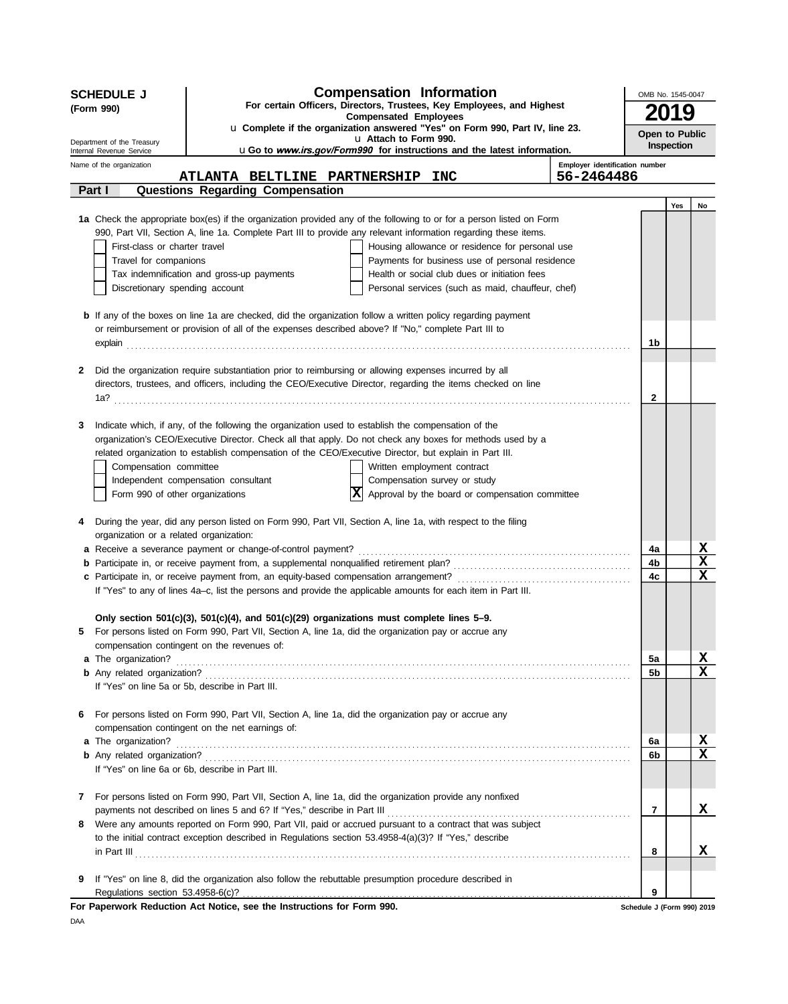|    | <b>SCHEDULE J</b>                                      | <b>Compensation Information</b>                                                                                                                                                                                     | OMB No. 1545-0047          |            |                                     |  |
|----|--------------------------------------------------------|---------------------------------------------------------------------------------------------------------------------------------------------------------------------------------------------------------------------|----------------------------|------------|-------------------------------------|--|
|    | (Form 990)                                             | For certain Officers, Directors, Trustees, Key Employees, and Highest                                                                                                                                               |                            |            |                                     |  |
|    |                                                        | <b>Compensated Employees</b><br>u Complete if the organization answered "Yes" on Form 990, Part IV, line 23.                                                                                                        |                            |            |                                     |  |
|    | Department of the Treasury<br>Internal Revenue Service | u Attach to Form 990.<br>uGo to www.irs.gov/Form990 for instructions and the latest information.                                                                                                                    | Open to Public             | Inspection |                                     |  |
|    | Name of the organization                               | Employer identification number                                                                                                                                                                                      |                            |            |                                     |  |
|    |                                                        | 56-2464486<br><b>ATLANTA BELTLINE PARTNERSHIP</b><br><b>INC</b>                                                                                                                                                     |                            |            |                                     |  |
|    | Part I                                                 | Questions Regarding Compensation                                                                                                                                                                                    |                            |            |                                     |  |
|    |                                                        | 1a Check the appropriate box(es) if the organization provided any of the following to or for a person listed on Form                                                                                                |                            | Yes        | No                                  |  |
|    |                                                        | 990, Part VII, Section A, line 1a. Complete Part III to provide any relevant information regarding these items.                                                                                                     |                            |            |                                     |  |
|    | First-class or charter travel                          | Housing allowance or residence for personal use                                                                                                                                                                     |                            |            |                                     |  |
|    | Travel for companions                                  | Payments for business use of personal residence                                                                                                                                                                     |                            |            |                                     |  |
|    |                                                        | Tax indemnification and gross-up payments<br>Health or social club dues or initiation fees                                                                                                                          |                            |            |                                     |  |
|    | Discretionary spending account                         | Personal services (such as maid, chauffeur, chef)                                                                                                                                                                   |                            |            |                                     |  |
|    |                                                        | <b>b</b> If any of the boxes on line 1a are checked, did the organization follow a written policy regarding payment                                                                                                 |                            |            |                                     |  |
|    |                                                        | or reimbursement or provision of all of the expenses described above? If "No," complete Part III to                                                                                                                 |                            |            |                                     |  |
|    |                                                        |                                                                                                                                                                                                                     | 1b                         |            |                                     |  |
| 2  |                                                        | Did the organization require substantiation prior to reimbursing or allowing expenses incurred by all                                                                                                               |                            |            |                                     |  |
|    |                                                        | directors, trustees, and officers, including the CEO/Executive Director, regarding the items checked on line                                                                                                        |                            |            |                                     |  |
|    |                                                        |                                                                                                                                                                                                                     | 2                          |            |                                     |  |
|    |                                                        |                                                                                                                                                                                                                     |                            |            |                                     |  |
| 3  |                                                        | Indicate which, if any, of the following the organization used to establish the compensation of the                                                                                                                 |                            |            |                                     |  |
|    |                                                        | organization's CEO/Executive Director. Check all that apply. Do not check any boxes for methods used by a<br>related organization to establish compensation of the CEO/Executive Director, but explain in Part III. |                            |            |                                     |  |
|    | Compensation committee                                 | Written employment contract                                                                                                                                                                                         |                            |            |                                     |  |
|    |                                                        | Independent compensation consultant<br>Compensation survey or study                                                                                                                                                 |                            |            |                                     |  |
|    | Form 990 of other organizations                        | Approval by the board or compensation committee<br>ΙXΙ                                                                                                                                                              |                            |            |                                     |  |
|    |                                                        |                                                                                                                                                                                                                     |                            |            |                                     |  |
| 4  | organization or a related organization:                | During the year, did any person listed on Form 990, Part VII, Section A, line 1a, with respect to the filing                                                                                                        |                            |            |                                     |  |
|    |                                                        | a Receive a severance payment or change-of-control payment?                                                                                                                                                         | 4a                         |            | <u>x</u>                            |  |
|    |                                                        |                                                                                                                                                                                                                     | 4b                         |            | X                                   |  |
|    |                                                        |                                                                                                                                                                                                                     | 4c                         |            | $\mathbf x$                         |  |
|    |                                                        | If "Yes" to any of lines 4a–c, list the persons and provide the applicable amounts for each item in Part III.                                                                                                       |                            |            |                                     |  |
|    |                                                        | Only section $501(c)(3)$ , $501(c)(4)$ , and $501(c)(29)$ organizations must complete lines 5-9.                                                                                                                    |                            |            |                                     |  |
| 5. |                                                        | For persons listed on Form 990, Part VII, Section A, line 1a, did the organization pay or accrue any                                                                                                                |                            |            |                                     |  |
|    |                                                        | compensation contingent on the revenues of:                                                                                                                                                                         |                            |            |                                     |  |
|    |                                                        |                                                                                                                                                                                                                     | 5a<br>5 <sub>b</sub>       |            | <u>x</u><br>$\overline{\mathbf{x}}$ |  |
|    |                                                        | If "Yes" on line 5a or 5b, describe in Part III.                                                                                                                                                                    |                            |            |                                     |  |
|    |                                                        |                                                                                                                                                                                                                     |                            |            |                                     |  |
| 6  |                                                        | For persons listed on Form 990, Part VII, Section A, line 1a, did the organization pay or accrue any                                                                                                                |                            |            |                                     |  |
|    |                                                        | compensation contingent on the net earnings of:                                                                                                                                                                     |                            |            |                                     |  |
|    | a The organization?                                    |                                                                                                                                                                                                                     | 6a<br>6b                   |            | <u>x</u><br>X                       |  |
|    |                                                        | If "Yes" on line 6a or 6b, describe in Part III.                                                                                                                                                                    |                            |            |                                     |  |
|    |                                                        | 7 For persons listed on Form 990, Part VII, Section A, line 1a, did the organization provide any nonfixed                                                                                                           |                            |            |                                     |  |
|    |                                                        |                                                                                                                                                                                                                     | $\overline{7}$             |            | X                                   |  |
| 8  |                                                        | Were any amounts reported on Form 990, Part VII, paid or accrued pursuant to a contract that was subject                                                                                                            |                            |            |                                     |  |
|    |                                                        | to the initial contract exception described in Regulations section 53.4958-4(a)(3)? If "Yes," describe                                                                                                              |                            |            |                                     |  |
|    |                                                        | $\ $ n Part III $\ $                                                                                                                                                                                                | 8                          |            | X                                   |  |
| 9  |                                                        | If "Yes" on line 8, did the organization also follow the rebuttable presumption procedure described in                                                                                                              |                            |            |                                     |  |
|    |                                                        |                                                                                                                                                                                                                     | 9                          |            |                                     |  |
|    |                                                        | For Paperwork Reduction Act Notice, see the Instructions for Form 990.                                                                                                                                              | Schedule J (Form 990) 2019 |            |                                     |  |

DAA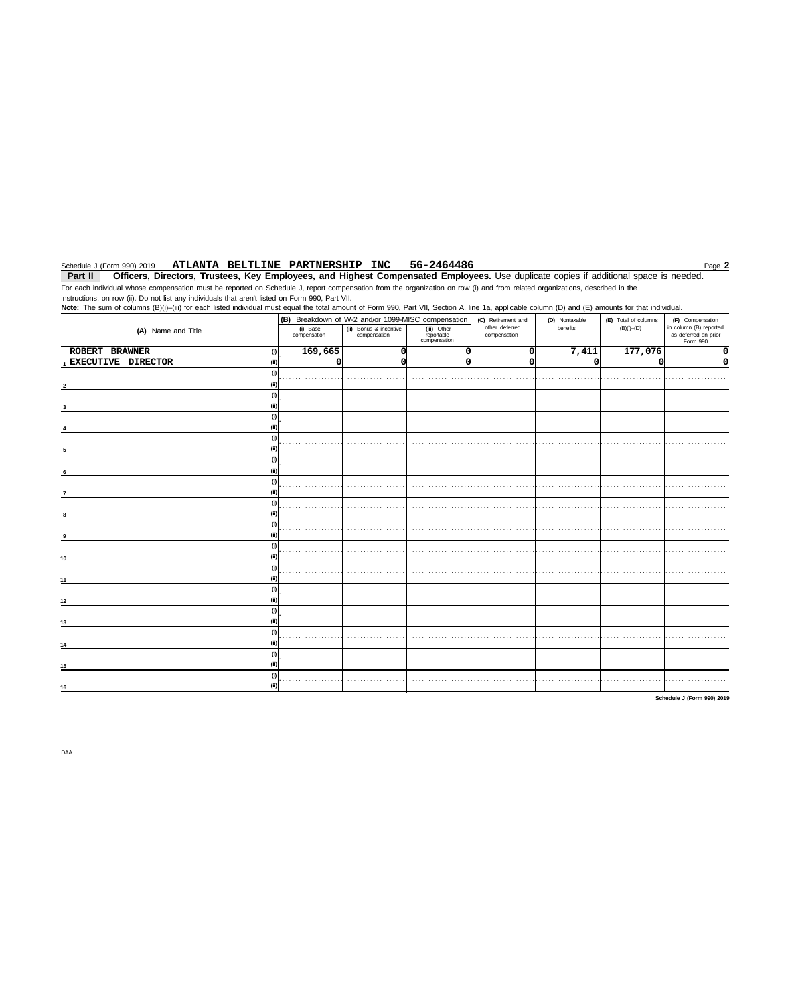#### ATLANTA BELTLINE PARTNERSHIP INC 56-2464486 Schedule J (Form 990) 2019

Page 2

Part II Officers, Directors, Trustees, Key Employees, and Highest Compensated Employees. Use duplicate copies if additional space is needed. For each individual whose compensation must be reported on Schedule J, report compensation from the organization on row (i) and from related organizations, described in the

instructions, on row (ii). Do not list any individuals that aren't listed on Form 990, Part VII. Note: The sum of columns (B)(i)-(iii) for each listed individual must equal the total amount of Form 990, Part VII, Section A, line 1a, applicable column (D) and (E) amounts for that individual. (B) Breakdown of W-2 and/or 1099-MISC compensation (C) Retirement and<br>other deferred<br>compensation (F) Compensation<br>in column (B) reported<br>as deferred on prior<br>Form 990 (D) Nontaxable (E) Total of columns (iii) Other<br>reportable<br>compensation  $(B)(i)$ - $(D)$ (A) Name and Title (i) Base<br>compensation (ii) Bonus & incentive benefits compens ition  $7,411$ ROBERT BRAWNER 169,665 177,076  $\overline{\mathfrak{o}}$  $\overline{v}$ 이 이 ٥ . . . . . . . . . . . . . . . . . . . . . . . . . . . . . . . . . . . . . . . . . . . . . . . . . . . . . . . . 1 EXECUTIVE DIRECTOR ٠ö ö ö ö ö  $\Omega$  $\vert$ (i)  $\mathbf 2$  $\boldsymbol{\theta}$ . . . . . . . . . . . . . . . . . . . . . . . . . . . . . . . . . . . . . . . . . . . . . . . . . . . . . . . . . . . . . . . . . . . . . . . . . . . . . . . . . . . . . . . . . . . . . . . . . . . . . . . . . . . . . . .  $\overline{\mathbf{3}}$  $|0\rangle$ . . . . . . . . . . . . . . . . . . . . . . . . . . . . . . . . . . . . . . . . . . . . . . . . . . . . . . . . . . . . . . . . . . . . . . . . . . . .  $\overline{(\mathfrak{h})}$ . . . . . . . . . . . . . . . . . . . . . . . . . . . . . . . . . . . . . . . . . . . . . . . . . . . . . . . . . . . . . . . . . . . . . . . . . . . . . . . . . . . . . . . . . . . . . . . . . . . . . . . . . . . . . . . . .  $\vert$ (i) . . . . . . . . . . . . . . . . . . . . . . . . . . . . . . . . . . . . . . . . . . . . . . . . . . . . . . . . . . . . . . . . . . . . . . . . . . . . . . . . . . . . . . . . . . . . . . . . . . . . . . . . . . . . . . . . .  $\sqrt{a}$ . . . . . . . . . . . . . . . . . . . . . . . . . . . . . . . . . . . . . . . . . . . . . . . . . . . . . . . . . . . . . . . . . . . . . . . . . . . . . . . . . . . . . . . . . . . . . . . . . . . . . . . . . . . . . . . . . .  $\boxed{0}$ . . . . . . . . . . . . . . . . . . . . . . . . . . . . . . . . . . . . . . . . . . . . . . . . . . . . . . . . . . . . . . . . . . . . . . . . . . . . . . . . . . . . . . . . . . . . . . . . . . . . . . . . . . . . . . . . . . . . . . .  $\vert$ (i) . . . . . . . . . . . . . . . . . . . . . . . . . . . . . . . . . . . . . . . . . . . . . . . . . . . . . . . . . . . . . . . . . . . . . . . . . . . . . . . . . . . . . . . . . . . . . . . . . . . . . . . . . . . . . . . .  $\boldsymbol{9}$  $\boxed{0}$ . . . . . . . . . . . . . . . . . . . . . . . . . . . . . . . . . . . . . . . . . . . . . . . . . . . . . . . . . . . . . . . . . . . . . . . . . . . . . . . . . . . . . . . . . . . . . . . . . . . . . . . . . . . . . . . . . . . . . . . .  $|0\rangle$ . . . . . . . . . . . . . .  $11$  $\boxed{0}$ . . . . . . . . . . . . . . . . . . . . . . . . . . . . . . . . . . . . . . . . . . . . . . . . . . . . . . . . . . . . . . . . . . . . . . . . . . . . . . . . . . . . . . . . . . . . . . . . . . . . . . . . . . . . . . . . . . . .  $12$  $|0\rangle$  $13$  $\overline{0}$ . . . . . . . . . . . . . . . . . . . . . . . . . . . . . . . . . . . . . . . . . . . . . . . . . . . . . . . . . . . . . . . . . . . . . . . . . . . . . . . . . . . . . . . . . . . . . . . . . . . . . . . . . . . . . . .  $14$  $|0\rangle$ . . . . . . . . . . . . . . . . . . . . . . . . . . . . . . . . . . . . . . . . . . . . . . .  $15$  $\boxed{0}$ . . . . . . . . . . . . . . . . . . . . . . . . . . . . . . . . . . . . . . . . . . . . . . . . . . . . . . . . . . . . . . . . . . . . . . . . . . . . . . . . . . . . . . . . . . . . . . . . . . . . . . . . . . . . . . 16 Schedule J (Form 990) 2019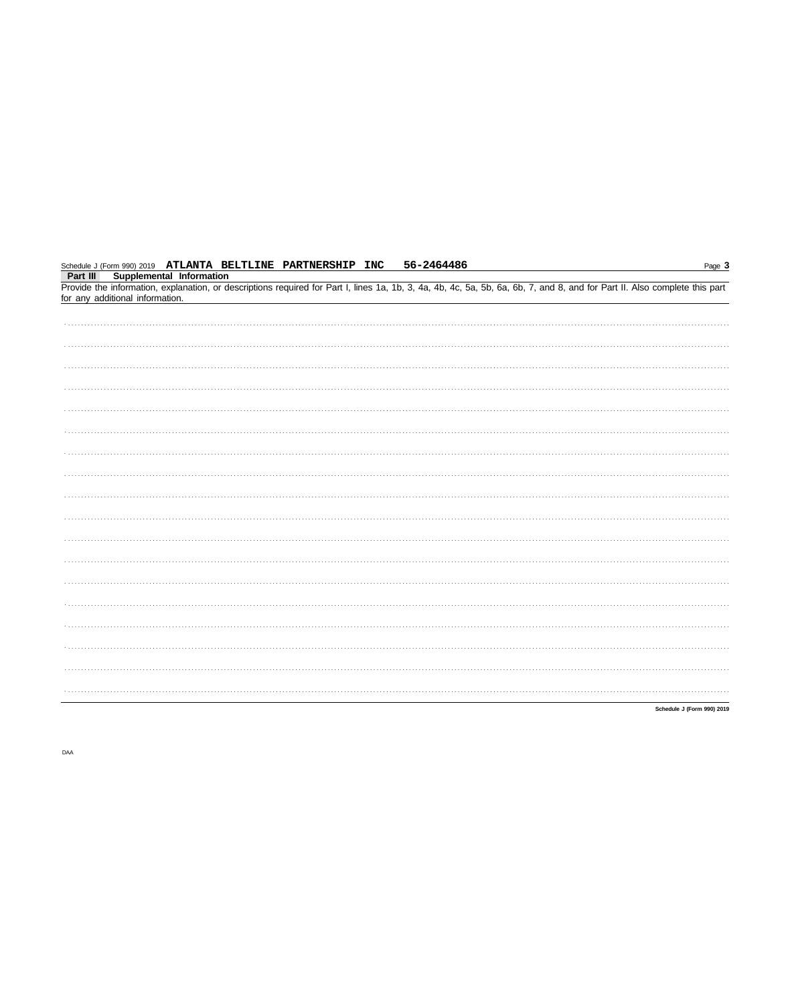| Schedule J (Form 990) 2019 ATLANTA BELTLINE PARTNERSHIP INC | 56-2464486 | Page 3                                                                                                                                                                     |
|-------------------------------------------------------------|------------|----------------------------------------------------------------------------------------------------------------------------------------------------------------------------|
| Supplemental Information<br>Part III                        |            | Provide the information, explanation, or descriptions required for Part I, lines 1a, 1b, 3, 4a, 4b, 4c, 5a, 5b, 6a, 6b, 7, and 8, and for Part II. Also complete this part |
| for any additional information.                             |            |                                                                                                                                                                            |
|                                                             |            |                                                                                                                                                                            |
|                                                             |            |                                                                                                                                                                            |
|                                                             |            |                                                                                                                                                                            |
|                                                             |            |                                                                                                                                                                            |
|                                                             |            |                                                                                                                                                                            |
|                                                             |            |                                                                                                                                                                            |
|                                                             |            |                                                                                                                                                                            |
|                                                             |            |                                                                                                                                                                            |
|                                                             |            |                                                                                                                                                                            |
|                                                             |            |                                                                                                                                                                            |
|                                                             |            |                                                                                                                                                                            |
|                                                             |            |                                                                                                                                                                            |
|                                                             |            |                                                                                                                                                                            |
|                                                             |            |                                                                                                                                                                            |
|                                                             |            |                                                                                                                                                                            |
|                                                             |            |                                                                                                                                                                            |
|                                                             |            |                                                                                                                                                                            |
|                                                             |            |                                                                                                                                                                            |
|                                                             |            | Schedule J (Form 990) 2019                                                                                                                                                 |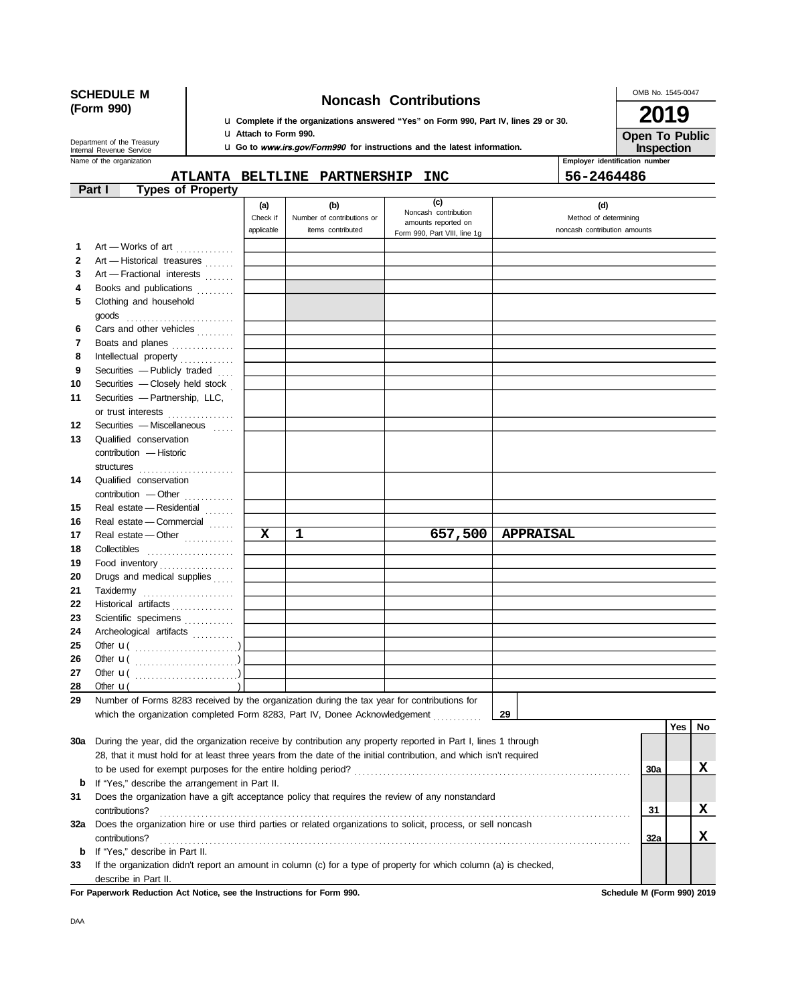| <b>SCHEDULE M</b><br>(Form 990)                      |                                                                                                                    |            |                                                                                             |                                     | OMB No. 1545-0047                                   |            |                              |            |                            |     |    |  |
|------------------------------------------------------|--------------------------------------------------------------------------------------------------------------------|------------|---------------------------------------------------------------------------------------------|-------------------------------------|-----------------------------------------------------|------------|------------------------------|------------|----------------------------|-----|----|--|
|                                                      |                                                                                                                    |            |                                                                                             |                                     | <b>2019</b>                                         |            |                              |            |                            |     |    |  |
|                                                      |                                                                                                                    |            | <b>u</b> Complete if the organizations answered "Yes" on Form 990, Part IV, lines 29 or 30. |                                     |                                                     |            |                              |            |                            |     |    |  |
|                                                      | Department of the Treasury                                                                                         |            | <b>u</b> Attach to Form 990.                                                                |                                     | <b>Open To Public</b><br>Inspection                 |            |                              |            |                            |     |    |  |
| Internal Revenue Service<br>Name of the organization |                                                                                                                    |            | <b>u</b> Go to www.irs.gov/Form990 for instructions and the latest information.             | Employer identification number      |                                                     |            |                              |            |                            |     |    |  |
|                                                      |                                                                                                                    |            |                                                                                             | <b>ATLANTA BELTLINE PARTNERSHIP</b> |                                                     | <b>INC</b> |                              | 56-2464486 |                            |     |    |  |
|                                                      | Part I<br><b>Types of Property</b>                                                                                 |            |                                                                                             |                                     |                                                     |            |                              |            |                            |     |    |  |
|                                                      |                                                                                                                    |            | (a)                                                                                         | (b)                                 |                                                     | (c)        |                              | (d)        |                            |     |    |  |
|                                                      |                                                                                                                    |            | Noncash contribution<br>Check if<br>Number of contributions or                              |                                     |                                                     |            |                              |            | Method of determining      |     |    |  |
|                                                      |                                                                                                                    | applicable | items contributed                                                                           |                                     | amounts reported on<br>Form 990, Part VIII, line 1g |            | noncash contribution amounts |            |                            |     |    |  |
| 1                                                    | Art — Works of art                                                                                                 |            |                                                                                             |                                     |                                                     |            |                              |            |                            |     |    |  |
| 2                                                    | Art - Historical treasures                                                                                         |            |                                                                                             |                                     |                                                     |            |                              |            |                            |     |    |  |
| 3                                                    | Art - Fractional interests                                                                                         |            |                                                                                             |                                     |                                                     |            |                              |            |                            |     |    |  |
| 4                                                    | Books and publications                                                                                             |            |                                                                                             |                                     |                                                     |            |                              |            |                            |     |    |  |
| 5                                                    | Clothing and household                                                                                             |            |                                                                                             |                                     |                                                     |            |                              |            |                            |     |    |  |
|                                                      | goods $\ldots \ldots \ldots \ldots \ldots \ldots \ldots$                                                           |            |                                                                                             |                                     |                                                     |            |                              |            |                            |     |    |  |
| 6                                                    | Cars and other vehicles                                                                                            |            |                                                                                             |                                     |                                                     |            |                              |            |                            |     |    |  |
| 7                                                    | Boats and planes                                                                                                   |            |                                                                                             |                                     |                                                     |            |                              |            |                            |     |    |  |
| 8                                                    | Intellectual property                                                                                              |            |                                                                                             |                                     |                                                     |            |                              |            |                            |     |    |  |
| 9                                                    | Securities - Publicly traded                                                                                       |            |                                                                                             |                                     |                                                     |            |                              |            |                            |     |    |  |
| 10                                                   | Securities - Closely held stock                                                                                    |            |                                                                                             |                                     |                                                     |            |                              |            |                            |     |    |  |
| 11                                                   | Securities - Partnership, LLC,                                                                                     |            |                                                                                             |                                     |                                                     |            |                              |            |                            |     |    |  |
|                                                      | or trust interests                                                                                                 |            |                                                                                             |                                     |                                                     |            |                              |            |                            |     |    |  |
| 12                                                   | Securities - Miscellaneous                                                                                         |            |                                                                                             |                                     |                                                     |            |                              |            |                            |     |    |  |
| 13                                                   | Qualified conservation                                                                                             |            |                                                                                             |                                     |                                                     |            |                              |            |                            |     |    |  |
|                                                      | contribution - Historic                                                                                            |            |                                                                                             |                                     |                                                     |            |                              |            |                            |     |    |  |
| 14                                                   | structures<br>Qualified conservation                                                                               |            |                                                                                             |                                     |                                                     |            |                              |            |                            |     |    |  |
|                                                      | contribution - Other                                                                                               |            |                                                                                             |                                     |                                                     |            |                              |            |                            |     |    |  |
| 15                                                   | Real estate - Residential                                                                                          |            |                                                                                             |                                     |                                                     |            |                              |            |                            |     |    |  |
| 16                                                   | Real estate - Commercial                                                                                           |            |                                                                                             |                                     |                                                     |            |                              |            |                            |     |    |  |
| 17                                                   | Real estate - Other                                                                                                |            | X                                                                                           | 1                                   |                                                     | 657,500    | <b>APPRAISAL</b>             |            |                            |     |    |  |
| 18                                                   | Collectibles                                                                                                       |            |                                                                                             |                                     |                                                     |            |                              |            |                            |     |    |  |
| 19                                                   | Food inventory                                                                                                     |            |                                                                                             |                                     |                                                     |            |                              |            |                            |     |    |  |
| 20                                                   | Drugs and medical supplies                                                                                         |            |                                                                                             |                                     |                                                     |            |                              |            |                            |     |    |  |
| 21                                                   | Taxidermy                                                                                                          |            |                                                                                             |                                     |                                                     |            |                              |            |                            |     |    |  |
| 22                                                   | Historical artifacts                                                                                               |            |                                                                                             |                                     |                                                     |            |                              |            |                            |     |    |  |
| 23                                                   | Scientific specimens                                                                                               |            |                                                                                             |                                     |                                                     |            |                              |            |                            |     |    |  |
| 24                                                   | Archeological artifacts                                                                                            |            |                                                                                             |                                     |                                                     |            |                              |            |                            |     |    |  |
| 25                                                   |                                                                                                                    |            |                                                                                             |                                     |                                                     |            |                              |            |                            |     |    |  |
| 26                                                   |                                                                                                                    |            |                                                                                             |                                     |                                                     |            |                              |            |                            |     |    |  |
| 27                                                   |                                                                                                                    |            |                                                                                             |                                     |                                                     |            |                              |            |                            |     |    |  |
| 28<br>29                                             | Other $\mathbf{u}$<br>Number of Forms 8283 received by the organization during the tax year for contributions for  |            |                                                                                             |                                     |                                                     |            |                              |            |                            |     |    |  |
|                                                      | which the organization completed Form 8283, Part IV, Donee Acknowledgement                                         |            |                                                                                             |                                     |                                                     |            | 29                           |            |                            |     |    |  |
|                                                      |                                                                                                                    |            |                                                                                             |                                     |                                                     |            |                              |            |                            | Yes | No |  |
| 30a                                                  | During the year, did the organization receive by contribution any property reported in Part I, lines 1 through     |            |                                                                                             |                                     |                                                     |            |                              |            |                            |     |    |  |
|                                                      | 28, that it must hold for at least three years from the date of the initial contribution, and which isn't required |            |                                                                                             |                                     |                                                     |            |                              |            |                            |     |    |  |
|                                                      |                                                                                                                    |            |                                                                                             |                                     |                                                     |            |                              |            | 30a                        |     | X  |  |
| b                                                    | If "Yes," describe the arrangement in Part II.                                                                     |            |                                                                                             |                                     |                                                     |            |                              |            |                            |     |    |  |
| 31                                                   | Does the organization have a gift acceptance policy that requires the review of any nonstandard                    |            |                                                                                             |                                     |                                                     |            |                              |            |                            |     |    |  |
|                                                      | contributions?                                                                                                     |            |                                                                                             |                                     | 31                                                  |            | x                            |            |                            |     |    |  |
|                                                      | 32a Does the organization hire or use third parties or related organizations to solicit, process, or sell noncash  |            |                                                                                             |                                     |                                                     |            |                              |            |                            |     |    |  |
|                                                      | contributions?                                                                                                     |            |                                                                                             |                                     |                                                     |            |                              |            | 32a                        |     | x  |  |
| b                                                    | If "Yes," describe in Part II.                                                                                     |            |                                                                                             |                                     |                                                     |            |                              |            |                            |     |    |  |
| 33                                                   | If the organization didn't report an amount in column (c) for a type of property for which column (a) is checked,  |            |                                                                                             |                                     |                                                     |            |                              |            |                            |     |    |  |
|                                                      | describe in Part II.                                                                                               |            |                                                                                             |                                     |                                                     |            |                              |            |                            |     |    |  |
|                                                      | For Paperwork Reduction Act Notice, see the Instructions for Form 990.                                             |            |                                                                                             |                                     |                                                     |            |                              |            | Schedule M (Form 990) 2019 |     |    |  |

DAA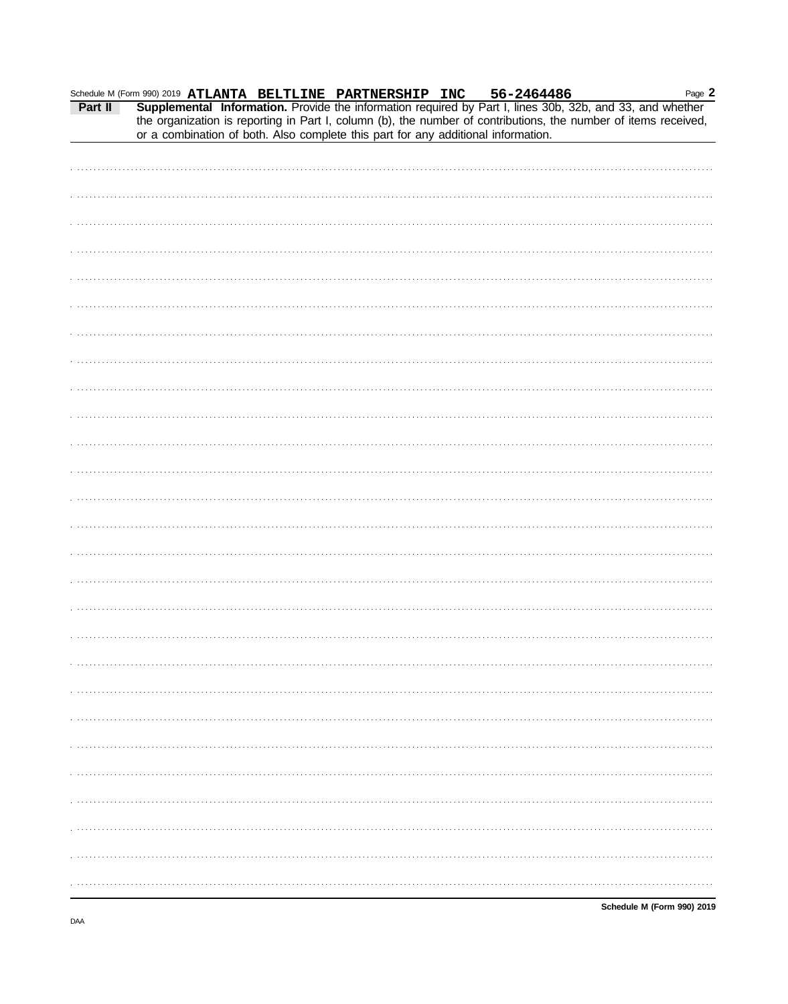|  |  |  |  |                                                                                   | Page 2                                                                                                                                                                                                |
|--|--|--|--|-----------------------------------------------------------------------------------|-------------------------------------------------------------------------------------------------------------------------------------------------------------------------------------------------------|
|  |  |  |  |                                                                                   | Schedule M (Form 990) 2019 ATLANTA BELTLINE PARTNERSHIP INC 56-2464486 Page Page<br>Part II Supplemental Information. Provide the information required by Part I, lines 30b, 32b, and 33, and whether |
|  |  |  |  |                                                                                   | the organization is reporting in Part I, column (b), the number of contributions, the number of items received,                                                                                       |
|  |  |  |  | or a combination of both. Also complete this part for any additional information. |                                                                                                                                                                                                       |
|  |  |  |  |                                                                                   |                                                                                                                                                                                                       |
|  |  |  |  |                                                                                   |                                                                                                                                                                                                       |
|  |  |  |  |                                                                                   |                                                                                                                                                                                                       |
|  |  |  |  |                                                                                   |                                                                                                                                                                                                       |
|  |  |  |  |                                                                                   |                                                                                                                                                                                                       |
|  |  |  |  |                                                                                   |                                                                                                                                                                                                       |
|  |  |  |  |                                                                                   |                                                                                                                                                                                                       |
|  |  |  |  |                                                                                   |                                                                                                                                                                                                       |
|  |  |  |  |                                                                                   |                                                                                                                                                                                                       |
|  |  |  |  |                                                                                   |                                                                                                                                                                                                       |
|  |  |  |  |                                                                                   |                                                                                                                                                                                                       |
|  |  |  |  |                                                                                   |                                                                                                                                                                                                       |
|  |  |  |  |                                                                                   |                                                                                                                                                                                                       |
|  |  |  |  |                                                                                   |                                                                                                                                                                                                       |
|  |  |  |  |                                                                                   |                                                                                                                                                                                                       |
|  |  |  |  |                                                                                   |                                                                                                                                                                                                       |
|  |  |  |  |                                                                                   |                                                                                                                                                                                                       |
|  |  |  |  |                                                                                   |                                                                                                                                                                                                       |
|  |  |  |  |                                                                                   |                                                                                                                                                                                                       |
|  |  |  |  |                                                                                   |                                                                                                                                                                                                       |
|  |  |  |  |                                                                                   |                                                                                                                                                                                                       |
|  |  |  |  |                                                                                   |                                                                                                                                                                                                       |
|  |  |  |  |                                                                                   |                                                                                                                                                                                                       |
|  |  |  |  |                                                                                   |                                                                                                                                                                                                       |
|  |  |  |  |                                                                                   |                                                                                                                                                                                                       |
|  |  |  |  |                                                                                   |                                                                                                                                                                                                       |
|  |  |  |  |                                                                                   |                                                                                                                                                                                                       |
|  |  |  |  |                                                                                   |                                                                                                                                                                                                       |
|  |  |  |  |                                                                                   |                                                                                                                                                                                                       |
|  |  |  |  |                                                                                   |                                                                                                                                                                                                       |
|  |  |  |  |                                                                                   |                                                                                                                                                                                                       |
|  |  |  |  |                                                                                   |                                                                                                                                                                                                       |
|  |  |  |  |                                                                                   |                                                                                                                                                                                                       |
|  |  |  |  |                                                                                   |                                                                                                                                                                                                       |
|  |  |  |  |                                                                                   |                                                                                                                                                                                                       |
|  |  |  |  |                                                                                   |                                                                                                                                                                                                       |
|  |  |  |  |                                                                                   |                                                                                                                                                                                                       |
|  |  |  |  |                                                                                   |                                                                                                                                                                                                       |
|  |  |  |  |                                                                                   |                                                                                                                                                                                                       |
|  |  |  |  |                                                                                   |                                                                                                                                                                                                       |
|  |  |  |  |                                                                                   |                                                                                                                                                                                                       |
|  |  |  |  |                                                                                   |                                                                                                                                                                                                       |
|  |  |  |  |                                                                                   |                                                                                                                                                                                                       |
|  |  |  |  |                                                                                   |                                                                                                                                                                                                       |
|  |  |  |  |                                                                                   |                                                                                                                                                                                                       |
|  |  |  |  |                                                                                   |                                                                                                                                                                                                       |
|  |  |  |  |                                                                                   |                                                                                                                                                                                                       |
|  |  |  |  |                                                                                   |                                                                                                                                                                                                       |
|  |  |  |  |                                                                                   |                                                                                                                                                                                                       |
|  |  |  |  |                                                                                   |                                                                                                                                                                                                       |
|  |  |  |  |                                                                                   |                                                                                                                                                                                                       |
|  |  |  |  |                                                                                   |                                                                                                                                                                                                       |
|  |  |  |  |                                                                                   |                                                                                                                                                                                                       |
|  |  |  |  |                                                                                   |                                                                                                                                                                                                       |
|  |  |  |  |                                                                                   |                                                                                                                                                                                                       |
|  |  |  |  |                                                                                   |                                                                                                                                                                                                       |
|  |  |  |  |                                                                                   |                                                                                                                                                                                                       |

Schedule M (Form 990) 2019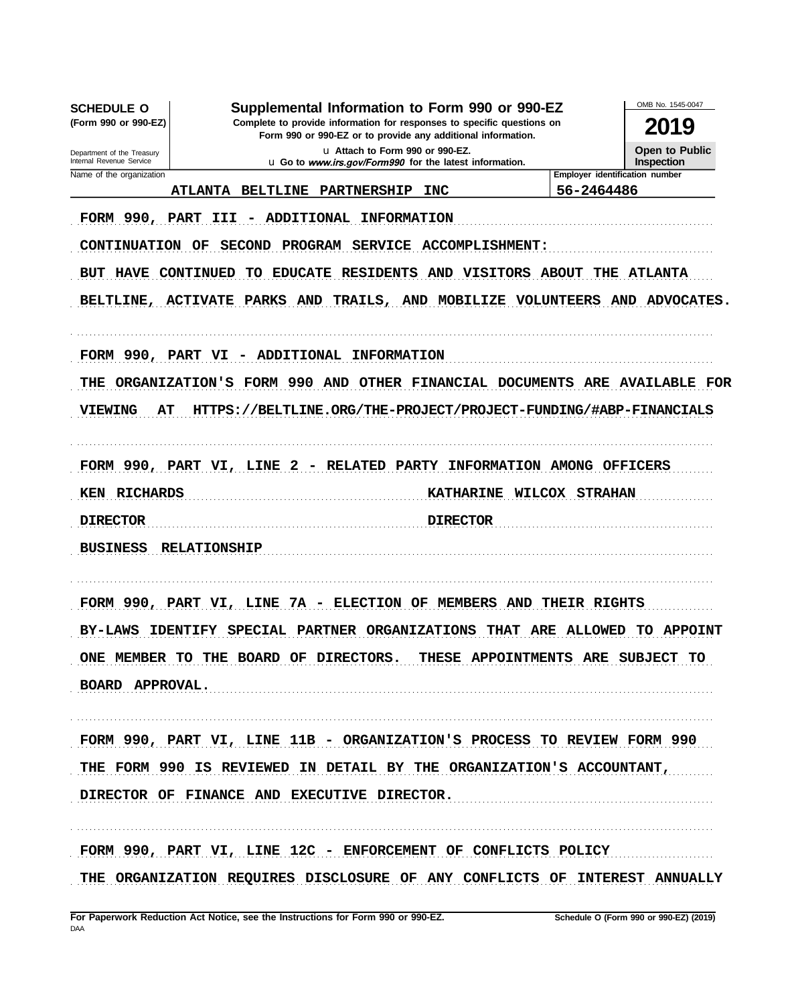OMB No. 1545-0047 **SCHEDULE O** Supplemental Information to Form 990 or 990-EZ (Form 990 or 990-EZ) Complete to provide information for responses to specific questions on 2019 Form 990 or 990-EZ or to provide any additional information. u Attach to Form 990 or 990-EZ. **Open to Public** Department of the Treasury u Go to www.irs.gov/Form990 for the latest information. **Inspection** Internal Revenue Service Employer identification number Name of the organization ATLANTA BELTLINE PARTNERSHIP INC 56-2464486 FORM 990, PART III - ADDITIONAL INFORMATION CONTINUATION OF SECOND PROGRAM SERVICE ACCOMPLISHMENT: BUT HAVE CONTINUED TO EDUCATE RESIDENTS AND VISITORS ABOUT THE ATLANTA BELTLINE, ACTIVATE PARKS AND TRAILS, AND MOBILIZE VOLUNTEERS AND ADVOCATES. FORM 990, PART VI - ADDITIONAL INFORMATION THE ORGANIZATION'S FORM 990 AND OTHER FINANCIAL DOCUMENTS ARE AVAILABLE FOR HTTPS://BELTLINE.ORG/THE-PROJECT/PROJECT-FUNDING/#ABP-FINANCIALS VIEWING AТ FORM 990, PART VI, LINE 2 - RELATED PARTY INFORMATION AMONG OFFICERS KEN RICHARDS KATHARINE WILCOX STRAHAN **DIRECTOR** <u>DIRECTOR</u> **BUSINESS RELATIONSHIP** FORM 990, PART VI, LINE 7A - ELECTION OF MEMBERS AND THEIR RIGHTS BY-LAWS IDENTIFY SPECIAL PARTNER ORGANIZATIONS THAT ARE ALLOWED TO APPOINT ONE MEMBER TO THE BOARD OF DIRECTORS. THESE APPOINTMENTS ARE SUBJECT TO BOARD APPROVAL. FORM 990, PART VI, LINE 11B - ORGANIZATION'S PROCESS TO REVIEW FORM 990 THE FORM 990 IS REVIEWED IN DETAIL BY THE ORGANIZATION'S ACCOUNTANT, DIRECTOR OF FINANCE AND EXECUTIVE DIRECTOR. FORM 990, PART VI, LINE 12C - ENFORCEMENT OF CONFLICTS POLICY THE ORGANIZATION REQUIRES DISCLOSURE OF ANY CONFLICTS OF INTEREST ANNUALLY